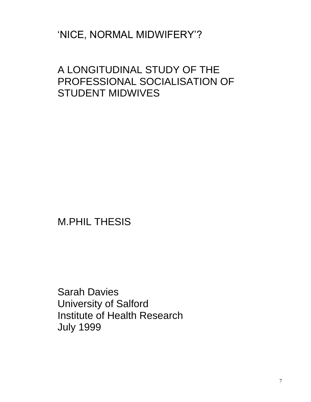# 'NICE, NORMAL MIDWIFERY'?

# A LONGITUDINAL STUDY OF THE PROFESSIONAL SOCIALISATION OF STUDENT MIDWIVES

M.PHIL THESIS

Sarah Davies University of Salford Institute of Health Research July 1999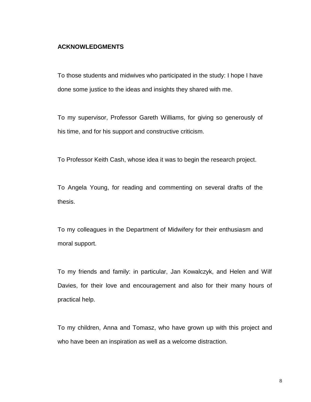## **ACKNOWLEDGMENTS**

To those students and midwives who participated in the study: I hope I have done some justice to the ideas and insights they shared with me.

To my supervisor, Professor Gareth Williams, for giving so generously of his time, and for his support and constructive criticism.

To Professor Keith Cash, whose idea it was to begin the research project.

To Angela Young, for reading and commenting on several drafts of the thesis.

To my colleagues in the Department of Midwifery for their enthusiasm and moral support.

To my friends and family: in particular, Jan Kowalczyk, and Helen and Wilf Davies, for their love and encouragement and also for their many hours of practical help.

To my children, Anna and Tomasz, who have grown up with this project and who have been an inspiration as well as a welcome distraction.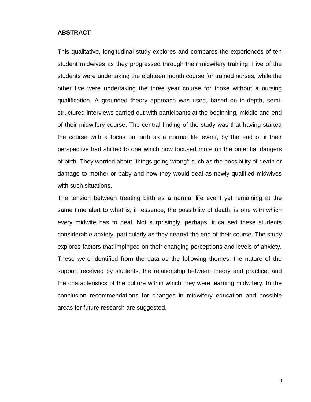## **ABSTRACT**

This qualitative, longitudinal study explores and compares the experiences of ten student midwives as they progressed through their midwifery training. Five of the students were undertaking the eighteen month course for trained nurses, while the other five were undertaking the three year course for those without a nursing qualification. A grounded theory approach was used, based on in-depth, semistructured interviews carried out with participants at the beginning, middle and end of their midwifery course. The central finding of the study was that having started the course with a focus on birth as a normal life event, by the end of it their perspective had shifted to one which now focused more on the potential dangers of birth. They worried about `things going wrong'; such as the possibility of death or damage to mother or baby and how they would deal as newly qualified midwives with such situations.

The tension between treating birth as a normal life event yet remaining at the same time alert to what is, in essence, the possibility of death, is one with which every midwife has to deal. Not surprisingly, perhaps, it caused these students considerable anxiety, particularly as they neared the end of their course. The study explores factors that impinged on their changing perceptions and levels of anxiety. These were identified from the data as the following themes: the nature of the support received by students, the relationship between theory and practice, and the characteristics of the culture within which they were learning midwifery. In the conclusion recommendations for changes in midwifery education and possible areas for future research are suggested.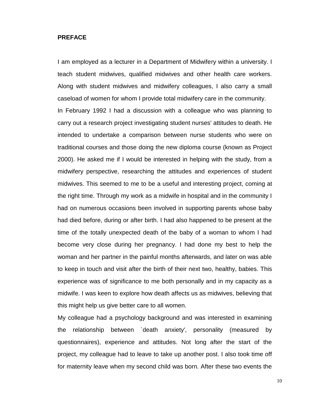## **PREFACE**

I am employed as a lecturer in a Department of Midwifery within a university. I teach student midwives, qualified midwives and other health care workers. Along with student midwives and midwifery colleagues, I also carry a small caseload of women for whom I provide total midwifery care in the community. In February 1992 I had a discussion with a colleague who was planning to carry out a research project investigating student nurses' attitudes to death. He intended to undertake a comparison between nurse students who were on traditional courses and those doing the new diploma course (known as Project 2000). He asked me if I would be interested in helping with the study, from a midwifery perspective, researching the attitudes and experiences of student midwives. This seemed to me to be a useful and interesting project, coming at the right time. Through my work as a midwife in hospital and in the community I had on numerous occasions been involved in supporting parents whose baby had died before, during or after birth. I had also happened to be present at the time of the totally unexpected death of the baby of a woman to whom I had become very close during her pregnancy. I had done my best to help the woman and her partner in the painful months afterwards, and later on was able to keep in touch and visit after the birth of their next two, healthy, babies. This experience was of significance to me both personally and in my capacity as a midwife. I was keen to explore how death affects us as midwives, believing that this might help us give better care to all women.

My colleague had a psychology background and was interested in examining the relationship between `death anxiety', personality (measured by questionnaires), experience and attitudes. Not long after the start of the project, my colleague had to leave to take up another post. I also took time off for maternity leave when my second child was born. After these two events the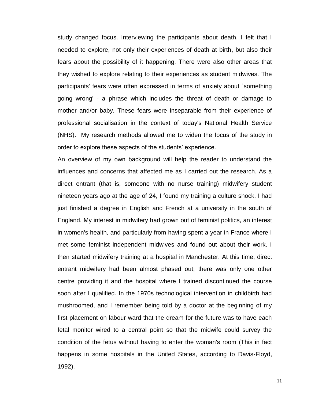study changed focus. Interviewing the participants about death, I felt that I needed to explore, not only their experiences of death at birth, but also their fears about the possibility of it happening. There were also other areas that they wished to explore relating to their experiences as student midwives. The participants' fears were often expressed in terms of anxiety about `something going wrong' - a phrase which includes the threat of death or damage to mother and/or baby. These fears were inseparable from their experience of professional socialisation in the context of today's National Health Service (NHS). My research methods allowed me to widen the focus of the study in order to explore these aspects of the students' experience.

An overview of my own background will help the reader to understand the influences and concerns that affected me as I carried out the research. As a direct entrant (that is, someone with no nurse training) midwifery student nineteen years ago at the age of 24, I found my training a culture shock. I had just finished a degree in English and French at a university in the south of England. My interest in midwifery had grown out of feminist politics, an interest in women's health, and particularly from having spent a year in France where I met some feminist independent midwives and found out about their work. I then started midwifery training at a hospital in Manchester. At this time, direct entrant midwifery had been almost phased out; there was only one other centre providing it and the hospital where I trained discontinued the course soon after I qualified. In the 1970s technological intervention in childbirth had mushroomed, and I remember being told by a doctor at the beginning of my first placement on labour ward that the dream for the future was to have each fetal monitor wired to a central point so that the midwife could survey the condition of the fetus without having to enter the woman's room (This in fact happens in some hospitals in the United States, according to Davis-Floyd, 1992).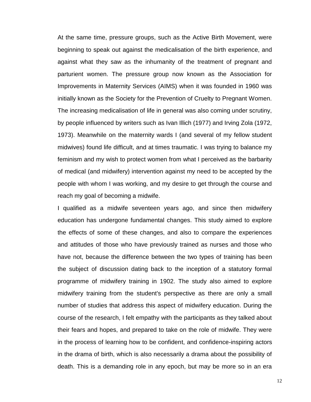At the same time, pressure groups, such as the Active Birth Movement, were beginning to speak out against the medicalisation of the birth experience, and against what they saw as the inhumanity of the treatment of pregnant and parturient women. The pressure group now known as the Association for Improvements in Maternity Services (AIMS) when it was founded in 1960 was initially known as the Society for the Prevention of Cruelty to Pregnant Women. The increasing medicalisation of life in general was also coming under scrutiny, by people influenced by writers such as Ivan Illich (1977) and Irving Zola (1972, 1973). Meanwhile on the maternity wards I (and several of my fellow student midwives) found life difficult, and at times traumatic. I was trying to balance my feminism and my wish to protect women from what I perceived as the barbarity of medical (and midwifery) intervention against my need to be accepted by the people with whom I was working, and my desire to get through the course and reach my goal of becoming a midwife.

I qualified as a midwife seventeen years ago, and since then midwifery education has undergone fundamental changes. This study aimed to explore the effects of some of these changes, and also to compare the experiences and attitudes of those who have previously trained as nurses and those who have not, because the difference between the two types of training has been the subject of discussion dating back to the inception of a statutory formal programme of midwifery training in 1902. The study also aimed to explore midwifery training from the student's perspective as there are only a small number of studies that address this aspect of midwifery education. During the course of the research, I felt empathy with the participants as they talked about their fears and hopes, and prepared to take on the role of midwife. They were in the process of learning how to be confident, and confidence-inspiring actors in the drama of birth, which is also necessarily a drama about the possibility of death. This is a demanding role in any epoch, but may be more so in an era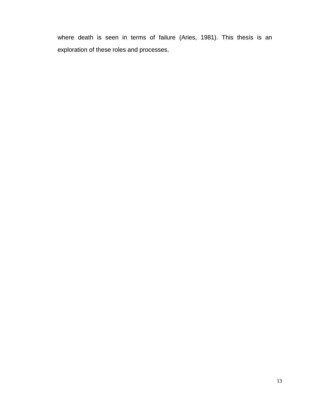where death is seen in terms of failure (Aries, 1981). This thesis is an exploration of these roles and processes.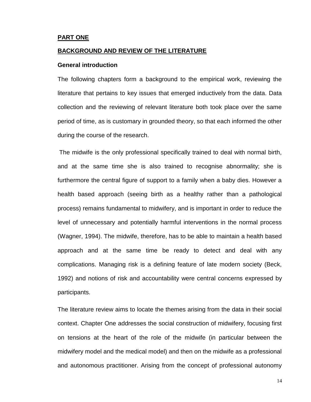## **PART ONE**

## **BACKGROUND AND REVIEW OF THE LITERATURE**

## **General introduction**

The following chapters form a background to the empirical work, reviewing the literature that pertains to key issues that emerged inductively from the data. Data collection and the reviewing of relevant literature both took place over the same period of time, as is customary in grounded theory, so that each informed the other during the course of the research.

The midwife is the only professional specifically trained to deal with normal birth, and at the same time she is also trained to recognise abnormality; she is furthermore the central figure of support to a family when a baby dies. However a health based approach (seeing birth as a healthy rather than a pathological process) remains fundamental to midwifery, and is important in order to reduce the level of unnecessary and potentially harmful interventions in the normal process (Wagner, 1994). The midwife, therefore, has to be able to maintain a health based approach and at the same time be ready to detect and deal with any complications. Managing risk is a defining feature of late modern society (Beck, 1992) and notions of risk and accountability were central concerns expressed by participants.

The literature review aims to locate the themes arising from the data in their social context. Chapter One addresses the social construction of midwifery, focusing first on tensions at the heart of the role of the midwife (in particular between the midwifery model and the medical model) and then on the midwife as a professional and autonomous practitioner. Arising from the concept of professional autonomy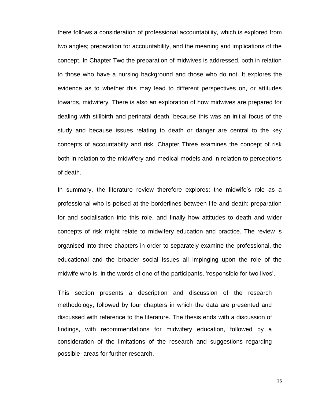there follows a consideration of professional accountability, which is explored from two angles; preparation for accountability, and the meaning and implications of the concept. In Chapter Two the preparation of midwives is addressed, both in relation to those who have a nursing background and those who do not. It explores the evidence as to whether this may lead to different perspectives on, or attitudes towards, midwifery. There is also an exploration of how midwives are prepared for dealing with stillbirth and perinatal death, because this was an initial focus of the study and because issues relating to death or danger are central to the key concepts of accountabilty and risk. Chapter Three examines the concept of risk both in relation to the midwifery and medical models and in relation to perceptions of death.

In summary, the literature review therefore explores: the midwife's role as a professional who is poised at the borderlines between life and death; preparation for and socialisation into this role, and finally how attitudes to death and wider concepts of risk might relate to midwifery education and practice. The review is organised into three chapters in order to separately examine the professional, the educational and the broader social issues all impinging upon the role of the midwife who is, in the words of one of the participants, 'responsible for two lives'.

This section presents a description and discussion of the research methodology, followed by four chapters in which the data are presented and discussed with reference to the literature. The thesis ends with a discussion of findings, with recommendations for midwifery education, followed by a consideration of the limitations of the research and suggestions regarding possible areas for further research.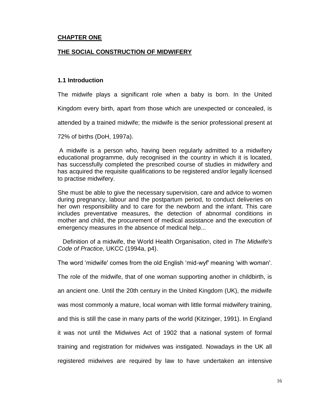## **CHAPTER ONE**

## **THE SOCIAL CONSTRUCTION OF MIDWIFERY**

## **1.1 Introduction**

The midwife plays a significant role when a baby is born. In the United

Kingdom every birth, apart from those which are unexpected or concealed, is

attended by a trained midwife; the midwife is the senior professional present at

72% of births (DoH, 1997a).

A midwife is a person who, having been regularly admitted to a midwifery educational programme, duly recognised in the country in which it is located, has successfully completed the prescribed course of studies in midwifery and has acquired the requisite qualifications to be registered and/or legally licensed to practise midwifery.

She must be able to give the necessary supervision, care and advice to women during pregnancy, labour and the postpartum period, to conduct deliveries on her own responsibility and to care for the newborn and the infant. This care includes preventative measures, the detection of abnormal conditions in mother and child, the procurement of medical assistance and the execution of emergency measures in the absence of medical help...

 Definition of a midwife, the World Health Organisation, cited in *The Midwife's Code of Practice*, UKCC (1994a, p4).

The word 'midwife' comes from the old English 'mid-wyf' meaning 'with woman'.

The role of the midwife, that of one woman supporting another in childbirth, is

an ancient one. Until the 20th century in the United Kingdom (UK), the midwife

was most commonly a mature, local woman with little formal midwifery training,

and this is still the case in many parts of the world (Kitzinger, 1991). In England

it was not until the Midwives Act of 1902 that a national system of formal

training and registration for midwives was instigated. Nowadays in the UK all

registered midwives are required by law to have undertaken an intensive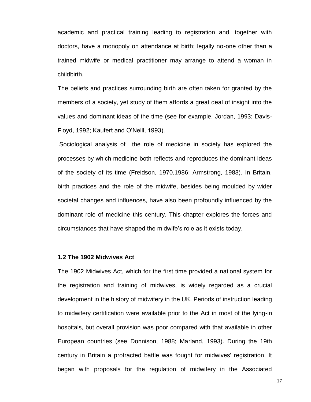academic and practical training leading to registration and, together with doctors, have a monopoly on attendance at birth; legally no-one other than a trained midwife or medical practitioner may arrange to attend a woman in childbirth.

The beliefs and practices surrounding birth are often taken for granted by the members of a society, yet study of them affords a great deal of insight into the values and dominant ideas of the time (see for example, Jordan, 1993; Davis-Floyd, 1992; Kaufert and O'Neill, 1993).

Sociological analysis of the role of medicine in society has explored the processes by which medicine both reflects and reproduces the dominant ideas of the society of its time (Freidson, 1970,1986; Armstrong, 1983). In Britain, birth practices and the role of the midwife, besides being moulded by wider societal changes and influences, have also been profoundly influenced by the dominant role of medicine this century. This chapter explores the forces and circumstances that have shaped the midwife's role as it exists today.

## **1.2 The 1902 Midwives Act**

The 1902 Midwives Act, which for the first time provided a national system for the registration and training of midwives, is widely regarded as a crucial development in the history of midwifery in the UK. Periods of instruction leading to midwifery certification were available prior to the Act in most of the lying-in hospitals, but overall provision was poor compared with that available in other European countries (see Donnison, 1988; Marland, 1993). During the 19th century in Britain a protracted battle was fought for midwives' registration. It began with proposals for the regulation of midwifery in the Associated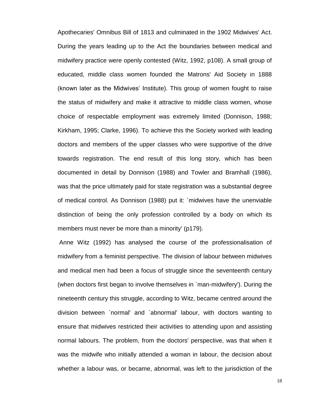Apothecaries' Omnibus Bill of 1813 and culminated in the 1902 Midwives' Act. During the years leading up to the Act the boundaries between medical and midwifery practice were openly contested (Witz, 1992, p108). A small group of educated, middle class women founded the Matrons' Aid Society in 1888 (known later as the Midwives' Institute). This group of women fought to raise the status of midwifery and make it attractive to middle class women, whose choice of respectable employment was extremely limited (Donnison, 1988; Kirkham, 1995; Clarke, 1996). To achieve this the Society worked with leading doctors and members of the upper classes who were supportive of the drive towards registration. The end result of this long story, which has been documented in detail by Donnison (1988) and Towler and Bramhall (1986), was that the price ultimately paid for state registration was a substantial degree of medical control. As Donnison (1988) put it: `midwives have the unenviable distinction of being the only profession controlled by a body on which its members must never be more than a minority' (p179).

Anne Witz (1992) has analysed the course of the professionalisation of midwifery from a feminist perspective. The division of labour between midwives and medical men had been a focus of struggle since the seventeenth century (when doctors first began to involve themselves in `man-midwifery'). During the nineteenth century this struggle, according to Witz, became centred around the division between `normal' and `abnormal' labour, with doctors wanting to ensure that midwives restricted their activities to attending upon and assisting normal labours. The problem, from the doctors' perspective, was that when it was the midwife who initially attended a woman in labour, the decision about whether a labour was, or became, abnormal, was left to the jurisdiction of the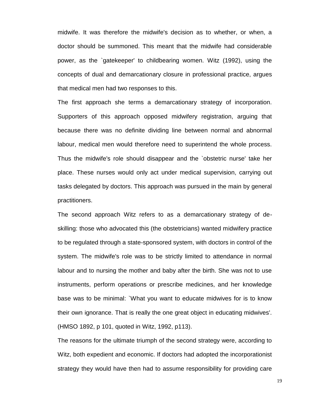midwife. It was therefore the midwife's decision as to whether, or when, a doctor should be summoned. This meant that the midwife had considerable power, as the `gatekeeper' to childbearing women. Witz (1992), using the concepts of dual and demarcationary closure in professional practice, argues that medical men had two responses to this.

The first approach she terms a demarcationary strategy of incorporation. Supporters of this approach opposed midwifery registration, arguing that because there was no definite dividing line between normal and abnormal labour, medical men would therefore need to superintend the whole process. Thus the midwife's role should disappear and the `obstetric nurse' take her place. These nurses would only act under medical supervision, carrying out tasks delegated by doctors. This approach was pursued in the main by general practitioners.

The second approach Witz refers to as a demarcationary strategy of deskilling: those who advocated this (the obstetricians) wanted midwifery practice to be regulated through a state-sponsored system, with doctors in control of the system. The midwife's role was to be strictly limited to attendance in normal labour and to nursing the mother and baby after the birth. She was not to use instruments, perform operations or prescribe medicines, and her knowledge base was to be minimal: `What you want to educate midwives for is to know their own ignorance. That is really the one great object in educating midwives'. (HMSO 1892, p 101, quoted in Witz, 1992, p113).

The reasons for the ultimate triumph of the second strategy were, according to Witz, both expedient and economic. If doctors had adopted the incorporationist strategy they would have then had to assume responsibility for providing care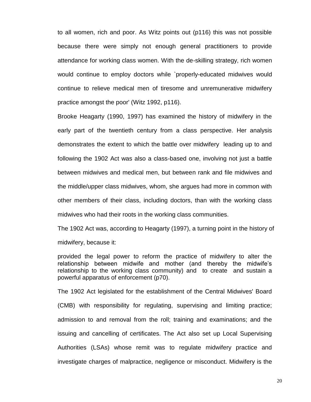to all women, rich and poor. As Witz points out (p116) this was not possible because there were simply not enough general practitioners to provide attendance for working class women. With the de-skilling strategy, rich women would continue to employ doctors while `properly-educated midwives would continue to relieve medical men of tiresome and unremunerative midwifery practice amongst the poor' (Witz 1992, p116).

Brooke Heagarty (1990, 1997) has examined the history of midwifery in the early part of the twentieth century from a class perspective. Her analysis demonstrates the extent to which the battle over midwifery leading up to and following the 1902 Act was also a class-based one, involving not just a battle between midwives and medical men, but between rank and file midwives and the middle/upper class midwives, whom, she argues had more in common with other members of their class, including doctors, than with the working class midwives who had their roots in the working class communities.

The 1902 Act was, according to Heagarty (1997), a turning point in the history of midwifery, because it:

provided the legal power to reform the practice of midwifery to alter the relationship between midwife and mother (and thereby the midwife's relationship to the working class community) and to create and sustain a powerful apparatus of enforcement (p70).

The 1902 Act legislated for the establishment of the Central Midwives' Board (CMB) with responsibility for regulating, supervising and limiting practice; admission to and removal from the roll; training and examinations; and the issuing and cancelling of certificates. The Act also set up Local Supervising Authorities (LSAs) whose remit was to regulate midwifery practice and investigate charges of malpractice, negligence or misconduct. Midwifery is the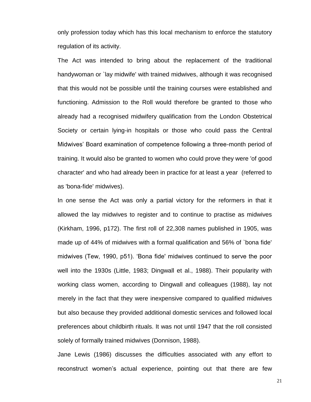only profession today which has this local mechanism to enforce the statutory regulation of its activity.

The Act was intended to bring about the replacement of the traditional handywoman or `lay midwife' with trained midwives, although it was recognised that this would not be possible until the training courses were established and functioning. Admission to the Roll would therefore be granted to those who already had a recognised midwifery qualification from the London Obstetrical Society or certain lying-in hospitals or those who could pass the Central Midwives' Board examination of competence following a three-month period of training. It would also be granted to women who could prove they were 'of good character' and who had already been in practice for at least a year (referred to as 'bona-fide' midwives).

In one sense the Act was only a partial victory for the reformers in that it allowed the lay midwives to register and to continue to practise as midwives (Kirkham, 1996, p172). The first roll of 22,308 names published in 1905, was made up of 44% of midwives with a formal qualification and 56% of `bona fide' midwives (Tew, 1990, p51). 'Bona fide' midwives continued to serve the poor well into the 1930s (Little, 1983; Dingwall et al., 1988). Their popularity with working class women, according to Dingwall and colleagues (1988), lay not merely in the fact that they were inexpensive compared to qualified midwives but also because they provided additional domestic services and followed local preferences about childbirth rituals. It was not until 1947 that the roll consisted solely of formally trained midwives (Donnison, 1988).

Jane Lewis (1986) discusses the difficulties associated with any effort to reconstruct women's actual experience, pointing out that there are few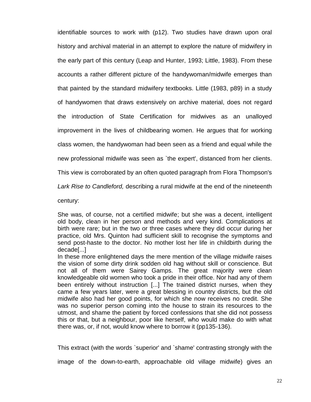identifiable sources to work with (p12). Two studies have drawn upon oral history and archival material in an attempt to explore the nature of midwifery in the early part of this century (Leap and Hunter, 1993; Little, 1983). From these accounts a rather different picture of the handywoman/midwife emerges than that painted by the standard midwifery textbooks. Little (1983, p89) in a study of handywomen that draws extensively on archive material, does not regard the introduction of State Certification for midwives as an unalloyed improvement in the lives of childbearing women. He argues that for working class women, the handywoman had been seen as a friend and equal while the

new professional midwife was seen as `the expert', distanced from her clients.

This view is corroborated by an often quoted paragraph from Flora Thompson's

*Lark Rise to Candleford,* describing a rural midwife at the end of the nineteenth

century:

She was, of course, not a certified midwife; but she was a decent, intelligent old body, clean in her person and methods and very kind. Complications at birth were rare; but in the two or three cases where they did occur during her practice, old Mrs. Quinton had sufficient skill to recognise the symptoms and send post-haste to the doctor. No mother lost her life in childbirth during the decade[...]

In these more enlightened days the mere mention of the village midwife raises the vision of some dirty drink sodden old hag without skill or conscience. But not all of them were Sairey Gamps. The great majority were clean knowledgeable old women who took a pride in their office. Nor had any of them been entirely without instruction [...] The trained district nurses, when they came a few years later, were a great blessing in country districts, but the old midwife also had her good points, for which she now receives no credit. She was no superior person coming into the house to strain its resources to the utmost, and shame the patient by forced confessions that she did not possess this or that, but a neighbour, poor like herself, who would make do with what there was, or, if not, would know where to borrow it (pp135-136).

This extract (with the words `superior' and `shame' contrasting strongly with the

image of the down-to-earth, approachable old village midwife) gives an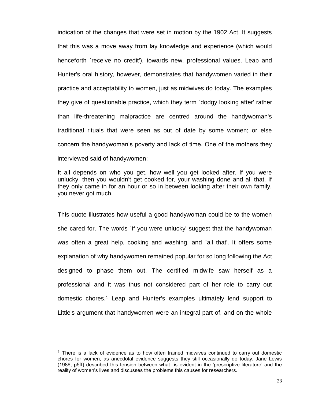indication of the changes that were set in motion by the 1902 Act. It suggests that this was a move away from lay knowledge and experience (which would henceforth `receive no credit'), towards new, professional values. Leap and Hunter's oral history, however, demonstrates that handywomen varied in their practice and acceptability to women, just as midwives do today. The examples they give of questionable practice, which they term `dodgy looking after' rather than life-threatening malpractice are centred around the handywoman's traditional rituals that were seen as out of date by some women; or else concern the handywoman's poverty and lack of time. One of the mothers they interviewed said of handywomen:

It all depends on who you get, how well you get looked after. If you were unlucky, then you wouldn't get cooked for, your washing done and all that. If they only came in for an hour or so in between looking after their own family, you never got much.

This quote illustrates how useful a good handywoman could be to the women she cared for. The words `if you were unlucky' suggest that the handywoman was often a great help, cooking and washing, and `all that'. It offers some explanation of why handywomen remained popular for so long following the Act designed to phase them out. The certified midwife saw herself as a professional and it was thus not considered part of her role to carry out domestic chores.<sup>1</sup> Leap and Hunter's examples ultimately lend support to Little's argument that handywomen were an integral part of, and on the whole

 $\overline{\phantom{a}}$ 

 $<sup>1</sup>$  There is a lack of evidence as to how often trained midwives continued to carry out domestic</sup> chores for women, as anecdotal evidence suggests they still occasionally do today. Jane Lewis (1986, p5ff) described this tension between what is evident in the 'prescriptive literature' and the reality of women's lives and discusses the problems this causes for researchers.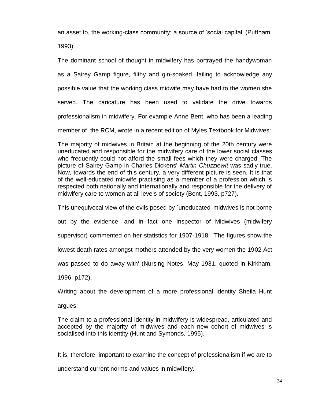an asset to, the working-class community; a source of 'social capital' (Puttnam, 1993).

The dominant school of thought in midwifery has portrayed the handywoman as a Sairey Gamp figure, filthy and gin-soaked, failing to acknowledge any possible value that the working class midwife may have had to the women she served. The caricature has been used to validate the drive towards professionalism in midwifery. For example Anne Bent, who has been a leading member of the RCM, wrote in a recent edition of Myles Textbook for Midwives:

The majority of midwives in Britain at the beginning of the 20th century were uneducated and responsible for the midwifery care of the lower social classes who frequently could not afford the small fees which they were charged. The picture of Sairey Gamp in Charles Dickens' *Martin Chuzzlewit* was sadly true. Now, towards the end of this century, a very different picture is seen. It is that of the well-educated midwife practising as a member of a profession which is respected both nationally and internationally and responsible for the delivery of midwifery care to women at all levels of society (Bent, 1993, p727).

This unequivocal view of the evils posed by `uneducated' midwives is not borne out by the evidence, and in fact one Inspector of Midwives (midwifery supervisor) commented on her statistics for 1907-1918: `The figures show the lowest death rates amongst mothers attended by the very women the 1902 Act was passed to do away with' (Nursing Notes, May 1931, quoted in Kirkham, 1996, p172).

Writing about the development of a more professional identity Sheila Hunt

argues:

The claim to a professional identity in midwifery is widespread, articulated and accepted by the majority of midwives and each new cohort of midwives is socialised into this identity (Hunt and Symonds, 1995).

It is, therefore, important to examine the concept of professionalism if we are to understand current norms and values in midwifery.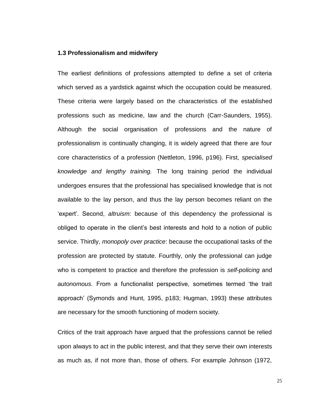## **1.3 Professionalism and midwifery**

The earliest definitions of professions attempted to define a set of criteria which served as a yardstick against which the occupation could be measured. These criteria were largely based on the characteristics of the established professions such as medicine, law and the church (Carr-Saunders, 1955). Although the social organisation of professions and the nature of professionalism is continually changing, it is widely agreed that there are four core characteristics of a profession (Nettleton, 1996, p196). First, *specialised knowledge and lengthy training.* The long training period the individual undergoes ensures that the professional has specialised knowledge that is not available to the lay person, and thus the lay person becomes reliant on the 'expert'. Second, *altruism*: because of this dependency the professional is obliged to operate in the client's best interests and hold to a notion of public service. Thirdly, *monopoly over practice*: because the occupational tasks of the profession are protected by statute. Fourthly, only the professional can judge who is competent to practice and therefore the profession is *self-policing* and *autonomous.* From a functionalist perspective, sometimes termed 'the trait approach' (Symonds and Hunt, 1995, p183; Hugman, 1993) these attributes are necessary for the smooth functioning of modern society.

Critics of the trait approach have argued that the professions cannot be relied upon always to act in the public interest, and that they serve their own interests as much as, if not more than, those of others. For example Johnson (1972,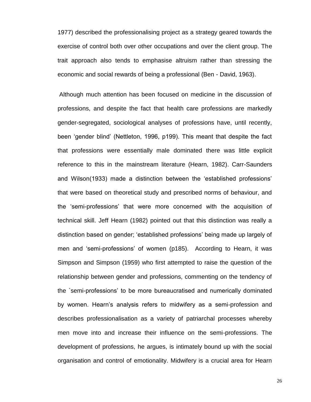1977) described the professionalising project as a strategy geared towards the exercise of control both over other occupations and over the client group. The trait approach also tends to emphasise altruism rather than stressing the economic and social rewards of being a professional (Ben - David, 1963).

Although much attention has been focused on medicine in the discussion of professions, and despite the fact that health care professions are markedly gender-segregated, sociological analyses of professions have, until recently, been 'gender blind' (Nettleton, 1996, p199). This meant that despite the fact that professions were essentially male dominated there was little explicit reference to this in the mainstream literature (Hearn, 1982). Carr-Saunders and Wilson(1933) made a distinction between the 'established professions' that were based on theoretical study and prescribed norms of behaviour, and the 'semi-professions' that were more concerned with the acquisition of technical skill. Jeff Hearn (1982) pointed out that this distinction was really a distinction based on gender; 'established professions' being made up largely of men and 'semi-professions' of women (p185). According to Hearn, it was Simpson and Simpson (1959) who first attempted to raise the question of the relationship between gender and professions, commenting on the tendency of the `semi-professions' to be more bureaucratised and numerically dominated by women. Hearn's analysis refers to midwifery as a semi-profession and describes professionalisation as a variety of patriarchal processes whereby men move into and increase their influence on the semi-professions. The development of professions, he argues, is intimately bound up with the social organisation and control of emotionality. Midwifery is a crucial area for Hearn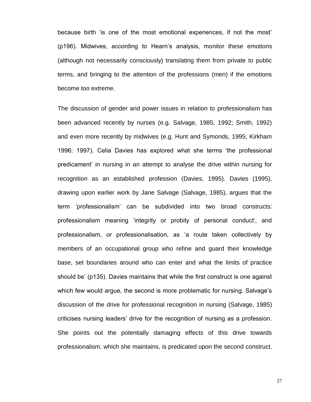because birth 'is one of the most emotional experiences, if not the most' (p196). Midwives, according to Hearn's analysis, monitor these emotions (although not necessarily consciously) translating them from private to public terms, and bringing to the attention of the professions (men) if the emotions become too extreme.

The discussion of gender and power issues in relation to professionalism has been advanced recently by nurses (e.g. Salvage, 1985, 1992; Smith, 1992) and even more recently by midwives (e.g. Hunt and Symonds, 1995; Kirkham 1996; 1997). Celia Davies has explored what she terms 'the professional predicament' in nursing in an attempt to analyse the drive within nursing for recognition as an established profession (Davies, 1995). Davies (1995), drawing upon earlier work by Jane Salvage (Salvage, 1985), argues that the term 'professionalism' can be subdivided into two broad constructs: professionalism meaning 'integrity or probity of personal conduct', and professionalism, or professionalisation, as 'a route taken collectively by members of an occupational group who refine and guard their knowledge base, set boundaries around who can enter and what the limits of practice should be' (p135). Davies maintains that while the first construct is one against which few would argue, the second is more problematic for nursing. Salvage's discussion of the drive for professional recognition in nursing (Salvage, 1985) criticises nursing leaders' drive for the recognition of nursing as a profession. She points out the potentially damaging effects of this drive towards professionalism, which she maintains, is predicated upon the second construct.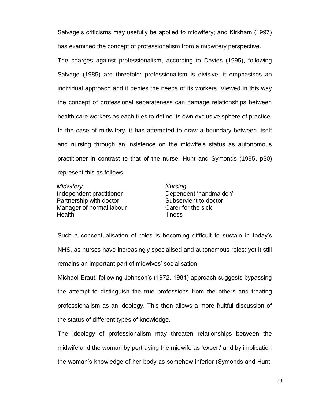Salvage's criticisms may usefully be applied to midwifery; and Kirkham (1997) has examined the concept of professionalism from a midwifery perspective.

The charges against professionalism, according to Davies (1995), following Salvage (1985) are threefold: professionalism is divisive; it emphasises an individual approach and it denies the needs of its workers. Viewed in this way the concept of professional separateness can damage relationships between health care workers as each tries to define its own exclusive sphere of practice. In the case of midwifery, it has attempted to draw a boundary between itself and nursing through an insistence on the midwife's status as autonomous practitioner in contrast to that of the nurse. Hunt and Symonds (1995, p30) represent this as follows:

*Midwifery* Independent practitioner Partnership with doctor Manager of normal labour Health

*Nursing* Dependent 'handmaiden' Subservient to doctor Carer for the sick Illness

Such a conceptualisation of roles is becoming difficult to sustain in today's NHS, as nurses have increasingly specialised and autonomous roles; yet it still remains an important part of midwives' socialisation.

Michael Eraut, following Johnson's (1972, 1984) approach suggests bypassing the attempt to distinguish the true professions from the others and treating professionalism as an ideology. This then allows a more fruitful discussion of the status of different types of knowledge.

The ideology of professionalism may threaten relationships between the midwife and the woman by portraying the midwife as 'expert' and by implication the woman's knowledge of her body as somehow inferior (Symonds and Hunt,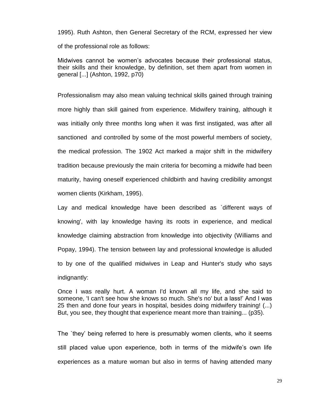1995). Ruth Ashton, then General Secretary of the RCM, expressed her view of the professional role as follows:

Midwives cannot be women's advocates because their professional status, their skills and their knowledge, by definition, set them apart from women in general [...] (Ashton, 1992, p70)

Professionalism may also mean valuing technical skills gained through training more highly than skill gained from experience. Midwifery training, although it was initially only three months long when it was first instigated, was after all sanctioned and controlled by some of the most powerful members of society, the medical profession. The 1902 Act marked a major shift in the midwifery tradition because previously the main criteria for becoming a midwife had been maturity, having oneself experienced childbirth and having credibility amongst women clients (Kirkham, 1995).

Lay and medical knowledge have been described as `different ways of knowing', with lay knowledge having its roots in experience, and medical knowledge claiming abstraction from knowledge into objectivity (Williams and Popay, 1994). The tension between lay and professional knowledge is alluded to by one of the qualified midwives in Leap and Hunter's study who says indignantly:

Once I was really hurt. A woman I'd known all my life, and she said to someone, 'I can't see how she knows so much. She's no' but a lass!' And I was 25 then and done four years in hospital, besides doing midwifery training! (...) But, you see, they thought that experience meant more than training... (p35).

The `they' being referred to here is presumably women clients, who it seems still placed value upon experience, both in terms of the midwife's own life experiences as a mature woman but also in terms of having attended many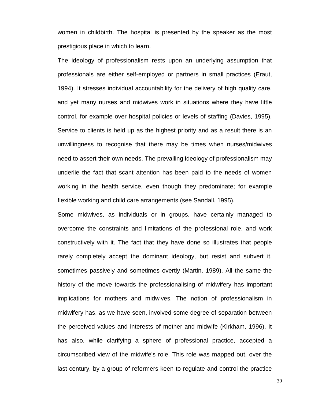women in childbirth. The hospital is presented by the speaker as the most prestigious place in which to learn.

The ideology of professionalism rests upon an underlying assumption that professionals are either self-employed or partners in small practices (Eraut, 1994). It stresses individual accountability for the delivery of high quality care, and yet many nurses and midwives work in situations where they have little control, for example over hospital policies or levels of staffing (Davies, 1995). Service to clients is held up as the highest priority and as a result there is an unwillingness to recognise that there may be times when nurses/midwives need to assert their own needs. The prevailing ideology of professionalism may underlie the fact that scant attention has been paid to the needs of women working in the health service, even though they predominate; for example flexible working and child care arrangements (see Sandall, 1995).

Some midwives, as individuals or in groups, have certainly managed to overcome the constraints and limitations of the professional role, and work constructively with it. The fact that they have done so illustrates that people rarely completely accept the dominant ideology, but resist and subvert it, sometimes passively and sometimes overtly (Martin, 1989). All the same the history of the move towards the professionalising of midwifery has important implications for mothers and midwives. The notion of professionalism in midwifery has, as we have seen, involved some degree of separation between the perceived values and interests of mother and midwife (Kirkham, 1996). It has also, while clarifying a sphere of professional practice, accepted a circumscribed view of the midwife's role. This role was mapped out, over the last century, by a group of reformers keen to regulate and control the practice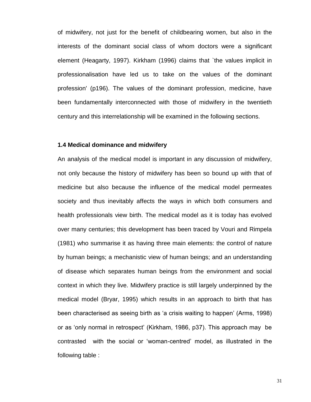of midwifery, not just for the benefit of childbearing women, but also in the interests of the dominant social class of whom doctors were a significant element (Heagarty, 1997). Kirkham (1996) claims that `the values implicit in professionalisation have led us to take on the values of the dominant profession' (p196). The values of the dominant profession, medicine, have been fundamentally interconnected with those of midwifery in the twentieth century and this interrelationship will be examined in the following sections.

## **1.4 Medical dominance and midwifery**

An analysis of the medical model is important in any discussion of midwifery, not only because the history of midwifery has been so bound up with that of medicine but also because the influence of the medical model permeates society and thus inevitably affects the ways in which both consumers and health professionals view birth. The medical model as it is today has evolved over many centuries; this development has been traced by Vouri and Rimpela (1981) who summarise it as having three main elements: the control of nature by human beings; a mechanistic view of human beings; and an understanding of disease which separates human beings from the environment and social context in which they live. Midwifery practice is still largely underpinned by the medical model (Bryar, 1995) which results in an approach to birth that has been characterised as seeing birth as 'a crisis waiting to happen' (Arms, 1998) or as 'only normal in retrospect' (Kirkham, 1986, p37). This approach may be contrasted with the social or 'woman-centred' model, as illustrated in the following table :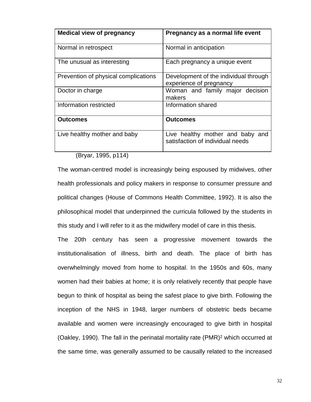| <b>Medical view of pregnancy</b>     | Pregnancy as a normal life event                                        |
|--------------------------------------|-------------------------------------------------------------------------|
| Normal in retrospect                 | Normal in anticipation                                                  |
| The unusual as interesting           | Each pregnancy a unique event                                           |
| Prevention of physical complications | Development of the individual through<br>experience of pregnancy        |
| Doctor in charge                     | Woman and family major decision<br>makers                               |
| Information restricted               | Information shared                                                      |
| <b>Outcomes</b>                      | <b>Outcomes</b>                                                         |
| Live healthy mother and baby         | Live healthy mother and baby<br>and<br>satisfaction of individual needs |

(Bryar, 1995, p114)

The woman-centred model is increasingly being espoused by midwives, other health professionals and policy makers in response to consumer pressure and political changes (House of Commons Health Committee, 1992). It is also the philosophical model that underpinned the curricula followed by the students in this study and I will refer to it as the midwifery model of care in this thesis.

The 20th century has seen a progressive movement towards the institutionalisation of illness, birth and death. The place of birth has overwhelmingly moved from home to hospital. In the 1950s and 60s, many women had their babies at home; it is only relatively recently that people have begun to think of hospital as being the safest place to give birth. Following the inception of the NHS in 1948, larger numbers of obstetric beds became available and women were increasingly encouraged to give birth in hospital (Oakley, 1990). The fall in the perinatal mortality rate (PMR)<sup>2</sup> which occurred at the same time, was generally assumed to be causally related to the increased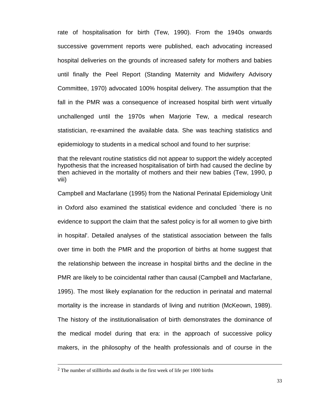rate of hospitalisation for birth (Tew, 1990). From the 1940s onwards successive government reports were published, each advocating increased hospital deliveries on the grounds of increased safety for mothers and babies until finally the Peel Report (Standing Maternity and Midwifery Advisory Committee, 1970) advocated 100% hospital delivery. The assumption that the fall in the PMR was a consequence of increased hospital birth went virtually unchallenged until the 1970s when Marjorie Tew, a medical research statistician, re-examined the available data. She was teaching statistics and epidemiology to students in a medical school and found to her surprise:

that the relevant routine statistics did not appear to support the widely accepted hypothesis that the increased hospitalisation of birth had caused the decline by then achieved in the mortality of mothers and their new babies (Tew, 1990, p viii)

Campbell and Macfarlane (1995) from the National Perinatal Epidemiology Unit in Oxford also examined the statistical evidence and concluded `there is no evidence to support the claim that the safest policy is for all women to give birth in hospital'. Detailed analyses of the statistical association between the falls over time in both the PMR and the proportion of births at home suggest that the relationship between the increase in hospital births and the decline in the PMR are likely to be coincidental rather than causal (Campbell and Macfarlane, 1995). The most likely explanation for the reduction in perinatal and maternal mortality is the increase in standards of living and nutrition (McKeown, 1989). The history of the institutionalisation of birth demonstrates the dominance of the medical model during that era: in the approach of successive policy makers, in the philosophy of the health professionals and of course in the

 $\overline{\phantom{a}}$ 

<sup>&</sup>lt;sup>2</sup> The number of stillbirths and deaths in the first week of life per 1000 births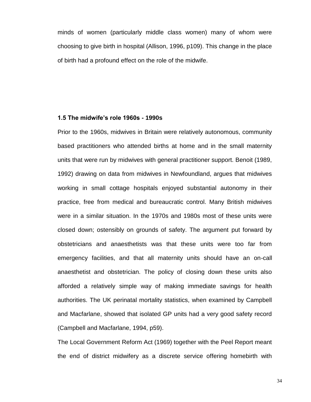minds of women (particularly middle class women) many of whom were choosing to give birth in hospital (Allison, 1996, p109). This change in the place of birth had a profound effect on the role of the midwife.

#### **1.5 The midwife's role 1960s - 1990s**

Prior to the 1960s, midwives in Britain were relatively autonomous, community based practitioners who attended births at home and in the small maternity units that were run by midwives with general practitioner support. Benoit (1989, 1992) drawing on data from midwives in Newfoundland, argues that midwives working in small cottage hospitals enjoyed substantial autonomy in their practice, free from medical and bureaucratic control. Many British midwives were in a similar situation. In the 1970s and 1980s most of these units were closed down; ostensibly on grounds of safety. The argument put forward by obstetricians and anaesthetists was that these units were too far from emergency facilities, and that all maternity units should have an on-call anaesthetist and obstetrician. The policy of closing down these units also afforded a relatively simple way of making immediate savings for health authorities. The UK perinatal mortality statistics, when examined by Campbell and Macfarlane, showed that isolated GP units had a very good safety record (Campbell and Macfarlane, 1994, p59).

The Local Government Reform Act (1969) together with the Peel Report meant the end of district midwifery as a discrete service offering homebirth with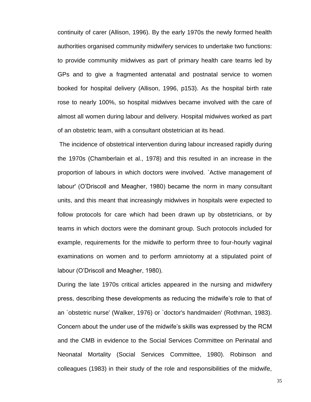continuity of carer (Allison, 1996). By the early 1970s the newly formed health authorities organised community midwifery services to undertake two functions: to provide community midwives as part of primary health care teams led by GPs and to give a fragmented antenatal and postnatal service to women booked for hospital delivery (Allison, 1996, p153). As the hospital birth rate rose to nearly 100%, so hospital midwives became involved with the care of almost all women during labour and delivery. Hospital midwives worked as part of an obstetric team, with a consultant obstetrician at its head.

The incidence of obstetrical intervention during labour increased rapidly during the 1970s (Chamberlain et al., 1978) and this resulted in an increase in the proportion of labours in which doctors were involved. `Active management of labour' (O'Driscoll and Meagher, 1980) became the norm in many consultant units, and this meant that increasingly midwives in hospitals were expected to follow protocols for care which had been drawn up by obstetricians, or by teams in which doctors were the dominant group. Such protocols included for example, requirements for the midwife to perform three to four-hourly vaginal examinations on women and to perform amniotomy at a stipulated point of labour (O'Driscoll and Meagher, 1980).

During the late 1970s critical articles appeared in the nursing and midwifery press, describing these developments as reducing the midwife's role to that of an `obstetric nurse' (Walker, 1976) or `doctor's handmaiden' (Rothman, 1983). Concern about the under use of the midwife's skills was expressed by the RCM and the CMB in evidence to the Social Services Committee on Perinatal and Neonatal Mortality (Social Services Committee, 1980). Robinson and colleagues (1983) in their study of the role and responsibilities of the midwife,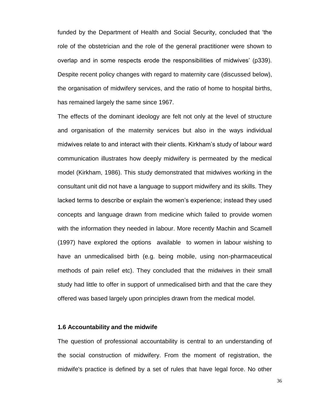funded by the Department of Health and Social Security, concluded that 'the role of the obstetrician and the role of the general practitioner were shown to overlap and in some respects erode the responsibilities of midwives' (p339). Despite recent policy changes with regard to maternity care (discussed below), the organisation of midwifery services, and the ratio of home to hospital births, has remained largely the same since 1967.

The effects of the dominant ideology are felt not only at the level of structure and organisation of the maternity services but also in the ways individual midwives relate to and interact with their clients. Kirkham's study of labour ward communication illustrates how deeply midwifery is permeated by the medical model (Kirkham, 1986). This study demonstrated that midwives working in the consultant unit did not have a language to support midwifery and its skills. They lacked terms to describe or explain the women's experience; instead they used concepts and language drawn from medicine which failed to provide women with the information they needed in labour. More recently Machin and Scamell (1997) have explored the options available to women in labour wishing to have an unmedicalised birth (e.g. being mobile, using non-pharmaceutical methods of pain relief etc). They concluded that the midwives in their small study had little to offer in support of unmedicalised birth and that the care they offered was based largely upon principles drawn from the medical model.

### **1.6 Accountability and the midwife**

The question of professional accountability is central to an understanding of the social construction of midwifery. From the moment of registration, the midwife's practice is defined by a set of rules that have legal force. No other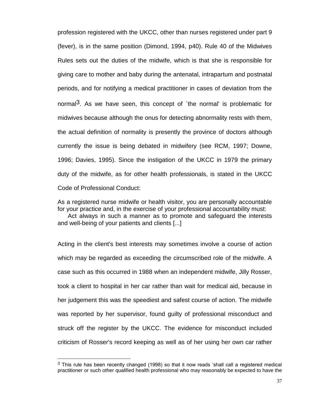profession registered with the UKCC, other than nurses registered under part 9 (fever), is in the same position (Dimond, 1994, p40). Rule 40 of the Midwives Rules sets out the duties of the midwife, which is that she is responsible for giving care to mother and baby during the antenatal, intrapartum and postnatal periods, and for notifying a medical practitioner in cases of deviation from the normal<sup>3</sup>. As we have seen, this concept of *the normal'* is problematic for midwives because although the onus for detecting abnormality rests with them, the actual definition of normality is presently the province of doctors although currently the issue is being debated in midwifery (see RCM, 1997; Downe, 1996; Davies, 1995). Since the instigation of the UKCC in 1979 the primary duty of the midwife, as for other health professionals, is stated in the UKCC Code of Professional Conduct:

As a registered nurse midwife or health visitor, you are personally accountable for your practice and, in the exercise of your professional accountability must:

 Act always in such a manner as to promote and safeguard the interests and well-being of your patients and clients [...]

Acting in the client's best interests may sometimes involve a course of action which may be regarded as exceeding the circumscribed role of the midwife. A case such as this occurred in 1988 when an independent midwife, Jilly Rosser, took a client to hospital in her car rather than wait for medical aid, because in her judgement this was the speediest and safest course of action. The midwife was reported by her supervisor, found guilty of professional misconduct and struck off the register by the UKCC. The evidence for misconduct included criticism of Rosser's record keeping as well as of her using her own car rather

 $\overline{a}$ 

 $3$  This rule has been recently changed (1998) so that it now reads 'shall call a registered medical practitioner or such other qualified health professional who may reasonably be expected to have the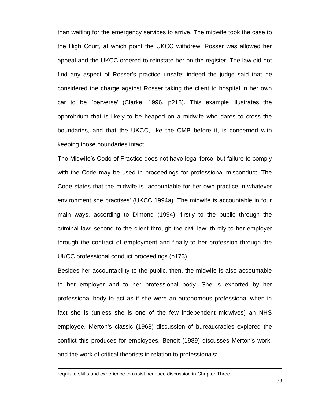than waiting for the emergency services to arrive. The midwife took the case to the High Court, at which point the UKCC withdrew. Rosser was allowed her appeal and the UKCC ordered to reinstate her on the register. The law did not find any aspect of Rosser's practice unsafe; indeed the judge said that he considered the charge against Rosser taking the client to hospital in her own car to be `perverse' (Clarke, 1996, p218). This example illustrates the opprobrium that is likely to be heaped on a midwife who dares to cross the boundaries, and that the UKCC, like the CMB before it, is concerned with keeping those boundaries intact.

The Midwife's Code of Practice does not have legal force, but failure to comply with the Code may be used in proceedings for professional misconduct. The Code states that the midwife is `accountable for her own practice in whatever environment she practises' (UKCC 1994a). The midwife is accountable in four main ways, according to Dimond (1994): firstly to the public through the criminal law; second to the client through the civil law; thirdly to her employer through the contract of employment and finally to her profession through the UKCC professional conduct proceedings (p173).

Besides her accountability to the public, then, the midwife is also accountable to her employer and to her professional body. She is exhorted by her professional body to act as if she were an autonomous professional when in fact she is (unless she is one of the few independent midwives) an NHS employee. Merton's classic (1968) discussion of bureaucracies explored the conflict this produces for employees. Benoit (1989) discusses Merton's work, and the work of critical theorists in relation to professionals:

 $\overline{\phantom{a}}$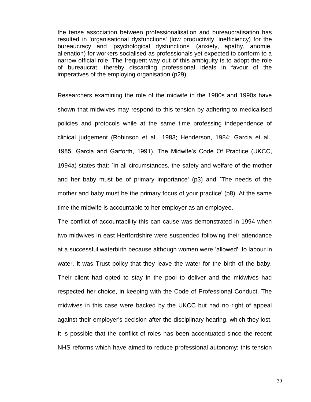the tense association between professionalisation and bureaucratisation has resulted in 'organisational dysfunctions' (low productivity, inefficiency) for the bureaucracy and 'psychological dysfunctions' (anxiety, apathy, anomie, alienation) for workers socialised as professionals yet expected to conform to a narrow official role. The frequent way out of this ambiguity is to adopt the role of bureaucrat, thereby discarding professional ideals in favour of the imperatives of the employing organisation (p29).

Researchers examining the role of the midwife in the 1980s and 1990s have shown that midwives may respond to this tension by adhering to medicalised policies and protocols while at the same time professing independence of clinical judgement (Robinson et al., 1983; Henderson, 1984; Garcia et al., 1985; Garcia and Garforth, 1991). The Midwife's Code Of Practice (UKCC, 1994a) states that: `In all circumstances, the safety and welfare of the mother and her baby must be of primary importance' (p3) and `The needs of the mother and baby must be the primary focus of your practice' (p8). At the same time the midwife is accountable to her employer as an employee.

The conflict of accountability this can cause was demonstrated in 1994 when two midwives in east Hertfordshire were suspended following their attendance at a successful waterbirth because although women were 'allowed' to labour in water, it was Trust policy that they leave the water for the birth of the baby. Their client had opted to stay in the pool to deliver and the midwives had respected her choice, in keeping with the Code of Professional Conduct. The midwives in this case were backed by the UKCC but had no right of appeal against their employer's decision after the disciplinary hearing, which they lost. It is possible that the conflict of roles has been accentuated since the recent NHS reforms which have aimed to reduce professional autonomy; this tension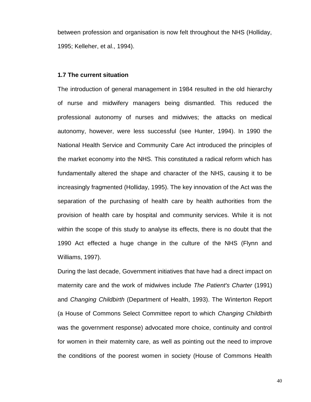between profession and organisation is now felt throughout the NHS (Holliday, 1995; Kelleher, et al., 1994).

#### **1.7 The current situation**

The introduction of general management in 1984 resulted in the old hierarchy of nurse and midwifery managers being dismantled. This reduced the professional autonomy of nurses and midwives; the attacks on medical autonomy, however, were less successful (see Hunter, 1994). In 1990 the National Health Service and Community Care Act introduced the principles of the market economy into the NHS. This constituted a radical reform which has fundamentally altered the shape and character of the NHS, causing it to be increasingly fragmented (Holliday, 1995). The key innovation of the Act was the separation of the purchasing of health care by health authorities from the provision of health care by hospital and community services. While it is not within the scope of this study to analyse its effects, there is no doubt that the 1990 Act effected a huge change in the culture of the NHS (Flynn and Williams, 1997).

During the last decade, Government initiatives that have had a direct impact on maternity care and the work of midwives include *The Patient's Charter* (1991) and *Changing Childbirth* (Department of Health, 1993). The Winterton Report (a House of Commons Select Committee report to which *Changing Childbirth* was the government response) advocated more choice, continuity and control for women in their maternity care, as well as pointing out the need to improve the conditions of the poorest women in society (House of Commons Health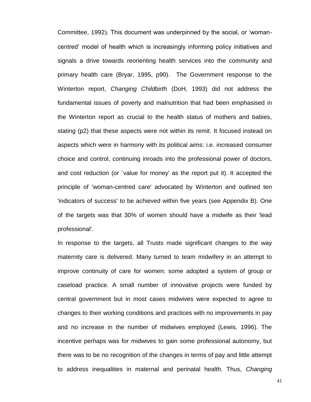Committee, 1992). This document was underpinned by the social, or 'womancentred' model of health which is increasingly informing policy initiatives and signals a drive towards reorienting health services into the community and primary health care (Bryar, 1995, p90). The Government response to the Winterton report, *Changing Childbirth* (DoH, 1993) did not address the fundamental issues of poverty and malnutrition that had been emphasised in the Winterton report as crucial to the health status of mothers and babies, stating (p2) that these aspects were not within its remit. It focused instead on aspects which were in harmony with its political aims: i.e. increased consumer choice and control, continuing inroads into the professional power of doctors, and cost reduction (or `value for money' as the report put it). It accepted the principle of 'woman-centred care' advocated by Winterton and outlined ten 'indicators of success' to be achieved within five years (see Appendix B). One of the targets was that 30% of women should have a midwife as their 'lead professional'.

In response to the targets, all Trusts made significant changes to the way maternity care is delivered. Many turned to team midwifery in an attempt to improve continuity of care for women; some adopted a system of group or caseload practice. A small number of innovative projects were funded by central government but in most cases midwives were expected to agree to changes to their working conditions and practices with no improvements in pay and no increase in the number of midwives employed (Lewis, 1996). The incentive perhaps was for midwives to gain some professional autonomy, but there was to be no recognition of the changes in terms of pay and little attempt to address inequalities in maternal and perinatal health. Thus, *Changing*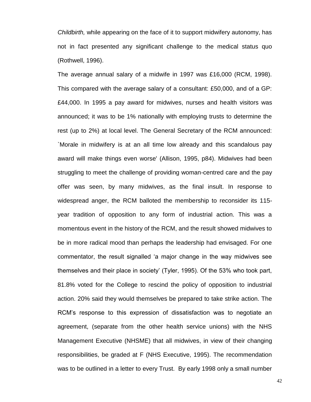*Childbirth,* while appearing on the face of it to support midwifery autonomy, has not in fact presented any significant challenge to the medical status quo (Rothwell, 1996).

The average annual salary of a midwife in 1997 was £16,000 (RCM, 1998). This compared with the average salary of a consultant: £50,000, and of a GP: £44,000. In 1995 a pay award for midwives, nurses and health visitors was announced; it was to be 1% nationally with employing trusts to determine the rest (up to 2%) at local level. The General Secretary of the RCM announced: `Morale in midwifery is at an all time low already and this scandalous pay award will make things even worse' (Allison, 1995, p84). Midwives had been struggling to meet the challenge of providing woman-centred care and the pay offer was seen, by many midwives, as the final insult. In response to widespread anger, the RCM balloted the membership to reconsider its 115 year tradition of opposition to any form of industrial action. This was a momentous event in the history of the RCM, and the result showed midwives to be in more radical mood than perhaps the leadership had envisaged. For one commentator, the result signalled 'a major change in the way midwives see themselves and their place in society' (Tyler, 1995). Of the 53% who took part, 81.8% voted for the College to rescind the policy of opposition to industrial action. 20% said they would themselves be prepared to take strike action. The RCM's response to this expression of dissatisfaction was to negotiate an agreement, (separate from the other health service unions) with the NHS Management Executive (NHSME) that all midwives, in view of their changing responsibilities, be graded at F (NHS Executive, 1995). The recommendation was to be outlined in a letter to every Trust. By early 1998 only a small number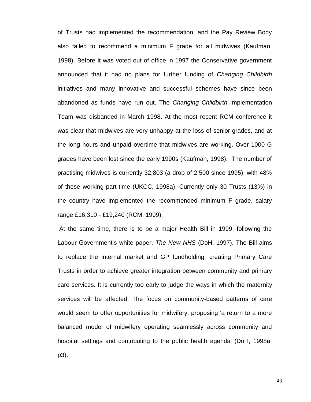of Trusts had implemented the recommendation, and the Pay Review Body also failed to recommend a minimum F grade for all midwives (Kaufman, 1998). Before it was voted out of office in 1997 the Conservative government announced that it had no plans for further funding of *Changing Childbirth* initiatives and many innovative and successful schemes have since been abandoned as funds have run out. The *Changing Childbirth* Implementation Team was disbanded in March 1998. At the most recent RCM conference it was clear that midwives are very unhappy at the loss of senior grades, and at the long hours and unpaid overtime that midwives are working. Over 1000 G grades have been lost since the early 1990s (Kaufman, 1998). The number of practising midwives is currently 32,803 (a drop of 2,500 since 1995), with 48% of these working part-time (UKCC, 1998a). Currently only 30 Trusts (13%) in the country have implemented the recommended minimum F grade, salary range £16,310 - £19,240 (RCM, 1999).

At the same time, there is to be a major Health Bill in 1999, following the Labour Government's white paper, *The New NHS* (DoH, 1997). The Bill aims to replace the internal market and GP fundholding, creating Primary Care Trusts in order to achieve greater integration between community and primary care services. It is currently too early to judge the ways in which the maternity services will be affected. The focus on community-based patterns of care would seem to offer opportunities for midwifery, proposing 'a return to a more balanced model of midwifery operating seamlessly across community and hospital settings and contributing to the public health agenda' (DoH, 1998a, p3).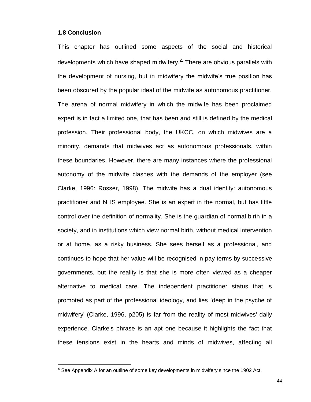#### **1.8 Conclusion**

 $\overline{a}$ 

This chapter has outlined some aspects of the social and historical developments which have shaped midwifery.4 There are obvious parallels with the development of nursing, but in midwifery the midwife's true position has been obscured by the popular ideal of the midwife as autonomous practitioner. The arena of normal midwifery in which the midwife has been proclaimed expert is in fact a limited one, that has been and still is defined by the medical profession. Their professional body, the UKCC, on which midwives are a minority, demands that midwives act as autonomous professionals, within these boundaries. However, there are many instances where the professional autonomy of the midwife clashes with the demands of the employer (see Clarke, 1996: Rosser, 1998). The midwife has a dual identity: autonomous practitioner and NHS employee. She is an expert in the normal, but has little control over the definition of normality. She is the guardian of normal birth in a society, and in institutions which view normal birth, without medical intervention or at home, as a risky business. She sees herself as a professional, and continues to hope that her value will be recognised in pay terms by successive governments, but the reality is that she is more often viewed as a cheaper alternative to medical care. The independent practitioner status that is promoted as part of the professional ideology, and lies `deep in the psyche of midwifery' (Clarke, 1996, p205) is far from the reality of most midwives' daily experience. Clarke's phrase is an apt one because it highlights the fact that these tensions exist in the hearts and minds of midwives, affecting all

<sup>4</sup> See Appendix A for an outline of some key developments in midwifery since the 1902 Act.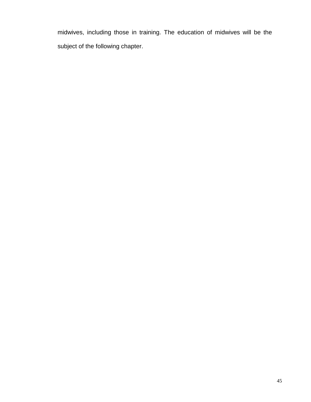midwives, including those in training. The education of midwives will be the subject of the following chapter.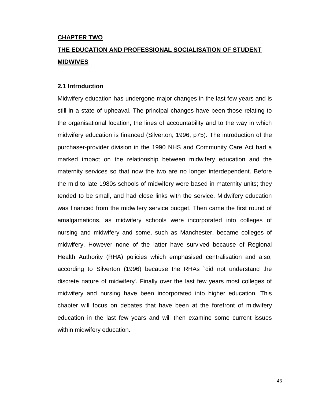# **CHAPTER TWO**

# **THE EDUCATION AND PROFESSIONAL SOCIALISATION OF STUDENT MIDWIVES**

## **2.1 Introduction**

Midwifery education has undergone major changes in the last few years and is still in a state of upheaval. The principal changes have been those relating to the organisational location, the lines of accountability and to the way in which midwifery education is financed (Silverton, 1996, p75). The introduction of the purchaser-provider division in the 1990 NHS and Community Care Act had a marked impact on the relationship between midwifery education and the maternity services so that now the two are no longer interdependent. Before the mid to late 1980s schools of midwifery were based in maternity units; they tended to be small, and had close links with the service. Midwifery education was financed from the midwifery service budget. Then came the first round of amalgamations, as midwifery schools were incorporated into colleges of nursing and midwifery and some, such as Manchester, became colleges of midwifery. However none of the latter have survived because of Regional Health Authority (RHA) policies which emphasised centralisation and also, according to Silverton (1996) because the RHAs `did not understand the discrete nature of midwifery'. Finally over the last few years most colleges of midwifery and nursing have been incorporated into higher education. This chapter will focus on debates that have been at the forefront of midwifery education in the last few years and will then examine some current issues within midwifery education.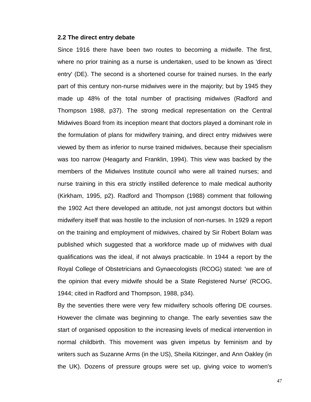#### **2.2 The direct entry debate**

Since 1916 there have been two routes to becoming a midwife. The first, where no prior training as a nurse is undertaken, used to be known as 'direct entry' (DE). The second is a shortened course for trained nurses. In the early part of this century non-nurse midwives were in the majority; but by 1945 they made up 48% of the total number of practising midwives (Radford and Thompson 1988, p37). The strong medical representation on the Central Midwives Board from its inception meant that doctors played a dominant role in the formulation of plans for midwifery training, and direct entry midwives were viewed by them as inferior to nurse trained midwives, because their specialism was too narrow (Heagarty and Franklin, 1994). This view was backed by the members of the Midwives Institute council who were all trained nurses; and nurse training in this era strictly instilled deference to male medical authority (Kirkham, 1995, p2). Radford and Thompson (1988) comment that following the 1902 Act there developed an attitude, not just amongst doctors but within midwifery itself that was hostile to the inclusion of non-nurses. In 1929 a report on the training and employment of midwives, chaired by Sir Robert Bolam was published which suggested that a workforce made up of midwives with dual qualifications was the ideal, if not always practicable. In 1944 a report by the Royal College of Obstetricians and Gynaecologists (RCOG) stated: 'we are of the opinion that every midwife should be a State Registered Nurse' (RCOG, 1944; cited in Radford and Thompson, 1988, p34).

By the seventies there were very few midwifery schools offering DE courses. However the climate was beginning to change. The early seventies saw the start of organised opposition to the increasing levels of medical intervention in normal childbirth. This movement was given impetus by feminism and by writers such as Suzanne Arms (in the US), Sheila Kitzinger, and Ann Oakley (in the UK). Dozens of pressure groups were set up, giving voice to women's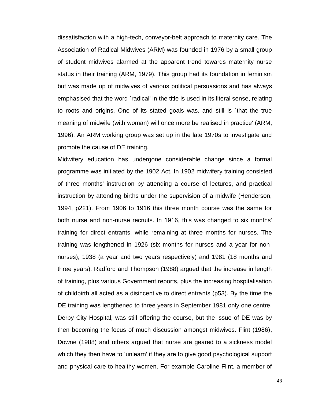dissatisfaction with a high-tech, conveyor-belt approach to maternity care. The Association of Radical Midwives (ARM) was founded in 1976 by a small group of student midwives alarmed at the apparent trend towards maternity nurse status in their training (ARM, 1979). This group had its foundation in feminism but was made up of midwives of various political persuasions and has always emphasised that the word `radical' in the title is used in its literal sense, relating to roots and origins. One of its stated goals was, and still is `that the true meaning of midwife (with woman) will once more be realised in practice' (ARM, 1996). An ARM working group was set up in the late 1970s to investigate and promote the cause of DE training.

Midwifery education has undergone considerable change since a formal programme was initiated by the 1902 Act. In 1902 midwifery training consisted of three months' instruction by attending a course of lectures, and practical instruction by attending births under the supervision of a midwife (Henderson, 1994, p221). From 1906 to 1916 this three month course was the same for both nurse and non-nurse recruits. In 1916, this was changed to six months' training for direct entrants, while remaining at three months for nurses. The training was lengthened in 1926 (six months for nurses and a year for nonnurses), 1938 (a year and two years respectively) and 1981 (18 months and three years). Radford and Thompson (1988) argued that the increase in length of training, plus various Government reports, plus the increasing hospitalisation of childbirth all acted as a disincentive to direct entrants (p53). By the time the DE training was lengthened to three years in September 1981 only one centre, Derby City Hospital, was still offering the course, but the issue of DE was by then becoming the focus of much discussion amongst midwives. Flint (1986), Downe (1988) and others argued that nurse are geared to a sickness model which they then have to 'unlearn' if they are to give good psychological support and physical care to healthy women. For example Caroline Flint, a member of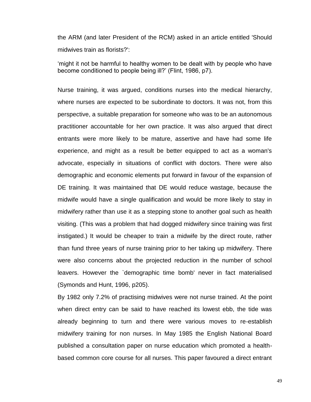the ARM (and later President of the RCM) asked in an article entitled 'Should midwives train as florists?':

'might it not be harmful to healthy women to be dealt with by people who have become conditioned to people being ill?' (Flint, 1986, p7).

Nurse training, it was argued, conditions nurses into the medical hierarchy, where nurses are expected to be subordinate to doctors. It was not, from this perspective, a suitable preparation for someone who was to be an autonomous practitioner accountable for her own practice. It was also argued that direct entrants were more likely to be mature, assertive and have had some life experience, and might as a result be better equipped to act as a woman's advocate, especially in situations of conflict with doctors. There were also demographic and economic elements put forward in favour of the expansion of DE training. It was maintained that DE would reduce wastage, because the midwife would have a single qualification and would be more likely to stay in midwifery rather than use it as a stepping stone to another goal such as health visiting. (This was a problem that had dogged midwifery since training was first instigated.) It would be cheaper to train a midwife by the direct route, rather than fund three years of nurse training prior to her taking up midwifery. There were also concerns about the projected reduction in the number of school leavers. However the `demographic time bomb' never in fact materialised (Symonds and Hunt, 1996, p205).

By 1982 only 7.2% of practising midwives were not nurse trained. At the point when direct entry can be said to have reached its lowest ebb, the tide was already beginning to turn and there were various moves to re-establish midwifery training for non nurses. In May 1985 the English National Board published a consultation paper on nurse education which promoted a healthbased common core course for all nurses. This paper favoured a direct entrant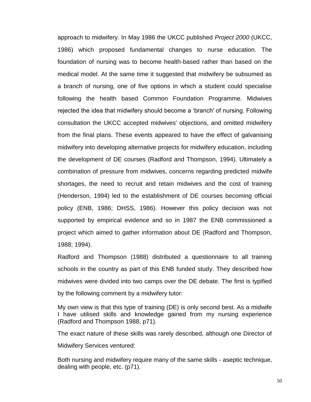approach to midwifery. In May 1986 the UKCC published *Project 2000* (UKCC, 1986) which proposed fundamental changes to nurse education. The foundation of nursing was to become health-based rather than based on the medical model. At the same time it suggested that midwifery be subsumed as a branch of nursing, one of five options in which a student could specialise following the health based Common Foundation Programme. Midwives rejected the idea that midwifery should become a 'branch' of nursing. Following consultation the UKCC accepted midwives' objections, and omitted midwifery from the final plans. These events appeared to have the effect of galvanising midwifery into developing alternative projects for midwifery education, including the development of DE courses (Radford and Thompson, 1994). Ultimately a combination of pressure from midwives, concerns regarding predicted midwife shortages, the need to recruit and retain midwives and the cost of training (Henderson, 1994) led to the establishment of DE courses becoming official policy (ENB, 1986; DHSS, 1986). However this policy decision was not supported by empirical evidence and so in 1987 the ENB commissioned a project which aimed to gather information about DE (Radford and Thompson, 1988; 1994).

Radford and Thompson (1988) distributed a questionnaire to all training schools in the country as part of this ENB funded study. They described how midwives were divided into two camps over the DE debate. The first is typified by the following comment by a midwifery tutor:

My own view is that this type of training (DE) is only second best. As a midwife I have utilised skills and knowledge gained from my nursing experience (Radford and Thompson 1988, p71).

The exact nature of these skills was rarely described, although one Director of Midwifery Services ventured:

Both nursing and midwifery require many of the same skills - aseptic technique, dealing with people, etc. (p71).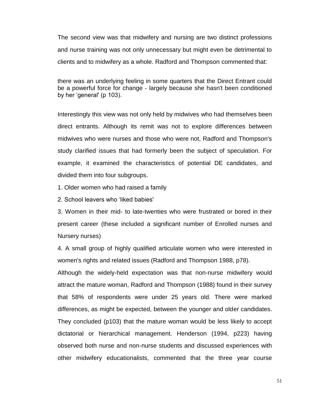The second view was that midwifery and nursing are two distinct professions and nurse training was not only unnecessary but might even be detrimental to clients and to midwifery as a whole. Radford and Thompson commented that:

there was an underlying feeling in some quarters that the Direct Entrant could be a powerful force for change - largely because she hasn't been conditioned by her 'general' (p 103).

Interestingly this view was not only held by midwives who had themselves been direct entrants. Although its remit was not to explore differences between midwives who were nurses and those who were not, Radford and Thompson's study clarified issues that had formerly been the subject of speculation. For example, it examined the characteristics of potential DE candidates, and divided them into four subgroups.

1. Older women who had raised a family

2. School leavers who 'liked babies'

3. Women in their mid- to late-twenties who were frustrated or bored in their present career (these included a significant number of Enrolled nurses and Nursery nurses)

4. A small group of highly qualified articulate women who were interested in women's rights and related issues (Radford and Thompson 1988, p78).

Although the widely-held expectation was that non-nurse midwifery would attract the mature woman, Radford and Thompson (1988) found in their survey that 58% of respondents were under 25 years old. There were marked differences, as might be expected, between the younger and older candidates. They concluded (p103) that the mature woman would be less likely to accept dictatorial or hierarchical management. Henderson (1994, p223) having observed both nurse and non-nurse students and discussed experiences with other midwifery educationalists, commented that the three year course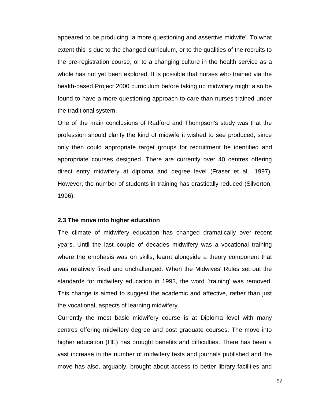appeared to be producing `a more questioning and assertive midwife'. To what extent this is due to the changed curriculum, or to the qualities of the recruits to the pre-registration course, or to a changing culture in the health service as a whole has not yet been explored. It is possible that nurses who trained via the health-based Project 2000 curriculum before taking up midwifery might also be found to have a more questioning approach to care than nurses trained under the traditional system.

One of the main conclusions of Radford and Thompson's study was that the profession should clarify the kind of midwife it wished to see produced, since only then could appropriate target groups for recruitment be identified and appropriate courses designed. There are currently over 40 centres offering direct entry midwifery at diploma and degree level (Fraser et al., 1997). However, the number of students in training has drastically reduced (Silverton, 1996).

#### **2.3 The move into higher education**

The climate of midwifery education has changed dramatically over recent years. Until the last couple of decades midwifery was a vocational training where the emphasis was on skills, learnt alongside a theory component that was relatively fixed and unchallenged. When the Midwives' Rules set out the standards for midwifery education in 1993, the word `training' was removed. This change is aimed to suggest the academic and affective, rather than just the vocational, aspects of learning midwifery.

Currently the most basic midwifery course is at Diploma level with many centres offering midwifery degree and post graduate courses. The move into higher education (HE) has brought benefits and difficulties. There has been a vast increase in the number of midwifery texts and journals published and the move has also, arguably, brought about access to better library facilities and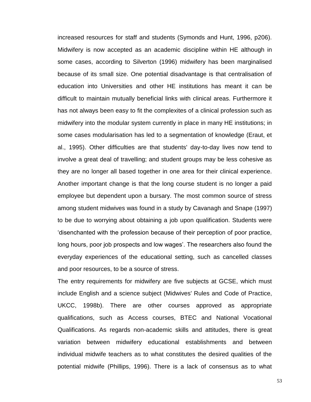increased resources for staff and students (Symonds and Hunt, 1996, p206). Midwifery is now accepted as an academic discipline within HE although in some cases, according to Silverton (1996) midwifery has been marginalised because of its small size. One potential disadvantage is that centralisation of education into Universities and other HE institutions has meant it can be difficult to maintain mutually beneficial links with clinical areas. Furthermore it has not always been easy to fit the complexites of a clinical profession such as midwifery into the modular system currently in place in many HE institutions; in some cases modularisation has led to a segmentation of knowledge (Eraut, et al., 1995). Other difficulties are that students' day-to-day lives now tend to involve a great deal of travelling; and student groups may be less cohesive as they are no longer all based together in one area for their clinical experience. Another important change is that the long course student is no longer a paid employee but dependent upon a bursary. The most common source of stress among student midwives was found in a study by Cavanagh and Snape (1997) to be due to worrying about obtaining a job upon qualification. Students were 'disenchanted with the profession because of their perception of poor practice, long hours, poor job prospects and low wages'. The researchers also found the everyday experiences of the educational setting, such as cancelled classes and poor resources, to be a source of stress.

The entry requirements for midwifery are five subjects at GCSE, which must include English and a science subject (Midwives' Rules and Code of Practice, UKCC, 1998b). There are other courses approved as appropriate qualifications, such as Access courses, BTEC and National Vocational Qualifications. As regards non-academic skills and attitudes, there is great variation between midwifery educational establishments and between individual midwife teachers as to what constitutes the desired qualities of the potential midwife (Phillips, 1996). There is a lack of consensus as to what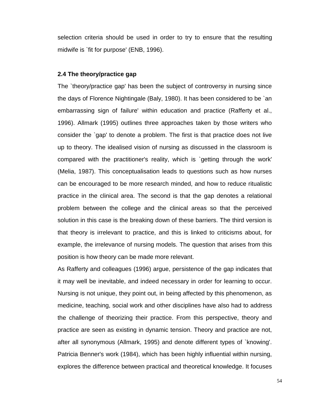selection criteria should be used in order to try to ensure that the resulting midwife is `fit for purpose' (ENB, 1996).

## **2.4 The theory/practice gap**

The `theory/practice gap' has been the subject of controversy in nursing since the days of Florence Nightingale (Baly, 1980). It has been considered to be `an embarrassing sign of failure' within education and practice (Rafferty et al., 1996). Allmark (1995) outlines three approaches taken by those writers who consider the `gap' to denote a problem. The first is that practice does not live up to theory. The idealised vision of nursing as discussed in the classroom is compared with the practitioner's reality, which is `getting through the work' (Melia, 1987). This conceptualisation leads to questions such as how nurses can be encouraged to be more research minded, and how to reduce ritualistic practice in the clinical area. The second is that the gap denotes a relational problem between the college and the clinical areas so that the perceived solution in this case is the breaking down of these barriers. The third version is that theory is irrelevant to practice, and this is linked to criticisms about, for example, the irrelevance of nursing models. The question that arises from this position is how theory can be made more relevant.

As Rafferty and colleagues (1996) argue, persistence of the gap indicates that it may well be inevitable, and indeed necessary in order for learning to occur. Nursing is not unique, they point out, in being affected by this phenomenon, as medicine, teaching, social work and other disciplines have also had to address the challenge of theorizing their practice. From this perspective, theory and practice are seen as existing in dynamic tension. Theory and practice are not, after all synonymous (Allmark, 1995) and denote different types of `knowing'. Patricia Benner's work (1984), which has been highly influential within nursing, explores the difference between practical and theoretical knowledge. It focuses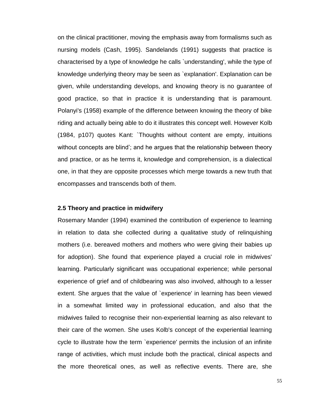on the clinical practitioner, moving the emphasis away from formalisms such as nursing models (Cash, 1995). Sandelands (1991) suggests that practice is characterised by a type of knowledge he calls `understanding', while the type of knowledge underlying theory may be seen as `explanation'. Explanation can be given, while understanding develops, and knowing theory is no guarantee of good practice, so that in practice it is understanding that is paramount. Polanyi's (1958) example of the difference between knowing the theory of bike riding and actually being able to do it illustrates this concept well. However Kolb (1984, p107) quotes Kant: `Thoughts without content are empty, intuitions without concepts are blind'; and he argues that the relationship between theory and practice, or as he terms it, knowledge and comprehension, is a dialectical one, in that they are opposite processes which merge towards a new truth that encompasses and transcends both of them.

# **2.5 Theory and practice in midwifery**

Rosemary Mander (1994) examined the contribution of experience to learning in relation to data she collected during a qualitative study of relinquishing mothers (i.e. bereaved mothers and mothers who were giving their babies up for adoption). She found that experience played a crucial role in midwives' learning. Particularly significant was occupational experience; while personal experience of grief and of childbearing was also involved, although to a lesser extent. She argues that the value of `experience' in learning has been viewed in a somewhat limited way in professional education, and also that the midwives failed to recognise their non-experiential learning as also relevant to their care of the women. She uses Kolb's concept of the experiential learning cycle to illustrate how the term `experience' permits the inclusion of an infinite range of activities, which must include both the practical, clinical aspects and the more theoretical ones, as well as reflective events. There are, she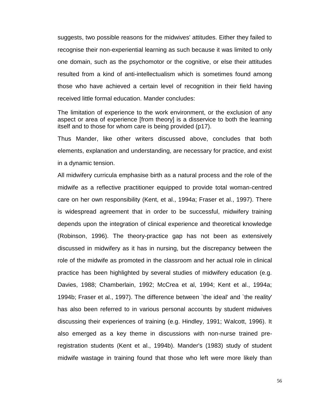suggests, two possible reasons for the midwives' attitudes. Either they failed to recognise their non-experiential learning as such because it was limited to only one domain, such as the psychomotor or the cognitive, or else their attitudes resulted from a kind of anti-intellectualism which is sometimes found among those who have achieved a certain level of recognition in their field having received little formal education. Mander concludes:

The limitation of experience to the work environment, or the exclusion of any aspect or area of experience [from theory] is a disservice to both the learning itself and to those for whom care is being provided (p17).

Thus Mander, like other writers discussed above, concludes that both elements, explanation and understanding, are necessary for practice, and exist in a dynamic tension.

All midwifery curricula emphasise birth as a natural process and the role of the midwife as a reflective practitioner equipped to provide total woman-centred care on her own responsibility (Kent, et al., 1994a; Fraser et al., 1997). There is widespread agreement that in order to be successful, midwifery training depends upon the integration of clinical experience and theoretical knowledge (Robinson, 1996). The theory-practice gap has not been as extensively discussed in midwifery as it has in nursing, but the discrepancy between the role of the midwife as promoted in the classroom and her actual role in clinical practice has been highlighted by several studies of midwifery education (e.g. Davies, 1988; Chamberlain, 1992; McCrea et al, 1994; Kent et al., 1994a; 1994b; Fraser et al., 1997). The difference between `the ideal' and `the reality' has also been referred to in various personal accounts by student midwives discussing their experiences of training (e.g. Hindley, 1991; Walcott, 1996). It also emerged as a key theme in discussions with non-nurse trained preregistration students (Kent et al., 1994b). Mander's (1983) study of student midwife wastage in training found that those who left were more likely than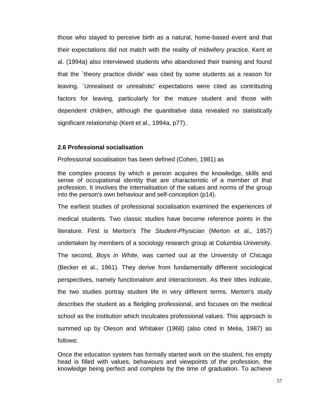those who stayed to perceive birth as a natural, home-based event and that their expectations did not match with the reality of midwifery practice. Kent et al. (1994a) also interviewed students who abandoned their training and found that the `theory practice divide' was cited by some students as a reason for leaving. `Unrealised or unrealistic' expectations were cited as contributing factors for leaving, particularly for the mature student and those with dependent children, although the quantitative data revealed no statistically significant relationship (Kent et al., 1994a, p77).

# **2.6 Professional socialisation**

Professional socialisation has been defined (Cohen, 1981) as

the complex process by which a person acquires the knowledge, skills and sense of occupational identity that are characteristic of a member of that profession. It involves the internalisation of the values and norms of the group into the person's own behaviour and self-conception (p14).

The earliest studies of professional socialisation examined the experiences of medical students. Two classic studies have become reference points in the literature. First is Merton's *The Student-Physician* (Merton et al., 1957) undertaken by members of a sociology research group at Columbia University. The second, *Boys in White,* was carried out at the University of Chicago (Becker et al., 1961). They derive from fundamentally different sociological perspectives, namely functionalism and interactionism. As their titles indicate, the two studies portray student life in very different terms. Merton's study describes the student as a fledgling professional, and focuses on the medical school as the institution which inculcates professional values. This approach is summed up by Oleson and Whitaker (1968) (also cited in Melia, 1987) as follows:

Once the education system has formally started work on the student, his empty head is filled with values, behaviours and viewpoints of the profession, the knowledge being perfect and complete by the time of graduation. To achieve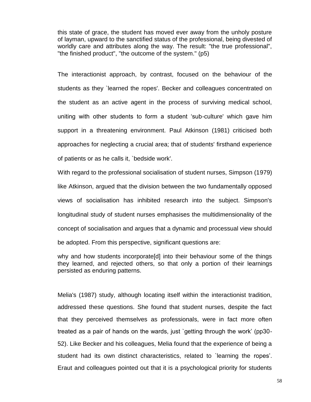this state of grace, the student has moved ever away from the unholy posture of layman, upward to the sanctified status of the professional, being divested of worldly care and attributes along the way. The result: "the true professional", "the finished product", "the outcome of the system." (p5)

The interactionist approach, by contrast, focused on the behaviour of the students as they `learned the ropes'. Becker and colleagues concentrated on the student as an active agent in the process of surviving medical school, uniting with other students to form a student 'sub-culture' which gave him support in a threatening environment. Paul Atkinson (1981) criticised both approaches for neglecting a crucial area; that of students' firsthand experience of patients or as he calls it, `bedside work'.

With regard to the professional socialisation of student nurses, Simpson (1979) like Atkinson, argued that the division between the two fundamentally opposed views of socialisation has inhibited research into the subject. Simpson's longitudinal study of student nurses emphasises the multidimensionality of the concept of socialisation and argues that a dynamic and processual view should be adopted. From this perspective, significant questions are:

why and how students incorporate[d] into their behaviour some of the things they learned, and rejected others, so that only a portion of their learnings persisted as enduring patterns.

Melia's (1987) study, although locating itself within the interactionist tradition, addressed these questions. She found that student nurses, despite the fact that they perceived themselves as professionals, were in fact more often treated as a pair of hands on the wards, just `getting through the work' (pp30- 52). Like Becker and his colleagues, Melia found that the experience of being a student had its own distinct characteristics, related to `learning the ropes'. Eraut and colleagues pointed out that it is a psychological priority for students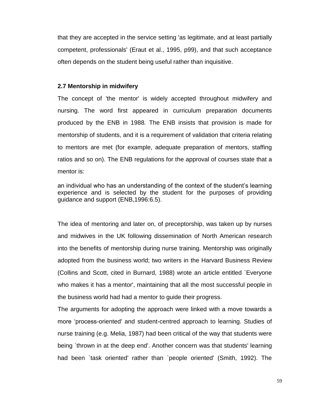that they are accepted in the service setting 'as legitimate, and at least partially competent, professionals' (Eraut et al., 1995, p99), and that such acceptance often depends on the student being useful rather than inquisitive.

## **2.7 Mentorship in midwifery**

The concept of 'the mentor' is widely accepted throughout midwifery and nursing. The word first appeared in curriculum preparation documents produced by the ENB in 1988*.* The ENB insists that provision is made for mentorship of students, and it is a requirement of validation that criteria relating to mentors are met (for example, adequate preparation of mentors, staffing ratios and so on). The ENB regulations for the approval of courses state that a mentor is:

an individual who has an understanding of the context of the student's learning experience and is selected by the student for the purposes of providing guidance and support (ENB,1996:6.5).

The idea of mentoring and later on, of preceptorship, was taken up by nurses and midwives in the UK following dissemination of North American research into the benefits of mentorship during nurse training. Mentorship was originally adopted from the business world; two writers in the Harvard Business Review (Collins and Scott, cited in Burnard, 1988) wrote an article entitled `Everyone who makes it has a mentor', maintaining that all the most successful people in the business world had had a mentor to guide their progress.

The arguments for adopting the approach were linked with a move towards a more 'process-oriented' and student-centred approach to learning. Studies of nurse training (e.g. Melia, 1987) had been critical of the way that students were being `thrown in at the deep end'. Another concern was that students' learning had been `task oriented' rather than `people oriented' (Smith, 1992). The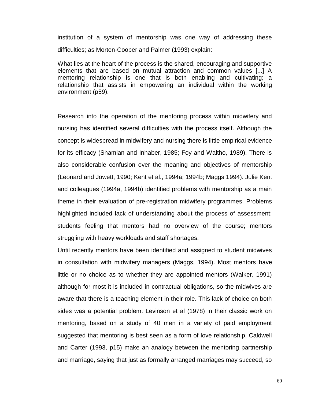institution of a system of mentorship was one way of addressing these difficulties; as Morton-Cooper and Palmer (1993) explain:

What lies at the heart of the process is the shared, encouraging and supportive elements that are based on mutual attraction and common values [...] A mentoring relationship is one that is both enabling and cultivating; a relationship that assists in empowering an individual within the working environment (p59).

Research into the operation of the mentoring process within midwifery and nursing has identified several difficulties with the process itself. Although the concept is widespread in midwifery and nursing there is little empirical evidence for its efficacy (Shamian and Inhaber, 1985; Foy and Waltho, 1989). There is also considerable confusion over the meaning and objectives of mentorship (Leonard and Jowett, 1990; Kent et al., 1994a; 1994b; Maggs 1994). Julie Kent and colleagues (1994a, 1994b) identified problems with mentorship as a main theme in their evaluation of pre-registration midwifery programmes. Problems highlighted included lack of understanding about the process of assessment; students feeling that mentors had no overview of the course; mentors struggling with heavy workloads and staff shortages.

Until recently mentors have been identified and assigned to student midwives in consultation with midwifery managers (Maggs, 1994). Most mentors have little or no choice as to whether they are appointed mentors (Walker, 1991) although for most it is included in contractual obligations, so the midwives are aware that there is a teaching element in their role. This lack of choice on both sides was a potential problem. Levinson et al (1978) in their classic work on mentoring, based on a study of 40 men in a variety of paid employment suggested that mentoring is best seen as a form of love relationship. Caldwell and Carter (1993, p15) make an analogy between the mentoring partnership and marriage, saying that just as formally arranged marriages may succeed, so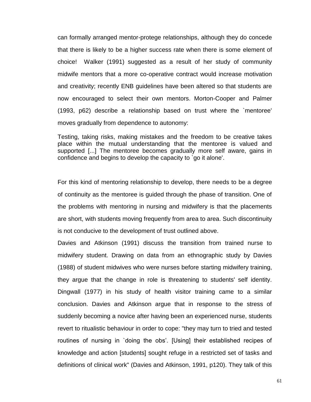can formally arranged mentor-protege relationships, although they do concede that there is likely to be a higher success rate when there is some element of choice! Walker (1991) suggested as a result of her study of community midwife mentors that a more co-operative contract would increase motivation and creativity; recently ENB guidelines have been altered so that students are now encouraged to select their own mentors. Morton-Cooper and Palmer (1993, p62) describe a relationship based on trust where the `mentoree' moves gradually from dependence to autonomy:

Testing, taking risks, making mistakes and the freedom to be creative takes place within the mutual understanding that the mentoree is valued and supported [...] The mentoree becomes gradually more self aware, gains in confidence and begins to develop the capacity to `go it alone'.

For this kind of mentoring relationship to develop, there needs to be a degree of continuity as the mentoree is guided through the phase of transition. One of the problems with mentoring in nursing and midwifery is that the placements are short, with students moving frequently from area to area. Such discontinuity is not conducive to the development of trust outlined above.

Davies and Atkinson (1991) discuss the transition from trained nurse to midwifery student. Drawing on data from an ethnographic study by Davies (1988) of student midwives who were nurses before starting midwifery training, they argue that the change in role is threatening to students' self identity. Dingwall (1977) in his study of health visitor training came to a similar conclusion. Davies and Atkinson argue that in response to the stress of suddenly becoming a novice after having been an experienced nurse, students revert to ritualistic behaviour in order to cope: "they may turn to tried and tested routines of nursing in `doing the obs'. [Using] their established recipes of knowledge and action [students] sought refuge in a restricted set of tasks and definitions of clinical work" (Davies and Atkinson, 1991, p120). They talk of this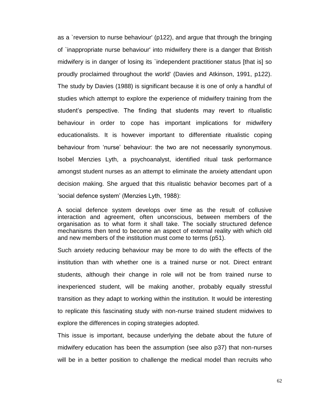as a `reversion to nurse behaviour' (p122), and argue that through the bringing of `inappropriate nurse behaviour' into midwifery there is a danger that British midwifery is in danger of losing its `independent practitioner status [that is] so proudly proclaimed throughout the world' (Davies and Atkinson, 1991, p122). The study by Davies (1988) is significant because it is one of only a handful of studies which attempt to explore the experience of midwifery training from the student's perspective. The finding that students may revert to ritualistic behaviour in order to cope has important implications for midwifery educationalists. It is however important to differentiate ritualistic coping behaviour from 'nurse' behaviour: the two are not necessarily synonymous. Isobel Menzies Lyth, a psychoanalyst, identified ritual task performance amongst student nurses as an attempt to eliminate the anxiety attendant upon decision making. She argued that this ritualistic behavior becomes part of a 'social defence system' (Menzies Lyth, 1988):

A social defence system develops over time as the result of collusive interaction and agreement, often unconscious, between members of the organisation as to what form it shall take. The socially structured defence mechanisms then tend to become an aspect of external reality with which old and new members of the institution must come to terms (p51).

Such anxiety reducing behaviour may be more to do with the effects of the institution than with whether one is a trained nurse or not. Direct entrant students, although their change in role will not be from trained nurse to inexperienced student, will be making another, probably equally stressful transition as they adapt to working within the institution. It would be interesting to replicate this fascinating study with non-nurse trained student midwives to explore the differences in coping strategies adopted.

This issue is important, because underlying the debate about the future of midwifery education has been the assumption (see also p37) that non-nurses will be in a better position to challenge the medical model than recruits who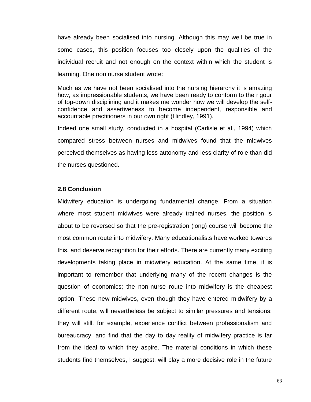have already been socialised into nursing. Although this may well be true in some cases, this position focuses too closely upon the qualities of the individual recruit and not enough on the context within which the student is learning. One non nurse student wrote:

Much as we have not been socialised into the nursing hierarchy it is amazing how, as impressionable students, we have been ready to conform to the rigour of top-down disciplining and it makes me wonder how we will develop the selfconfidence and assertiveness to become independent, responsible and accountable practitioners in our own right (Hindley, 1991).

Indeed one small study, conducted in a hospital (Carlisle et al., 1994) which compared stress between nurses and midwives found that the midwives perceived themselves as having less autonomy and less clarity of role than did the nurses questioned.

## **2.8 Conclusion**

Midwifery education is undergoing fundamental change. From a situation where most student midwives were already trained nurses, the position is about to be reversed so that the pre-registration (long) course will become the most common route into midwifery. Many educationalists have worked towards this, and deserve recognition for their efforts. There are currently many exciting developments taking place in midwifery education. At the same time, it is important to remember that underlying many of the recent changes is the question of economics; the non-nurse route into midwifery is the cheapest option. These new midwives, even though they have entered midwifery by a different route, will nevertheless be subject to similar pressures and tensions: they will still, for example, experience conflict between professionalism and bureaucracy, and find that the day to day reality of midwifery practice is far from the ideal to which they aspire. The material conditions in which these students find themselves, I suggest, will play a more decisive role in the future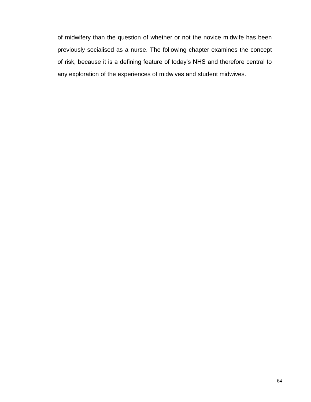of midwifery than the question of whether or not the novice midwife has been previously socialised as a nurse. The following chapter examines the concept of risk, because it is a defining feature of today's NHS and therefore central to any exploration of the experiences of midwives and student midwives.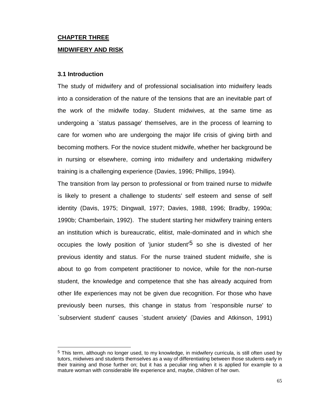# **CHAPTER THREE MIDWIFERY AND RISK**

# **3.1 Introduction**

 $\overline{a}$ 

The study of midwifery and of professional socialisation into midwifery leads into a consideration of the nature of the tensions that are an inevitable part of the work of the midwife today. Student midwives, at the same time as undergoing a `status passage' themselves, are in the process of learning to care for women who are undergoing the major life crisis of giving birth and becoming mothers. For the novice student midwife, whether her background be in nursing or elsewhere, coming into midwifery and undertaking midwifery training is a challenging experience (Davies, 1996; Phillips, 1994).

The transition from lay person to professional or from trained nurse to midwife is likely to present a challenge to students' self esteem and sense of self identity (Davis, 1975; Dingwall, 1977; Davies, 1988, 1996; Bradby, 1990a; 1990b; Chamberlain, 1992). The student starting her midwifery training enters an institution which is bureaucratic, elitist, male-dominated and in which she occupies the lowly position of 'junior student'<sup>5</sup> so she is divested of her previous identity and status. For the nurse trained student midwife, she is about to go from competent practitioner to novice, while for the non-nurse student, the knowledge and competence that she has already acquired from other life experiences may not be given due recognition. For those who have previously been nurses, this change in status from `responsible nurse' to `subservient student' causes `student anxiety' (Davies and Atkinson, 1991)

<sup>5</sup> This term, although no longer used, to my knowledge, in midwifery curricula, is still often used by tutors, midwives and students themselves as a way of differentiating between those students early in their training and those further on; but it has a peculiar ring when it is applied for example to a mature woman with considerable life experience and, maybe, children of her own.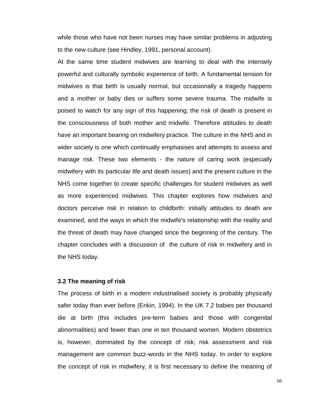while those who have not been nurses may have similar problems in adjusting to the new culture (see Hindley, 1991, personal account).

At the same time student midwives are learning to deal with the intensely powerful and culturally symbolic experience of birth. A fundamental tension for midwives is that birth is usually normal, but occasionally a tragedy happens and a mother or baby dies or suffers some severe trauma. The midwife is poised to watch for any sign of this happening; the risk of death is present in the consciousness of both mother and midwife. Therefore attitudes to death have an important bearing on midwifery practice. The culture in the NHS and in wider society is one which continually emphasises and attempts to assess and manage risk. These two elements - the nature of caring work (especially midwifery with its particular life and death issues) and the present culture in the NHS come together to create specific challenges for student midwives as well as more experienced midwives. This chapter explores how midwives and doctors perceive risk in relation to childbirth: initially attitudes to death are examined, and the ways in which the midwife's relationship with the reality and the threat of death may have changed since the beginning of the century. The chapter concludes with a discussion of the culture of risk in midwifery and in the NHS today.

#### **3.2 The meaning of risk**

The process of birth in a modern industrialised society is probably physically safer today than ever before (Enkin, 1994). In the UK 7.2 babies per thousand die at birth (this includes pre-term babies and those with congenital abnormalities) and fewer than one in ten thousand women. Modern obstetrics is, however, dominated by the concept of risk; risk assessment and risk management are common buzz-words in the NHS today. In order to explore the concept of risk in midwifery, it is first necessary to define the meaning of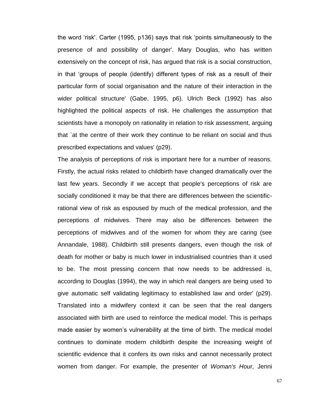the word 'risk'. Carter (1995, p136) says that risk 'points simultaneously to the presence of and possibility of danger'. Mary Douglas, who has written extensively on the concept of risk, has argued that risk is a social construction, in that 'groups of people (identify) different types of risk as a result of their particular form of social organisation and the nature of their interaction in the wider political structure' (Gabe, 1995, p6). Ulrich Beck (1992) has also highlighted the political aspects of risk. He challenges the assumption that scientists have a monopoly on rationality in relation to risk assessment, arguing that `at the centre of their work they continue to be reliant on social and thus prescribed expectations and values' (p29).

The analysis of perceptions of risk is important here for a number of reasons. Firstly, the actual risks related to childbirth have changed dramatically over the last few years. Secondly if we accept that people's perceptions of risk are socially conditioned it may be that there are differences between the scientificrational view of risk as espoused by much of the medical profession, and the perceptions of midwives. There may also be differences between the perceptions of midwives and of the women for whom they are caring (see Annandale, 1988). Childbirth still presents dangers, even though the risk of death for mother or baby is much lower in industrialised countries than it used to be. The most pressing concern that now needs to be addressed is, according to Douglas (1994), the way in which real dangers are being used 'to give automatic self validating legitimacy to established law and order' (p29). Translated into a midwifery context it can be seen that the real dangers associated with birth are used to reinforce the medical model. This is perhaps made easier by women's vulnerability at the time of birth. The medical model continues to dominate modern childbirth despite the increasing weight of scientific evidence that it confers its own risks and cannot necessarily protect women from danger. For example, the presenter of *Woman's Hour,* Jenni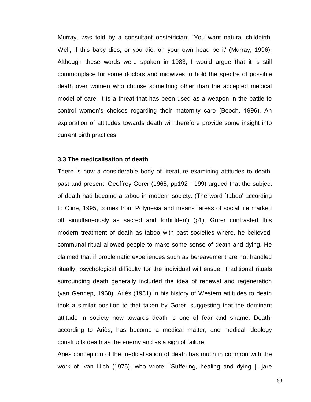Murray, was told by a consultant obstetrician: `You want natural childbirth. Well, if this baby dies, or you die, on your own head be it' (Murray, 1996). Although these words were spoken in 1983, I would argue that it is still commonplace for some doctors and midwives to hold the spectre of possible death over women who choose something other than the accepted medical model of care. It is a threat that has been used as a weapon in the battle to control women's choices regarding their maternity care (Beech, 1996). An exploration of attitudes towards death will therefore provide some insight into current birth practices.

#### **3.3 The medicalisation of death**

There is now a considerable body of literature examining attitudes to death, past and present. Geoffrey Gorer (1965, pp192 - 199) argued that the subject of death had become a taboo in modern society. (The word `taboo' according to Cline, 1995, comes from Polynesia and means `areas of social life marked off simultaneously as sacred and forbidden') (p1). Gorer contrasted this modern treatment of death as taboo with past societies where, he believed, communal ritual allowed people to make some sense of death and dying. He claimed that if problematic experiences such as bereavement are not handled ritually, psychological difficulty for the individual will ensue. Traditional rituals surrounding death generally included the idea of renewal and regeneration (van Gennep, 1960). Ariès (1981) in his history of Western attitudes to death took a similar position to that taken by Gorer, suggesting that the dominant attitude in society now towards death is one of fear and shame. Death, according to Ariès, has become a medical matter, and medical ideology constructs death as the enemy and as a sign of failure.

Ariès conception of the medicalisation of death has much in common with the work of Ivan Illich (1975), who wrote: `Suffering, healing and dying [...]are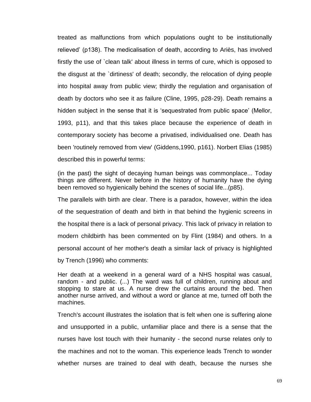treated as malfunctions from which populations ought to be institutionally relieved' (p138). The medicalisation of death, according to Ariès, has involved firstly the use of `clean talk' about illness in terms of cure, which is opposed to the disgust at the `dirtiness' of death; secondly, the relocation of dying people into hospital away from public view; thirdly the regulation and organisation of death by doctors who see it as failure (Cline, 1995, p28-29). Death remains a hidden subject in the sense that it is 'sequestrated from public space' (Mellor, 1993, p11), and that this takes place because the experience of death in contemporary society has become a privatised, individualised one. Death has been 'routinely removed from view' (Giddens,1990, p161). Norbert Elias (1985) described this in powerful terms:

(in the past) the sight of decaying human beings was commonplace... Today things are different. Never before in the history of humanity have the dying been removed so hygienically behind the scenes of social life...(p85).

The parallels with birth are clear. There is a paradox, however, within the idea of the sequestration of death and birth in that behind the hygienic screens in the hospital there is a lack of personal privacy. This lack of privacy in relation to modern childbirth has been commented on by Flint (1984) and others. In a personal account of her mother's death a similar lack of privacy is highlighted by Trench (1996) who comments:

Her death at a weekend in a general ward of a NHS hospital was casual, random - and public. (...) The ward was full of children, running about and stopping to stare at us. A nurse drew the curtains around the bed. Then another nurse arrived, and without a word or glance at me, turned off both the machines.

Trench's account illustrates the isolation that is felt when one is suffering alone and unsupported in a public, unfamiliar place and there is a sense that the nurses have lost touch with their humanity - the second nurse relates only to the machines and not to the woman. This experience leads Trench to wonder whether nurses are trained to deal with death, because the nurses she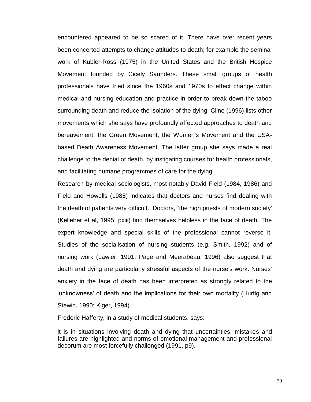encountered appeared to be so scared of it. There have over recent years been concerted attempts to change attitudes to death; for example the seminal work of Kubler-Ross (1975) in the United States and the British Hospice Movement founded by Cicely Saunders. These small groups of health professionals have tried since the 1960s and 1970s to effect change within medical and nursing education and practice in order to break down the taboo surrounding death and reduce the isolation of the dying. Cline (1996) lists other movements which she says have profoundly affected approaches to death and bereavement: the Green Movement, the Women's Movement and the USAbased Death Awareness Movement. The latter group she says made a real challenge to the denial of death, by instigating courses for health professionals, and facilitating humane programmes of care for the dying.

Research by medical sociologists, most notably David Field (1984, 1986) and Field and Howells (1985) indicates that doctors and nurses find dealing with the death of patients very difficult. Doctors, `the high priests of modern society' (Kelleher et al, 1995, pxiii) find themselves helpless in the face of death. The expert knowledge and special skills of the professional cannot reverse it. Studies of the socialisation of nursing students (e.g. Smith, 1992) and of nursing work (Lawler, 1991; Page and Meerabeau, 1996) also suggest that death and dying are particularly stressful aspects of the nurse's work. Nurses' anxiety in the face of death has been interpreted as strongly related to the 'unknowness' of death and the implications for their own mortality (Hurtig and Stewin, 1990; Kiger, 1994).

Frederic Hafferty, in a study of medical students, says:

it is in situations involving death and dying that uncertainties, mistakes and failures are highlighted and norms of emotional management and professional decorum are most forcefully challenged (1991, p9).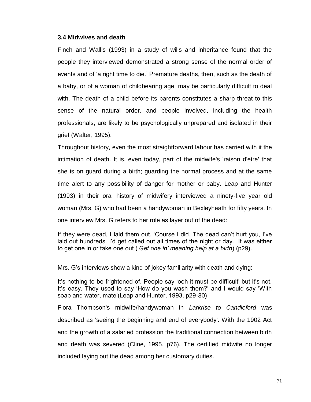### **3.4 Midwives and death**

Finch and Wallis (1993) in a study of wills and inheritance found that the people they interviewed demonstrated a strong sense of the normal order of events and of 'a right time to die.' Premature deaths, then, such as the death of a baby, or of a woman of childbearing age, may be particularly difficult to deal with. The death of a child before its parents constitutes a sharp threat to this sense of the natural order, and people involved, including the health professionals, are likely to be psychologically unprepared and isolated in their grief (Walter, 1995).

Throughout history, even the most straightforward labour has carried with it the intimation of death. It is, even today, part of the midwife's 'raison d'etre' that she is on guard during a birth; guarding the normal process and at the same time alert to any possibility of danger for mother or baby. Leap and Hunter (1993) in their oral history of midwifery interviewed a ninety-five year old woman (Mrs. G) who had been a handywoman in Bexleyheath for fifty years. In one interview Mrs. G refers to her role as layer out of the dead:

If they were dead, I laid them out. 'Course I did. The dead can't hurt you, I've laid out hundreds. I'd get called out all times of the night or day. It was either to get one in or take one out ('*Get one in' meaning help at a birth*) (p29).

Mrs. G's interviews show a kind of jokey familiarity with death and dying:

It's nothing to be frightened of. People say 'ooh it must be difficult' but it's not. It's easy. They used to say 'How do you wash them?' and I would say 'With soap and water, mate'(Leap and Hunter, 1993, p29-30)

Flora Thompson's midwife/handywoman in *Larkrise to Candleford* was described as 'seeing the beginning and end of everybody'. With the 1902 Act and the growth of a salaried profession the traditional connection between birth and death was severed (Cline, 1995, p76). The certified midwife no longer included laying out the dead among her customary duties.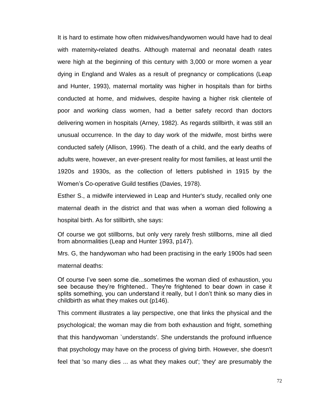It is hard to estimate how often midwives/handywomen would have had to deal with maternity**-**related deaths. Although maternal and neonatal death rates were high at the beginning of this century with 3,000 or more women a year dying in England and Wales as a result of pregnancy or complications (Leap and Hunter, 1993), maternal mortality was higher in hospitals than for births conducted at home, and midwives, despite having a higher risk clientele of poor and working class women, had a better safety record than doctors delivering women in hospitals (Arney, 1982). As regards stillbirth, it was still an unusual occurrence. In the day to day work of the midwife, most births were conducted safely (Allison, 1996). The death of a child, and the early deaths of adults were, however, an ever-present reality for most families, at least until the 1920s and 1930s, as the collection of letters published in 1915 by the Women's Co-operative Guild testifies (Davies, 1978).

Esther S., a midwife interviewed in Leap and Hunter's study, recalled only one maternal death in the district and that was when a woman died following a hospital birth. As for stillbirth, she says:

Of course we got stillborns, but only very rarely fresh stillborns, mine all died from abnormalities (Leap and Hunter 1993, p147).

Mrs. G, the handywoman who had been practising in the early 1900s had seen maternal deaths:

Of course I've seen some die...sometimes the woman died of exhaustion, you see because they're frightened.. They're frightened to bear down in case it splits something, you can understand it really, but I don't think so many dies in childbirth as what they makes out (p146).

This comment illustrates a lay perspective, one that links the physical and the psychological; the woman may die from both exhaustion and fright, something that this handywoman `understands'. She understands the profound influence that psychology may have on the process of giving birth. However, she doesn't feel that 'so many dies ... as what they makes out'; 'they' are presumably the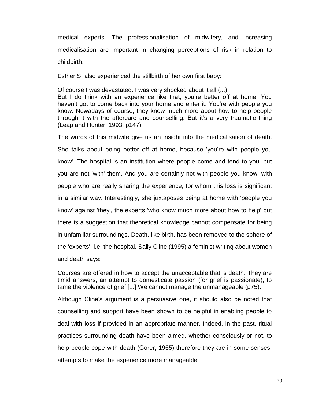medical experts. The professionalisation of midwifery, and increasing medicalisation are important in changing perceptions of risk in relation to childbirth.

Esther S. also experienced the stillbirth of her own first baby:

Of course I was devastated. I was very shocked about it all (...) But I do think with an experience like that, you're better off at home. You haven't got to come back into your home and enter it. You're with people you know. Nowadays of course, they know much more about how to help people through it with the aftercare and counselling. But it's a very traumatic thing (Leap and Hunter, 1993, p147).

The words of this midwife give us an insight into the medicalisation of death. She talks about being better off at home, because 'you're with people you know'. The hospital is an institution where people come and tend to you, but you are not 'with' them. And you are certainly not with people you know, with people who are really sharing the experience, for whom this loss is significant in a similar way. Interestingly, she juxtaposes being at home with 'people you know' against 'they', the experts 'who know much more about how to help' but there is a suggestion that theoretical knowledge cannot compensate for being in unfamiliar surroundings. Death, like birth, has been removed to the sphere of the 'experts', i.e. the hospital. Sally Cline (1995) a feminist writing about women and death says:

Courses are offered in how to accept the unacceptable that is death. They are timid answers, an attempt to domesticate passion (for grief is passionate), to tame the violence of grief [...] We cannot manage the unmanageable (p75).

Although Cline's argument is a persuasive one, it should also be noted that counselling and support have been shown to be helpful in enabling people to deal with loss if provided in an appropriate manner. Indeed, in the past, ritual practices surrounding death have been aimed, whether consciously or not, to help people cope with death (Gorer, 1965) therefore they are in some senses, attempts to make the experience more manageable.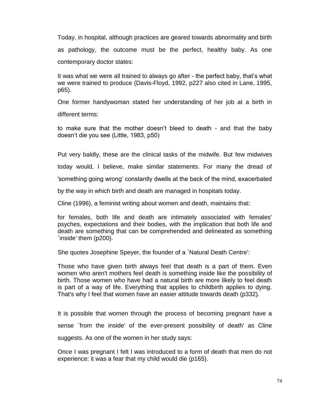Today, in hospital, although practices are geared towards abnormality and birth as pathology, the outcome must be the perfect, healthy baby. As one contemporary doctor states:

It was what we were all trained to always go after - the perfect baby, that's what we were trained to produce (Davis-Floyd, 1992, p227 also cited in Lane, 1995, p65).

One former handywoman stated her understanding of her job at a birth in different terms:

to make sure that the mother doesn't bleed to death - and that the baby doesn't die you see (Little, 1983, p50)

Put very baldly, these are the clinical tasks of the midwife. But few midwives

today would, I believe, make similar statements. For many the dread of

'something going wrong' constantly dwells at the back of the mind, exacerbated

by the way in which birth and death are managed in hospitals today.

Cline (1996), a feminist writing about women and death, maintains that:

for females, both life and death are intimately associated with females' psyches, expectations and their bodies, with the implication that both life and death are something that can be comprehended and delineated as something `inside' them (p200).

She quotes Josephine Speyer, the founder of a `Natural Death Centre':

Those who have given birth always feel that death is a part of them. Even women who aren't mothers feel death is something inside like the possibility of birth. Those women who have had a natural birth are more likely to feel death is part of a way of life. Everything that applies to childbirth applies to dying. That's why I feel that women have an easier attitude towards death (p332).

It is possible that women through the process of becoming pregnant have a sense `from the inside' of the ever-present possibility of death' as Cline suggests. As one of the women in her study says:

Once I was pregnant I felt I was introduced to a form of death that men do not experience: it was a fear that my child would die (p165).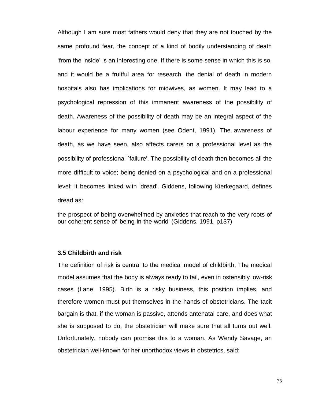Although I am sure most fathers would deny that they are not touched by the same profound fear, the concept of a kind of bodily understanding of death 'from the inside' is an interesting one. If there is some sense in which this is so, and it would be a fruitful area for research, the denial of death in modern hospitals also has implications for midwives, as women. It may lead to a psychological repression of this immanent awareness of the possibility of death. Awareness of the possibility of death may be an integral aspect of the labour experience for many women (see Odent, 1991). The awareness of death, as we have seen, also affects carers on a professional level as the possibility of professional `failure'. The possibility of death then becomes all the more difficult to voice; being denied on a psychological and on a professional level; it becomes linked with 'dread'. Giddens, following Kierkegaard, defines dread as:

the prospect of being overwhelmed by anxieties that reach to the very roots of our coherent sense of 'being-in-the-world' (Giddens, 1991, p137)

## **3.5 Childbirth and risk**

The definition of risk is central to the medical model of childbirth. The medical model assumes that the body is always ready to fail, even in ostensibly low-risk cases (Lane, 1995). Birth is a risky business, this position implies, and therefore women must put themselves in the hands of obstetricians. The tacit bargain is that, if the woman is passive, attends antenatal care, and does what she is supposed to do, the obstetrician will make sure that all turns out well. Unfortunately, nobody can promise this to a woman. As Wendy Savage, an obstetrician well-known for her unorthodox views in obstetrics, said: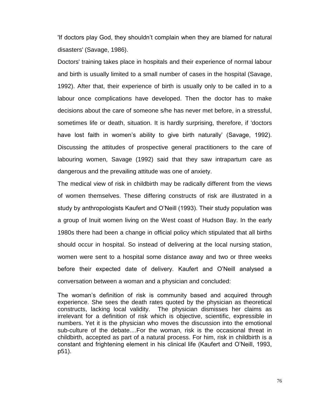'If doctors play God, they shouldn't complain when they are blamed for natural disasters' (Savage, 1986).

Doctors' training takes place in hospitals and their experience of normal labour and birth is usually limited to a small number of cases in the hospital (Savage, 1992). After that, their experience of birth is usually only to be called in to a labour once complications have developed. Then the doctor has to make decisions about the care of someone s/he has never met before, in a stressful, sometimes life or death, situation. It is hardly surprising, therefore, if 'doctors have lost faith in women's ability to give birth naturally' (Savage, 1992). Discussing the attitudes of prospective general practitioners to the care of labouring women, Savage (1992) said that they saw intrapartum care as dangerous and the prevailing attitude was one of anxiety.

The medical view of risk in childbirth may be radically different from the views of women themselves. These differing constructs of risk are illustrated in a study by anthropologists Kaufert and O'Neill (1993). Their study population was a group of Inuit women living on the West coast of Hudson Bay. In the early 1980s there had been a change in official policy which stipulated that all births should occur in hospital. So instead of delivering at the local nursing station, women were sent to a hospital some distance away and two or three weeks before their expected date of delivery. Kaufert and O'Neill analysed a conversation between a woman and a physician and concluded:

The woman's definition of risk is community based and acquired through experience. She sees the death rates quoted by the physician as theoretical constructs, lacking local validity. The physician dismisses her claims as irrelevant for a definition of risk which is objective, scientific, expressible in numbers. Yet it is the physician who moves the discussion into the emotional sub-culture of the debate....For the woman, risk is the occasional threat in childbirth, accepted as part of a natural process. For him, risk in childbirth is a constant and frightening element in his clinical life (Kaufert and O'Neill, 1993, p51).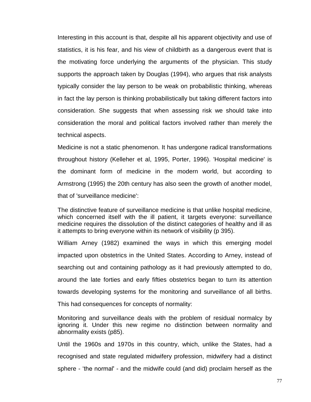Interesting in this account is that, despite all his apparent objectivity and use of statistics, it is his fear, and his view of childbirth as a dangerous event that is the motivating force underlying the arguments of the physician. This study supports the approach taken by Douglas (1994), who argues that risk analysts typically consider the lay person to be weak on probabilistic thinking, whereas in fact the lay person is thinking probabilistically but taking different factors into consideration. She suggests that when assessing risk we should take into consideration the moral and political factors involved rather than merely the technical aspects.

Medicine is not a static phenomenon. It has undergone radical transformations throughout history (Kelleher et al, 1995, Porter, 1996). 'Hospital medicine' is the dominant form of medicine in the modern world, but according to Armstrong (1995) the 20th century has also seen the growth of another model, that of 'surveillance medicine':

The distinctive feature of surveillance medicine is that unlike hospital medicine, which concerned itself with the ill patient, it targets everyone: surveillance medicine requires the dissolution of the distinct categories of healthy and ill as it attempts to bring everyone within its network of visibility (p 395).

William Arney (1982) examined the ways in which this emerging model impacted upon obstetrics in the United States. According to Arney, instead of searching out and containing pathology as it had previously attempted to do, around the late forties and early fifties obstetrics began to turn its attention towards developing systems for the monitoring and surveillance of all births. This had consequences for concepts of normality:

Monitoring and surveillance deals with the problem of residual normalcy by ignoring it. Under this new regime no distinction between normality and abnormality exists (p85).

Until the 1960s and 1970s in this country, which, unlike the States, had a recognised and state regulated midwifery profession, midwifery had a distinct sphere - 'the normal' - and the midwife could (and did) proclaim herself as the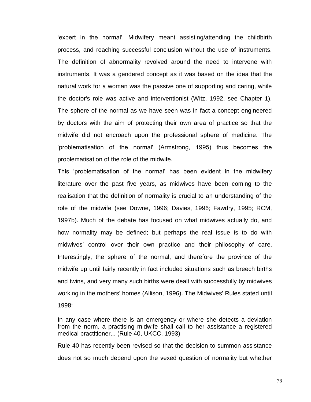'expert in the normal'. Midwifery meant assisting/attending the childbirth process, and reaching successful conclusion without the use of instruments. The definition of abnormality revolved around the need to intervene with instruments. It was a gendered concept as it was based on the idea that the natural work for a woman was the passive one of supporting and caring, while the doctor's role was active and interventionist (Witz, 1992, see Chapter 1). The sphere of the normal as we have seen was in fact a concept engineered by doctors with the aim of protecting their own area of practice so that the midwife did not encroach upon the professional sphere of medicine. The 'problematisation of the normal' (Armstrong, 1995) thus becomes the problematisation of the role of the midwife.

This 'problematisation of the normal' has been evident in the midwifery literature over the past five years, as midwives have been coming to the realisation that the definition of normality is crucial to an understanding of the role of the midwife (see Downe, 1996; Davies, 1996; Fawdry, 1995; RCM, 1997b). Much of the debate has focused on what midwives actually do, and how normality may be defined; but perhaps the real issue is to do with midwives' control over their own practice and their philosophy of care. Interestingly, the sphere of the normal, and therefore the province of the midwife up until fairly recently in fact included situations such as breech births and twins, and very many such births were dealt with successfully by midwives working in the mothers' homes (Allison, 1996). The Midwives' Rules stated until 1998:

In any case where there is an emergency or where she detects a deviation from the norm, a practising midwife shall call to her assistance a registered medical practitioner... (Rule 40, UKCC, 1993)

Rule 40 has recently been revised so that the decision to summon assistance does not so much depend upon the vexed question of normality but whether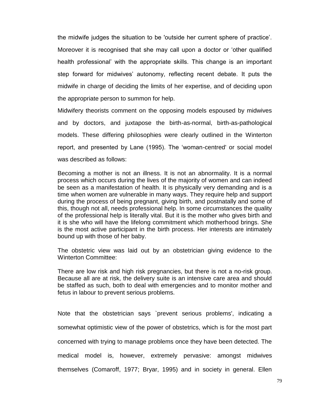the midwife judges the situation to be 'outside her current sphere of practice'. Moreover it is recognised that she may call upon a doctor or 'other qualified health professional' with the appropriate skills. This change is an important step forward for midwives' autonomy, reflecting recent debate. It puts the midwife in charge of deciding the limits of her expertise, and of deciding upon the appropriate person to summon for help.

Midwifery theorists comment on the opposing models espoused by midwives and by doctors, and juxtapose the birth-as-normal, birth-as-pathological models. These differing philosophies were clearly outlined in the Winterton report, and presented by Lane (1995). The 'woman-centred' or social model was described as follows:

Becoming a mother is not an illness. It is not an abnormality. It is a normal process which occurs during the lives of the majority of women and can indeed be seen as a manifestation of health. It is physically very demanding and is a time when women are vulnerable in many ways. They require help and support during the process of being pregnant, giving birth, and postnatally and some of this, though not all, needs professional help. In some circumstances the quality of the professional help is literally vital. But it is the mother who gives birth and it is she who will have the lifelong commitment which motherhood brings. She is the most active participant in the birth process. Her interests are intimately bound up with those of her baby.

The obstetric view was laid out by an obstetrician giving evidence to the Winterton Committee:

There are low risk and high risk pregnancies, but there is not a no-risk group. Because all are at risk, the delivery suite is an intensive care area and should be staffed as such, both to deal with emergencies and to monitor mother and fetus in labour to prevent serious problems.

Note that the obstetrician says `prevent serious problems', indicating a somewhat optimistic view of the power of obstetrics, which is for the most part concerned with trying to manage problems once they have been detected. The medical model is, however, extremely pervasive: amongst midwives themselves (Comaroff, 1977; Bryar, 1995) and in society in general. Ellen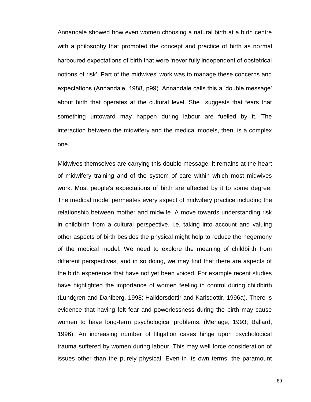Annandale showed how even women choosing a natural birth at a birth centre with a philosophy that promoted the concept and practice of birth as normal harboured expectations of birth that were 'never fully independent of obstetrical notions of risk'. Part of the midwives' work was to manage these concerns and expectations (Annandale, 1988, p99). Annandale calls this a 'double message' about birth that operates at the cultural level. She suggests that fears that something untoward may happen during labour are fuelled by it. The interaction between the midwifery and the medical models, then, is a complex one.

Midwives themselves are carrying this double message; it remains at the heart of midwifery training and of the system of care within which most midwives work. Most people's expectations of birth are affected by it to some degree. The medical model permeates every aspect of midwifery practice including the relationship between mother and midwife. A move towards understanding risk in childbirth from a cultural perspective, i.e. taking into account and valuing other aspects of birth besides the physical might help to reduce the hegemony of the medical model. We need to explore the meaning of childbirth from different perspectives, and in so doing, we may find that there are aspects of the birth experience that have not yet been voiced. For example recent studies have highlighted the importance of women feeling in control during childbirth (Lundgren and Dahlberg, 1998; Halldorsdottir and Karlsdottir, 1996a). There is evidence that having felt fear and powerlessness during the birth may cause women to have long-term psychological problems. (Menage, 1993; Ballard, 1996). An increasing number of litigation cases hinge upon psychological trauma suffered by women during labour. This may well force consideration of issues other than the purely physical. Even in its own terms, the paramount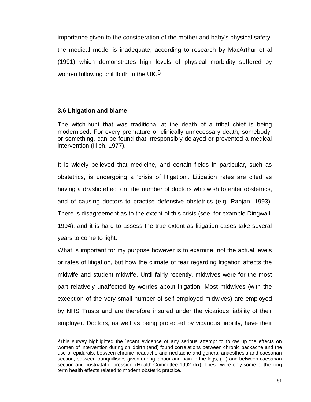importance given to the consideration of the mother and baby's physical safety, the medical model is inadequate, according to research by MacArthur et al (1991) which demonstrates high levels of physical morbidity suffered by women following childbirth in the UK.<sup>6</sup>

# **3.6 Litigation and blame**

 $\overline{a}$ 

The witch-hunt that was traditional at the death of a tribal chief is being modernised. For every premature or clinically unnecessary death, somebody, or something, can be found that irresponsibly delayed or prevented a medical intervention (Illich, 1977).

It is widely believed that medicine, and certain fields in particular, such as obstetrics, is undergoing a 'crisis of litigation'. Litigation rates are cited as having a drastic effect on the number of doctors who wish to enter obstetrics, and of causing doctors to practise defensive obstetrics (e.g. Ranjan, 1993). There is disagreement as to the extent of this crisis (see, for example Dingwall, 1994), and it is hard to assess the true extent as litigation cases take several years to come to light.

What is important for my purpose however is to examine, not the actual levels or rates of litigation, but how the climate of fear regarding litigation affects the midwife and student midwife. Until fairly recently, midwives were for the most part relatively unaffected by worries about litigation. Most midwives (with the exception of the very small number of self-employed midwives) are employed by NHS Trusts and are therefore insured under the vicarious liability of their employer. Doctors, as well as being protected by vicarious liability, have their

<sup>&</sup>lt;sup>6</sup>This survey highlighted the `scant evidence of any serious attempt to follow up the effects on women of intervention during childbirth (and) found correlations between chronic backache and the use of epidurals; between chronic headache and neckache and general anaesthesia and caesarian section, between tranquillisers given during labour and pain in the legs; (...) and between caesarian section and postnatal depression' (Health Committee 1992:xlix). These were only some of the long term health effects related to modern obstetric practice.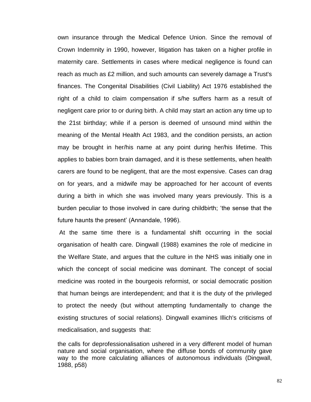own insurance through the Medical Defence Union. Since the removal of Crown Indemnity in 1990, however, litigation has taken on a higher profile in maternity care. Settlements in cases where medical negligence is found can reach as much as £2 million, and such amounts can severely damage a Trust's finances. The Congenital Disabilities (Civil Liability) Act 1976 established the right of a child to claim compensation if s/he suffers harm as a result of negligent care prior to or during birth. A child may start an action any time up to the 21st birthday; while if a person is deemed of unsound mind within the meaning of the Mental Health Act 1983, and the condition persists, an action may be brought in her/his name at any point during her/his lifetime. This applies to babies born brain damaged, and it is these settlements, when health carers are found to be negligent, that are the most expensive. Cases can drag on for years, and a midwife may be approached for her account of events during a birth in which she was involved many years previously. This is a burden peculiar to those involved in care during childbirth; 'the sense that the future haunts the present' (Annandale, 1996).

At the same time there is a fundamental shift occurring in the social organisation of health care. Dingwall (1988) examines the role of medicine in the Welfare State, and argues that the culture in the NHS was initially one in which the concept of social medicine was dominant. The concept of social medicine was rooted in the bourgeois reformist, or social democratic position that human beings are interdependent; and that it is the duty of the privileged to protect the needy (but without attempting fundamentally to change the existing structures of social relations). Dingwall examines Illich's criticisms of medicalisation, and suggests that:

the calls for deprofessionalisation ushered in a very different model of human nature and social organisation, where the diffuse bonds of community gave way to the more calculating alliances of autonomous individuals (Dingwall, 1988, p58)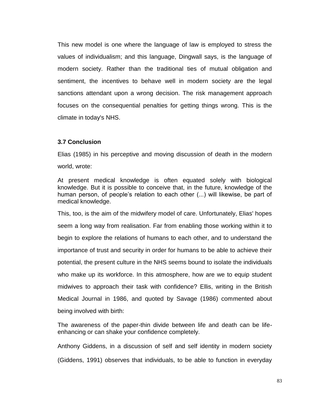This new model is one where the language of law is employed to stress the values of individualism; and this language, Dingwall says, is the language of modern society. Rather than the traditional ties of mutual obligation and sentiment, the incentives to behave well in modern society are the legal sanctions attendant upon a wrong decision. The risk management approach focuses on the consequential penalties for getting things wrong. This is the climate in today's NHS.

## **3.7 Conclusion**

Elias (1985) in his perceptive and moving discussion of death in the modern world, wrote:

At present medical knowledge is often equated solely with biological knowledge. But it is possible to conceive that, in the future, knowledge of the human person, of people's relation to each other (...) will likewise, be part of medical knowledge.

This, too, is the aim of the midwifery model of care. Unfortunately, Elias' hopes seem a long way from realisation. Far from enabling those working within it to begin to explore the relations of humans to each other, and to understand the importance of trust and security in order for humans to be able to achieve their potential, the present culture in the NHS seems bound to isolate the individuals who make up its workforce. In this atmosphere, how are we to equip student midwives to approach their task with confidence? Ellis, writing in the British Medical Journal in 1986, and quoted by Savage (1986) commented about being involved with birth:

The awareness of the paper-thin divide between life and death can be lifeenhancing or can shake your confidence completely.

Anthony Giddens, in a discussion of self and self identity in modern society

(Giddens, 1991) observes that individuals, to be able to function in everyday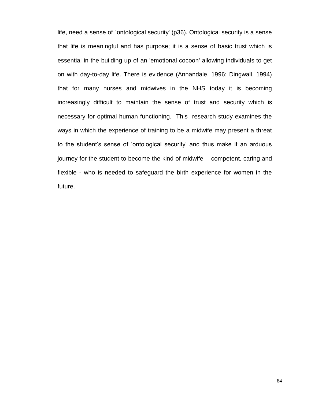life, need a sense of `ontological security' (p36). Ontological security is a sense that life is meaningful and has purpose; it is a sense of basic trust which is essential in the building up of an 'emotional cocoon' allowing individuals to get on with day-to-day life. There is evidence (Annandale, 1996; Dingwall, 1994) that for many nurses and midwives in the NHS today it is becoming increasingly difficult to maintain the sense of trust and security which is necessary for optimal human functioning. This research study examines the ways in which the experience of training to be a midwife may present a threat to the student's sense of 'ontological security' and thus make it an arduous journey for the student to become the kind of midwife - competent, caring and flexible - who is needed to safeguard the birth experience for women in the future.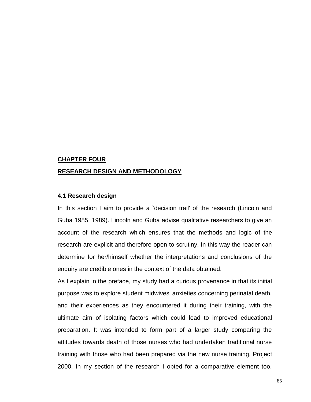### **CHAPTER FOUR**

### **RESEARCH DESIGN AND METHODOLOGY**

### **4.1 Research design**

In this section I aim to provide a 'decision trail' of the research (Lincoln and Guba 1985, 1989). Lincoln and Guba advise qualitative researchers to give an account of the research which ensures that the methods and logic of the research are explicit and therefore open to scrutiny. In this way the reader can determine for her/himself whether the interpretations and conclusions of the enquiry are credible ones in the context of the data obtained.

As I explain in the preface, my study had a curious provenance in that its initial purpose was to explore student midwives' anxieties concerning perinatal death, and their experiences as they encountered it during their training, with the ultimate aim of isolating factors which could lead to improved educational preparation. It was intended to form part of a larger study comparing the attitudes towards death of those nurses who had undertaken traditional nurse training with those who had been prepared via the new nurse training, Project 2000. In my section of the research I opted for a comparative element too,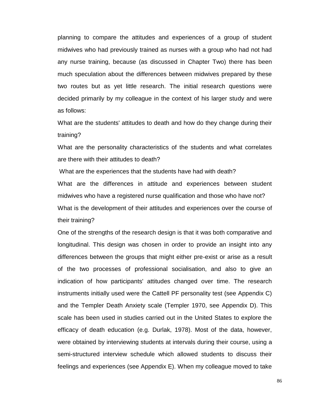planning to compare the attitudes and experiences of a group of student midwives who had previously trained as nurses with a group who had not had any nurse training, because (as discussed in Chapter Two) there has been much speculation about the differences between midwives prepared by these two routes but as yet little research. The initial research questions were decided primarily by my colleague in the context of his larger study and were as follows:

What are the students' attitudes to death and how do they change during their training?

What are the personality characteristics of the students and what correlates are there with their attitudes to death?

What are the experiences that the students have had with death? What are the differences in attitude and experiences between student midwives who have a registered nurse qualification and those who have not? What is the development of their attitudes and experiences over the course of their training?

One of the strengths of the research design is that it was both comparative and longitudinal. This design was chosen in order to provide an insight into any differences between the groups that might either pre-exist or arise as a result of the two processes of professional socialisation, and also to give an indication of how participants' attitudes changed over time. The research instruments initially used were the Cattell PF personality test (see Appendix C) and the Templer Death Anxiety scale (Templer 1970, see Appendix D). This scale has been used in studies carried out in the United States to explore the efficacy of death education (e.g. Durlak, 1978). Most of the data, however, were obtained by interviewing students at intervals during their course, using a semi-structured interview schedule which allowed students to discuss their feelings and experiences (see Appendix E). When my colleague moved to take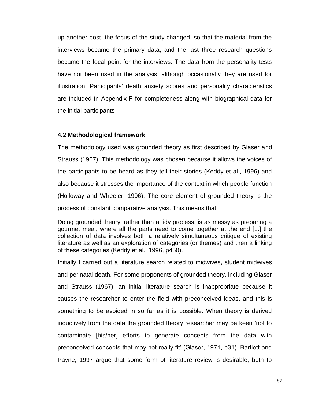up another post, the focus of the study changed, so that the material from the interviews became the primary data, and the last three research questions became the focal point for the interviews. The data from the personality tests have not been used in the analysis, although occasionally they are used for illustration. Participants' death anxiety scores and personality characteristics are included in Appendix F for completeness along with biographical data for the initial participants

## **4.2 Methodological framework**

The methodology used was grounded theory as first described by Glaser and Strauss (1967). This methodology was chosen because it allows the voices of the participants to be heard as they tell their stories (Keddy et al., 1996) and also because it stresses the importance of the context in which people function (Holloway and Wheeler, 1996). The core element of grounded theory is the process of constant comparative analysis. This means that:

Doing grounded theory, rather than a tidy process, is as messy as preparing a gourmet meal, where all the parts need to come together at the end [...] the collection of data involves both a relatively simultaneous critique of existing literature as well as an exploration of categories (or themes) and then a linking of these categories (Keddy et al., 1996, p450).

Initially I carried out a literature search related to midwives, student midwives and perinatal death. For some proponents of grounded theory, including Glaser and Strauss (1967), an initial literature search is inappropriate because it causes the researcher to enter the field with preconceived ideas, and this is something to be avoided in so far as it is possible. When theory is derived inductively from the data the grounded theory researcher may be keen 'not to contaminate [his/her] efforts to generate concepts from the data with preconceived concepts that may not really fit' (Glaser, 1971, p31). Bartlett and Payne, 1997 argue that some form of literature review is desirable, both to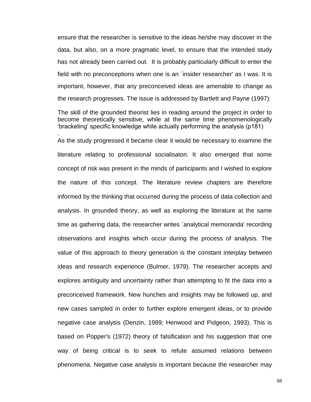ensure that the researcher is sensitive to the ideas he/she may discover in the data, but also, on a more pragmatic level, to ensure that the intended study has not already been carried out. It is probably particularly difficult to enter the field with no preconceptions when one is an `insider researcher' as I was. It is important, however, that any preconceived ideas are amenable to change as the research progresses. The issue is addressed by Bartlett and Payne (1997):

The skill of the grounded theorist lies in reading around the project in order to become theoretically sensitive, while at the same time phenomenologically 'bracketing' specific knowledge while actually performing the analysis (p181)

.

As the study progressed it became clear it would be necessary to examine the literature relating to professional socialisaton. It also emerged that some concept of risk was present in the minds of participants and I wished to explore the nature of this concept. The literature review chapters are therefore informed by the thinking that occurred during the process of data collection and analysis. In grounded theory, as well as exploring the literature at the same time as gathering data, the researcher writes `analytical memoranda' recording observations and insights which occur during the process of analysis. The value of this approach to theory generation is the constant interplay between ideas and research experience (Bulmer, 1979). The researcher accepts and explores ambiguity and uncertainty rather than attempting to fit the data into a preconceived framework. New hunches and insights may be followed up, and new cases sampled in order to further explore emergent ideas, or to provide negative case analysis (Denzin, 1989; Henwood and Pidgeon, 1993). This is based on Popper's (1972) theory of falsification and his suggestion that one way of being critical is to seek to refute assumed relations between phenomena. Negative case analysis is important because the researcher may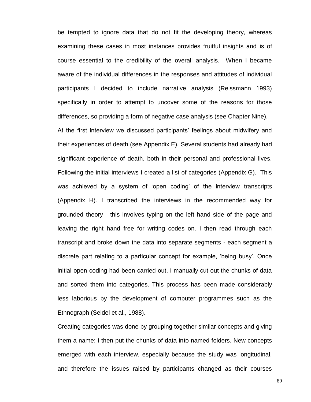be tempted to ignore data that do not fit the developing theory, whereas examining these cases in most instances provides fruitful insights and is of course essential to the credibility of the overall analysis. When I became aware of the individual differences in the responses and attitudes of individual participants I decided to include narrative analysis (Reissmann 1993) specifically in order to attempt to uncover some of the reasons for those differences, so providing a form of negative case analysis (see Chapter Nine). At the first interview we discussed participants' feelings about midwifery and their experiences of death (see Appendix E). Several students had already had significant experience of death, both in their personal and professional lives. Following the initial interviews I created a list of categories (Appendix G). This was achieved by a system of 'open coding' of the interview transcripts (Appendix H). I transcribed the interviews in the recommended way for grounded theory - this involves typing on the left hand side of the page and leaving the right hand free for writing codes on. I then read through each transcript and broke down the data into separate segments - each segment a discrete part relating to a particular concept for example, 'being busy'. Once initial open coding had been carried out, I manually cut out the chunks of data and sorted them into categories. This process has been made considerably less laborious by the development of computer programmes such as the Ethnograph (Seidel et al., 1988).

Creating categories was done by grouping together similar concepts and giving them a name; I then put the chunks of data into named folders. New concepts emerged with each interview, especially because the study was longitudinal, and therefore the issues raised by participants changed as their courses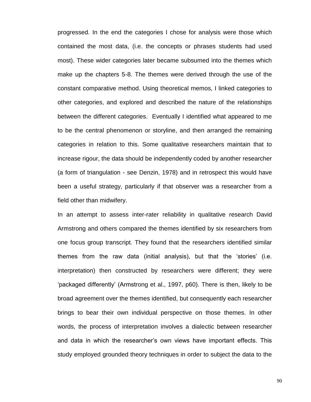progressed. In the end the categories I chose for analysis were those which contained the most data, (i.e. the concepts or phrases students had used most). These wider categories later became subsumed into the themes which make up the chapters 5-8. The themes were derived through the use of the constant comparative method. Using theoretical memos, I linked categories to other categories, and explored and described the nature of the relationships between the different categories. Eventually I identified what appeared to me to be the central phenomenon or storyline, and then arranged the remaining categories in relation to this. Some qualitative researchers maintain that to increase rigour, the data should be independently coded by another researcher (a form of triangulation - see Denzin, 1978) and in retrospect this would have been a useful strategy, particularly if that observer was a researcher from a field other than midwifery.

In an attempt to assess inter-rater reliability in qualitative research David Armstrong and others compared the themes identified by six researchers from one focus group transcript. They found that the researchers identified similar themes from the raw data (initial analysis), but that the 'stories' (i.e. interpretation) then constructed by researchers were different; they were 'packaged differently' (Armstrong et al., 1997, p60). There is then, likely to be broad agreement over the themes identified, but consequently each researcher brings to bear their own individual perspective on those themes. In other words, the process of interpretation involves a dialectic between researcher and data in which the researcher's own views have important effects. This study employed grounded theory techniques in order to subject the data to the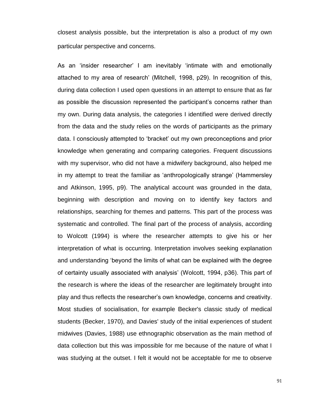closest analysis possible, but the interpretation is also a product of my own particular perspective and concerns.

As an 'insider researcher' I am inevitably 'intimate with and emotionally attached to my area of research' (Mitchell, 1998, p29). In recognition of this, during data collection I used open questions in an attempt to ensure that as far as possible the discussion represented the participant's concerns rather than my own. During data analysis, the categories I identified were derived directly from the data and the study relies on the words of participants as the primary data. I consciously attempted to 'bracket' out my own preconceptions and prior knowledge when generating and comparing categories. Frequent discussions with my supervisor, who did not have a midwifery background, also helped me in my attempt to treat the familiar as 'anthropologically strange' (Hammersley and Atkinson, 1995, p9). The analytical account was grounded in the data, beginning with description and moving on to identify key factors and relationships, searching for themes and patterns. This part of the process was systematic and controlled. The final part of the process of analysis, according to Wolcott (1994) is where the researcher attempts to give his or her interpretation of what is occurring. Interpretation involves seeking explanation and understanding 'beyond the limits of what can be explained with the degree of certainty usually associated with analysis' (Wolcott, 1994, p36). This part of the research is where the ideas of the researcher are legitimately brought into play and thus reflects the researcher's own knowledge, concerns and creativity. Most studies of socialisation, for example Becker's classic study of medical students (Becker, 1970), and Davies' study of the initial experiences of student midwives (Davies, 1988) use ethnographic observation as the main method of data collection but this was impossible for me because of the nature of what I was studying at the outset. I felt it would not be acceptable for me to observe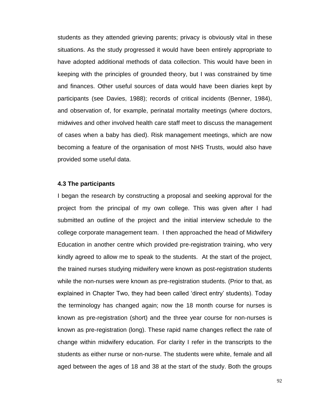students as they attended grieving parents; privacy is obviously vital in these situations. As the study progressed it would have been entirely appropriate to have adopted additional methods of data collection. This would have been in keeping with the principles of grounded theory, but I was constrained by time and finances. Other useful sources of data would have been diaries kept by participants (see Davies, 1988); records of critical incidents (Benner, 1984), and observation of, for example, perinatal mortality meetings (where doctors, midwives and other involved health care staff meet to discuss the management of cases when a baby has died). Risk management meetings, which are now becoming a feature of the organisation of most NHS Trusts, would also have provided some useful data.

### **4.3 The participants**

I began the research by constructing a proposal and seeking approval for the project from the principal of my own college. This was given after I had submitted an outline of the project and the initial interview schedule to the college corporate management team. I then approached the head of Midwifery Education in another centre which provided pre-registration training, who very kindly agreed to allow me to speak to the students. At the start of the project, the trained nurses studying midwifery were known as post-registration students while the non-nurses were known as pre-registration students. (Prior to that, as explained in Chapter Two, they had been called 'direct entry' students). Today the terminology has changed again; now the 18 month course for nurses is known as pre-registration (short) and the three year course for non-nurses is known as pre-registration (long). These rapid name changes reflect the rate of change within midwifery education. For clarity I refer in the transcripts to the students as either nurse or non-nurse. The students were white, female and all aged between the ages of 18 and 38 at the start of the study. Both the groups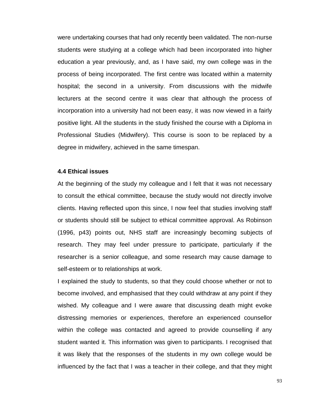were undertaking courses that had only recently been validated. The non-nurse students were studying at a college which had been incorporated into higher education a year previously, and, as I have said, my own college was in the process of being incorporated. The first centre was located within a maternity hospital; the second in a university. From discussions with the midwife lecturers at the second centre it was clear that although the process of incorporation into a university had not been easy, it was now viewed in a fairly positive light. All the students in the study finished the course with a Diploma in Professional Studies (Midwifery). This course is soon to be replaced by a degree in midwifery, achieved in the same timespan.

#### **4.4 Ethical issues**

At the beginning of the study my colleague and I felt that it was not necessary to consult the ethical committee, because the study would not directly involve clients. Having reflected upon this since, I now feel that studies involving staff or students should still be subject to ethical committee approval. As Robinson (1996, p43) points out, NHS staff are increasingly becoming subjects of research. They may feel under pressure to participate, particularly if the researcher is a senior colleague, and some research may cause damage to self-esteem or to relationships at work.

I explained the study to students, so that they could choose whether or not to become involved, and emphasised that they could withdraw at any point if they wished. My colleague and I were aware that discussing death might evoke distressing memories or experiences, therefore an experienced counsellor within the college was contacted and agreed to provide counselling if any student wanted it. This information was given to participants. I recognised that it was likely that the responses of the students in my own college would be influenced by the fact that I was a teacher in their college, and that they might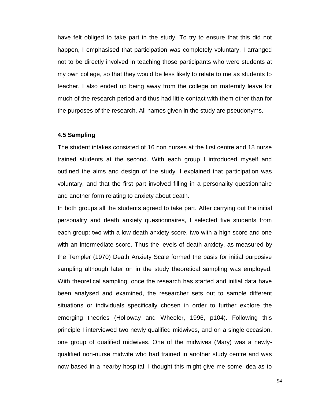have felt obliged to take part in the study. To try to ensure that this did not happen, I emphasised that participation was completely voluntary. I arranged not to be directly involved in teaching those participants who were students at my own college, so that they would be less likely to relate to me as students to teacher. I also ended up being away from the college on maternity leave for much of the research period and thus had little contact with them other than for the purposes of the research. All names given in the study are pseudonyms.

## **4.5 Sampling**

The student intakes consisted of 16 non nurses at the first centre and 18 nurse trained students at the second. With each group I introduced myself and outlined the aims and design of the study. I explained that participation was voluntary, and that the first part involved filling in a personality questionnaire and another form relating to anxiety about death.

In both groups all the students agreed to take part. After carrying out the initial personality and death anxiety questionnaires, I selected five students from each group: two with a low death anxiety score, two with a high score and one with an intermediate score. Thus the levels of death anxiety, as measured by the Templer (1970) Death Anxiety Scale formed the basis for initial purposive sampling although later on in the study theoretical sampling was employed. With theoretical sampling, once the research has started and initial data have been analysed and examined, the researcher sets out to sample different situations or individuals specifically chosen in order to further explore the emerging theories (Holloway and Wheeler, 1996, p104). Following this principle I interviewed two newly qualified midwives, and on a single occasion, one group of qualified midwives. One of the midwives (Mary) was a newlyqualified non-nurse midwife who had trained in another study centre and was now based in a nearby hospital; I thought this might give me some idea as to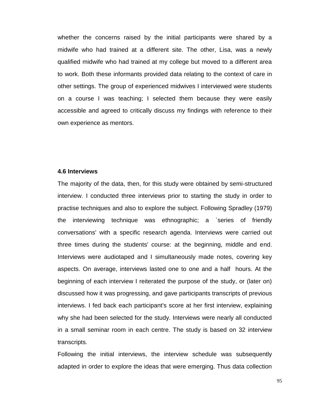whether the concerns raised by the initial participants were shared by a midwife who had trained at a different site. The other, Lisa, was a newly qualified midwife who had trained at my college but moved to a different area to work. Both these informants provided data relating to the context of care in other settings. The group of experienced midwives I interviewed were students on a course I was teaching; I selected them because they were easily accessible and agreed to critically discuss my findings with reference to their own experience as mentors.

#### **4.6 Interviews**

The majority of the data, then, for this study were obtained by semi-structured interview. I conducted three interviews prior to starting the study in order to practise techniques and also to explore the subject. Following Spradley (1979) the interviewing technique was ethnographic; a `series of friendly conversations' with a specific research agenda. Interviews were carried out three times during the students' course: at the beginning, middle and end. Interviews were audiotaped and I simultaneously made notes, covering key aspects. On average, interviews lasted one to one and a half hours. At the beginning of each interview I reiterated the purpose of the study, or (later on) discussed how it was progressing, and gave participants transcripts of previous interviews. I fed back each participant's score at her first interview, explaining why she had been selected for the study. Interviews were nearly all conducted in a small seminar room in each centre. The study is based on 32 interview transcripts.

Following the initial interviews, the interview schedule was subsequently adapted in order to explore the ideas that were emerging. Thus data collection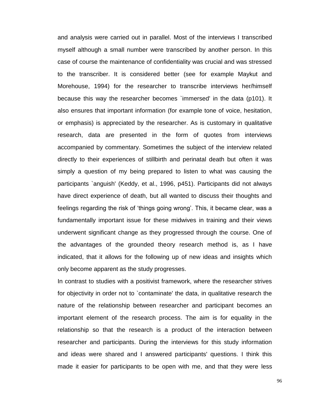and analysis were carried out in parallel. Most of the interviews I transcribed myself although a small number were transcribed by another person. In this case of course the maintenance of confidentiality was crucial and was stressed to the transcriber. It is considered better (see for example Maykut and Morehouse, 1994) for the researcher to transcribe interviews her/himself because this way the researcher becomes `immersed' in the data (p101). It also ensures that important information (for example tone of voice, hesitation, or emphasis) is appreciated by the researcher. As is customary in qualitative research, data are presented in the form of quotes from interviews accompanied by commentary. Sometimes the subject of the interview related directly to their experiences of stillbirth and perinatal death but often it was simply a question of my being prepared to listen to what was causing the participants `anguish' (Keddy, et al., 1996, p451). Participants did not always have direct experience of death, but all wanted to discuss their thoughts and feelings regarding the risk of 'things going wrong'. This, it became clear, was a fundamentally important issue for these midwives in training and their views underwent significant change as they progressed through the course. One of the advantages of the grounded theory research method is, as I have indicated, that it allows for the following up of new ideas and insights which only become apparent as the study progresses.

In contrast to studies with a positivist framework, where the researcher strives for objectivity in order not to `contaminate' the data, in qualitative research the nature of the relationship between researcher and participant becomes an important element of the research process. The aim is for equality in the relationship so that the research is a product of the interaction between researcher and participants. During the interviews for this study information and ideas were shared and I answered participants' questions. I think this made it easier for participants to be open with me, and that they were less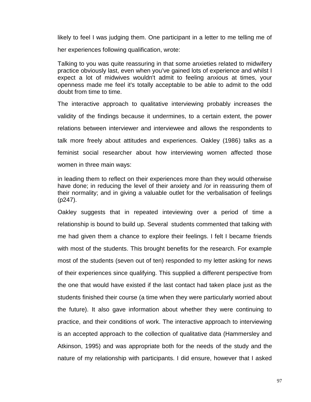likely to feel I was judging them. One participant in a letter to me telling me of

her experiences following qualification, wrote:

Talking to you was quite reassuring in that some anxieties related to midwifery practice obviously last, even when you've gained lots of experience and whilst I expect a lot of midwives wouldn't admit to feeling anxious at times, your openness made me feel it's totally acceptable to be able to admit to the odd doubt from time to time.

The interactive approach to qualitative interviewing probably increases the validity of the findings because it undermines, to a certain extent, the power relations between interviewer and interviewee and allows the respondents to talk more freely about attitudes and experiences. Oakley (1986) talks as a feminist social researcher about how interviewing women affected those women in three main ways:

in leading them to reflect on their experiences more than they would otherwise have done; in reducing the level of their anxiety and /or in reassuring them of their normality; and in giving a valuable outlet for the verbalisation of feelings (p247).

Oakley suggests that in repeated inteviewing over a period of time a relationship is bound to build up. Several students commented that talking with me had given them a chance to explore their feelings. I felt I became friends with most of the students. This brought benefits for the research. For example most of the students (seven out of ten) responded to my letter asking for news of their experiences since qualifying. This supplied a different perspective from the one that would have existed if the last contact had taken place just as the students finished their course (a time when they were particularly worried about the future). It also gave information about whether they were continuing to practice, and their conditions of work. The interactive approach to interviewing is an accepted approach to the collection of qualitative data (Hammersley and Atkinson, 1995) and was appropriate both for the needs of the study and the nature of my relationship with participants. I did ensure, however that I asked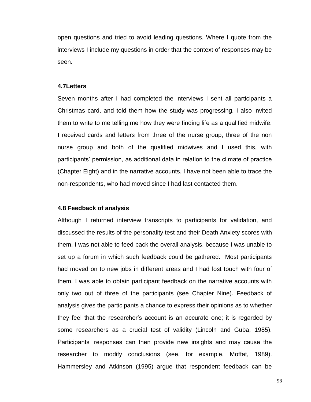open questions and tried to avoid leading questions. Where I quote from the interviews I include my questions in order that the context of responses may be seen.

### **4.7Letters**

Seven months after I had completed the interviews I sent all participants a Christmas card, and told them how the study was progressing. I also invited them to write to me telling me how they were finding life as a qualified midwife. I received cards and letters from three of the nurse group, three of the non nurse group and both of the qualified midwives and I used this, with participants' permission, as additional data in relation to the climate of practice (Chapter Eight) and in the narrative accounts. I have not been able to trace the non-respondents, who had moved since I had last contacted them.

## **4.8 Feedback of analysis**

Although I returned interview transcripts to participants for validation, and discussed the results of the personality test and their Death Anxiety scores with them, I was not able to feed back the overall analysis, because I was unable to set up a forum in which such feedback could be gathered. Most participants had moved on to new jobs in different areas and I had lost touch with four of them. I was able to obtain participant feedback on the narrative accounts with only two out of three of the participants (see Chapter Nine). Feedback of analysis gives the participants a chance to express their opinions as to whether they feel that the researcher's account is an accurate one; it is regarded by some researchers as a crucial test of validity (Lincoln and Guba, 1985). Participants' responses can then provide new insights and may cause the researcher to modify conclusions (see, for example, Moffat, 1989). Hammersley and Atkinson (1995) argue that respondent feedback can be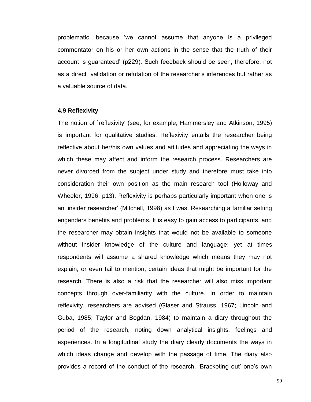problematic, because 'we cannot assume that anyone is a privileged commentator on his or her own actions in the sense that the truth of their account is guaranteed' (p229). Such feedback should be seen, therefore, not as a direct validation or refutation of the researcher's inferences but rather as a valuable source of data.

### **4.9 Reflexivity**

The notion of `reflexivity' (see, for example, Hammersley and Atkinson, 1995) is important for qualitative studies. Reflexivity entails the researcher being reflective about her/his own values and attitudes and appreciating the ways in which these may affect and inform the research process. Researchers are never divorced from the subject under study and therefore must take into consideration their own position as the main research tool (Holloway and Wheeler, 1996, p13). Reflexivity is perhaps particularly important when one is an 'insider researcher' (Mitchell, 1998) as I was. Researching a familiar setting engenders benefits and problems. It is easy to gain access to participants, and the researcher may obtain insights that would not be available to someone without insider knowledge of the culture and language; yet at times respondents will assume a shared knowledge which means they may not explain, or even fail to mention, certain ideas that might be important for the research. There is also a risk that the researcher will also miss important concepts through over-familiarity with the culture. In order to maintain reflexivity, researchers are advised (Glaser and Strauss, 1967; Lincoln and Guba, 1985; Taylor and Bogdan, 1984) to maintain a diary throughout the period of the research, noting down analytical insights, feelings and experiences. In a longitudinal study the diary clearly documents the ways in which ideas change and develop with the passage of time. The diary also provides a record of the conduct of the research. 'Bracketing out' one's own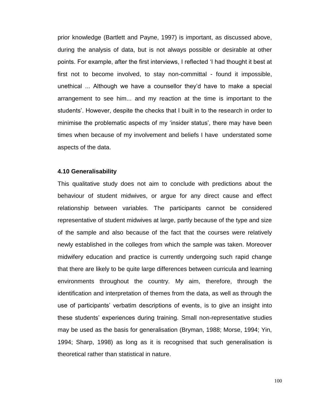prior knowledge (Bartlett and Payne, 1997) is important, as discussed above, during the analysis of data, but is not always possible or desirable at other points. For example, after the first interviews, I reflected 'I had thought it best at first not to become involved, to stay non-committal - found it impossible, unethical ... Although we have a counsellor they'd have to make a special arrangement to see him... and my reaction at the time is important to the students'. However, despite the checks that I built in to the research in order to minimise the problematic aspects of my 'insider status', there may have been times when because of my involvement and beliefs I have understated some aspects of the data.

#### **4.10 Generalisability**

This qualitative study does not aim to conclude with predictions about the behaviour of student midwives, or argue for any direct cause and effect relationship between variables. The participants cannot be considered representative of student midwives at large, partly because of the type and size of the sample and also because of the fact that the courses were relatively newly established in the colleges from which the sample was taken. Moreover midwifery education and practice is currently undergoing such rapid change that there are likely to be quite large differences between curricula and learning environments throughout the country. My aim, therefore, through the identification and interpretation of themes from the data, as well as through the use of participants' verbatim descriptions of events, is to give an insight into these students' experiences during training. Small non-representative studies may be used as the basis for generalisation (Bryman, 1988; Morse, 1994; Yin, 1994; Sharp, 1998) as long as it is recognised that such generalisation is theoretical rather than statistical in nature.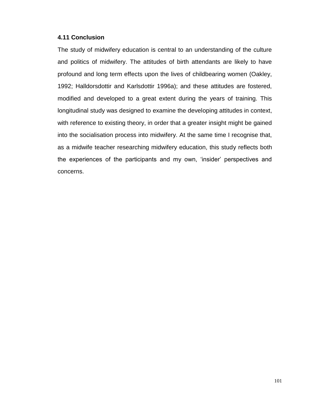# **4.11 Conclusion**

The study of midwifery education is central to an understanding of the culture and politics of midwifery. The attitudes of birth attendants are likely to have profound and long term effects upon the lives of childbearing women (Oakley, 1992; Halldorsdottir and Karlsdottir 1996a); and these attitudes are fostered, modified and developed to a great extent during the years of training. This longitudinal study was designed to examine the developing attitudes in context, with reference to existing theory, in order that a greater insight might be gained into the socialisation process into midwifery. At the same time I recognise that, as a midwife teacher researching midwifery education, this study reflects both the experiences of the participants and my own, 'insider' perspectives and concerns.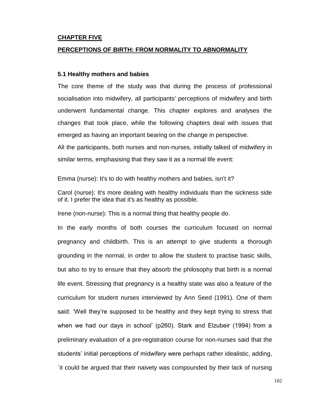### **CHAPTER FIVE**

### **PERCEPTIONS OF BIRTH: FROM NORMALITY TO ABNORMALITY**

#### **5.1 Healthy mothers and babies**

The core theme of the study was that during the process of professional socialisation into midwifery, all participants' perceptions of midwifery and birth underwent fundamental change. This chapter explores and analyses the changes that took place, while the following chapters deal with issues that emerged as having an important bearing on the change in perspective.

All the participants, both nurses and non-nurses, initially talked of midwifery in similar terms, emphasising that they saw it as a normal life event:

Emma (nurse): It's to do with healthy mothers and babies, isn't it?

Carol (nurse): It's more dealing with healthy individuals than the sickness side of it. I prefer the idea that it's as healthy as possible.

Irene (non-nurse): This is a normal thing that healthy people do.

In the early months of both courses the curriculum focused on normal pregnancy and childbirth. This is an attempt to give students a thorough grounding in the normal, in order to allow the student to practise basic skills, but also to try to ensure that they absorb the philosophy that birth is a normal life event. Stressing that pregnancy is a healthy state was also a feature of the curriculum for student nurses interviewed by Ann Seed (1991). One of them said: 'Well they're supposed to be healthy and they kept trying to stress that when we had our days in school' (p260). Stark and Elzubeir (1994) from a preliminary evaluation of a pre-registration course for non-nurses said that the students' initial perceptions of midwifery were perhaps rather idealistic, adding, `it could be argued that their naivety was compounded by their lack of nursing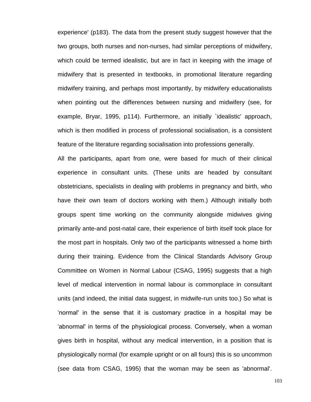experience' (p183). The data from the present study suggest however that the two groups, both nurses and non-nurses, had similar perceptions of midwifery, which could be termed idealistic, but are in fact in keeping with the image of midwifery that is presented in textbooks, in promotional literature regarding midwifery training, and perhaps most importantly, by midwifery educationalists when pointing out the differences between nursing and midwifery (see, for example, Bryar, 1995, p114). Furthermore, an initially `idealistic' approach, which is then modified in process of professional socialisation, is a consistent feature of the literature regarding socialisation into professions generally.

All the participants, apart from one, were based for much of their clinical experience in consultant units. (These units are headed by consultant obstetricians, specialists in dealing with problems in pregnancy and birth, who have their own team of doctors working with them.) Although initially both groups spent time working on the community alongside midwives giving primarily ante-and post-natal care, their experience of birth itself took place for the most part in hospitals. Only two of the participants witnessed a home birth during their training. Evidence from the Clinical Standards Advisory Group Committee on Women in Normal Labour (CSAG, 1995) suggests that a high level of medical intervention in normal labour is commonplace in consultant units (and indeed, the initial data suggest, in midwife-run units too.) So what is 'normal' in the sense that it is customary practice in a hospital may be 'abnormal' in terms of the physiological process. Conversely, when a woman gives birth in hospital, without any medical intervention, in a position that is physiologically normal (for example upright or on all fours) this is so uncommon (see data from CSAG, 1995) that the woman may be seen as 'abnormal'.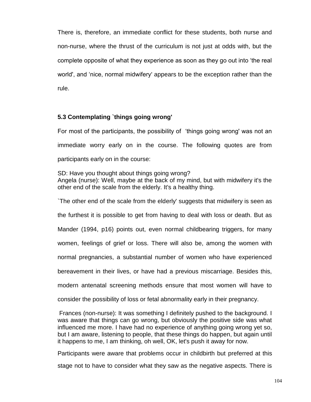There is, therefore, an immediate conflict for these students, both nurse and non-nurse, where the thrust of the curriculum is not just at odds with, but the complete opposite of what they experience as soon as they go out into 'the real world', and 'nice, normal midwifery' appears to be the exception rather than the rule.

## **5.3 Contemplating `things going wrong'**

For most of the participants, the possibility of 'things going wrong' was not an immediate worry early on in the course. The following quotes are from participants early on in the course:

SD: Have you thought about things going wrong? Angela (nurse): Well, maybe at the back of my mind, but with midwifery it's the other end of the scale from the elderly. It's a healthy thing.

`The other end of the scale from the elderly' suggests that midwifery is seen as the furthest it is possible to get from having to deal with loss or death. But as Mander (1994, p16) points out, even normal childbearing triggers, for many women, feelings of grief or loss. There will also be, among the women with normal pregnancies, a substantial number of women who have experienced bereavement in their lives, or have had a previous miscarriage. Besides this, modern antenatal screening methods ensure that most women will have to

consider the possibility of loss or fetal abnormality early in their pregnancy.

Frances (non-nurse): It was something I definitely pushed to the background. I was aware that things can go wrong, but obviously the positive side was what influenced me more. I have had no experience of anything going wrong yet so, but I am aware, listening to people, that these things do happen, but again until it happens to me, I am thinking, oh well, OK, let's push it away for now.

Participants were aware that problems occur in childbirth but preferred at this stage not to have to consider what they saw as the negative aspects. There is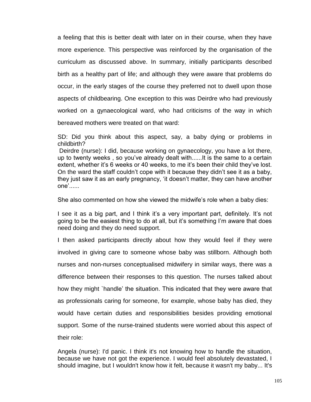a feeling that this is better dealt with later on in their course, when they have more experience. This perspective was reinforced by the organisation of the curriculum as discussed above. In summary, initially participants described birth as a healthy part of life; and although they were aware that problems do occur, in the early stages of the course they preferred not to dwell upon those aspects of childbearing. One exception to this was Deirdre who had previously worked on a gynaecological ward, who had criticisms of the way in which bereaved mothers were treated on that ward:

SD: Did you think about this aspect, say, a baby dying or problems in childbirth?

Deirdre (nurse): I did, because working on gynaecology, you have a lot there, up to twenty weeks , so you've already dealt with......It is the same to a certain extent, whether it's 6 weeks or 40 weeks, to me it's been their child they've lost. On the ward the staff couldn't cope with it because they didn't see it as a baby, they just saw it as an early pregnancy, 'it doesn't matter, they can have another one'......

She also commented on how she viewed the midwife's role when a baby dies:

I see it as a big part, and I think it's a very important part, definitely. It's not going to be the easiest thing to do at all, but it's something I'm aware that does need doing and they do need support.

I then asked participants directly about how they would feel if they were involved in giving care to someone whose baby was stillborn. Although both nurses and non-nurses conceptualised midwifery in similar ways, there was a difference between their responses to this question. The nurses talked about how they might `handle' the situation. This indicated that they were aware that as professionals caring for someone, for example, whose baby has died, they would have certain duties and responsibilities besides providing emotional support. Some of the nurse-trained students were worried about this aspect of their role:

Angela (nurse): I'd panic. I think it's not knowing how to handle the situation, because we have not got the experience. I would feel absolutely devastated, I should imagine, but I wouldn't know how it felt, because it wasn't my baby... It's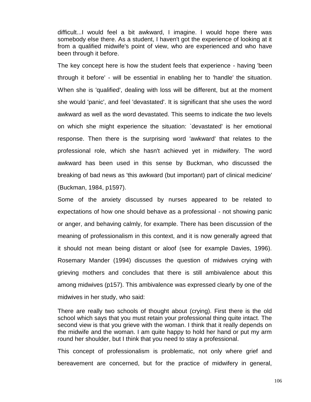difficult...I would feel a bit awkward, I imagine. I would hope there was somebody else there. As a student, I haven't got the experience of looking at it from a qualified midwife's point of view, who are experienced and who have been through it before.

The key concept here is how the student feels that experience - having 'been through it before' - will be essential in enabling her to 'handle' the situation. When she is 'qualified', dealing with loss will be different, but at the moment she would 'panic', and feel 'devastated'. It is significant that she uses the word awkward as well as the word devastated. This seems to indicate the two levels on which she might experience the situation: `devastated' is her emotional response. Then there is the surprising word 'awkward' that relates to the professional role, which she hasn't achieved yet in midwifery. The word awkward has been used in this sense by Buckman, who discussed the breaking of bad news as 'this awkward (but important) part of clinical medicine' (Buckman, 1984, p1597).

Some of the anxiety discussed by nurses appeared to be related to expectations of how one should behave as a professional - not showing panic or anger, and behaving calmly, for example. There has been discussion of the meaning of professionalism in this context, and it is now generally agreed that it should not mean being distant or aloof (see for example Davies, 1996). Rosemary Mander (1994) discusses the question of midwives crying with grieving mothers and concludes that there is still ambivalence about this among midwives (p157). This ambivalence was expressed clearly by one of the midwives in her study, who said:

There are really two schools of thought about (crying). First there is the old school which says that you must retain your professional thing quite intact. The second view is that you grieve with the woman. I think that it really depends on the midwife and the woman. I am quite happy to hold her hand or put my arm round her shoulder, but I think that you need to stay a professional.

This concept of professionalism is problematic, not only where grief and bereavement are concerned, but for the practice of midwifery in general,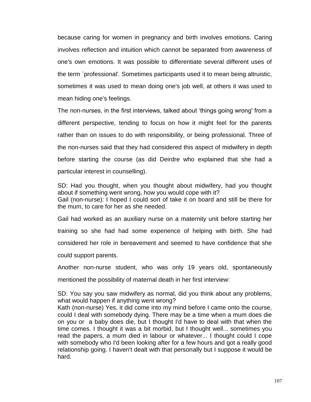because caring for women in pregnancy and birth involves emotions. Caring involves reflection and intuition which cannot be separated from awareness of one's own emotions. It was possible to differentiate several different uses of the term `professional'. Sometimes participants used it to mean being altruistic, sometimes it was used to mean doing one's job well, at others it was used to mean hiding one's feelings.

The non-nurses, in the first interviews, talked about 'things going wrong' from a different perspective, tending to focus on how it might feel for the parents rather than on issues to do with responsibility, or being professional. Three of the non-nurses said that they had considered this aspect of midwifery in depth before starting the course (as did Deirdre who explained that she had a particular interest in counselling).

SD: Had you thought, when you thought about midwifery, had you thought about if something went wrong, how you would cope with it? Gail (non-nurse): I hoped I could sort of take it on board and still be there for the mum, to care for her as she needed.

Gail had worked as an auxiliary nurse on a maternity unit before starting her training so she had had some experience of helping with birth. She had considered her role in bereavement and seemed to have confidence that she could support parents.

Another non-nurse student, who was only 19 years old, spontaneously

mentioned the possibility of maternal death in her first interview:

SD: You say you saw midwifery as normal, did you think about any problems, what would happen if anything went wrong?

Kath (non-nurse) Yes, it did come into my mind before I came onto the course, could I deal with somebody dying. There may be a time when a mum does die on you or a baby does die, but I thought I'd have to deal with that when the time comes. I thought it was a bit morbid, but I thought well... sometimes you read the papers, a mum died in labour or whatever... I thought could I cope with somebody who I'd been looking after for a few hours and got a really good relationship going. I haven't dealt with that personally but I suppose it would be hard.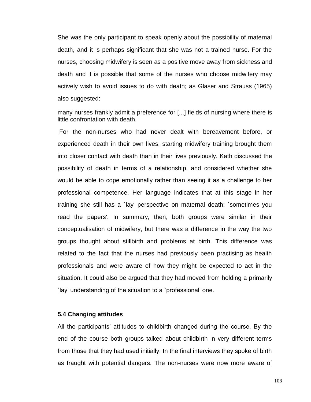She was the only participant to speak openly about the possibility of maternal death, and it is perhaps significant that she was not a trained nurse. For the nurses, choosing midwifery is seen as a positive move away from sickness and death and it is possible that some of the nurses who choose midwifery may actively wish to avoid issues to do with death; as Glaser and Strauss (1965) also suggested:

many nurses frankly admit a preference for [...] fields of nursing where there is little confrontation with death.

For the non-nurses who had never dealt with bereavement before, or experienced death in their own lives, starting midwifery training brought them into closer contact with death than in their lives previously. Kath discussed the possibility of death in terms of a relationship, and considered whether she would be able to cope emotionally rather than seeing it as a challenge to her professional competence. Her language indicates that at this stage in her training she still has a `lay' perspective on maternal death: `sometimes you read the papers'. In summary, then, both groups were similar in their conceptualisation of midwifery, but there was a difference in the way the two groups thought about stillbirth and problems at birth. This difference was related to the fact that the nurses had previously been practising as health professionals and were aware of how they might be expected to act in the situation. It could also be argued that they had moved from holding a primarily `lay' understanding of the situation to a `professional' one.

### **5.4 Changing attitudes**

All the participants' attitudes to childbirth changed during the course. By the end of the course both groups talked about childbirth in very different terms from those that they had used initially. In the final interviews they spoke of birth as fraught with potential dangers. The non-nurses were now more aware of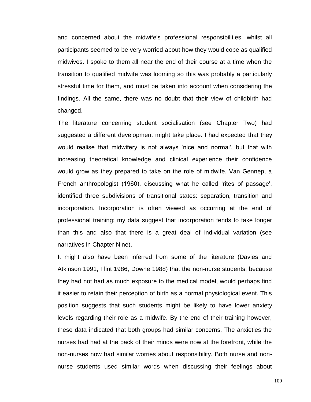and concerned about the midwife's professional responsibilities, whilst all participants seemed to be very worried about how they would cope as qualified midwives. I spoke to them all near the end of their course at a time when the transition to qualified midwife was looming so this was probably a particularly stressful time for them, and must be taken into account when considering the findings. All the same, there was no doubt that their view of childbirth had changed.

The literature concerning student socialisation (see Chapter Two) had suggested a different development might take place. I had expected that they would realise that midwifery is not always 'nice and normal', but that with increasing theoretical knowledge and clinical experience their confidence would grow as they prepared to take on the role of midwife. Van Gennep, a French anthropologist (1960), discussing what he called 'rites of passage', identified three subdivisions of transitional states: separation, transition and incorporation. Incorporation is often viewed as occurring at the end of professional training; my data suggest that incorporation tends to take longer than this and also that there is a great deal of individual variation (see narratives in Chapter Nine).

It might also have been inferred from some of the literature (Davies and Atkinson 1991, Flint 1986, Downe 1988) that the non-nurse students, because they had not had as much exposure to the medical model, would perhaps find it easier to retain their perception of birth as a normal physiological event. This position suggests that such students might be likely to have lower anxiety levels regarding their role as a midwife. By the end of their training however, these data indicated that both groups had similar concerns. The anxieties the nurses had had at the back of their minds were now at the forefront, while the non-nurses now had similar worries about responsibility. Both nurse and nonnurse students used similar words when discussing their feelings about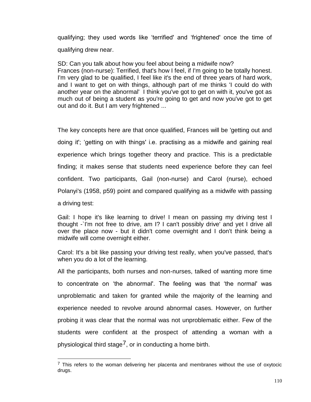qualifying; they used words like 'terrified' and 'frightened' once the time of qualifying drew near.

SD: Can you talk about how you feel about being a midwife now? Frances (non-nurse): Terrified, that's how I feel, if I'm going to be totally honest. I'm very glad to be qualified, I feel like it's the end of three years of hard work, and I want to get on with things, although part of me thinks 'I could do with another year on the abnormal' I think you've got to get on with it, you've got as much out of being a student as you're going to get and now you've got to get out and do it. But I am very frightened ...

The key concepts here are that once qualified, Frances will be 'getting out and doing it'; 'getting on with things' i.e. practising as a midwife and gaining real experience which brings together theory and practice. This is a predictable finding; it makes sense that students need experience before they can feel confident. Two participants, Gail (non-nurse) and Carol (nurse), echoed Polanyi's (1958, p59) point and compared qualifying as a midwife with passing a driving test:

Gail: I hope it's like learning to drive! I mean on passing my driving test I thought -`I'm not free to drive, am I? I can't possibly drive' and yet I drive all over the place now - but it didn't come overnight and I don't think being a midwife will come overnight either.

Carol: It's a bit like passing your driving test really, when you've passed, that's when you do a lot of the learning.

All the participants, both nurses and non-nurses, talked of wanting more time to concentrate on 'the abnormal'. The feeling was that 'the normal' was unproblematic and taken for granted while the majority of the learning and experience needed to revolve around abnormal cases. However, on further probing it was clear that the normal was not unproblematic either. Few of the students were confident at the prospect of attending a woman with a physiological third stage<sup>7</sup>, or in conducting a home birth.

 $\overline{a}$ 

 $7$  This refers to the woman delivering her placenta and membranes without the use of oxytocic drugs.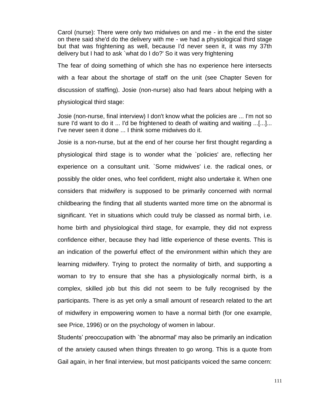Carol (nurse): There were only two midwives on and me - in the end the sister on there said she'd do the delivery with me - we had a physiological third stage but that was frightening as well, because I'd never seen it, it was my 37th delivery but I had to ask `what do I do?' So it was very frightening

The fear of doing something of which she has no experience here intersects with a fear about the shortage of staff on the unit (see Chapter Seven for discussion of staffing). Josie (non-nurse) also had fears about helping with a physiological third stage:

Josie (non-nurse, final interview) I don't know what the policies are ... I'm not so sure I'd want to do it ... I'd be frightened to death of waiting and waiting ...[...]... I've never seen it done ... I think some midwives do it.

Josie is a non-nurse, but at the end of her course her first thought regarding a physiological third stage is to wonder what the `policies' are, reflecting her experience on a consultant unit. `Some midwives' i.e. the radical ones, or possibly the older ones, who feel confident, might also undertake it. When one considers that midwifery is supposed to be primarily concerned with normal childbearing the finding that all students wanted more time on the abnormal is significant. Yet in situations which could truly be classed as normal birth, i.e. home birth and physiological third stage, for example, they did not express confidence either, because they had little experience of these events. This is an indication of the powerful effect of the environment within which they are learning midwifery. Trying to protect the normality of birth, and supporting a woman to try to ensure that she has a physiologically normal birth, is a complex, skilled job but this did not seem to be fully recognised by the participants. There is as yet only a small amount of research related to the art of midwifery in empowering women to have a normal birth (for one example, see Price, 1996) or on the psychology of women in labour.

Students' preoccupation with `the abnormal' may also be primarily an indication of the anxiety caused when things threaten to go wrong. This is a quote from Gail again, in her final interview, but most paticipants voiced the same concern: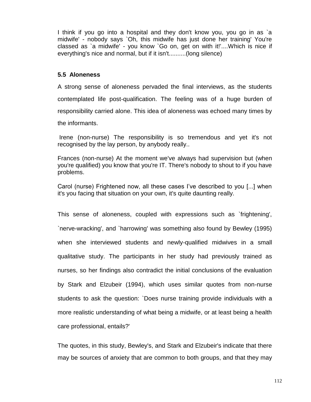I think if you go into a hospital and they don't know you, you go in as `a midwife' - nobody says `Oh, this midwife has just done her training' You're classed as `a midwife' - you know `Go on, get on with it!'....Which is nice if everything's nice and normal, but if it isn't..........(long silence)

# **5.5 Aloneness**

A strong sense of aloneness pervaded the final interviews, as the students contemplated life post-qualification. The feeling was of a huge burden of responsibility carried alone. This idea of aloneness was echoed many times by the informants.

Irene (non-nurse) The responsibility is so tremendous and yet it's not recognised by the lay person, by anybody really..

Frances (non-nurse) At the moment we've always had supervision but (when you're qualified) you know that you're IT. There's nobody to shout to if you have problems.

Carol (nurse) Frightened now, all these cases I've described to you [...] when it's you facing that situation on your own, it's quite daunting really.

This sense of aloneness, coupled with expressions such as `frightening', `nerve-wracking', and `harrowing' was something also found by Bewley (1995) when she interviewed students and newly-qualified midwives in a small qualitative study. The participants in her study had previously trained as nurses, so her findings also contradict the initial conclusions of the evaluation by Stark and Elzubeir (1994), which uses similar quotes from non-nurse students to ask the question: `Does nurse training provide individuals with a more realistic understanding of what being a midwife, or at least being a health care professional, entails?'

The quotes, in this study, Bewley's, and Stark and Elzubeir's indicate that there may be sources of anxiety that are common to both groups, and that they may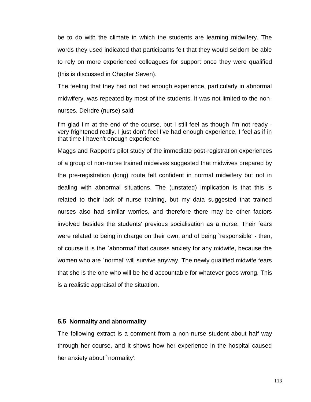be to do with the climate in which the students are learning midwifery. The words they used indicated that participants felt that they would seldom be able to rely on more experienced colleagues for support once they were qualified (this is discussed in Chapter Seven).

The feeling that they had not had enough experience, particularly in abnormal midwifery, was repeated by most of the students. It was not limited to the nonnurses. Deirdre (nurse) said:

I'm glad I'm at the end of the course, but I still feel as though I'm not ready very frightened really. I just don't feel I've had enough experience, I feel as if in that time I haven't enough experience.

Maggs and Rapport's pilot study of the immediate post-registration experiences of a group of non-nurse trained midwives suggested that midwives prepared by the pre-registration (long) route felt confident in normal midwifery but not in dealing with abnormal situations. The (unstated) implication is that this is related to their lack of nurse training, but my data suggested that trained nurses also had similar worries, and therefore there may be other factors involved besides the students' previous socialisation as a nurse. Their fears were related to being in charge on their own, and of being `responsible' - then, of course it is the `abnormal' that causes anxiety for any midwife, because the women who are `normal' will survive anyway. The newly qualified midwife fears that she is the one who will be held accountable for whatever goes wrong. This is a realistic appraisal of the situation.

## **5.5 Normality and abnormality**

The following extract is a comment from a non-nurse student about half way through her course, and it shows how her experience in the hospital caused her anxiety about `normality':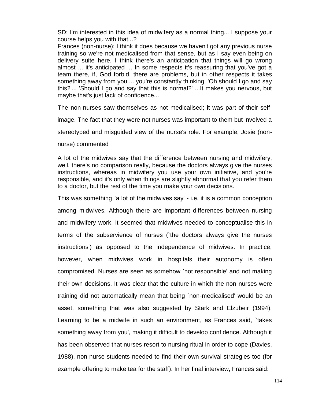SD: I'm interested in this idea of midwifery as a normal thing... I suppose your course helps you with that...?

Frances (non-nurse): I think it does because we haven't got any previous nurse training so we're not medicalised from that sense, but as I say even being on delivery suite here, I think there's an anticipation that things will go wrong almost ... it's anticipated ... In some respects it's reassuring that you've got a team there, if, God forbid, there are problems, but in other respects it takes something away from you ... you're constantly thinking, 'Oh should I go and say this?'... 'Should I go and say that this is normal?' ...It makes you nervous, but maybe that's just lack of confidence...

The non-nurses saw themselves as not medicalised; it was part of their self-

image. The fact that they were not nurses was important to them but involved a

stereotyped and misguided view of the nurse's role. For example, Josie (non-

nurse) commented

A lot of the midwives say that the difference between nursing and midwifery, well, there's no comparison really, because the doctors always give the nurses instructions, whereas in midwifery you use your own initiative, and you're responsible, and it's only when things are slightly abnormal that you refer them to a doctor, but the rest of the time you make your own decisions.

This was something `a lot of the midwives say' - i.e. it is a common conception among midwives. Although there are important differences between nursing and midwifery work, it seemed that midwives needed to conceptualise this in terms of the subservience of nurses (`the doctors always give the nurses instructions') as opposed to the independence of midwives. In practice, however, when midwives work in hospitals their autonomy is often compromised. Nurses are seen as somehow `not responsible' and not making their own decisions. It was clear that the culture in which the non-nurses were training did not automatically mean that being `non-medicalised' would be an asset, something that was also suggested by Stark and Elzubeir (1994). Learning to be a midwife in such an environment, as Frances said, `takes something away from you', making it difficult to develop confidence. Although it has been observed that nurses resort to nursing ritual in order to cope (Davies, 1988), non-nurse students needed to find their own survival strategies too (for example offering to make tea for the staff). In her final interview, Frances said: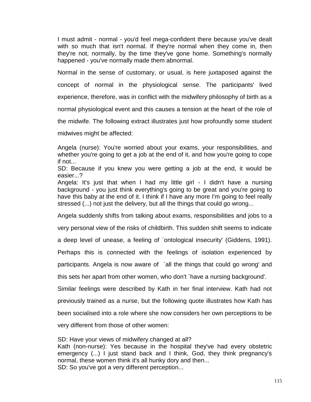I must admit - normal - you'd feel mega-confident there because you've dealt with so much that isn't normal. If they're normal when they come in, then they're not, normally, by the time they've gone home. Something's normally happened - you've normally made them abnormal.

Normal in the sense of customary, or usual, is here juxtaposed against the concept of normal in the physiological sense. The participants' lived experience, therefore, was in conflict with the midwifery philosophy of birth as a normal physiological event and this causes a tension at the heart of the role of the midwife. The following extract illustrates just how profoundly some student midwives might be affected:

Angela (nurse): You're worried about your exams, your responsibilities, and whether you're going to get a job at the end of it, and how you're going to cope if not...

SD: Because if you knew you were getting a job at the end, it would be easier...?

Angela: It's just that when I had my little girl - I didn't have a nursing background - you just think everything's going to be great and you're going to have this baby at the end of it. I think if I have any more I'm going to feel really stressed (...) not just the delivery, but all the things that could go wrong...

Angela suddenly shifts from talking about exams, responsibilities and jobs to a

very personal view of the risks of childbirth. This sudden shift seems to indicate

a deep level of unease, a feeling of `ontological insecurity' (Giddens, 1991).

Perhaps this is connected with the feelings of isolation experienced by

participants. Angela is now aware of `all the things that could go wrong' and

this sets her apart from other women, who don't `have a nursing background'.

Similar feelings were described by Kath in her final interview. Kath had not previously trained as a nurse, but the following quote illustrates how Kath has been socialised into a role where she now considers her own perceptions to be very different from those of other women:

SD: Have your views of midwifery changed at all? Kath (non-nurse): Yes because in the hospital they've had every obstetric emergency (...) I just stand back and I think, God, they think pregnancy's normal, these women think it's all hunky dory and then...

SD: So you've got a very different perception...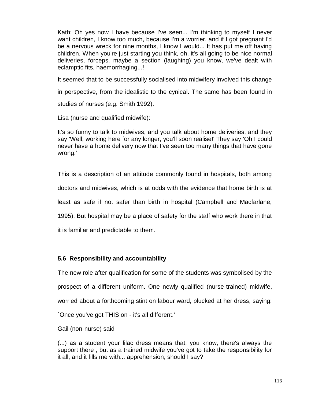Kath: Oh yes now I have because I've seen... I'm thinking to myself I never want children, I know too much, because I'm a worrier, and if I got pregnant I'd be a nervous wreck for nine months, I know I would... It has put me off having children. When you're just starting you think, oh, it's all going to be nice normal deliveries, forceps, maybe a section (laughing) you know, we've dealt with eclamptic fits, haemorrhaging...!

It seemed that to be successfully socialised into midwifery involved this change

in perspective, from the idealistic to the cynical. The same has been found in

studies of nurses (e.g. Smith 1992).

Lisa (nurse and qualified midwife):

It's so funny to talk to midwives, and you talk about home deliveries, and they say 'Well, working here for any longer, you'll soon realise!' They say 'Oh I could never have a home delivery now that I've seen too many things that have gone wrong.'

This is a description of an attitude commonly found in hospitals, both among

doctors and midwives, which is at odds with the evidence that home birth is at

least as safe if not safer than birth in hospital (Campbell and Macfarlane,

1995). But hospital may be a place of safety for the staff who work there in that

it is familiar and predictable to them.

## **5.6 Responsibility and accountability**

The new role after qualification for some of the students was symbolised by the prospect of a different uniform. One newly qualified (nurse-trained) midwife, worried about a forthcoming stint on labour ward, plucked at her dress, saying: `Once you've got THIS on - it's all different.'

Gail (non-nurse) said

(...) as a student your lilac dress means that, you know, there's always the support there , but as a trained midwife you've got to take the responsibility for it all, and it fills me with... apprehension, should I say?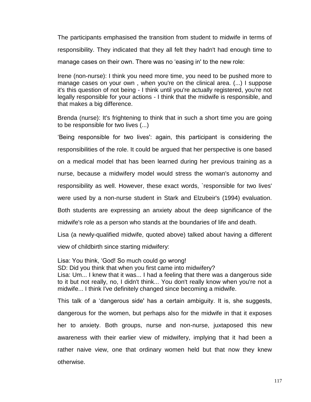The participants emphasised the transition from student to midwife in terms of responsibility. They indicated that they all felt they hadn't had enough time to manage cases on their own. There was no 'easing in' to the new role:

Irene (non-nurse): I think you need more time, you need to be pushed more to manage cases on your own , when you're on the clinical area. (...) I suppose it's this question of not being - I think until you're actually registered, you're not legally responsible for your actions - I think that the midwife is responsible, and that makes a big difference.

Brenda (nurse): It's frightening to think that in such a short time you are going to be responsible for two lives (...)

'Being responsible for two lives': again, this participant is considering the responsibilities of the role. It could be argued that her perspective is one based on a medical model that has been learned during her previous training as a nurse, because a midwifery model would stress the woman's autonomy and responsibility as well. However, these exact words, `responsible for two lives' were used by a non-nurse student in Stark and Elzubeir's (1994) evaluation.

Both students are expressing an anxiety about the deep significance of the midwife's role as a person who stands at the boundaries of life and death.

Lisa (a newly-qualified midwife, quoted above) talked about having a different view of childbirth since starting midwifery:

Lisa: You think, 'God! So much could go wrong!

SD: Did you think that when you first came into midwifery?

Lisa: Um... I knew that it was... I had a feeling that there was a dangerous side to it but not really, no, I didn't think... You don't really know when you're not a midwife... I think I've definitely changed since becoming a midwife.

This talk of a 'dangerous side' has a certain ambiguity. It is, she suggests, dangerous for the women, but perhaps also for the midwife in that it exposes her to anxiety. Both groups, nurse and non-nurse, juxtaposed this new awareness with their earlier view of midwifery, implying that it had been a rather naive view, one that ordinary women held but that now they knew otherwise.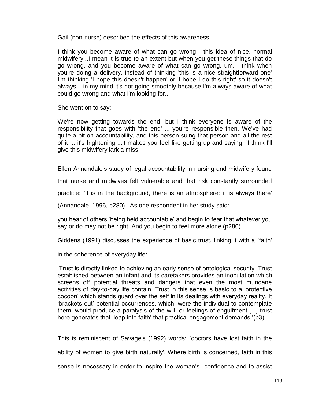Gail (non-nurse) described the effects of this awareness:

I think you become aware of what can go wrong - this idea of nice, normal midwifery...I mean it is true to an extent but when you get these things that do go wrong, and you become aware of what can go wrong, um, I think when you're doing a delivery, instead of thinking 'this is a nice straightforward one' I'm thinking 'I hope this doesn't happen' or 'I hope I do this right' so it doesn't always... in my mind it's not going smoothly because I'm always aware of what could go wrong and what I'm looking for...

She went on to say:

We're now getting towards the end, but I think everyone is aware of the responsibility that goes with 'the end' ... you're responsible then. We've had quite a bit on accountability, and this person suing that person and all the rest of it ... it's frightening ...it makes you feel like getting up and saying 'I think I'll give this midwifery lark a miss!

Ellen Annandale's study of legal accountability in nursing and midwifery found

that nurse and midwives felt vulnerable and that risk constantly surrounded

practice: `it is in the background, there is an atmosphere: it is always there'

(Annandale, 1996, p280). As one respondent in her study said:

you hear of others 'being held accountable' and begin to fear that whatever you say or do may not be right. And you begin to feel more alone (p280).

Giddens (1991) discusses the experience of basic trust, linking it with a `faith'

in the coherence of everyday life:

'Trust is directly linked to achieving an early sense of ontological security. Trust established between an infant and its caretakers provides an inoculation which screens off potential threats and dangers that even the most mundane activities of day-to-day life contain. Trust in this sense is basic to a 'protective cocoon' which stands guard over the self in its dealings with everyday reality. It 'brackets out' potential occurrences, which, were the individual to contemplate them, would produce a paralysis of the will, or feelings of engulfment [...] trust here generates that 'leap into faith' that practical engagement demands.'(p3)

This is reminiscent of Savage's (1992) words: `doctors have lost faith in the ability of women to give birth naturally'. Where birth is concerned, faith in this sense is necessary in order to inspire the woman's confidence and to assist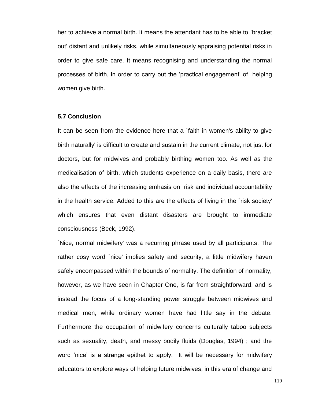her to achieve a normal birth. It means the attendant has to be able to `bracket out' distant and unlikely risks, while simultaneously appraising potential risks in order to give safe care. It means recognising and understanding the normal processes of birth, in order to carry out the 'practical engagement' of helping women give birth.

#### **5.7 Conclusion**

It can be seen from the evidence here that a `faith in women's ability to give birth naturally' is difficult to create and sustain in the current climate, not just for doctors, but for midwives and probably birthing women too. As well as the medicalisation of birth, which students experience on a daily basis, there are also the effects of the increasing emhasis on risk and individual accountability in the health service. Added to this are the effects of living in the `risk society' which ensures that even distant disasters are brought to immediate consciousness (Beck, 1992).

`Nice, normal midwifery' was a recurring phrase used by all participants. The rather cosy word `nice' implies safety and security, a little midwifery haven safely encompassed within the bounds of normality. The definition of normality, however, as we have seen in Chapter One, is far from straightforward, and is instead the focus of a long-standing power struggle between midwives and medical men, while ordinary women have had little say in the debate. Furthermore the occupation of midwifery concerns culturally taboo subjects such as sexuality, death, and messy bodily fluids (Douglas, 1994) ; and the word 'nice' is a strange epithet to apply. It will be necessary for midwifery educators to explore ways of helping future midwives, in this era of change and

119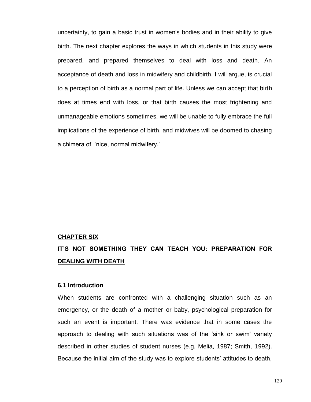uncertainty, to gain a basic trust in women's bodies and in their ability to give birth. The next chapter explores the ways in which students in this study were prepared, and prepared themselves to deal with loss and death. An acceptance of death and loss in midwifery and childbirth, I will argue, is crucial to a perception of birth as a normal part of life. Unless we can accept that birth does at times end with loss, or that birth causes the most frightening and unmanageable emotions sometimes, we will be unable to fully embrace the full implications of the experience of birth, and midwives will be doomed to chasing a chimera of 'nice, normal midwifery.'

#### **CHAPTER SIX**

# **IT'S NOT SOMETHING THEY CAN TEACH YOU: PREPARATION FOR DEALING WITH DEATH**

#### **6.1 Introduction**

When students are confronted with a challenging situation such as an emergency, or the death of a mother or baby, psychological preparation for such an event is important. There was evidence that in some cases the approach to dealing with such situations was of the 'sink or swim' variety described in other studies of student nurses (e.g. Melia, 1987; Smith, 1992). Because the initial aim of the study was to explore students' attitudes to death,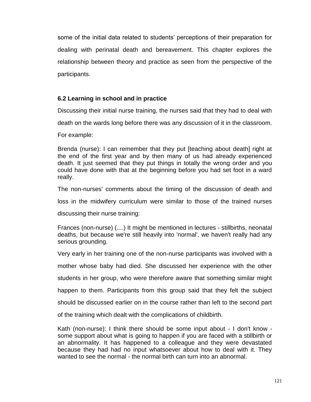some of the initial data related to students' perceptions of their preparation for dealing with perinatal death and bereavement. This chapter explores the relationship between theory and practice as seen from the perspective of the participants.

## **6.2 Learning in school and in practice**

Discussing their initial nurse training, the nurses said that they had to deal with

death on the wards long before there was any discussion of it in the classroom.

For example:

Brenda (nurse): I can remember that they put [teaching about death] right at the end of the first year and by then many of us had already experienced death. It just seemed that they put things in totally the wrong order and you could have done with that at the beginning before you had set foot in a ward really.

The non-nurses' comments about the timing of the discussion of death and

loss in the midwifery curriculum were similar to those of the trained nurses

discussing their nurse training:

Frances (non-nurse) (....) It might be mentioned in lectures - stillbirths, neonatal deaths, but because we're still heavily into 'normal', we haven't really had any serious grounding.

Very early in her training one of the non-nurse participants was involved with a

mother whose baby had died. She discussed her experience with the other

students in her group, who were therefore aware that something similar might

happen to them. Participants from this group said that they felt the subject

should be discussed earlier on in the course rather than left to the second part

of the training which dealt with the complications of childbirth.

Kath (non-nurse): I think there should be some input about - I don't know some support about what is going to happen if you are faced with a stillbirth or an abnormality. It has happened to a colleague and they were devastated because they had had no input whatsoever about how to deal with it. They wanted to see the normal - the normal birth can turn into an abnormal.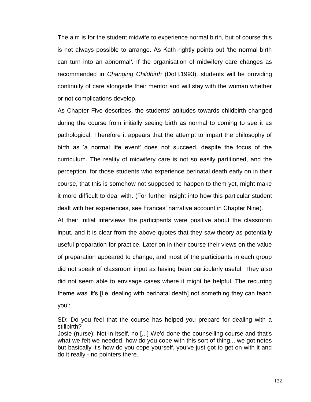The aim is for the student midwife to experience normal birth, but of course this is not always possible to arrange. As Kath rightly points out 'the normal birth can turn into an abnormal*'.* If the organisation of midwifery care changes as recommended in *Changing Childbirth* (DoH,1993), students will be providing continuity of care alongside their mentor and will stay with the woman whether or not complications develop.

As Chapter Five describes, the students' attitudes towards childbirth changed during the course from initially seeing birth as normal to coming to see it as pathological. Therefore it appears that the attempt to impart the philosophy of birth as 'a normal life event' does not succeed, despite the focus of the curriculum. The reality of midwifery care is not so easily partitioned, and the perception, for those students who experience perinatal death early on in their course, that this is somehow not supposed to happen to them yet, might make it more difficult to deal with. (For further insight into how this particular student dealt with her experiences, see Frances' narrative account in Chapter Nine).

At their initial interviews the participants were positive about the classroom input, and it is clear from the above quotes that they saw theory as potentially useful preparation for practice. Later on in their course their views on the value of preparation appeared to change, and most of the participants in each group did not speak of classroom input as having been particularly useful. They also did not seem able to envisage cases where it might be helpful. The recurring theme was 'it's [i.e. dealing with perinatal death] not something they can teach you':

SD: Do you feel that the course has helped you prepare for dealing with a stillbirth?

Josie (nurse): Not in itself, no [...] We'd done the counselling course and that's what we felt we needed, how do you cope with this sort of thing... we got notes but basically it's how do you cope yourself, you've just got to get on with it and do it really - no pointers there.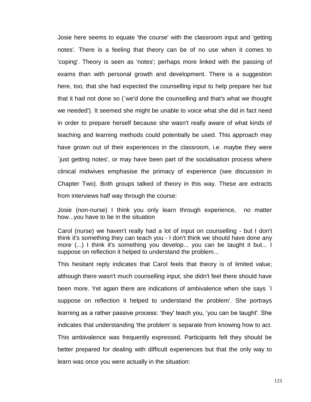Josie here seems to equate 'the course' with the classroom input and 'getting notes'. There is a feeling that theory can be of no use when it comes to 'coping'. Theory is seen as 'notes'; perhaps more linked with the passing of exams than with personal growth and development. There is a suggestion here, too, that she had expected the counselling input to help prepare her but that it had not done so (`we'd done the counselling and that's what we thought we needed'). It seemed she might be unable to voice what she did in fact need in order to prepare herself because she wasn't really aware of what kinds of teaching and learning methods could potentially be used. This approach may have grown out of their experiences in the classroom, i.e. maybe they were `just getting notes', or may have been part of the socialisation process where clinical midwives emphasise the primacy of experience (see discussion in Chapter Two). Both groups talked of theory in this way. These are extracts from interviews half way through the course:

Josie (non-nurse) I think you only learn through experience, no matter how...you have to be in the situation

Carol (nurse) we haven't really had a lot of input on counselling - but I don't think it's something they can teach you - I don't think we should have done any more (...) I think it's something you develop... you can be taught it but... I suppose on reflection it helped to understand the problem...

This hesitant reply indicates that Carol feels that theory is of limited value; although there wasn't much counselling input, she didn't feel there should have been more. Yet again there are indications of ambivalence when she says `I suppose on reflection it helped to understand the problem'. She portrays learning as a rather passive process: 'they' teach you, 'you can be taught'. She indicates that understanding 'the problem' is separate from knowing how to act. This ambivalence was frequently expressed. Participants felt they should be better prepared for dealing with difficult experiences but that the only way to learn was once you were actually in the situation: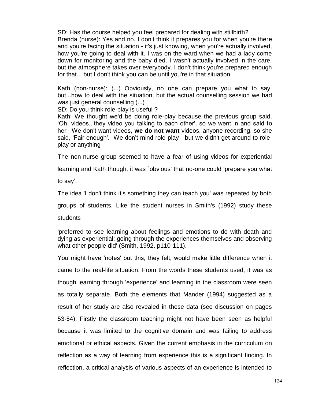SD: Has the course helped you feel prepared for dealing with stillbirth? Brenda (nurse): Yes and no. I don't think it prepares you for when you're there and you're facing the situation - it's just knowing, when you're actually involved, how you're going to deal with it. I was on the ward when we had a lady come down for monitoring and the baby died. I wasn't actually involved in the care, but the atmosphere takes over everybody. I don't think you're prepared enough for that... but I don't think you can be until you're in that situation

Kath (non-nurse): (...) Obviously, no one can prepare you what to say, but...how to deal with the situation, but the actual counselling session we had was just general counselling (...)

SD: Do you think role-play is useful ?

Kath: We thought we'd be doing role-play because the previous group said, 'Oh, videos...they video you talking to each other', so we went in and said to her 'We don't want videos, **we do not want** videos, anyone recording, so she said, 'Fair enough'. We don't mind role-play - but we didn't get around to roleplay or anything

The non-nurse group seemed to have a fear of using videos for experiential

learning and Kath thought it was `obvious' that no-one could 'prepare you what

to say'.

The idea 'I don't think it's something they can teach you' was repeated by both

groups of students. Like the student nurses in Smith's (1992) study these

students

'preferred to see learning about feelings and emotions to do with death and dying as experiential; going through the experiences themselves and observing what other people did' (Smith, 1992, p110-111).

You might have 'notes' but this, they felt, would make little difference when it came to the real-life situation. From the words these students used, it was as though learning through 'experience' and learning in the classroom were seen as totally separate. Both the elements that Mander (1994) suggested as a result of her study are also revealed in these data (see discussion on pages 53-54). Firstly the classroom teaching might not have been seen as helpful because it was limited to the cognitive domain and was failing to address emotional or ethical aspects. Given the current emphasis in the curriculum on reflection as a way of learning from experience this is a significant finding. In reflection, a critical analysis of various aspects of an experience is intended to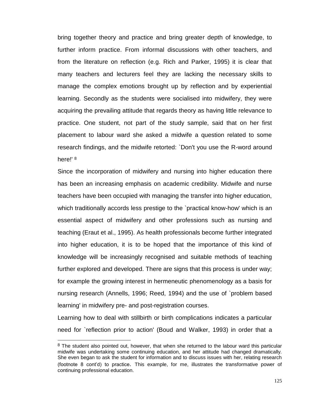bring together theory and practice and bring greater depth of knowledge, to further inform practice. From informal discussions with other teachers, and from the literature on reflection (e.g. Rich and Parker, 1995) it is clear that many teachers and lecturers feel they are lacking the necessary skills to manage the complex emotions brought up by reflection and by experiential learning. Secondly as the students were socialised into midwifery, they were acquiring the prevailing attitude that regards theory as having little relevance to practice. One student, not part of the study sample, said that on her first placement to labour ward she asked a midwife a question related to some research findings, and the midwife retorted: `Don't you use the R-word around here!'<sup>8</sup>

Since the incorporation of midwifery and nursing into higher education there has been an increasing emphasis on academic credibility. Midwife and nurse teachers have been occupied with managing the transfer into higher education, which traditionally accords less prestige to the `practical know-how' which is an essential aspect of midwifery and other professions such as nursing and teaching (Eraut et al., 1995). As health professionals become further integrated into higher education, it is to be hoped that the importance of this kind of knowledge will be increasingly recognised and suitable methods of teaching further explored and developed. There are signs that this process is under way; for example the growing interest in hermeneutic phenomenology as a basis for nursing research (Annells, 1996; Reed, 1994) and the use of `problem based learning' in midwifery pre- and post-registration courses.

Learning how to deal with stillbirth or birth complications indicates a particular need for `reflection prior to action' (Boud and Walker, 1993) in order that a

 $\overline{\phantom{a}}$ 

<sup>&</sup>lt;sup>8</sup> The student also pointed out, however, that when she returned to the labour ward this particular midwife was undertaking some continuing education, and her attitude had changed dramatically. She even began to ask the student for information and to discuss issues with her, relating research (footnote 8 cont'd) to practice. This example, for me, illustrates the transformative power of continuing professional education.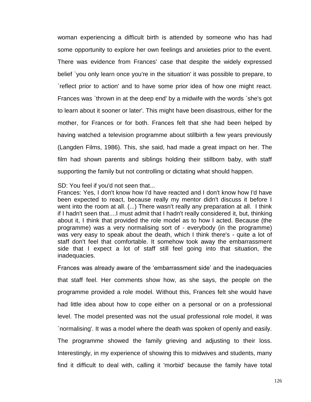woman experiencing a difficult birth is attended by someone who has had some opportunity to explore her own feelings and anxieties prior to the event. There was evidence from Frances' case that despite the widely expressed belief `you only learn once you're in the situation' it was possible to prepare, to `reflect prior to action' and to have some prior idea of how one might react. Frances was `thrown in at the deep end' by a midwife with the words `she's got to learn about it sooner or later'. This might have been disastrous, either for the mother, for Frances or for both. Frances felt that she had been helped by having watched a television programme about stillbirth a few years previously (Langden Films, 1986). This, she said, had made a great impact on her. The film had shown parents and siblings holding their stillborn baby, with staff supporting the family but not controlling or dictating what should happen.

SD: You feel if you'd not seen that...

Frances: Yes, I don't know how I'd have reacted and I don't know how I'd have been expected to react, because really my mentor didn't discuss it before I went into the room at all. (...) There wasn't really any preparation at all. I think if I hadn't seen that....I must admit that I hadn't really considered it, but, thinking about it, I think that provided the role model as to how I acted. Because (the programme) was a very normalising sort of - everybody (in the programme) was very easy to speak about the death, which I think there's - quite a lot of staff don't feel that comfortable. It somehow took away the embarrassment side that I expect a lot of staff still feel going into that situation, the inadequacies.

Frances was already aware of the 'embarrassment side' and the inadequacies that staff feel. Her comments show how, as she says, the people on the programme provided a role model. Without this, Frances felt she would have had little idea about how to cope either on a personal or on a professional level. The model presented was not the usual professional role model, it was `normalising'. It was a model where the death was spoken of openly and easily. The programme showed the family grieving and adjusting to their loss. Interestingly, in my experience of showing this to midwives and students, many find it difficult to deal with, calling it 'morbid' because the family have total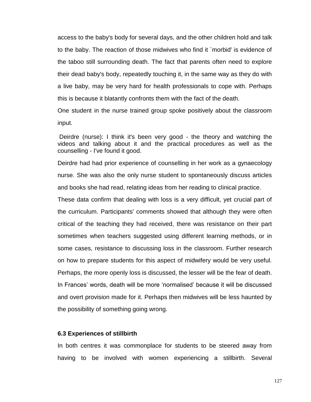access to the baby's body for several days, and the other children hold and talk to the baby. The reaction of those midwives who find it `morbid' is evidence of the taboo still surrounding death. The fact that parents often need to explore their dead baby's body, repeatedly touching it, in the same way as they do with a live baby, may be very hard for health professionals to cope with. Perhaps this is because it blatantly confronts them with the fact of the death.

One student in the nurse trained group spoke positively about the classroom input.

Deirdre (nurse): I think it's been very good - the theory and watching the videos and talking about it and the practical procedures as well as the counselling - I've found it good.

Deirdre had had prior experience of counselling in her work as a gynaecology nurse. She was also the only nurse student to spontaneously discuss articles and books she had read, relating ideas from her reading to clinical practice.

These data confirm that dealing with loss is a very difficult, yet crucial part of the curriculum. Participants' comments showed that although they were often critical of the teaching they had received, there was resistance on their part sometimes when teachers suggested using different learning methods, or in some cases, resistance to discussing loss in the classroom. Further research on how to prepare students for this aspect of midwifery would be very useful. Perhaps, the more openly loss is discussed, the lesser will be the fear of death. In Frances' words, death will be more 'normalised' because it will be discussed and overt provision made for it. Perhaps then midwives will be less haunted by the possibility of something going wrong.

## **6.3 Experiences of stillbirth**

In both centres it was commonplace for students to be steered away from having to be involved with women experiencing a stillbirth. Several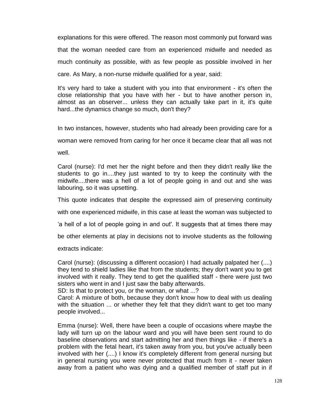explanations for this were offered. The reason most commonly put forward was that the woman needed care from an experienced midwife and needed as much continuity as possible, with as few people as possible involved in her care. As Mary, a non-nurse midwife qualified for a year, said:

It's very hard to take a student with you into that environment - it's often the close relationship that you have with her - but to have another person in, almost as an observer... unless they can actually take part in it, it's quite hard...the dynamics change so much, don't they?

In two instances, however, students who had already been providing care for a

woman were removed from caring for her once it became clear that all was not

well.

Carol (nurse): I'd met her the night before and then they didn't really like the students to go in....they just wanted to try to keep the continuity with the midwife....there was a hell of a lot of people going in and out and she was labouring, so it was upsetting.

This quote indicates that despite the expressed aim of preserving continuity

with one experienced midwife, in this case at least the woman was subjected to

'a hell of a lot of people going in and out'. It suggests that at times there may

be other elements at play in decisions not to involve students as the following

extracts indicate:

Carol (nurse): (discussing a different occasion) I had actually palpated her (....) they tend to shield ladies like that from the students; they don't want you to get involved with it really. They tend to get the qualified staff - there were just two sisters who went in and I just saw the baby afterwards.

SD: Is that to protect you, or the woman, or what ...?

Carol: A mixture of both, because they don't know how to deal with us dealing with the situation ... or whether they felt that they didn't want to get too many people involved...

Emma (nurse): Well, there have been a couple of occasions where maybe the lady will turn up on the labour ward and you will have been sent round to do baseline observations and start admitting her and then things like - if there's a problem with the fetal heart, it's taken away from you, but you've actually been involved with her (....) I know it's completely different from general nursing but in general nursing you were never protected that much from it - never taken away from a patient who was dying and a qualified member of staff put in if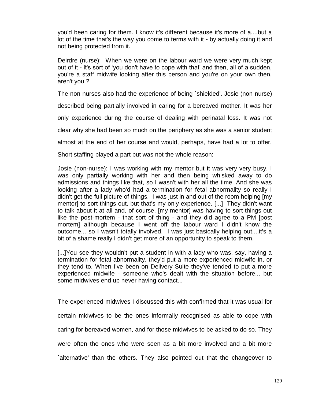you'd been caring for them. I know it's different because it's more of a....but a lot of the time that's the way you come to terms with it - by actually doing it and not being protected from it.

Deirdre (nurse): When we were on the labour ward we were very much kept out of it - it's sort of 'you don't have to cope with that' and then, all of a sudden, you're a staff midwife looking after this person and you're on your own then, aren't you ?

The non-nurses also had the experience of being `shielded'. Josie (non-nurse)

described being partially involved in caring for a bereaved mother. It was her

only experience during the course of dealing with perinatal loss. It was not

clear why she had been so much on the periphery as she was a senior student

almost at the end of her course and would, perhaps, have had a lot to offer.

Short staffing played a part but was not the whole reason:

Josie (non-nurse): I was working with my mentor but it was very very busy. I was only partially working with her and then being whisked away to do admissions and things like that, so I wasn't with her all the time. And she was looking after a lady who'd had a termination for fetal abnormality so really I didn't get the full picture of things. I was just in and out of the room helping [my mentor] to sort things out, but that's my only experience. [...] They didn't want to talk about it at all and, of course, [my mentor] was having to sort things out like the post-mortem - that sort of thing - and they did agree to a PM [post mortem] although because I went off the labour ward I didn't know the outcome... so I wasn't totally involved. I was just basically helping out....it's a bit of a shame really I didn't get more of an opportunity to speak to them.

[...]You see they wouldn't put a student in with a lady who was, say, having a termination for fetal abnormality, they'd put a more experienced midwife in, or they tend to. When I've been on Delivery Suite they've tended to put a more experienced midwife - someone who's dealt with the situation before... but some midwives end up never having contact...

The experienced midwives I discussed this with confirmed that it was usual for certain midwives to be the ones informally recognised as able to cope with caring for bereaved women, and for those midwives to be asked to do so. They were often the ones who were seen as a bit more involved and a bit more `alternative' than the others. They also pointed out that the changeover to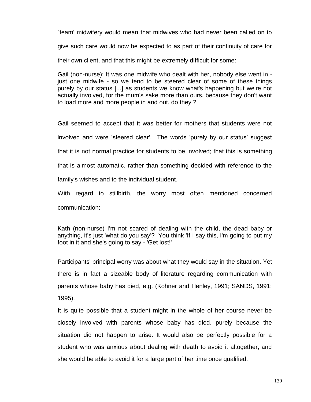`team' midwifery would mean that midwives who had never been called on to give such care would now be expected to as part of their continuity of care for their own client, and that this might be extremely difficult for some:

Gail (non-nurse): It was one midwife who dealt with her, nobody else went in just one midwife - so we tend to be steered clear of some of these things purely by our status [...] as students we know what's happening but we're not actually involved, for the mum's sake more than ours, because they don't want to load more and more people in and out, do they ?

Gail seemed to accept that it was better for mothers that students were not involved and were 'steered clear'. The words 'purely by our status' suggest that it is not normal practice for students to be involved; that this is something that is almost automatic, rather than something decided with reference to the family's wishes and to the individual student.

With regard to stillbirth, the worry most often mentioned concerned communication:

Kath (non-nurse) I'm not scared of dealing with the child, the dead baby or anything, it's just 'what do you say'? You think 'If I say this, I'm going to put my foot in it and she's going to say - 'Get lost!'

Participants' principal worry was about what they would say in the situation. Yet there is in fact a sizeable body of literature regarding communication with parents whose baby has died, e.g. (Kohner and Henley, 1991; SANDS, 1991; 1995).

It is quite possible that a student might in the whole of her course never be closely involved with parents whose baby has died, purely because the situation did not happen to arise. It would also be perfectly possible for a student who was anxious about dealing with death to avoid it altogether, and she would be able to avoid it for a large part of her time once qualified.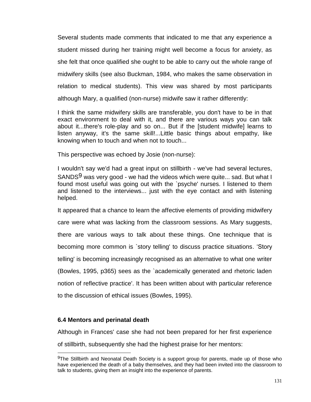Several students made comments that indicated to me that any experience a student missed during her training might well become a focus for anxiety, as she felt that once qualified she ought to be able to carry out the whole range of midwifery skills (see also Buckman, 1984, who makes the same observation in relation to medical students). This view was shared by most participants although Mary, a qualified (non-nurse) midwife saw it rather differently:

I think the same midwifery skills are transferable, you don't have to be in that exact environment to deal with it, and there are various ways you can talk about it...there's role-play and so on... But if the [student midwife] learns to listen anyway, it's the same skill!...Little basic things about empathy, like knowing when to touch and when not to touch...

This perspective was echoed by Josie (non-nurse):

I wouldn't say we'd had a great input on stillbirth - we've had several lectures, SANDS<sup>9</sup> was very good - we had the videos which were quite... sad. But what I found most useful was going out with the `psyche' nurses. I listened to them and listened to the interviews... just with the eye contact and with listening helped.

It appeared that a chance to learn the affective elements of providing midwifery care were what was lacking from the classroom sessions. As Mary suggests, there are various ways to talk about these things. One technique that is becoming more common is `story telling' to discuss practice situations. 'Story telling' is becoming increasingly recognised as an alternative to what one writer (Bowles, 1995, p365) sees as the `academically generated and rhetoric laden notion of reflective practice'. It has been written about with particular reference to the discussion of ethical issues (Bowles, 1995).

## **6.4 Mentors and perinatal death**

 $\overline{\phantom{a}}$ 

Although in Frances' case she had not been prepared for her first experience of stillbirth, subsequently she had the highest praise for her mentors:

<sup>9</sup>The Stillbirth and Neonatal Death Society is a support group for parents, made up of those who have experienced the death of a baby themselves, and they had been invited into the classroom to talk to students, giving them an insight into the experience of parents.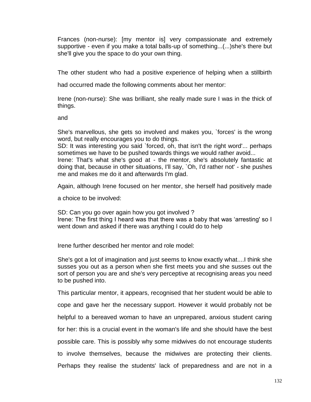Frances (non-nurse): [my mentor is] very compassionate and extremely supportive - even if you make a total balls-up of something...(...)she's there but she'll give you the space to do your own thing.

The other student who had a positive experience of helping when a stillbirth

had occurred made the following comments about her mentor:

Irene (non-nurse): She was brilliant, she really made sure I was in the thick of things.

and

She's marvellous, she gets so involved and makes you, `forces' is the wrong word, but really encourages you to do things.

SD: It was interesting you said `forced, oh, that isn't the right word'... perhaps sometimes we have to be pushed towards things we would rather avoid...

Irene: That's what she's good at - the mentor, she's absolutely fantastic at doing that, because in other situations, I'll say, `Oh, I'd rather not' - she pushes me and makes me do it and afterwards I'm glad.

Again, although Irene focused on her mentor, she herself had positively made

a choice to be involved:

SD: Can you go over again how you got involved ? Irene: The first thing I heard was that there was a baby that was 'arresting' so I went down and asked if there was anything I could do to help

Irene further described her mentor and role model:

She's got a lot of imagination and just seems to know exactly what....I think she susses you out as a person when she first meets you and she susses out the sort of person you are and she's very perceptive at recognising areas you need to be pushed into.

This particular mentor, it appears, recognised that her student would be able to

cope and gave her the necessary support. However it would probably not be

helpful to a bereaved woman to have an unprepared, anxious student caring

for her: this is a crucial event in the woman's life and she should have the best

possible care. This is possibly why some midwives do not encourage students

to involve themselves, because the midwives are protecting their clients.

Perhaps they realise the students' lack of preparedness and are not in a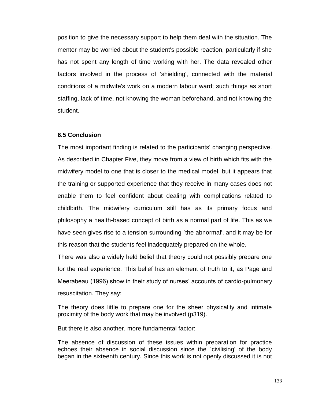position to give the necessary support to help them deal with the situation. The mentor may be worried about the student's possible reaction, particularly if she has not spent any length of time working with her. The data revealed other factors involved in the process of 'shielding', connected with the material conditions of a midwife's work on a modern labour ward; such things as short staffing, lack of time, not knowing the woman beforehand, and not knowing the student.

## **6.5 Conclusion**

The most important finding is related to the participants' changing perspective. As described in Chapter Five, they move from a view of birth which fits with the midwifery model to one that is closer to the medical model, but it appears that the training or supported experience that they receive in many cases does not enable them to feel confident about dealing with complications related to childbirth. The midwifery curriculum still has as its primary focus and philosophy a health-based concept of birth as a normal part of life. This as we have seen gives rise to a tension surrounding `the abnormal', and it may be for this reason that the students feel inadequately prepared on the whole.

There was also a widely held belief that theory could not possibly prepare one for the real experience. This belief has an element of truth to it, as Page and Meerabeau (1996) show in their study of nurses' accounts of cardio-pulmonary resuscitation. They say:

The theory does little to prepare one for the sheer physicality and intimate proximity of the body work that may be involved (p319).

But there is also another, more fundamental factor:

The absence of discussion of these issues within preparation for practice echoes their absence in social discussion since the `civilising' of the body began in the sixteenth century. Since this work is not openly discussed it is not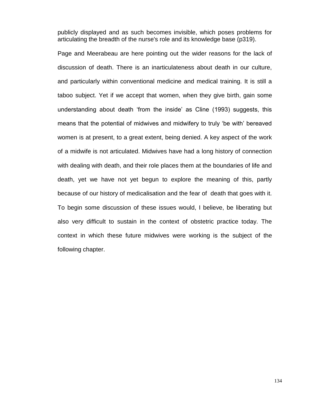publicly displayed and as such becomes invisible, which poses problems for articulating the breadth of the nurse's role and its knowledge base (p319).

Page and Meerabeau are here pointing out the wider reasons for the lack of discussion of death. There is an inarticulateness about death in our culture, and particularly within conventional medicine and medical training. It is still a taboo subject. Yet if we accept that women, when they give birth, gain some understanding about death 'from the inside' as Cline (1993) suggests, this means that the potential of midwives and midwifery to truly 'be with' bereaved women is at present, to a great extent, being denied. A key aspect of the work of a midwife is not articulated. Midwives have had a long history of connection with dealing with death, and their role places them at the boundaries of life and death, yet we have not yet begun to explore the meaning of this, partly because of our history of medicalisation and the fear of death that goes with it. To begin some discussion of these issues would, I believe, be liberating but also very difficult to sustain in the context of obstetric practice today. The context in which these future midwives were working is the subject of the following chapter.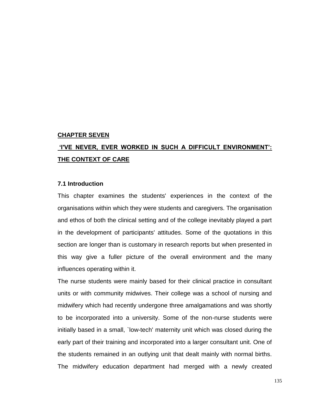#### **CHAPTER SEVEN**

# **'I'VE NEVER, EVER WORKED IN SUCH A DIFFICULT ENVIRONMENT': THE CONTEXT OF CARE**

#### **7.1 Introduction**

This chapter examines the students' experiences in the context of the organisations within which they were students and caregivers. The organisation and ethos of both the clinical setting and of the college inevitably played a part in the development of participants' attitudes. Some of the quotations in this section are longer than is customary in research reports but when presented in this way give a fuller picture of the overall environment and the many influences operating within it.

The nurse students were mainly based for their clinical practice in consultant units or with community midwives. Their college was a school of nursing and midwifery which had recently undergone three amalgamations and was shortly to be incorporated into a university. Some of the non-nurse students were initially based in a small, `low-tech' maternity unit which was closed during the early part of their training and incorporated into a larger consultant unit. One of the students remained in an outlying unit that dealt mainly with normal births. The midwifery education department had merged with a newly created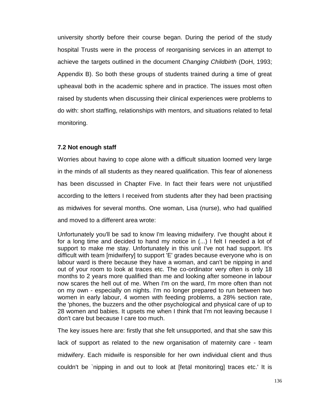university shortly before their course began. During the period of the study hospital Trusts were in the process of reorganising services in an attempt to achieve the targets outlined in the document *Changing Childbirth* (DoH, 1993; Appendix B). So both these groups of students trained during a time of great upheaval both in the academic sphere and in practice. The issues most often raised by students when discussing their clinical experiences were problems to do with: short staffing, relationships with mentors, and situations related to fetal monitoring.

## **7.2 Not enough staff**

Worries about having to cope alone with a difficult situation loomed very large in the minds of all students as they neared qualification. This fear of aloneness has been discussed in Chapter Five. In fact their fears were not unjustified according to the letters I received from students after they had been practising as midwives for several months. One woman, Lisa (nurse), who had qualified and moved to a different area wrote:

Unfortunately you'll be sad to know I'm leaving midwifery. I've thought about it for a long time and decided to hand my notice in (...) I felt I needed a lot of support to make me stay. Unfortunately in this unit I've not had support. It's difficult with team [midwifery] to support 'E' grades because everyone who is on labour ward is there because they have a woman, and can't be nipping in and out of your room to look at traces etc. The co-ordinator very often is only 18 months to 2 years more qualified than me and looking after someone in labour now scares the hell out of me. When I'm on the ward, I'm more often than not on my own - especially on nights. I'm no longer prepared to run between two women in early labour, 4 women with feeding problems, a 28% section rate, the 'phones, the buzzers and the other psychological and physical care of up to 28 women and babies. It upsets me when I think that I'm not leaving because I don't care but because I care too much.

The key issues here are: firstly that she felt unsupported, and that she saw this lack of support as related to the new organisation of maternity care - team midwifery. Each midwife is responsible for her own individual client and thus couldn't be `nipping in and out to look at [fetal monitoring] traces etc.' It is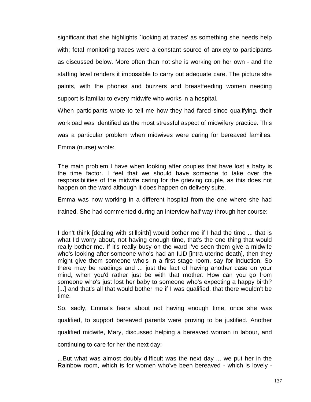significant that she highlights `looking at traces' as something she needs help with; fetal monitoring traces were a constant source of anxiety to participants as discussed below. More often than not she is working on her own - and the staffing level renders it impossible to carry out adequate care. The picture she paints, with the phones and buzzers and breastfeeding women needing support is familiar to every midwife who works in a hospital.

When participants wrote to tell me how they had fared since qualifying, their workload was identified as the most stressful aspect of midwifery practice. This was a particular problem when midwives were caring for bereaved families. Emma (nurse) wrote:

The main problem I have when looking after couples that have lost a baby is the time factor. I feel that we should have someone to take over the responsibilities of the midwife caring for the grieving couple, as this does not happen on the ward although it does happen on delivery suite.

Emma was now working in a different hospital from the one where she had

trained. She had commented during an interview half way through her course:

I don't think [dealing with stillbirth] would bother me if I had the time ... that is what I'd worry about, not having enough time, that's the one thing that would really bother me. If it's really busy on the ward I've seen them give a midwife who's looking after someone who's had an IUD [intra-uterine death], then they might give them someone who's in a first stage room, say for induction. So there may be readings and ... just the fact of having another case on your mind, when you'd rather just be with that mother. How can you go from someone who's just lost her baby to someone who's expecting a happy birth? [...] and that's all that would bother me if I was qualified, that there wouldn't be time.

So, sadly, Emma's fears about not having enough time, once she was qualified, to support bereaved parents were proving to be justified. Another qualified midwife, Mary, discussed helping a bereaved woman in labour, and continuing to care for her the next day:

...But what was almost doubly difficult was the next day ... we put her in the Rainbow room, which is for women who've been bereaved - which is lovely -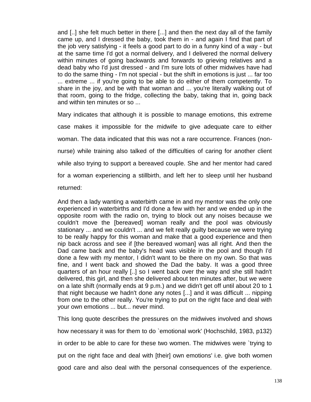and [..] she felt much better in there [...] and then the next day all of the family came up, and I dressed the baby, took them in - and again I find that part of the job very satisfying - it feels a good part to do in a funny kind of a way - but at the same time I'd got a normal delivery, and I delivered the normal delivery within minutes of going backwards and forwards to grieving relatives and a dead baby who I'd just dressed - and I'm sure lots of other midwives have had to do the same thing - I'm not special - but the shift in emotions is just ... far too ... extreme ... if you're going to be able to do either of them competently. To share in the joy, and be with that woman and ... you're literally walking out of that room, going to the fridge, collecting the baby, taking that in, going back and within ten minutes or so ...

Mary indicates that although it is possible to manage emotions, this extreme case makes it impossible for the midwife to give adequate care to either woman. The data indicated that this was not a rare occurrence. Frances (nonnurse) while training also talked of the difficulties of caring for another client while also trying to support a bereaved couple. She and her mentor had cared for a woman experiencing a stillbirth, and left her to sleep until her husband returned:

And then a lady wanting a waterbirth came in and my mentor was the only one experienced in waterbirths and I'd done a few with her and we ended up in the opposite room with the radio on, trying to block out any noises because we couldn't move the [bereaved] woman really and the pool was obviously stationary ... and we couldn't ... and we felt really guilty because we were trying to be really happy for this woman and make that a good experience and then nip back across and see if [the bereaved woman] was all right. And then the Dad came back and the baby's head was visible in the pool and though I'd done a few with my mentor, I didn't want to be there on my own. So that was fine, and I went back and showed the Dad the baby. It was a good three quarters of an hour really [..] so I went back over the way and she still hadn't delivered, this girl, and then she delivered about ten minutes after, but we were on a late shift (normally ends at 9 p.m.) and we didn't get off until about 20 to 1 that night because we hadn't done any notes [...] and it was difficult ... nipping from one to the other really. You're trying to put on the right face and deal with your own emotions ... but... never mind.

This long quote describes the pressures on the midwives involved and shows how necessary it was for them to do `emotional work' (Hochschild, 1983, p132) in order to be able to care for these two women. The midwives were `trying to put on the right face and deal with [their] own emotions' i.e. give both women good care and also deal with the personal consequences of the experience.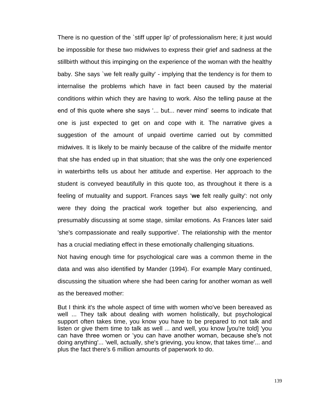There is no question of the `stiff upper lip' of professionalism here; it just would be impossible for these two midwives to express their grief and sadness at the stillbirth without this impinging on the experience of the woman with the healthy baby. She says `we felt really guilty' - implying that the tendency is for them to internalise the problems which have in fact been caused by the material conditions within which they are having to work. Also the telling pause at the end of this quote where she says '... but... never mind' seems to indicate that one is just expected to get on and cope with it. The narrative gives a suggestion of the amount of unpaid overtime carried out by committed midwives. It is likely to be mainly because of the calibre of the midwife mentor that she has ended up in that situation; that she was the only one experienced in waterbirths tells us about her attitude and expertise. Her approach to the student is conveyed beautifully in this quote too, as throughout it there is a feeling of mutuality and support. Frances says '**we** felt really guilty': not only were they doing the practical work together but also experiencing, and presumably discussing at some stage, similar emotions. As Frances later said 'she's compassionate and really supportive'. The relationship with the mentor has a crucial mediating effect in these emotionally challenging situations.

Not having enough time for psychological care was a common theme in the data and was also identified by Mander (1994). For example Mary continued, discussing the situation where she had been caring for another woman as well as the bereaved mother:

But I think it's the whole aspect of time with women who've been bereaved as well ... They talk about dealing with women holistically, but psychological support often takes time, you know you have to be prepared to not talk and listen or give them time to talk as well ... and well, you know [you're told] 'you can have three women or 'you can have another woman, because she's not doing anything'... 'well, actually, she's grieving, you know, that takes time'... and plus the fact there's 6 million amounts of paperwork to do.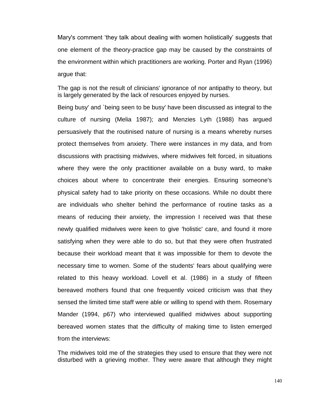Mary's comment 'they talk about dealing with women holistically' suggests that one element of the theory-practice gap may be caused by the constraints of the environment within which practitioners are working. Porter and Ryan (1996) argue that:

The gap is not the result of clinicians' ignorance of nor antipathy to theory, but is largely generated by the lack of resources enjoyed by nurses.

Being busy' and `being seen to be busy' have been discussed as integral to the culture of nursing (Melia 1987); and Menzies Lyth (1988) has argued persuasively that the routinised nature of nursing is a means whereby nurses protect themselves from anxiety. There were instances in my data, and from discussions with practising midwives, where midwives felt forced, in situations where they were the only practitioner available on a busy ward, to make choices about where to concentrate their energies. Ensuring someone's physical safety had to take priority on these occasions. While no doubt there are individuals who shelter behind the performance of routine tasks as a means of reducing their anxiety, the impression I received was that these newly qualified midwives were keen to give 'holistic' care, and found it more satisfying when they were able to do so, but that they were often frustrated because their workload meant that it was impossible for them to devote the necessary time to women. Some of the students' fears about qualifying were related to this heavy workload. Lovell et al. (1986) in a study of fifteen bereaved mothers found that one frequently voiced criticism was that they sensed the limited time staff were able or willing to spend with them. Rosemary Mander (1994, p67) who interviewed qualified midwives about supporting bereaved women states that the difficulty of making time to listen emerged from the interviews:

The midwives told me of the strategies they used to ensure that they were not disturbed with a grieving mother. They were aware that although they might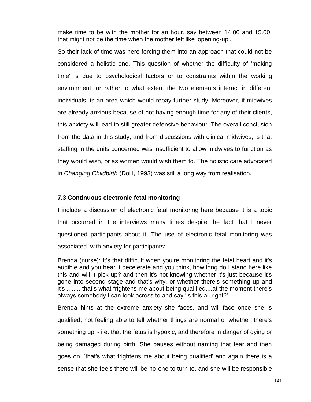make time to be with the mother for an hour, say between 14.00 and 15.00, that might not be the time when the mother felt like 'opening-up'.

So their lack of time was here forcing them into an approach that could not be considered a holistic one. This question of whether the difficulty of 'making time' is due to psychological factors or to constraints within the working environment, or rather to what extent the two elements interact in different individuals, is an area which would repay further study. Moreover, if midwives are already anxious because of not having enough time for any of their clients, this anxiety will lead to still greater defensive behaviour. The overall conclusion from the data in this study, and from discussions with clinical midwives, is that staffing in the units concerned was insufficient to allow midwives to function as they would wish, or as women would wish them to. The holistic care advocated in *Changing Childbirth* (DoH, 1993) was still a long way from realisation.

### **7.3 Continuous electronic fetal monitoring**

I include a discussion of electronic fetal monitoring here because it is a topic that occurred in the interviews many times despite the fact that I never questioned participants about it. The use of electronic fetal monitoring was associated with anxiety for participants:

Brenda (nurse): It's that difficult when you're monitoring the fetal heart and it's audible and you hear it decelerate and you think, how long do I stand here like this and will it pick up? and then it's not knowing whether it's just because it's gone into second stage and that's why, or whether there's something up and it's ........ that's what frightens me about being qualified....at the moment there's always somebody I can look across to and say 'is this all right?'

Brenda hints at the extreme anxiety she faces, and will face once she is qualified; not feeling able to tell whether things are normal or whether 'there's something up' - i.e. that the fetus is hypoxic, and therefore in danger of dying or being damaged during birth. She pauses without naming that fear and then goes on, 'that's what frightens me about being qualified' and again there is a sense that she feels there will be no-one to turn to, and she will be responsible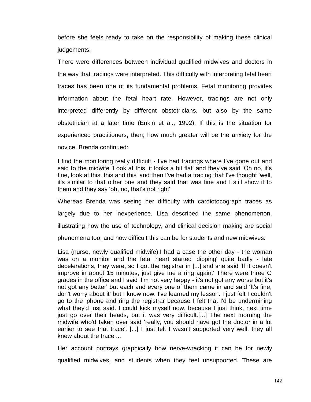before she feels ready to take on the responsibility of making these clinical judgements.

There were differences between individual qualified midwives and doctors in the way that tracings were interpreted. This difficulty with interpreting fetal heart traces has been one of its fundamental problems. Fetal monitoring provides information about the fetal heart rate. However, tracings are not only interpreted differently by different obstetricians, but also by the same obstetrician at a later time (Enkin et al., 1992). If this is the situation for experienced practitioners, then, how much greater will be the anxiety for the novice. Brenda continued:

I find the monitoring really difficult - I've had tracings where I've gone out and said to the midwife 'Look at this, it looks a bit flat' and they've said 'Oh no, it's fine, look at this, this and this' and then I've had a tracing that I've thought 'well, it's similar to that other one and they said that was fine and I still show it to them and they say 'oh, no, that's not right'

Whereas Brenda was seeing her difficulty with cardiotocograph traces as largely due to her inexperience, Lisa described the same phenomenon, illustrating how the use of technology, and clinical decision making are social phenomena too, and how difficult this can be for students and new midwives:

Lisa (nurse, newly qualified midwife):I had a case the other day - the woman was on a monitor and the fetal heart started 'dipping' quite badly - late decelerations, they were, so I got the registrar in [...] and she said 'If it doesn't improve in about 15 minutes, just give me a ring again.' There were three G grades in the office and I said 'I'm not very happy - it's not got any worse but it's not got any better' but each and every one of them came in and said 'It's fine, don't worry about it' but I know now. I've learned my lesson. I just felt I couldn't go to the 'phone and ring the registrar because I felt that I'd be undermining what they'd just said. I could kick myself now, because I just think, next time just go over their heads, but it was very difficult.[...] The next morning the midwife who'd taken over said 'really, you should have got the doctor in a lot earlier to see that trace'. [...] I just felt I wasn't supported very well, they all knew about the trace ...

Her account portrays graphically how nerve-wracking it can be for newly qualified midwives, and students when they feel unsupported. These are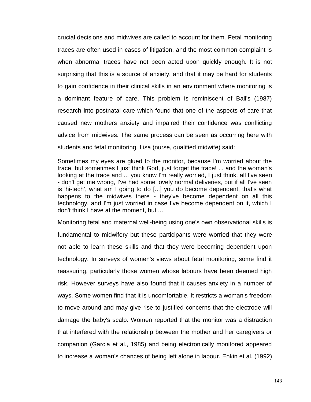crucial decisions and midwives are called to account for them. Fetal monitoring traces are often used in cases of litigation, and the most common complaint is when abnormal traces have not been acted upon quickly enough. It is not surprising that this is a source of anxiety, and that it may be hard for students to gain confidence in their clinical skills in an environment where monitoring is a dominant feature of care. This problem is reminiscent of Ball's (1987) research into postnatal care which found that one of the aspects of care that caused new mothers anxiety and impaired their confidence was conflicting advice from midwives. The same process can be seen as occurring here with students and fetal monitoring. Lisa (nurse, qualified midwife) said:

Sometimes my eyes are glued to the monitor, because I'm worried about the trace, but sometimes I just think God, just forget the trace! ... and the woman's looking at the trace and ... you know I'm really worried, I just think, all I've seen - don't get me wrong, I've had some lovely normal deliveries, but if all I've seen is 'hi-tech', what am I going to do [...] you do become dependent, that's what happens to the midwives there - they've become dependent on all this technology, and I'm just worried in case I've become dependent on it, which I don't think I have at the moment, but ...

Monitoring fetal and maternal well-being using one's own observational skills is fundamental to midwifery but these participants were worried that they were not able to learn these skills and that they were becoming dependent upon technology. In surveys of women's views about fetal monitoring, some find it reassuring, particularly those women whose labours have been deemed high risk. However surveys have also found that it causes anxiety in a number of ways. Some women find that it is uncomfortable. It restricts a woman's freedom to move around and may give rise to justified concerns that the electrode will damage the baby's scalp. Women reported that the monitor was a distraction that interfered with the relationship between the mother and her caregivers or companion (Garcia et al., 1985) and being electronically monitored appeared to increase a woman's chances of being left alone in labour. Enkin et al. (1992)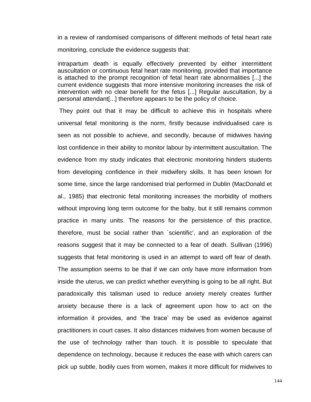in a review of randomised comparisons of different methods of fetal heart rate monitoring, conclude the evidence suggests that:

intrapartum death is equally effectively prevented by either intermittent auscultation or continuous fetal heart rate monitoring, provided that importance is attached to the prompt recognition of fetal heart rate abnormalities [...] the current evidence suggests that more intensive monitoring increases the risk of intervention with no clear benefit for the fetus [...] Regular auscultation, by a personal attendant[...] therefore appears to be the policy of choice.

They point out that it may be difficult to achieve this in hospitals where universal fetal monitoring is the norm, firstly because individualised care is seen as not possible to achieve, and secondly, because of midwives having lost confidence in their ability to monitor labour by intermittent auscultation. The evidence from my study indicates that electronic monitoring hinders students from developing confidence in their midwifery skills. It has been known for some time, since the large randomised trial performed in Dublin (MacDonald et al., 1985) that electronic fetal monitoring increases the morbidity of mothers without improving long term outcome for the baby, but it still remains common practice in many units. The reasons for the persistence of this practice, therefore, must be social rather than `scientific', and an exploration of the reasons suggest that it may be connected to a fear of death. Sullivan (1996) suggests that fetal monitoring is used in an attempt to ward off fear of death. The assumption seems to be that if we can only have more information from inside the uterus, we can predict whether everything is going to be all right. But paradoxically this talisman used to reduce anxiety merely creates further anxiety because there is a lack of agreement upon how to act on the information it provides, and 'the trace' may be used as evidence against practitioners in court cases. It also distances midwives from women because of the use of technology rather than touch. It is possible to speculate that dependence on technology, because it reduces the ease with which carers can pick up subtle, bodily cues from women, makes it more difficult for midwives to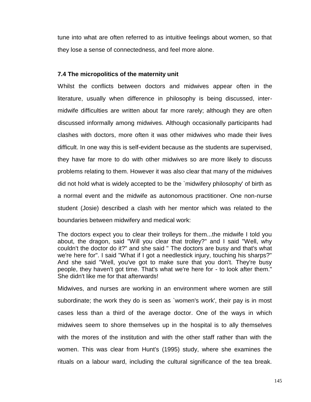tune into what are often referred to as intuitive feelings about women, so that they lose a sense of connectedness, and feel more alone.

## **7.4 The micropolitics of the maternity unit**

Whilst the conflicts between doctors and midwives appear often in the literature, usually when difference in philosophy is being discussed, intermidwife difficulties are written about far more rarely; although they are often discussed informally among midwives. Although occasionally participants had clashes with doctors, more often it was other midwives who made their lives difficult. In one way this is self-evident because as the students are supervised, they have far more to do with other midwives so are more likely to discuss problems relating to them. However it was also clear that many of the midwives did not hold what is widely accepted to be the `midwifery philosophy' of birth as a normal event and the midwife as autonomous practitioner. One non-nurse student (Josie) described a clash with her mentor which was related to the boundaries between midwifery and medical work:

The doctors expect you to clear their trolleys for them...the midwife I told you about, the dragon, said "Will you clear that trolley?" and I said "Well, why couldn't the doctor do it?" and she said " The doctors are busy and that's what we're here for". I said "What if I got a needlestick injury, touching his sharps?" And she said "Well, you've got to make sure that you don't. They're busy people, they haven't got time. That's what we're here for - to look after them." She didn't like me for that afterwards!

Midwives, and nurses are working in an environment where women are still subordinate; the work they do is seen as `women's work', their pay is in most cases less than a third of the average doctor. One of the ways in which midwives seem to shore themselves up in the hospital is to ally themselves with the mores of the institution and with the other staff rather than with the women. This was clear from Hunt's (1995) study, where she examines the rituals on a labour ward, including the cultural significance of the tea break.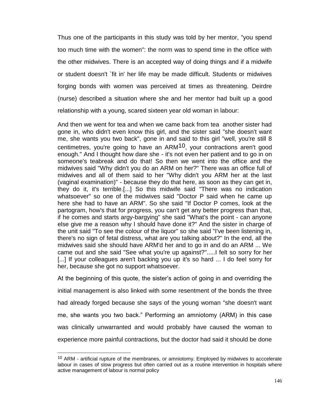Thus one of the participants in this study was told by her mentor, "you spend too much time with the women": the norm was to spend time in the office with the other midwives. There is an accepted way of doing things and if a midwife or student doesn't `fit in' her life may be made difficult. Students or midwives forging bonds with women was perceived at times as threatening. Deirdre (nurse) described a situation where she and her mentor had built up a good relationship with a young, scared sixteen year old woman in labour:

And then we went for tea and when we came back from tea another sister had gone in, who didn't even know this girl, and the sister said "she doesn't want me, she wants you two back", gone in and said to this girl "well, you're still 8 centimetres, you're going to have an ARM<sup>10</sup>, your contractions aren't good enough." And I thought how dare she - it's not even her patient and to go in on someone's teabreak and do that! So then we went into the office and the midwives said "Why didn't you do an ARM on her?" There was an office full of midwives and all of them said to her "Why didn't you ARM her at the last (vaginal examination)" - because they do that here, as soon as they can get in, they do it, it's terrible.[...] So this midwife said "There was no indication whatsoever" so one of the midwives said "Doctor P said when he came up here she had to have an ARM". So she said "If Doctor P comes, look at the partogram, how's that for progress, you can't get any better progress than that, if he comes and starts argy-bargying" she said "What's the point - can anyone else give me a reason why I should have done it?" And the sister in charge of the unit said "To see the colour of the liquor" so she said "I've been listening in, there's no sign of fetal distress, what are you talking about?" In the end, all the midwives said she should have ARM'd her and to go in and do an ARM ... We came out and she said "See what you're up against?".....I felt so sorry for her [...] If your colleagues aren't backing you up it's so hard ... I do feel sorry for her, because she got no support whatsoever.

At the beginning of this quote, the sister's action of going in and overriding the initial management is also linked with some resentment of the bonds the three had already forged because she says of the young woman "she doesn't want me, she wants you two back." Performing an amniotomy (ARM) in this case was clinically unwarranted and would probably have caused the woman to experience more painful contractions, but the doctor had said it should be done

 $\overline{\phantom{a}}$ 

<sup>&</sup>lt;sup>10</sup> ARM - artificial rupture of the membranes, or amniotomy. Employed by midwives to acccelerate labour in cases of slow progress but often carried out as a routine intervention in hospitals where active management of labour is normal policy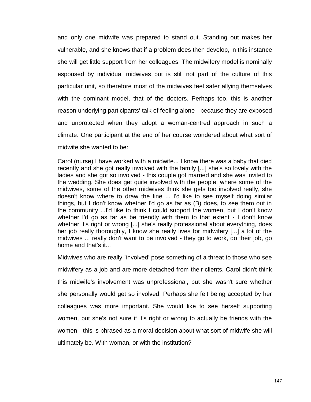and only one midwife was prepared to stand out. Standing out makes her vulnerable, and she knows that if a problem does then develop, in this instance she will get little support from her colleagues. The midwifery model is nominally espoused by individual midwives but is still not part of the culture of this particular unit, so therefore most of the midwives feel safer allying themselves with the dominant model, that of the doctors. Perhaps too, this is another reason underlying participants' talk of feeling alone - because they are exposed and unprotected when they adopt a woman-centred approach in such a climate. One participant at the end of her course wondered about what sort of midwife she wanted to be:

Carol (nurse) I have worked with a midwife... I know there was a baby that died recently and she got really involved with the family [...] she's so lovely with the ladies and she got so involved - this couple got married and she was invited to the wedding. She does get quite involved with the people, where some of the midwives, some of the other midwives think she gets too involved really, she doesn't know where to draw the line ... I'd like to see myself doing similar things, but I don't know whether I'd go as far as (B) does, to see them out in the community ...I'd like to think I could support the women, but I don't know whether I'd go as far as be friendly with them to that extent - I don't know whether it's right or wrong [...] she's really professional about everything, does her job really thoroughly, I know she really lives for midwifery [...] a lot of the midwives ... really don't want to be involved - they go to work, do their job, go home and that's it...

Midwives who are really `involved' pose something of a threat to those who see midwifery as a job and are more detached from their clients. Carol didn't think this midwife's involvement was unprofessional, but she wasn't sure whether she personally would get so involved. Perhaps she felt being accepted by her colleagues was more important. She would like to see herself supporting women, but she's not sure if it's right or wrong to actually be friends with the women - this is phrased as a moral decision about what sort of midwife she will ultimately be. With woman, or with the institution?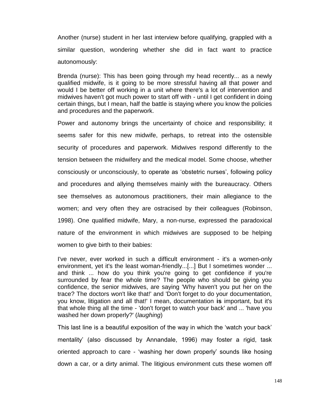Another (nurse) student in her last interview before qualifying, grappled with a similar question, wondering whether she did in fact want to practice autonomously:

Brenda (nurse): This has been going through my head recently... as a newly qualified midwife, is it going to be more stressful having all that power and would I be better off working in a unit where there's a lot of intervention and midwives haven't got much power to start off with - until I get confident in doing certain things, but I mean, half the battle is staying where you know the policies and procedures and the paperwork.

Power and autonomy brings the uncertainty of choice and responsibility; it seems safer for this new midwife, perhaps, to retreat into the ostensible security of procedures and paperwork. Midwives respond differently to the tension between the midwifery and the medical model. Some choose, whether consciously or unconsciously, to operate as 'obstetric nurses', following policy and procedures and allying themselves mainly with the bureaucracy. Others see themselves as autonomous practitioners, their main allegiance to the women; and very often they are ostracised by their colleagues (Robinson, 1998). One qualified midwife, Mary, a non-nurse, expressed the paradoxical nature of the environment in which midwives are supposed to be helping women to give birth to their babies:

I've never, ever worked in such a difficult environment - it's a women-only environment, yet it's the least woman-friendly...[...] But I sometimes wonder ... and think ... how do you think you're going to get confidence if you're surrounded by fear the whole time? The people who should be giving you confidence, the senior midwives, are saying 'Why haven't you put her on the trace? The doctors won't like that!' and 'Don't forget to do your documentation, you know, litigation and all that!' I mean, documentation **is** important, but it's that whole thing all the time - 'don't forget to watch your back' and ... 'have you washed her down properly?' (*laughing*)

This last line is a beautiful exposition of the way in which the 'watch your back' mentality' (also discussed by Annandale, 1996) may foster a rigid, task oriented approach to care - 'washing her down properly' sounds like hosing down a car, or a dirty animal. The litigious environment cuts these women off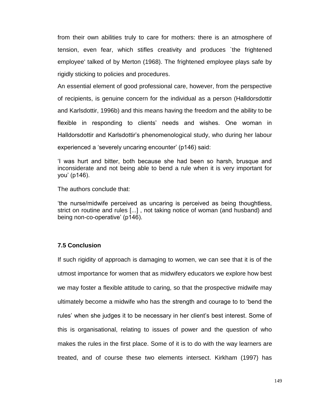from their own abilities truly to care for mothers: there is an atmosphere of tension, even fear, which stifles creativity and produces `the frightened employee' talked of by Merton (1968). The frightened employee plays safe by rigidly sticking to policies and procedures.

An essential element of good professional care, however, from the perspective of recipients, is genuine concern for the individual as a person (Halldorsdottir and Karlsdottir, 1996b) and this means having the freedom and the ability to be flexible in responding to clients' needs and wishes. One woman in Halldorsdottir and Karlsdottir's phenomenological study, who during her labour experienced a 'severely uncaring encounter' (p146) said:

'I was hurt and bitter, both because she had been so harsh, brusque and inconsiderate and not being able to bend a rule when it is very important for you' (p146).

The authors conclude that:

'the nurse/midwife perceived as uncaring is perceived as being thoughtless, strict on routine and rules [...] , not taking notice of woman (and husband) and being non-co-operative' (p146).

## **7.5 Conclusion**

If such rigidity of approach is damaging to women, we can see that it is of the utmost importance for women that as midwifery educators we explore how best we may foster a flexible attitude to caring, so that the prospective midwife may ultimately become a midwife who has the strength and courage to to 'bend the rules' when she judges it to be necessary in her client's best interest. Some of this is organisational, relating to issues of power and the question of who makes the rules in the first place. Some of it is to do with the way learners are treated, and of course these two elements intersect. Kirkham (1997) has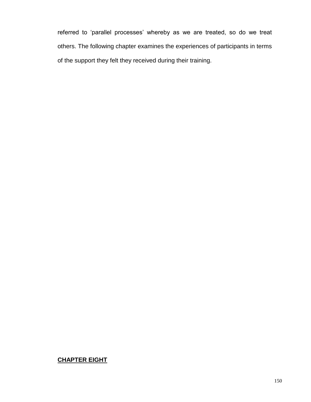referred to 'parallel processes' whereby as we are treated, so do we treat others. The following chapter examines the experiences of participants in terms of the support they felt they received during their training.

## **CHAPTER EIGHT**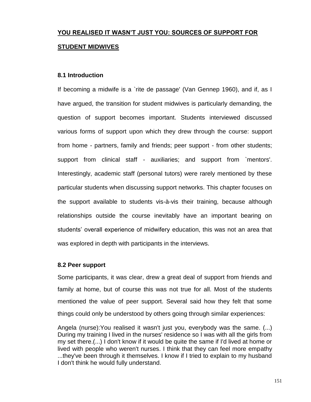# **YOU REALISED IT WASN'T JUST YOU: SOURCES OF SUPPORT FOR STUDENT MIDWIVES**

## **8.1 Introduction**

If becoming a midwife is a `rite de passage' (Van Gennep 1960), and if, as I have argued, the transition for student midwives is particularly demanding, the question of support becomes important. Students interviewed discussed various forms of support upon which they drew through the course: support from home - partners, family and friends; peer support - from other students; support from clinical staff - auxiliaries; and support from `mentors'. Interestingly, academic staff (personal tutors) were rarely mentioned by these particular students when discussing support networks. This chapter focuses on the support available to students vis-à-vis their training, because although relationships outside the course inevitably have an important bearing on students' overall experience of midwifery education, this was not an area that was explored in depth with participants in the interviews.

### **8.2 Peer support**

Some participants, it was clear, drew a great deal of support from friends and family at home, but of course this was not true for all. Most of the students mentioned the value of peer support. Several said how they felt that some things could only be understood by others going through similar experiences:

Angela (nurse):You realised it wasn't just you, everybody was the same. (...) During my training I lived in the nurses' residence so I was with all the girls from my set there.(...) I don't know if it would be quite the same if I'd lived at home or lived with people who weren't nurses. I think that they can feel more empathy ...they've been through it themselves. I know if I tried to explain to my husband I don't think he would fully understand.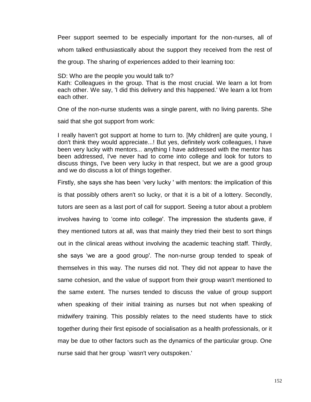Peer support seemed to be especially important for the non-nurses, all of whom talked enthusiastically about the support they received from the rest of the group. The sharing of experiences added to their learning too:

SD: Who are the people you would talk to? Kath: Colleagues in the group. That is the most crucial. We learn a lot from each other. We say, 'I did this delivery and this happened.' We learn a lot from each other.

One of the non-nurse students was a single parent, with no living parents. She

said that she got support from work:

I really haven't got support at home to turn to. [My children] are quite young, I don't think they would appreciate...! But yes, definitely work colleagues, I have been very lucky with mentors... anything I have addressed with the mentor has been addressed, I've never had to come into college and look for tutors to discuss things, I've been very lucky in that respect, but we are a good group and we do discuss a lot of things together.

Firstly, she says she has been 'very lucky ' with mentors: the implication of this is that possibly others aren't so lucky, or that it is a bit of a lottery. Secondly, tutors are seen as a last port of call for support. Seeing a tutor about a problem involves having to 'come into college'. The impression the students gave, if they mentioned tutors at all, was that mainly they tried their best to sort things out in the clinical areas without involving the academic teaching staff. Thirdly, she says 'we are a good group'. The non-nurse group tended to speak of themselves in this way. The nurses did not. They did not appear to have the same cohesion, and the value of support from their group wasn't mentioned to the same extent. The nurses tended to discuss the value of group support when speaking of their initial training as nurses but not when speaking of midwifery training. This possibly relates to the need students have to stick together during their first episode of socialisation as a health professionals, or it may be due to other factors such as the dynamics of the particular group. One nurse said that her group `wasn't very outspoken.'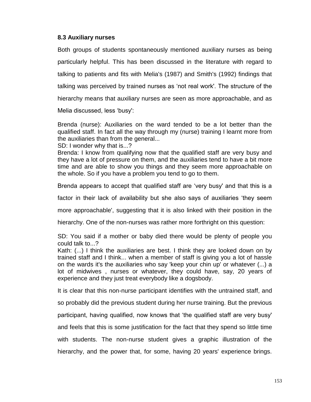## **8.3 Auxiliary nurses**

Both groups of students spontaneously mentioned auxiliary nurses as being particularly helpful. This has been discussed in the literature with regard to talking to patients and fits with Melia's (1987) and Smith's (1992) findings that talking was perceived by trained nurses as 'not real work'. The structure of the hierarchy means that auxiliary nurses are seen as more approachable, and as

Melia discussed, less 'busy':

Brenda (nurse): Auxiliaries on the ward tended to be a lot better than the qualified staff. In fact all the way through my (nurse) training I learnt more from the auxiliaries than from the general...

SD: I wonder why that is...?

Brenda: I know from qualifying now that the qualified staff are very busy and they have a lot of pressure on them, and the auxiliaries tend to have a bit more time and are able to show you things and they seem more approachable on the whole. So if you have a problem you tend to go to them.

Brenda appears to accept that qualified staff are 'very busy' and that this is a

factor in their lack of availability but she also says of auxiliaries 'they seem

more approachable', suggesting that it is also linked with their position in the

hierarchy. One of the non-nurses was rather more forthright on this question:

SD: You said if a mother or baby died there would be plenty of people you could talk to...?

Kath: (...) I think the auxiliaries are best. I think they are looked down on by trained staff and I think... when a member of staff is giving you a lot of hassle on the wards it's the auxiliaries who say 'keep your chin up' or whatever (...) a lot of midwives , nurses or whatever, they could have, say, 20 years of experience and they just treat everybody like a dogsbody.

It is clear that this non-nurse participant identifies with the untrained staff, and

so probably did the previous student during her nurse training. But the previous

participant, having qualified, now knows that 'the qualified staff are very busy'

and feels that this is some justification for the fact that they spend so little time

with students. The non-nurse student gives a graphic illustration of the hierarchy, and the power that, for some, having 20 years' experience brings.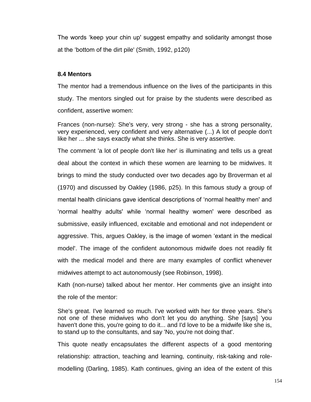The words 'keep your chin up' suggest empathy and solidarity amongst those at the 'bottom of the dirt pile' (Smith, 1992, p120)

## **8.4 Mentors**

The mentor had a tremendous influence on the lives of the participants in this study. The mentors singled out for praise by the students were described as confident, assertive women:

Frances (non-nurse): She's very, very strong - she has a strong personality, very experienced, very confident and very alternative (...) A lot of people don't like her ... she says exactly what she thinks. She is very assertive.

The comment 'a lot of people don't like her' is illuminating and tells us a great deal about the context in which these women are learning to be midwives. It brings to mind the study conducted over two decades ago by Broverman et al (1970) and discussed by Oakley (1986, p25). In this famous study a group of mental health clinicians gave identical descriptions of 'normal healthy men' and 'normal healthy adults' while 'normal healthy women' were described as submissive, easily influenced, excitable and emotional and not independent or aggressive. This, argues Oakley, is the image of women 'extant in the medical model'. The image of the confident autonomous midwife does not readily fit with the medical model and there are many examples of conflict whenever midwives attempt to act autonomously (see Robinson, 1998).

Kath (non-nurse) talked about her mentor. Her comments give an insight into the role of the mentor:

She's great. I've learned so much. I've worked with her for three years. She's not one of these midwives who don't let you do anything. She [says] 'you haven't done this, you're going to do it... and I'd love to be a midwife like she is, to stand up to the consultants, and say 'No, you're not doing that'.

This quote neatly encapsulates the different aspects of a good mentoring relationship: attraction, teaching and learning, continuity, risk-taking and rolemodelling (Darling, 1985). Kath continues, giving an idea of the extent of this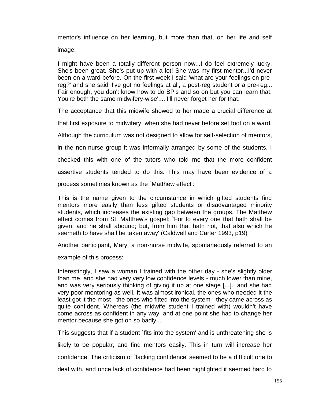mentor's influence on her learning, but more than that, on her life and self image:

I might have been a totally different person now...I do feel extremely lucky. She's been great. She's put up with a lot! She was my first mentor...I'd never been on a ward before. On the first week I said 'what are your feelings on prereg?' and she said 'I've got no feelings at all, a post-reg student or a pre-reg... Fair enough, you don't know how to do BP's and so on but you can learn that. You're both the same midwifery-wise'.... I'll never forget her for that.

The acceptance that this midwife showed to her made a crucial difference at

that first exposure to midwifery, when she had never before set foot on a ward.

Although the curriculum was not designed to allow for self-selection of mentors,

in the non-nurse group it was informally arranged by some of the students. I

checked this with one of the tutors who told me that the more confident

assertive students tended to do this. This may have been evidence of a

process sometimes known as the `Matthew effect':

This is the name given to the circumstance in which gifted students find mentors more easily than less gifted students or disadvantaged minority students, which increases the existing gap between the groups. The Matthew effect comes from St. Matthew's gospel: `For to every one that hath shall be given, and he shall abound; but, from him that hath not, that also which he seemeth to have shall be taken away' (Caldwell and Carter 1993, p19)

Another participant, Mary, a non-nurse midwife, spontaneously referred to an

example of this process:

Interestingly, I saw a woman I trained with the other day - she's slightly older than me, and she had very very low confidence levels - much lower than mine, and was very seriously thinking of giving it up at one stage [...].. and she had very poor mentoring as well. It was almost ironical, the ones who needed it the least got it the most - the ones who fitted into the system - they came across as quite confident. Whereas (the midwife student I trained with) wouldn't have come across as confident in any way, and at one point she had to change her mentor because she got on so badly....

This suggests that if a student `fits into the system' and is unthreatening she is likely to be popular, and find mentors easily. This in turn will increase her confidence. The criticism of `lacking confidence' seemed to be a difficult one to deal with, and once lack of confidence had been highlighted it seemed hard to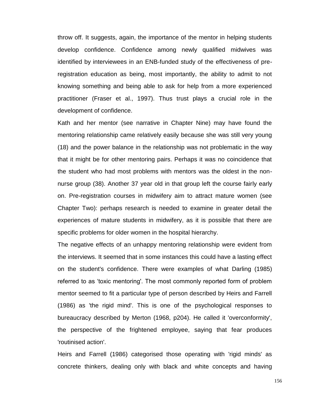throw off. It suggests, again, the importance of the mentor in helping students develop confidence. Confidence among newly qualified midwives was identified by interviewees in an ENB-funded study of the effectiveness of preregistration education as being, most importantly, the ability to admit to not knowing something and being able to ask for help from a more experienced practitioner (Fraser et al., 1997). Thus trust plays a crucial role in the development of confidence.

Kath and her mentor (see narrative in Chapter Nine) may have found the mentoring relationship came relatively easily because she was still very young (18) and the power balance in the relationship was not problematic in the way that it might be for other mentoring pairs. Perhaps it was no coincidence that the student who had most problems with mentors was the oldest in the nonnurse group (38). Another 37 year old in that group left the course fairly early on. Pre-registration courses in midwifery aim to attract mature women (see Chapter Two): perhaps research is needed to examine in greater detail the experiences of mature students in midwifery, as it is possible that there are specific problems for older women in the hospital hierarchy.

The negative effects of an unhappy mentoring relationship were evident from the interviews. It seemed that in some instances this could have a lasting effect on the student's confidence. There were examples of what Darling (1985) referred to as 'toxic mentoring'. The most commonly reported form of problem mentor seemed to fit a particular type of person described by Heirs and Farrell (1986) as 'the rigid mind'. This is one of the psychological responses to bureaucracy described by Merton (1968, p204). He called it 'overconformity', the perspective of the frightened employee, saying that fear produces 'routinised action'.

Heirs and Farrell (1986) categorised those operating with 'rigid minds' as concrete thinkers, dealing only with black and white concepts and having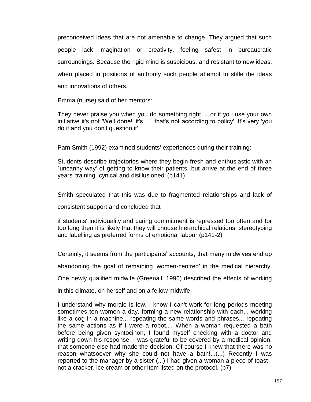preconceived ideas that are not amenable to change. They argued that such people lack imagination or creativity, feeling safest in bureaucratic surroundings. Because the rigid mind is suspicious, and resistant to new ideas, when placed in positions of authority such people attempt to stifle the ideas and innovations of others.

Emma (nurse) said of her mentors:

They never praise you when you do something right ... or if you use your own initiative it's not 'Well done!' it's … 'that's not according to policy'. It's very 'you do it and you don't question it'

Pam Smith (1992) examined students' experiences during their training:

Students describe trajectories where they begin fresh and enthusiastic with an `uncanny way' of getting to know their patients, but arrive at the end of three years' training `cynical and disillusioned' (p141)

Smith speculated that this was due to fragmented relationships and lack of

consistent support and concluded that

if students' individuality and caring commitment is repressed too often and for too long then it is likely that they will choose hierarchical relations, stereotyping and labelling as preferred forms of emotional labour (p141-2)

Certainly, it seems from the participants' accounts, that many midwives end up

abandoning the goal of remaining 'women-centred' in the medical hierarchy.

One newly qualified midwife (Greenall, 1996) described the effects of working

in this climate, on herself and on a fellow midwife:

I understand why morale is low. I know I can't work for long periods meeting sometimes ten women a day, forming a new relationship with each... working like a cog in a machine... repeating the same words and phrases... repeating the same actions as if I were a robot.... When a woman requested a bath before being given syntocinon, I found myself checking with a doctor and writing down his response. I was grateful to be covered by a medical opinion; that someone else had made the decision. Of course I knew that there was no reason whatsoever why she could not have a bath!...(...) Recently I was reported to the manager by a sister (...) I had given a woman a piece of toast not a cracker, ice cream or other item listed on the protocol. (p7)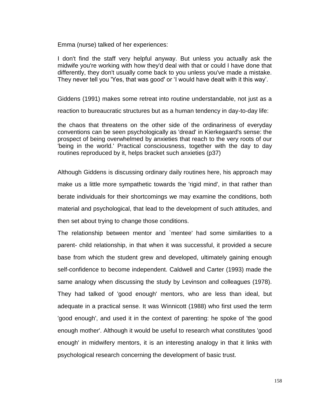Emma (nurse) talked of her experiences:

I don't find the staff very helpful anyway. But unless you actually ask the midwife you're working with how they'd deal with that or could I have done that differently, they don't usually come back to you unless you've made a mistake. They never tell you 'Yes, that was good' or 'I would have dealt with it this way'.

Giddens (1991) makes some retreat into routine understandable, not just as a

reaction to bureaucratic structures but as a human tendency in day-to-day life:

the chaos that threatens on the other side of the ordinariness of everyday conventions can be seen psychologically as 'dread' in Kierkegaard's sense: the prospect of being overwhelmed by anxieties that reach to the very roots of our 'being in the world.' Practical consciousness, together with the day to day routines reproduced by it, helps bracket such anxieties (p37)

Although Giddens is discussing ordinary daily routines here, his approach may make us a little more sympathetic towards the 'rigid mind', in that rather than berate individuals for their shortcomings we may examine the conditions, both material and psychological, that lead to the development of such attitudes, and then set about trying to change those conditions.

The relationship between mentor and `mentee' had some similarities to a parent- child relationship, in that when it was successful, it provided a secure base from which the student grew and developed, ultimately gaining enough self-confidence to become independent. Caldwell and Carter (1993) made the same analogy when discussing the study by Levinson and colleagues (1978). They had talked of 'good enough' mentors, who are less than ideal, but adequate in a practical sense. It was Winnicott (1988) who first used the term 'good enough', and used it in the context of parenting: he spoke of 'the good enough mother'. Although it would be useful to research what constitutes 'good enough' in midwifery mentors, it is an interesting analogy in that it links with psychological research concerning the development of basic trust.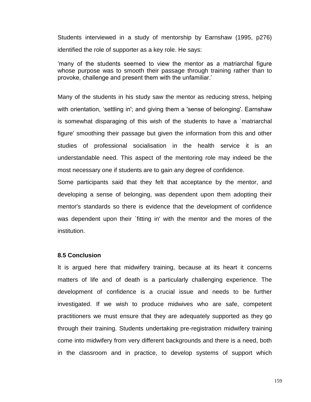Students interviewed in a study of mentorship by Earnshaw (1995, p276) identified the role of supporter as a key role. He says:

'many of the students seemed to view the mentor as a matriarchal figure whose purpose was to smooth their passage through training rather than to provoke, challenge and present them with the unfamiliar.'

Many of the students in his study saw the mentor as reducing stress, helping with orientation, 'settling in'; and giving them a 'sense of belonging'. Earnshaw is somewhat disparaging of this wish of the students to have a `matriarchal figure' smoothing their passage but given the information from this and other studies of professional socialisation in the health service it is an understandable need. This aspect of the mentoring role may indeed be the most necessary one if students are to gain any degree of confidence.

Some participants said that they felt that acceptance by the mentor, and developing a sense of belonging, was dependent upon them adopting their mentor's standards so there is evidence that the development of confidence was dependent upon their `fitting in' with the mentor and the mores of the institution.

#### **8.5 Conclusion**

It is argued here that midwifery training, because at its heart it concerns matters of life and of death is a particularly challenging experience. The development of confidence is a crucial issue and needs to be further investigated. If we wish to produce midwives who are safe, competent practitioners we must ensure that they are adequately supported as they go through their training. Students undertaking pre-registration midwifery training come into midwifery from very different backgrounds and there is a need, both in the classroom and in practice, to develop systems of support which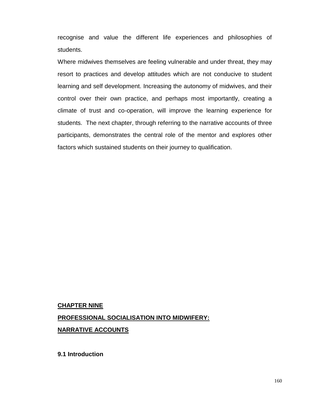recognise and value the different life experiences and philosophies of students.

Where midwives themselves are feeling vulnerable and under threat, they may resort to practices and develop attitudes which are not conducive to student learning and self development. Increasing the autonomy of midwives, and their control over their own practice, and perhaps most importantly, creating a climate of trust and co-operation, will improve the learning experience for students. The next chapter, through referring to the narrative accounts of three participants, demonstrates the central role of the mentor and explores other factors which sustained students on their journey to qualification.

# **CHAPTER NINE PROFESSIONAL SOCIALISATION INTO MIDWIFERY: NARRATIVE ACCOUNTS**

**9.1 Introduction**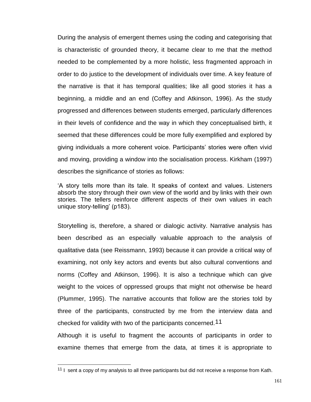During the analysis of emergent themes using the coding and categorising that is characteristic of grounded theory, it became clear to me that the method needed to be complemented by a more holistic, less fragmented approach in order to do justice to the development of individuals over time. A key feature of the narrative is that it has temporal qualities; like all good stories it has a beginning, a middle and an end (Coffey and Atkinson, 1996). As the study progressed and differences between students emerged, particularly differences in their levels of confidence and the way in which they conceptualised birth, it seemed that these differences could be more fully exemplified and explored by giving individuals a more coherent voice. Participants' stories were often vivid and moving, providing a window into the socialisation process. Kirkham (1997) describes the significance of stories as follows:

'A story tells more than its tale. It speaks of context and values. Listeners absorb the story through their own view of the world and by links with their own stories. The tellers reinforce different aspects of their own values in each unique story-telling' (p183).

Storytelling is, therefore, a shared or dialogic activity. Narrative analysis has been described as an especially valuable approach to the analysis of qualitative data (see Reissmann, 1993) because it can provide a critical way of examining, not only key actors and events but also cultural conventions and norms (Coffey and Atkinson, 1996). It is also a technique which can give weight to the voices of oppressed groups that might not otherwise be heard (Plummer, 1995). The narrative accounts that follow are the stories told by three of the participants, constructed by me from the interview data and checked for validity with two of the participants concerned.11

Although it is useful to fragment the accounts of participants in order to examine themes that emerge from the data, at times it is appropriate to

 $\overline{a}$ 

<sup>&</sup>lt;sup>11</sup> I sent a copy of my analysis to all three participants but did not receive a response from Kath.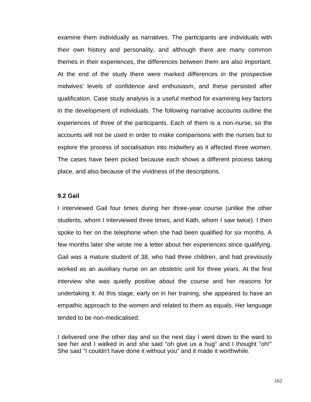examine them individually as narratives. The participants are individuals with their own history and personality, and although there are many common themes in their experiences, the differences between them are also important. At the end of the study there were marked differences in the prospective midwives' levels of confidence and enthusiasm, and these persisted after qualification. Case study analysis is a useful method for examining key factors in the development of individuals. The following narrative accounts outline the experiences of three of the participants. Each of them is a non-nurse, so the accounts will not be used in order to make comparisons with the nurses but to explore the process of socialisation into midwifery as it affected three women. The cases have been picked because each shows a different process taking place, and also because of the vividness of the descriptions.

### **9.2 Gail**

I interviewed Gail four times during her three-year course (unlike the other students, whom I interviewed three times, and Kath, whom I saw twice). I then spoke to her on the telephone when she had been qualified for six months. A few months later she wrote me a letter about her experiences since qualifying. Gail was a mature student of 38, who had three children, and had previously worked as an auxiliary nurse on an obstetric unit for three years. At the first interview she was quietly positive about the course and her reasons for undertaking it. At this stage, early on in her training, she appeared to have an empathic approach to the women and related to them as equals. Her language tended to be non-medicalised:

I delivered one the other day and so the next day I went down to the ward to see her and I walked in and she said "oh give us a hug" and I thought "oh!" She said "I couldn't have done it without you" and it made it worthwhile.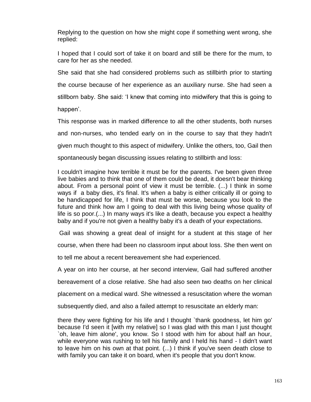Replying to the question on how she might cope if something went wrong, she replied:

I hoped that I could sort of take it on board and still be there for the mum, to care for her as she needed.

She said that she had considered problems such as stillbirth prior to starting the course because of her experience as an auxiliary nurse. She had seen a stillborn baby. She said: 'I knew that coming into midwifery that this is going to happen'.

This response was in marked difference to all the other students, both nurses and non-nurses, who tended early on in the course to say that they hadn't given much thought to this aspect of midwifery. Unlike the others, too, Gail then spontaneously began discussing issues relating to stillbirth and loss:

I couldn't imagine how terrible it must be for the parents. I've been given three live babies and to think that one of them could be dead, it doesn't bear thinking about. From a personal point of view it must be terrible. (...) I think in some ways if a baby dies, it's final. It's when a baby is either critically ill or going to be handicapped for life, I think that must be worse, because you look to the future and think how am I going to deal with this living being whose quality of life is so poor.(...) In many ways it's like a death, because you expect a healthy baby and if you're not given a healthy baby it's a death of your expectations.

Gail was showing a great deal of insight for a student at this stage of her

course, when there had been no classroom input about loss. She then went on

to tell me about a recent bereavement she had experienced.

A year on into her course, at her second interview, Gail had suffered another

bereavement of a close relative. She had also seen two deaths on her clinical

placement on a medical ward. She witnessed a resuscitation where the woman

subsequently died, and also a failed attempt to resuscitate an elderly man:

there they were fighting for his life and I thought `thank goodness, let him go' because I'd seen it [with my relative] so I was glad with this man I just thought `oh, leave him alone', you know. So I stood with him for about half an hour, while everyone was rushing to tell his family and I held his hand - I didn't want to leave him on his own at that point. (...) I think if you've seen death close to with family you can take it on board, when it's people that you don't know.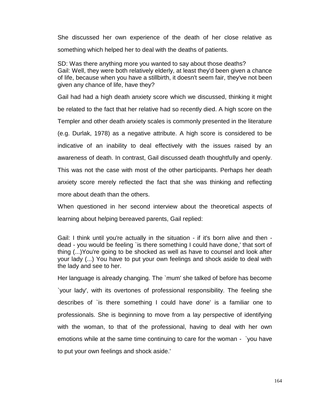She discussed her own experience of the death of her close relative as something which helped her to deal with the deaths of patients.

SD: Was there anything more you wanted to say about those deaths? Gail: Well, they were both relatively elderly, at least they'd been given a chance of life, because when you have a stillbirth, it doesn't seem fair, they've not been given any chance of life, have they?

Gail had had a high death anxiety score which we discussed, thinking it might be related to the fact that her relative had so recently died. A high score on the Templer and other death anxiety scales is commonly presented in the literature (e.g. Durlak, 1978) as a negative attribute. A high score is considered to be indicative of an inability to deal effectively with the issues raised by an awareness of death. In contrast, Gail discussed death thoughtfully and openly. This was not the case with most of the other participants. Perhaps her death anxiety score merely reflected the fact that she was thinking and reflecting more about death than the others.

When questioned in her second interview about the theoretical aspects of learning about helping bereaved parents, Gail replied:

Gail: I think until you're actually in the situation - if it's born alive and then dead - you would be feeling `is there something I could have done,' that sort of thing (...)You're going to be shocked as well as have to counsel and look after your lady (...) You have to put your own feelings and shock aside to deal with the lady and see to her.

Her language is already changing. The `mum' she talked of before has become `your lady', with its overtones of professional responsibility. The feeling she describes of `is there something I could have done' is a familiar one to professionals. She is beginning to move from a lay perspective of identifying with the woman, to that of the professional, having to deal with her own emotions while at the same time continuing to care for the woman - `you have to put your own feelings and shock aside.'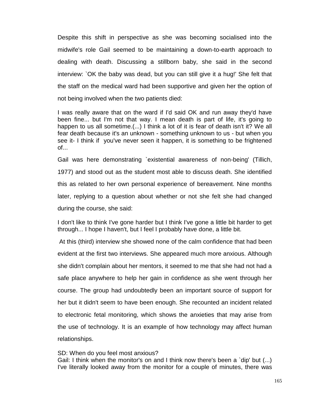Despite this shift in perspective as she was becoming socialised into the midwife's role Gail seemed to be maintaining a down-to-earth approach to dealing with death. Discussing a stillborn baby, she said in the second interview: `OK the baby was dead, but you can still give it a hug!' She felt that the staff on the medical ward had been supportive and given her the option of not being involved when the two patients died:

I was really aware that on the ward if I'd said OK and run away they'd have been fine... but I'm not that way. I mean death is part of life, it's going to happen to us all sometime.(...) I think a lot of it is fear of death isn't it? We all fear death because it's an unknown - something unknown to us - but when you see it- I think if you've never seen it happen, it is something to be frightened of...

Gail was here demonstrating `existential awareness of non-being' (Tillich, 1977) and stood out as the student most able to discuss death. She identified this as related to her own personal experience of bereavement. Nine months later, replying to a question about whether or not she felt she had changed during the course, she said:

I don't like to think I've gone harder but I think I've gone a little bit harder to get through... I hope I haven't, but I feel I probably have done, a little bit.

At this (third) interview she showed none of the calm confidence that had been evident at the first two interviews. She appeared much more anxious. Although she didn't complain about her mentors, it seemed to me that she had not had a safe place anywhere to help her gain in confidence as she went through her course. The group had undoubtedly been an important source of support for her but it didn't seem to have been enough. She recounted an incident related to electronic fetal monitoring, which shows the anxieties that may arise from the use of technology. It is an example of how technology may affect human relationships.

#### SD: When do you feel most anxious?

Gail: I think when the monitor's on and I think now there's been a `dip' but (...) I've literally looked away from the monitor for a couple of minutes, there was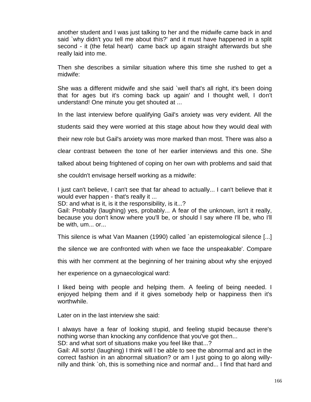another student and I was just talking to her and the midwife came back in and said `why didn't you tell me about this?' and it must have happened in a split second - it (the fetal heart) came back up again straight afterwards but she really laid into me.

Then she describes a similar situation where this time she rushed to get a midwife:

She was a different midwife and she said `well that's all right, it's been doing that for ages but it's coming back up again' and I thought well, I don't understand! One minute you get shouted at ...

In the last interview before qualifying Gail's anxiety was very evident. All the

students said they were worried at this stage about how they would deal with

their new role but Gail's anxiety was more marked than most. There was also a

clear contrast between the tone of her earlier interviews and this one. She

talked about being frightened of coping on her own with problems and said that

she couldn't envisage herself working as a midwife:

I just can't believe, I can't see that far ahead to actually... I can't believe that it would ever happen - that's really it ...

SD: and what is it, is it the responsibility, is it...?

Gail: Probably (laughing) yes, probably... A fear of the unknown, isn't it really, because you don't know where you'll be, or should I say where I'll be, who I'll be with, um... or...

This silence is what Van Maanen (1990) called `an epistemological silence [...]

the silence we are confronted with when we face the unspeakable'. Compare

this with her comment at the beginning of her training about why she enjoyed

her experience on a gynaecological ward:

I liked being with people and helping them. A feeling of being needed. I enjoyed helping them and if it gives somebody help or happiness then it's worthwhile.

Later on in the last interview she said:

I always have a fear of looking stupid, and feeling stupid because there's nothing worse than knocking any confidence that you've got then...

SD: and what sort of situations make you feel like that...?

Gail: All sorts! (laughing) I think will I be able to see the abnormal and act in the correct fashion in an abnormal situation? or am I just going to go along willynilly and think `oh, this is something nice and normal' and... I find that hard and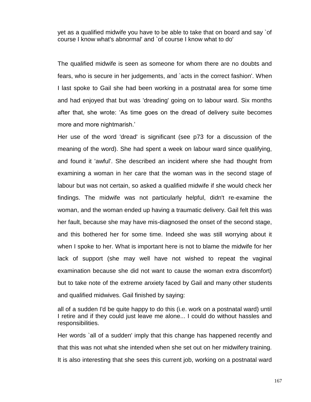yet as a qualified midwife you have to be able to take that on board and say `of course I know what's abnormal' and `of course I know what to do'

The qualified midwife is seen as someone for whom there are no doubts and fears, who is secure in her judgements, and `acts in the correct fashion'. When I last spoke to Gail she had been working in a postnatal area for some time and had enjoyed that but was 'dreading' going on to labour ward. Six months after that, she wrote: 'As time goes on the dread of delivery suite becomes more and more nightmarish.'

Her use of the word 'dread' is significant (see p73 for a discussion of the meaning of the word). She had spent a week on labour ward since qualifying, and found it 'awful'. She described an incident where she had thought from examining a woman in her care that the woman was in the second stage of labour but was not certain, so asked a qualified midwife if she would check her findings. The midwife was not particularly helpful, didn't re-examine the woman, and the woman ended up having a traumatic delivery. Gail felt this was her fault, because she may have mis-diagnosed the onset of the second stage, and this bothered her for some time. Indeed she was still worrying about it when I spoke to her. What is important here is not to blame the midwife for her lack of support (she may well have not wished to repeat the vaginal examination because she did not want to cause the woman extra discomfort) but to take note of the extreme anxiety faced by Gail and many other students and qualified midwives. Gail finished by saying:

all of a sudden I'd be quite happy to do this (i.e. work on a postnatal ward) until I retire and if they could just leave me alone... I could do without hassles and responsibilities.

Her words `all of a sudden' imply that this change has happened recently and that this was not what she intended when she set out on her midwifery training. It is also interesting that she sees this current job, working on a postnatal ward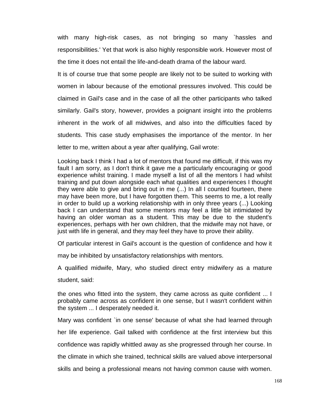with many high-risk cases, as not bringing so many `hassles and responsibilities.' Yet that work is also highly responsible work. However most of the time it does not entail the life-and-death drama of the labour ward.

It is of course true that some people are likely not to be suited to working with women in labour because of the emotional pressures involved. This could be claimed in Gail's case and in the case of all the other participants who talked similarly. Gail's story, however, provides a poignant insight into the problems inherent in the work of all midwives, and also into the difficulties faced by students. This case study emphasises the importance of the mentor. In her letter to me, written about a year after qualifying, Gail wrote:

Looking back I think I had a lot of mentors that found me difficult, if this was my fault I am sorry, as I don't think it gave me a particularly encouraging or good experience whilst training. I made myself a list of all the mentors I had whilst training and put down alongside each what qualities and experiences I thought they were able to give and bring out in me (...) In all I counted fourteen, there may have been more, but I have forgotten them. This seems to me, a lot really in order to build up a working relationship with in only three years (...) Looking back I can understand that some mentors may feel a little bit intimidated by having an older woman as a student. This may be due to the student's experiences, perhaps with her own children, that the midwife may not have, or just with life in general, and they may feel they have to prove their ability.

Of particular interest in Gail's account is the question of confidence and how it

may be inhibited by unsatisfactory relationships with mentors.

A qualified midwife, Mary, who studied direct entry midwifery as a mature

student, said:

the ones who fitted into the system, they came across as quite confident ... I probably came across as confident in one sense, but I wasn't confident within the system ... I desperately needed it.

Mary was confident `in one sense' because of what she had learned through

her life experience. Gail talked with confidence at the first interview but this

confidence was rapidly whittled away as she progressed through her course. In

the climate in which she trained, technical skills are valued above interpersonal

skills and being a professional means not having common cause with women.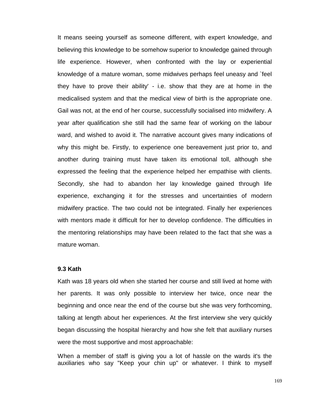It means seeing yourself as someone different, with expert knowledge, and believing this knowledge to be somehow superior to knowledge gained through life experience. However, when confronted with the lay or experiential knowledge of a mature woman, some midwives perhaps feel uneasy and `feel they have to prove their ability' - i.e. show that they are at home in the medicalised system and that the medical view of birth is the appropriate one. Gail was not, at the end of her course, successfully socialised into midwifery. A year after qualification she still had the same fear of working on the labour ward, and wished to avoid it. The narrative account gives many indications of why this might be. Firstly, to experience one bereavement just prior to, and another during training must have taken its emotional toll, although she expressed the feeling that the experience helped her empathise with clients. Secondly, she had to abandon her lay knowledge gained through life experience, exchanging it for the stresses and uncertainties of modern midwifery practice. The two could not be integrated. Finally her experiences with mentors made it difficult for her to develop confidence. The difficulties in the mentoring relationships may have been related to the fact that she was a mature woman.

#### **9.3 Kath**

Kath was 18 years old when she started her course and still lived at home with her parents. It was only possible to interview her twice, once near the beginning and once near the end of the course but she was very forthcoming, talking at length about her experiences. At the first interview she very quickly began discussing the hospital hierarchy and how she felt that auxiliary nurses were the most supportive and most approachable:

When a member of staff is giving you a lot of hassle on the wards it's the auxiliaries who say "Keep your chin up" or whatever. I think to myself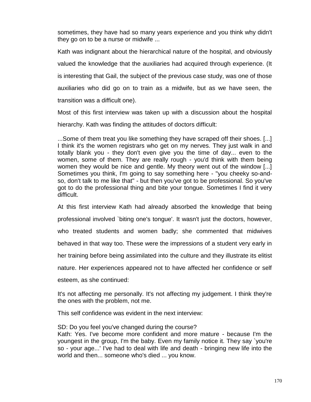sometimes, they have had so many years experience and you think why didn't they go on to be a nurse or midwife ...

Kath was indignant about the hierarchical nature of the hospital, and obviously valued the knowledge that the auxiliaries had acquired through experience. (It is interesting that Gail, the subject of the previous case study, was one of those auxiliaries who did go on to train as a midwife, but as we have seen, the transition was a difficult one).

Most of this first interview was taken up with a discussion about the hospital hierarchy. Kath was finding the attitudes of doctors difficult:

...Some of them treat you like something they have scraped off their shoes. [...] I think it's the women registrars who get on my nerves. They just walk in and totally blank you - they don't even give you the time of day... even to the women, some of them. They are really rough - you'd think with them being women they would be nice and gentle. My theory went out of the window [...] Sometimes you think, I'm going to say something here - "you cheeky so-andso, don't talk to me like that" - but then you've got to be professional. So you've got to do the professional thing and bite your tongue. Sometimes I find it very difficult.

At this first interview Kath had already absorbed the knowledge that being professional involved `biting one's tongue'. It wasn't just the doctors, however, who treated students and women badly; she commented that midwives behaved in that way too. These were the impressions of a student very early in her training before being assimilated into the culture and they illustrate its elitist nature. Her experiences appeared not to have affected her confidence or self esteem, as she continued:

It's not affecting me personally. It's not affecting my judgement. I think they're the ones with the problem, not me.

This self confidence was evident in the next interview:

SD: Do you feel you've changed during the course?

Kath: Yes. I've become more confident and more mature - because I'm the youngest in the group, I'm the baby. Even my family notice it. They say `you're so - your age...' I've had to deal with life and death - bringing new life into the world and then... someone who's died ... you know.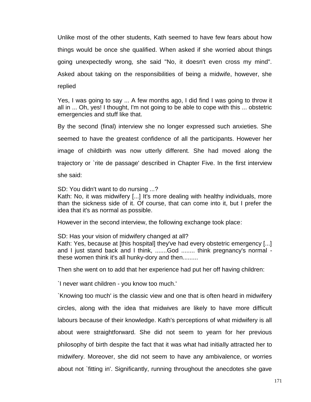Unlike most of the other students, Kath seemed to have few fears about how things would be once she qualified. When asked if she worried about things going unexpectedly wrong, she said "No, it doesn't even cross my mind". Asked about taking on the responsibilities of being a midwife, however, she replied

Yes, I was going to say ... A few months ago, I did find I was going to throw it all in ... Oh, yes! I thought, I'm not going to be able to cope with this ... obstetric emergencies and stuff like that.

By the second (final) interview she no longer expressed such anxieties. She seemed to have the greatest confidence of all the participants. However her image of childbirth was now utterly different. She had moved along the trajectory or `rite de passage' described in Chapter Five. In the first interview she said:

SD: You didn't want to do nursing ...?

Kath: No, it was midwifery [...] It's more dealing with healthy individuals, more than the sickness side of it. Of course, that can come into it, but I prefer the idea that it's as normal as possible.

However in the second interview, the following exchange took place:

SD: Has your vision of midwifery changed at all? Kath: Yes, because at [this hospital] they've had every obstetric emergency [...] and I just stand back and I think, .......God ........ think pregnancy's normal these women think it's all hunky-dory and then.........

Then she went on to add that her experience had put her off having children:

`I never want children - you know too much.'

`Knowing too much' is the classic view and one that is often heard in midwifery circles, along with the idea that midwives are likely to have more difficult labours because of their knowledge. Kath's perceptions of what midwifery is all about were straightforward. She did not seem to yearn for her previous philosophy of birth despite the fact that it was what had initially attracted her to midwifery. Moreover, she did not seem to have any ambivalence, or worries about not `fitting in'. Significantly, running throughout the anecdotes she gave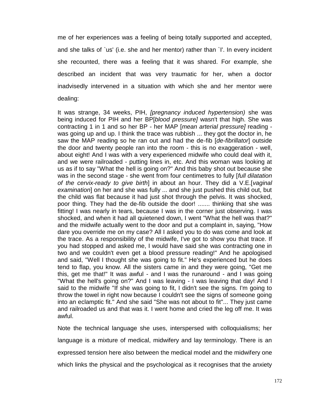me of her experiences was a feeling of being totally supported and accepted, and she talks of `us' (i.e. she and her mentor) rather than `I'. In every incident she recounted, there was a feeling that it was shared. For example, she described an incident that was very traumatic for her, when a doctor inadvisedly intervened in a situation with which she and her mentor were dealing:

It was strange, 34 weeks, PIH, *[pregnancy induced hypertension)* she was being induced for PIH and her BP[*blood pressure]* wasn't that high. She was contracting 1 in 1 and so her BP - her MAP [*mean arterial pressure]* reading was going up and up. I think the trace was rubbish ... they got the doctor in, he saw the MAP reading so he ran out and had the de-fib [*de-fibrillator*] outside the door and twenty people ran into the room - this is no exaggeration - well, about eight! And I was with a very experienced midwife who could deal with it, and we were railroaded - putting lines in, etc. And this woman was looking at us as if to say "What the hell is going on?" And this baby shot out because she was in the second stage - she went from four centimetres to fully [*full dilatation of the cervix-ready to give birth*] in about an hour. They did a V.E.[*vaginal examination*] on her and she was fully ... and she just pushed this child out, but the child was flat because it had just shot through the pelvis. It was shocked, poor thing. They had the de-fib outside the door! ....... thinking that she was fitting! I was nearly in tears, because I was in the corner just observing. I was shocked, and when it had all quietened down, I went "What the hell was that?" and the midwife actually went to the door and put a complaint in, saying, "How dare you override me on my case? All I asked you to do was come and look at the trace. As a responsibility of the midwife, I've got to show you that trace. If you had stopped and asked me, I would have said she was contracting one in two and we couldn't even get a blood pressure reading!" And he apologised and said, "Well I thought she was going to fit." He's experienced but he does tend to flap, you know. All the sisters came in and they were going, "Get me this, get me that!" It was awful - and I was the runaround - and I was going "What the hell's going on?" And I was leaving - I was leaving that day! And I said to the midwife "If she was going to fit, I didn't see the signs. I'm going to throw the towel in right now because I couldn't see the signs of someone going into an eclamptic fit." And she said "She was not about to fit"... They just came and railroaded us and that was it. I went home and cried the leg off me. It was awful.

Note the technical language she uses, interspersed with colloquialisms; her language is a mixture of medical, midwifery and lay terminology. There is an expressed tension here also between the medical model and the midwifery one which links the physical and the psychological as it recognises that the anxiety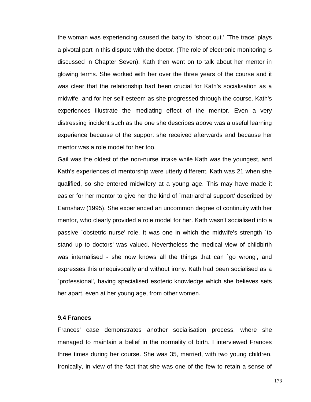the woman was experiencing caused the baby to `shoot out.' `The trace' plays a pivotal part in this dispute with the doctor. (The role of electronic monitoring is discussed in Chapter Seven). Kath then went on to talk about her mentor in glowing terms. She worked with her over the three years of the course and it was clear that the relationship had been crucial for Kath's socialisation as a midwife, and for her self-esteem as she progressed through the course. Kath's experiences illustrate the mediating effect of the mentor. Even a very distressing incident such as the one she describes above was a useful learning experience because of the support she received afterwards and because her mentor was a role model for her too.

Gail was the oldest of the non-nurse intake while Kath was the youngest, and Kath's experiences of mentorship were utterly different. Kath was 21 when she qualified, so she entered midwifery at a young age. This may have made it easier for her mentor to give her the kind of `matriarchal support' described by Earnshaw (1995). She experienced an uncommon degree of continuity with her mentor, who clearly provided a role model for her. Kath wasn't socialised into a passive `obstetric nurse' role. It was one in which the midwife's strength `to stand up to doctors' was valued. Nevertheless the medical view of childbirth was internalised - she now knows all the things that can `go wrong', and expresses this unequivocally and without irony. Kath had been socialised as a `professional', having specialised esoteric knowledge which she believes sets her apart, even at her young age, from other women.

### **9.4 Frances**

Frances' case demonstrates another socialisation process, where she managed to maintain a belief in the normality of birth. I interviewed Frances three times during her course. She was 35, married, with two young children. Ironically, in view of the fact that she was one of the few to retain a sense of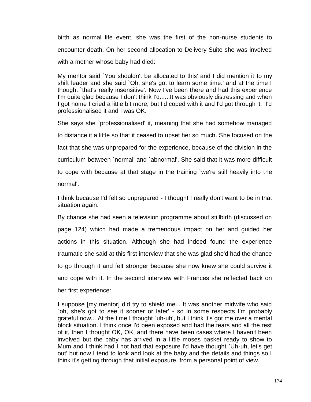birth as normal life event, she was the first of the non-nurse students to encounter death. On her second allocation to Delivery Suite she was involved with a mother whose baby had died:

My mentor said `You shouldn't be allocated to this' and I did mention it to my shift leader and she said `Oh, she's got to learn some time.' and at the time I thought `that's really insensitive'. Now I've been there and had this experience I'm quite glad because I don't think I'd......It was obviously distressing and when I got home I cried a little bit more, but I'd coped with it and I'd got through it. I'd professionalised it and I was OK.

She says she `professionalised' it, meaning that she had somehow managed to distance it a little so that it ceased to upset her so much. She focused on the fact that she was unprepared for the experience, because of the division in the curriculum between `normal' and `abnormal'. She said that it was more difficult to cope with because at that stage in the training `we're still heavily into the normal'.

I think because I'd felt so unprepared - I thought I really don't want to be in that situation again.

By chance she had seen a television programme about stillbirth (discussed on page 124) which had made a tremendous impact on her and guided her actions in this situation. Although she had indeed found the experience traumatic she said at this first interview that she was glad she'd had the chance to go through it and felt stronger because she now knew she could survive it and cope with it. In the second interview with Frances she reflected back on her first experience:

I suppose [my mentor] did try to shield me... It was another midwife who said `oh, she's got to see it sooner or later' - so in some respects I'm probably grateful now... At the time I thought `uh-uh', but I think it's got me over a mental block situation. I think once I'd been exposed and had the tears and all the rest of it, then I thought OK, OK, and there have been cases where I haven't been involved but the baby has arrived in a little moses basket ready to show to Mum and I think had I not had that exposure I'd have thought `Uh-uh, let's get out' but now I tend to look and look at the baby and the details and things so I think it's getting through that initial exposure, from a personal point of view.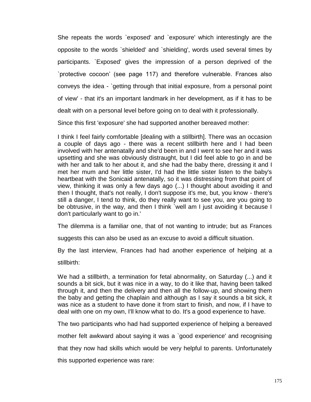She repeats the words `exposed' and `exposure' which interestingly are the opposite to the words `shielded' and `shielding', words used several times by participants. `Exposed' gives the impression of a person deprived of the `protective cocoon' (see page 117) and therefore vulnerable. Frances also conveys the idea - `getting through that initial exposure, from a personal point of view' - that it's an important landmark in her development, as if it has to be dealt with on a personal level before going on to deal with it professionally.

Since this first 'exposure' she had supported another bereaved mother:

I think I feel fairly comfortable [dealing with a stillbirth]. There was an occasion a couple of days ago - there was a recent stillbirth here and I had been involved with her antenatally and she'd been in and I went to see her and it was upsetting and she was obviously distraught, but I did feel able to go in and be with her and talk to her about it, and she had the baby there, dressing it and I met her mum and her little sister, I'd had the little sister listen to the baby's heartbeat with the Sonicaid antenatally, so it was distressing from that point of view, thinking it was only a few days ago (...) I thought about avoiding it and then I thought, that's not really, I don't suppose it's me, but, you know - there's still a danger, I tend to think, do they really want to see you, are you going to be obtrusive, in the way, and then I think `well am I just avoiding it because I don't particularly want to go in.'

The dilemma is a familiar one, that of not wanting to intrude; but as Frances

suggests this can also be used as an excuse to avoid a difficult situation.

By the last interview, Frances had had another experience of helping at a

stillbirth:

We had a stillbirth, a termination for fetal abnormality, on Saturday (...) and it sounds a bit sick, but it was nice in a way, to do it like that, having been talked through it, and then the delivery and then all the follow-up, and showing them the baby and getting the chaplain and although as I say it sounds a bit sick, it was nice as a student to have done it from start to finish, and now, if I have to deal with one on my own, I'll know what to do. It's a good experience to have.

The two participants who had had supported experience of helping a bereaved

mother felt awkward about saying it was a `good experience' and recognising

that they now had skills which would be very helpful to parents. Unfortunately

this supported experience was rare: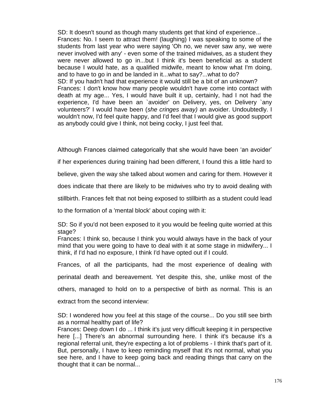SD: It doesn't sound as though many students get that kind of experience... Frances: No. I seem to attract them! (laughing) I was speaking to some of the students from last year who were saying 'Oh no, we never saw any, we were never involved with any' - even some of the trained midwives, as a student they were never allowed to go in...but I think it's been beneficial as a student because I would hate, as a qualified midwife, meant to know what I'm doing, and to have to go in and be landed in it...what to say?...what to do? SD: If you hadn't had that experience it would still be a bit of an unknown? Frances: I don't know how many people wouldn't have come into contact with death at my age... Yes, I would have built it up, certainly, had I not had the experience, I'd have been an `avoider' on Delivery, yes, on Delivery `any volunteers?' I would have been (*she cringes away)* an avoider. Undoubtedly. I wouldn't now, I'd feel quite happy, and I'd feel that I would give as good support as anybody could give I think, not being cocky, I just feel that.

Although Frances claimed categorically that she would have been 'an avoider'

if her experiences during training had been different, I found this a little hard to

believe, given the way she talked about women and caring for them. However it

does indicate that there are likely to be midwives who try to avoid dealing with

stillbirth. Frances felt that not being exposed to stillbirth as a student could lead

to the formation of a 'mental block' about coping with it:

SD: So if you'd not been exposed to it you would be feeling quite worried at this stage?

Frances: I think so, because I think you would always have in the back of your mind that you were going to have to deal with it at some stage in midwifery... I think, if I'd had no exposure, I think I'd have opted out if I could.

Frances, of all the participants, had the most experience of dealing with

perinatal death and bereavement. Yet despite this, she, unlike most of the

others, managed to hold on to a perspective of birth as normal. This is an

extract from the second interview:

SD: I wondered how you feel at this stage of the course... Do you still see birth as a normal healthy part of life?

Frances: Deep down I do ... I think it's just very difficult keeping it in perspective here [...] There's an abnormal surrounding here. I think it's because it's a regional referral unit, they're expecting a lot of problems - I think that's part of it. But, personally, I have to keep reminding myself that it's not normal, what you see here, and I have to keep going back and reading things that carry on the thought that it can be normal...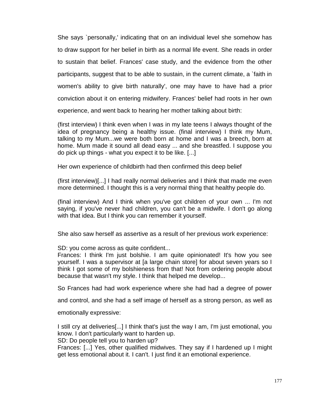She says `personally,' indicating that on an individual level she somehow has to draw support for her belief in birth as a normal life event. She reads in order to sustain that belief. Frances' case study, and the evidence from the other participants, suggest that to be able to sustain, in the current climate, a `faith in women's ability to give birth naturally', one may have to have had a prior conviction about it on entering midwifery. Frances' belief had roots in her own experience, and went back to hearing her mother talking about birth:

(first interview) I think even when I was in my late teens I always thought of the idea of pregnancy being a healthy issue. (final interview) I think my Mum, talking to my Mum...we were both born at home and I was a breech, born at home. Mum made it sound all dead easy ... and she breastfed. I suppose you do pick up things - what you expect it to be like. [...]

Her own experience of childbirth had then confirmed this deep belief

(first interview)[...] I had really normal deliveries and I think that made me even more determined. I thought this is a very normal thing that healthy people do.

(final interview) And I think when you've got children of your own ... I'm not saying, if you've never had children, you can't be a midwife. I don't go along with that idea. But I think you can remember it yourself.

She also saw herself as assertive as a result of her previous work experience:

SD: you come across as quite confident...

Frances: I think I'm just bolshie. I am quite opinionated! It's how you see yourself. I was a supervisor at [a large chain store] for about seven years so I think I got some of my bolshieness from that! Not from ordering people about because that wasn't my style. I think that helped me develop...

So Frances had had work experience where she had had a degree of power

and control, and she had a self image of herself as a strong person, as well as

emotionally expressive:

I still cry at deliveries[...] I think that's just the way I am, I'm just emotional, you know. I don't particularly want to harden up.

SD: Do people tell you to harden up?

Frances: [...] Yes, other qualified midwives. They say if I hardened up I might get less emotional about it. I can't. I just find it an emotional experience.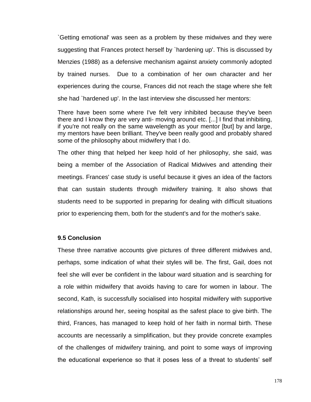`Getting emotional' was seen as a problem by these midwives and they were suggesting that Frances protect herself by `hardening up'. This is discussed by Menzies (1988) as a defensive mechanism against anxiety commonly adopted by trained nurses. Due to a combination of her own character and her experiences during the course, Frances did not reach the stage where she felt she had `hardened up'. In the last interview she discussed her mentors:

There have been some where I've felt very inhibited because they've been there and I know they are very anti- moving around etc. [...] I find that inhibiting, if you're not really on the same wavelength as your mentor [but] by and large, my mentors have been brilliant. They've been really good and probably shared some of the philosophy about midwifery that I do.

The other thing that helped her keep hold of her philosophy, she said, was being a member of the Association of Radical Midwives and attending their meetings. Frances' case study is useful because it gives an idea of the factors that can sustain students through midwifery training. It also shows that students need to be supported in preparing for dealing with difficult situations prior to experiencing them, both for the student's and for the mother's sake.

## **9.5 Conclusion**

These three narrative accounts give pictures of three different midwives and, perhaps, some indication of what their styles will be. The first, Gail, does not feel she will ever be confident in the labour ward situation and is searching for a role within midwifery that avoids having to care for women in labour. The second, Kath, is successfully socialised into hospital midwifery with supportive relationships around her, seeing hospital as the safest place to give birth. The third, Frances, has managed to keep hold of her faith in normal birth. These accounts are necessarily a simplification, but they provide concrete examples of the challenges of midwifery training, and point to some ways of improving the educational experience so that it poses less of a threat to students' self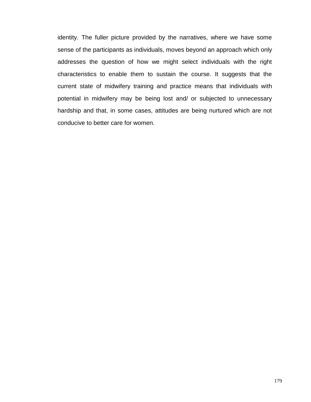identity. The fuller picture provided by the narratives, where we have some sense of the participants as individuals, moves beyond an approach which only addresses the question of how we might select individuals with the right characteristics to enable them to sustain the course. It suggests that the current state of midwifery training and practice means that individuals with potential in midwifery may be being lost and/ or subjected to unnecessary hardship and that, in some cases, attitudes are being nurtured which are not conducive to better care for women.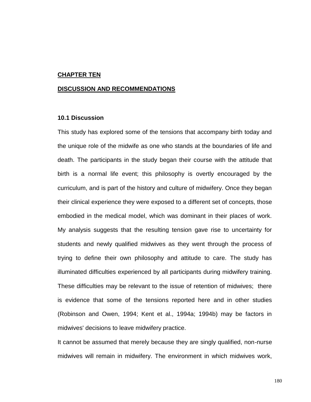### **CHAPTER TEN**

#### **DISCUSSION AND RECOMMENDATIONS**

#### **10.1 Discussion**

This study has explored some of the tensions that accompany birth today and the unique role of the midwife as one who stands at the boundaries of life and death. The participants in the study began their course with the attitude that birth is a normal life event; this philosophy is overtly encouraged by the curriculum, and is part of the history and culture of midwifery. Once they began their clinical experience they were exposed to a different set of concepts, those embodied in the medical model, which was dominant in their places of work. My analysis suggests that the resulting tension gave rise to uncertainty for students and newly qualified midwives as they went through the process of trying to define their own philosophy and attitude to care. The study has illuminated difficulties experienced by all participants during midwifery training. These difficulties may be relevant to the issue of retention of midwives; there is evidence that some of the tensions reported here and in other studies (Robinson and Owen, 1994; Kent et al., 1994a; 1994b) may be factors in midwives' decisions to leave midwifery practice.

It cannot be assumed that merely because they are singly qualified, non-nurse midwives will remain in midwifery. The environment in which midwives work,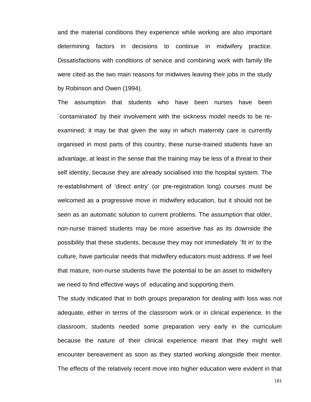and the material conditions they experience while working are also important determining factors in decisions to continue in midwifery practice. Dissatisfactions with conditions of service and combining work with family life were cited as the two main reasons for midwives leaving their jobs in the study by Robinson and Owen (1994).

The assumption that students who have been nurses have been `contaminated' by their involvement with the sickness model needs to be reexamined; it may be that given the way in which maternity care is currently organised in most parts of this country, these nurse-trained students have an advantage, at least in the sense that the training may be less of a threat to their self identity, because they are already socialised into the hospital system. The re-establishment of 'direct entry' (or pre-registration long) courses must be welcomed as a progressive move in midwifery education, but it should not be seen as an automatic solution to current problems. The assumption that older, non-nurse trained students may be more assertive has as its downside the possibility that these students, because they may not immediately `fit in' to the culture, have particular needs that midwifery educators must address. If we feel that mature, non-nurse students have the potential to be an asset to midwifery we need to find effective ways of educating and supporting them.

The study indicated that in both groups preparation for dealing with loss was not adequate, either in terms of the classroom work or in clinical experience. In the classroom, students needed some preparation very early in the curriculum because the nature of their clinical experience meant that they might well encounter bereavement as soon as they started working alongside their mentor. The effects of the relatively recent move into higher education were evident in that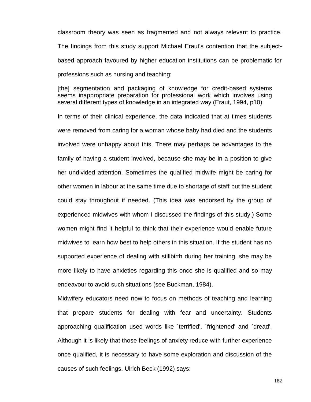classroom theory was seen as fragmented and not always relevant to practice. The findings from this study support Michael Eraut's contention that the subjectbased approach favoured by higher education institutions can be problematic for professions such as nursing and teaching:

[the] segmentation and packaging of knowledge for credit-based systems seems inappropriate preparation for professional work which involves using several different types of knowledge in an integrated way (Eraut, 1994, p10)

In terms of their clinical experience, the data indicated that at times students were removed from caring for a woman whose baby had died and the students involved were unhappy about this. There may perhaps be advantages to the family of having a student involved, because she may be in a position to give her undivided attention. Sometimes the qualified midwife might be caring for other women in labour at the same time due to shortage of staff but the student could stay throughout if needed. (This idea was endorsed by the group of experienced midwives with whom I discussed the findings of this study.) Some women might find it helpful to think that their experience would enable future midwives to learn how best to help others in this situation. If the student has no supported experience of dealing with stillbirth during her training, she may be more likely to have anxieties regarding this once she is qualified and so may endeavour to avoid such situations (see Buckman, 1984).

Midwifery educators need now to focus on methods of teaching and learning that prepare students for dealing with fear and uncertainty. Students approaching qualification used words like `terrified', `frightened' and `dread'. Although it is likely that those feelings of anxiety reduce with further experience once qualified, it is necessary to have some exploration and discussion of the causes of such feelings. Ulrich Beck (1992) says: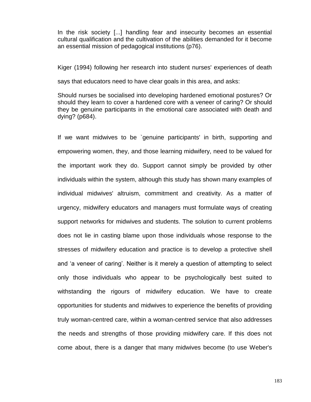In the risk society [...] handling fear and insecurity becomes an essential cultural qualification and the cultivation of the abilities demanded for it become an essential mission of pedagogical institutions (p76).

Kiger (1994) following her research into student nurses' experiences of death

says that educators need to have clear goals in this area, and asks:

Should nurses be socialised into developing hardened emotional postures? Or should they learn to cover a hardened core with a veneer of caring? Or should they be genuine participants in the emotional care associated with death and dying? (p684).

If we want midwives to be `genuine participants' in birth, supporting and empowering women, they, and those learning midwifery, need to be valued for the important work they do. Support cannot simply be provided by other individuals within the system, although this study has shown many examples of individual midwives' altruism, commitment and creativity. As a matter of urgency, midwifery educators and managers must formulate ways of creating support networks for midwives and students. The solution to current problems does not lie in casting blame upon those individuals whose response to the stresses of midwifery education and practice is to develop a protective shell and 'a veneer of caring'. Neither is it merely a question of attempting to select only those individuals who appear to be psychologically best suited to withstanding the rigours of midwifery education. We have to create opportunities for students and midwives to experience the benefits of providing truly woman-centred care, within a woman-centred service that also addresses the needs and strengths of those providing midwifery care. If this does not come about, there is a danger that many midwives become (to use Weber's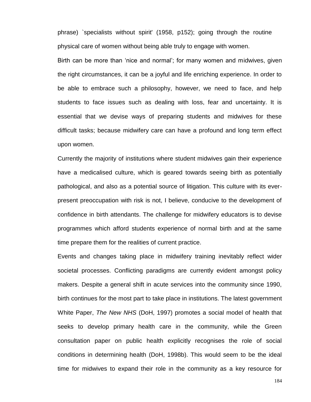phrase) `specialists without spirit' (1958, p152); going through the routine physical care of women without being able truly to engage with women.

Birth can be more than 'nice and normal'; for many women and midwives, given the right circumstances, it can be a joyful and life enriching experience. In order to be able to embrace such a philosophy, however, we need to face, and help students to face issues such as dealing with loss, fear and uncertainty. It is essential that we devise ways of preparing students and midwives for these difficult tasks; because midwifery care can have a profound and long term effect upon women.

Currently the majority of institutions where student midwives gain their experience have a medicalised culture, which is geared towards seeing birth as potentially pathological, and also as a potential source of litigation. This culture with its everpresent preoccupation with risk is not, I believe, conducive to the development of confidence in birth attendants. The challenge for midwifery educators is to devise programmes which afford students experience of normal birth and at the same time prepare them for the realities of current practice.

Events and changes taking place in midwifery training inevitably reflect wider societal processes. Conflicting paradigms are currently evident amongst policy makers. Despite a general shift in acute services into the community since 1990, birth continues for the most part to take place in institutions. The latest government White Paper, *The New NHS* (DoH, 1997) promotes a social model of health that seeks to develop primary health care in the community, while the Green consultation paper on public health explicitly recognises the role of social conditions in determining health (DoH, 1998b). This would seem to be the ideal time for midwives to expand their role in the community as a key resource for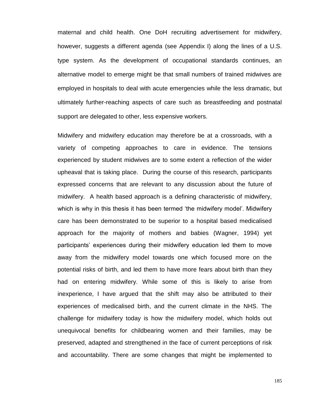maternal and child health. One DoH recruiting advertisement for midwifery, however, suggests a different agenda (see Appendix I) along the lines of a U.S. type system. As the development of occupational standards continues, an alternative model to emerge might be that small numbers of trained midwives are employed in hospitals to deal with acute emergencies while the less dramatic, but ultimately further-reaching aspects of care such as breastfeeding and postnatal support are delegated to other, less expensive workers.

Midwifery and midwifery education may therefore be at a crossroads, with a variety of competing approaches to care in evidence. The tensions experienced by student midwives are to some extent a reflection of the wider upheaval that is taking place. During the course of this research, participants expressed concerns that are relevant to any discussion about the future of midwifery. A health based approach is a defining characteristic of midwifery, which is why in this thesis it has been termed 'the midwifery model'. Midwifery care has been demonstrated to be superior to a hospital based medicalised approach for the majority of mothers and babies (Wagner, 1994) yet participants' experiences during their midwifery education led them to move away from the midwifery model towards one which focused more on the potential risks of birth, and led them to have more fears about birth than they had on entering midwifery. While some of this is likely to arise from inexperience, I have argued that the shift may also be attributed to their experiences of medicalised birth, and the current climate in the NHS. The challenge for midwifery today is how the midwifery model, which holds out unequivocal benefits for childbearing women and their families, may be preserved, adapted and strengthened in the face of current perceptions of risk and accountability. There are some changes that might be implemented to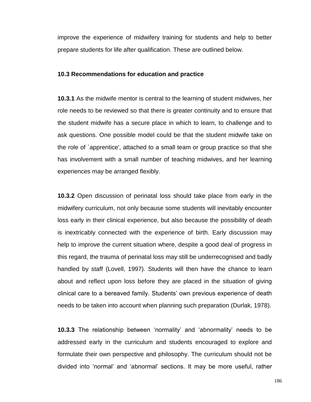improve the experience of midwifery training for students and help to better prepare students for life after qualification. These are outlined below.

#### **10.3 Recommendations for education and practice**

**10.3.1** As the midwife mentor is central to the learning of student midwives, her role needs to be reviewed so that there is greater continuity and to ensure that the student midwife has a secure place in which to learn, to challenge and to ask questions. One possible model could be that the student midwife take on the role of `apprentice', attached to a small team or group practice so that she has involvement with a small number of teaching midwives, and her learning experiences may be arranged flexibly.

**10.3.2** Open discussion of perinatal loss should take place from early in the midwifery curriculum, not only because some students will inevitably encounter loss early in their clinical experience, but also because the possibility of death is inextricably connected with the experience of birth. Early discussion may help to improve the current situation where, despite a good deal of progress in this regard, the trauma of perinatal loss may still be underrecognised and badly handled by staff (Lovell, 1997). Students will then have the chance to learn about and reflect upon loss before they are placed in the situation of giving clinical care to a bereaved family. Students' own previous experience of death needs to be taken into account when planning such preparation (Durlak, 1978).

**10.3.3** The relationship between 'normality' and 'abnormality' needs to be addressed early in the curriculum and students encouraged to explore and formulate their own perspective and philosophy. The curriculum should not be divided into 'normal' and 'abnormal' sections. It may be more useful, rather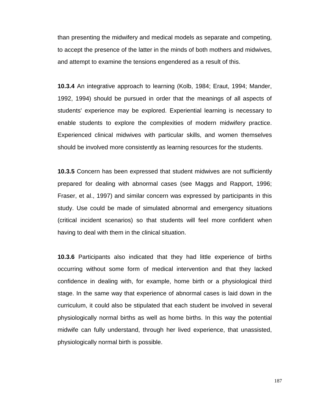than presenting the midwifery and medical models as separate and competing, to accept the presence of the latter in the minds of both mothers and midwives, and attempt to examine the tensions engendered as a result of this.

**10.3.4** An integrative approach to learning (Kolb, 1984; Eraut, 1994; Mander, 1992, 1994) should be pursued in order that the meanings of all aspects of students' experience may be explored. Experiential learning is necessary to enable students to explore the complexities of modern midwifery practice. Experienced clinical midwives with particular skills, and women themselves should be involved more consistently as learning resources for the students.

**10.3.5** Concern has been expressed that student midwives are not sufficiently prepared for dealing with abnormal cases (see Maggs and Rapport, 1996; Fraser, et al., 1997) and similar concern was expressed by participants in this study. Use could be made of simulated abnormal and emergency situations (critical incident scenarios) so that students will feel more confident when having to deal with them in the clinical situation.

**10.3.6** Participants also indicated that they had little experience of births occurring without some form of medical intervention and that they lacked confidence in dealing with, for example, home birth or a physiological third stage. In the same way that experience of abnormal cases is laid down in the curriculum, it could also be stipulated that each student be involved in several physiologically normal births as well as home births. In this way the potential midwife can fully understand, through her lived experience, that unassisted, physiologically normal birth is possible.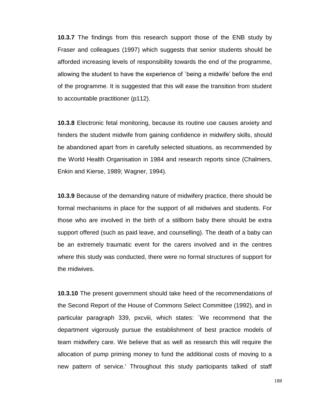**10.3.7** The findings from this research support those of the ENB study by Fraser and colleagues (1997) which suggests that senior students should be afforded increasing levels of responsibility towards the end of the programme, allowing the student to have the experience of `being a midwife' before the end of the programme. It is suggested that this will ease the transition from student to accountable practitioner (p112).

**10.3.8** Electronic fetal monitoring, because its routine use causes anxiety and hinders the student midwife from gaining confidence in midwifery skills, should be abandoned apart from in carefully selected situations, as recommended by the World Health Organisation in 1984 and research reports since (Chalmers, Enkin and Kierse, 1989; Wagner, 1994).

**10.3.9** Because of the demanding nature of midwifery practice, there should be formal mechanisms in place for the support of all midwives and students. For those who are involved in the birth of a stillborn baby there should be extra support offered (such as paid leave, and counselling). The death of a baby can be an extremely traumatic event for the carers involved and in the centres where this study was conducted, there were no formal structures of support for the midwives.

**10.3.10** The present government should take heed of the recommendations of the Second Report of the House of Commons Select Committee (1992), and in particular paragraph 339, pxcviii, which states: `We recommend that the department vigorously pursue the establishment of best practice models of team midwifery care. We believe that as well as research this will require the allocation of pump priming money to fund the additional costs of moving to a new pattern of service.' Throughout this study participants talked of staff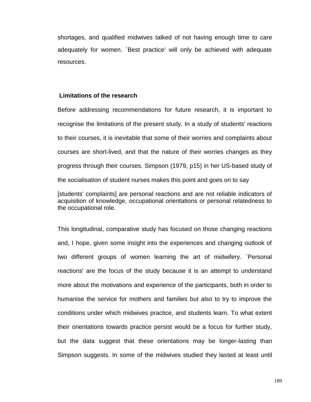shortages, and qualified midwives talked of not having enough time to care adequately for women. `Best practice' will only be achieved with adequate resources.

#### **Limitations of the research**

Before addressing recommendations for future research, it is important to recognise the limitations of the present study. In a study of students' reactions to their courses, it is inevitable that some of their worries and complaints about courses are short-lived, and that the nature of their worries changes as they progress through their courses. Simpson (1979, p15) in her US-based study of the socialisation of student nurses makes this point and goes on to say

[students' complaints] are personal reactions and are not reliable indicators of acquisition of knowledge, occupational orientations or personal relatedness to the occupational role.

This longitudinal, comparative study has focused on those changing reactions and, I hope, given some insight into the experiences and changing outlook of two different groups of women learning the art of midwifery. `Personal reactions' are the focus of the study because it is an attempt to understand more about the motivations and experience of the participants, both in order to humanise the service for mothers and families but also to try to improve the conditions under which midwives practice, and students learn. To what extent their orientations towards practice persist would be a focus for further study, but the data suggest that these orientations may be longer-lasting than Simpson suggests. In some of the midwives studied they lasted at least until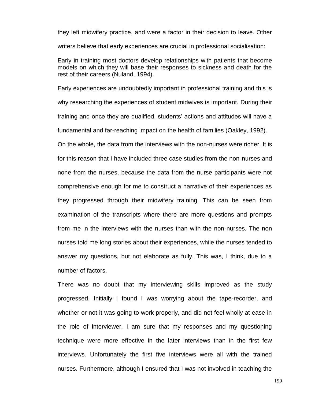they left midwifery practice, and were a factor in their decision to leave. Other writers believe that early experiences are crucial in professional socialisation:

Early in training most doctors develop relationships with patients that become models on which they will base their responses to sickness and death for the rest of their careers (Nuland, 1994).

Early experiences are undoubtedly important in professional training and this is why researching the experiences of student midwives is important. During their training and once they are qualified, students' actions and attitudes will have a fundamental and far-reaching impact on the health of families (Oakley, 1992).

On the whole, the data from the interviews with the non-nurses were richer. It is for this reason that I have included three case studies from the non-nurses and none from the nurses, because the data from the nurse participants were not comprehensive enough for me to construct a narrative of their experiences as they progressed through their midwifery training. This can be seen from examination of the transcripts where there are more questions and prompts from me in the interviews with the nurses than with the non-nurses. The non nurses told me long stories about their experiences, while the nurses tended to answer my questions, but not elaborate as fully. This was, I think, due to a number of factors.

There was no doubt that my interviewing skills improved as the study progressed. Initially I found I was worrying about the tape-recorder, and whether or not it was going to work properly, and did not feel wholly at ease in the role of interviewer. I am sure that my responses and my questioning technique were more effective in the later interviews than in the first few interviews. Unfortunately the first five interviews were all with the trained nurses. Furthermore, although I ensured that I was not involved in teaching the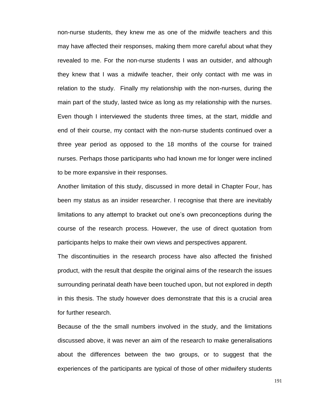non-nurse students, they knew me as one of the midwife teachers and this may have affected their responses, making them more careful about what they revealed to me. For the non-nurse students I was an outsider, and although they knew that I was a midwife teacher, their only contact with me was in relation to the study. Finally my relationship with the non-nurses, during the main part of the study, lasted twice as long as my relationship with the nurses. Even though I interviewed the students three times, at the start, middle and end of their course, my contact with the non-nurse students continued over a three year period as opposed to the 18 months of the course for trained nurses. Perhaps those participants who had known me for longer were inclined to be more expansive in their responses.

Another limitation of this study, discussed in more detail in Chapter Four, has been my status as an insider researcher. I recognise that there are inevitably limitations to any attempt to bracket out one's own preconceptions during the course of the research process. However, the use of direct quotation from participants helps to make their own views and perspectives apparent.

The discontinuities in the research process have also affected the finished product, with the result that despite the original aims of the research the issues surrounding perinatal death have been touched upon, but not explored in depth in this thesis. The study however does demonstrate that this is a crucial area for further research.

Because of the the small numbers involved in the study, and the limitations discussed above, it was never an aim of the research to make generalisations about the differences between the two groups, or to suggest that the experiences of the participants are typical of those of other midwifery students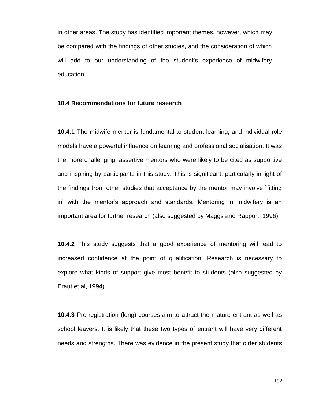in other areas. The study has identified important themes, however, which may be compared with the findings of other studies, and the consideration of which will add to our understanding of the student's experience of midwifery education.

#### **10.4 Recommendations for future research**

**10.4.1** The midwife mentor is fundamental to student learning, and individual role models have a powerful influence on learning and professional socialisation. It was the more challenging, assertive mentors who were likely to be cited as supportive and inspiring by participants in this study. This is significant, particularly in light of the findings from other studies that acceptance by the mentor may involve `fitting in' with the mentor's approach and standards. Mentoring in midwifery is an important area for further research (also suggested by Maggs and Rapport, 1996).

**10.4.2** This study suggests that a good experience of mentoring will lead to increased confidence at the point of qualification. Research is necessary to explore what kinds of support give most benefit to students (also suggested by Eraut et al, 1994).

**10.4.3** Pre-registration (long) courses aim to attract the mature entrant as well as school leavers. It is likely that these two types of entrant will have very different needs and strengths. There was evidence in the present study that older students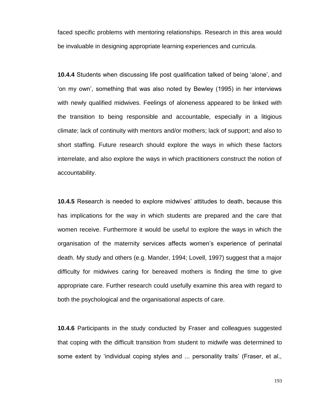faced specific problems with mentoring relationships. Research in this area would be invaluable in designing appropriate learning experiences and curricula.

**10.4.4** Students when discussing life post qualification talked of being 'alone', and 'on my own', something that was also noted by Bewley (1995) in her interviews with newly qualified midwives. Feelings of aloneness appeared to be linked with the transition to being responsible and accountable, especially in a litigious climate; lack of continuity with mentors and/or mothers; lack of support; and also to short staffing. Future research should explore the ways in which these factors interrelate, and also explore the ways in which practitioners construct the notion of accountability.

**10.4.5** Research is needed to explore midwives' attitudes to death, because this has implications for the way in which students are prepared and the care that women receive. Furthermore it would be useful to explore the ways in which the organisation of the maternity services affects women's experience of perinatal death. My study and others (e.g. Mander, 1994; Lovell, 1997) suggest that a major difficulty for midwives caring for bereaved mothers is finding the time to give appropriate care. Further research could usefully examine this area with regard to both the psychological and the organisational aspects of care.

**10.4.6** Participants in the study conducted by Fraser and colleagues suggested that coping with the difficult transition from student to midwife was determined to some extent by 'individual coping styles and ... personality traits' (Fraser, et al.,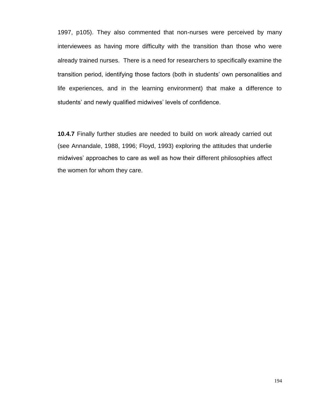1997, p105). They also commented that non-nurses were perceived by many interviewees as having more difficulty with the transition than those who were already trained nurses. There is a need for researchers to specifically examine the transition period, identifying those factors (both in students' own personalities and life experiences, and in the learning environment) that make a difference to students' and newly qualified midwives' levels of confidence.

**10.4.7** Finally further studies are needed to build on work already carried out (see Annandale, 1988, 1996; Floyd, 1993) exploring the attitudes that underlie midwives' approaches to care as well as how their different philosophies affect the women for whom they care.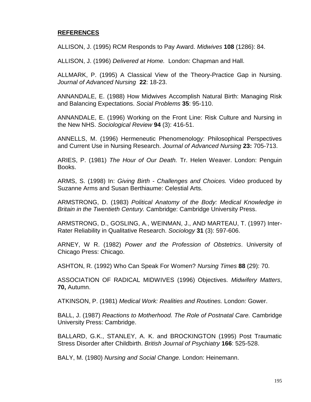### **REFERENCES**

ALLISON, J. (1995) RCM Responds to Pay Award. *Midwives* **108** (1286): 84.

ALLISON, J. (1996) *Delivered at Home.* London: Chapman and Hall.

ALLMARK, P. (1995) A Classical View of the Theory-Practice Gap in Nursing. *Journal of Advanced Nursing* **22**: 18-23.

ANNANDALE, E. (1988) How Midwives Accomplish Natural Birth: Managing Risk and Balancing Expectations. *Social Problems* **35**: 95-110.

ANNANDALE, E. (1996) Working on the Front Line: Risk Culture and Nursing in the New NHS. *Sociological Review* **94** (3): 416-51.

ANNELLS, M. (1996) Hermeneutic Phenomenology: Philosophical Perspectives and Current Use in Nursing Research. *Journal of Advanced Nursing* **23:** 705-713.

ARIES, P. (1981) *The Hour of Our Death.* Tr. Helen Weaver. London: Penguin Books.

ARMS, S. (1998) In: *Giving Birth - Challenges and Choices.* Video produced by Suzanne Arms and Susan Berthiaume: Celestial Arts.

ARMSTRONG, D. (1983) *Political Anatomy of the Body: Medical Knowledge in Britain in the Twentieth Century.* Cambridge: Cambridge University Press.

ARMSTRONG, D., GOSLING, A., WEINMAN, J., AND MARTEAU, T. (1997) Inter-Rater Reliability in Qualitative Research. *Sociology* **31** (3): 597-606.

ARNEY, W R. (1982) *Power and the Profession of Obstetrics*. University of Chicago Press: Chicago.

ASHTON, R. (1992) Who Can Speak For Women? *Nursing Times* **88** (29): 70.

ASSOCIATION OF RADICAL MIDWIVES (1996) Objectives. *Midwifery Matters*, **70,** Autumn.

ATKINSON, P. (1981) *Medical Work: Realities and Routines.* London: Gower.

BALL, J. (1987) *Reactions to Motherhood. The Role of Postnatal Care.* Cambridge University Press: Cambridge.

BALLARD, G.K., STANLEY, A. K. and BROCKINGTON (1995) Post Traumatic Stress Disorder after Childbirth. *British Journal of Psychiatry* **166**: 525-528.

BALY, M. (1980) *Nursing and Social Change.* London: Heinemann.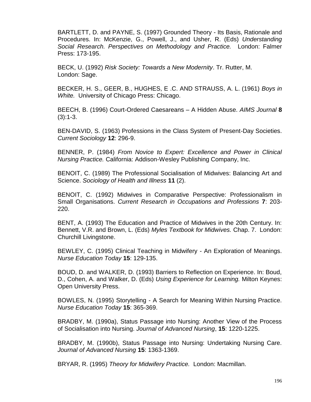BARTLETT, D. and PAYNE, S. (1997) Grounded Theory - Its Basis, Rationale and Procedures. In: McKenzie, G., Powell, J., and Usher, R. (Eds) *Understanding Social Research. Perspectives on Methodology and Practice.* London: Falmer Press: 173-195.

BECK, U. (1992) *Risk Society: Towards a New Modernity*. Tr. Rutter, M. London: Sage.

BECKER, H. S., GEER, B., HUGHES, E .C. AND STRAUSS, A. L. (1961) *Boys in White.* University of Chicago Press: Chicago.

BEECH, B. (1996) Court-Ordered Caesareans – A Hidden Abuse. *AIMS Journal* **8**   $(3):1-3.$ 

BEN-DAVID, S. (1963) Professions in the Class System of Present-Day Societies. *Current Sociology* **12**: 296-9.

BENNER, P. (1984) *From Novice to Expert: Excellence and Power in Clinical Nursing Practice.* California: Addison-Wesley Publishing Company, Inc.

BENOIT, C. (1989) The Professional Socialisation of Midwives: Balancing Art and Science. *Sociology of Health and Illness* **11** (2).

BENOIT, C. (1992) Midwives in Comparative Perspective: Professionalism in Small Organisations. *Current Research in Occupations and Professions* **7**: 203- 220.

BENT, A. (1993) The Education and Practice of Midwives in the 20th Century. In: Bennett, V.R. and Brown, L. (Eds) *Myles Textbook for Midwives.* Chap. 7. London: Churchill Livingstone.

BEWLEY, C. (1995) Clinical Teaching in Midwifery - An Exploration of Meanings. *Nurse Education Today* **15**: 129-135.

BOUD, D. and WALKER, D. (1993) Barriers to Reflection on Experience. In: Boud, D., Cohen, A. and Walker, D. (Eds) *Using Experience for Learning.* Milton Keynes: Open University Press.

BOWLES, N. (1995) Storytelling - A Search for Meaning Within Nursing Practice. *Nurse Education Today* **15**: 365-369.

BRADBY, M. (1990a), Status Passage into Nursing: Another View of the Process of Socialisation into Nursing. *Journal of Advanced Nursing*, **15**: 1220-1225.

BRADBY, M. (1990b), Status Passage into Nursing: Undertaking Nursing Care. *Journal of Advanced Nursing* **15**: 1363-1369.

BRYAR, R. (1995) *Theory for Midwifery Practice.* London: Macmillan.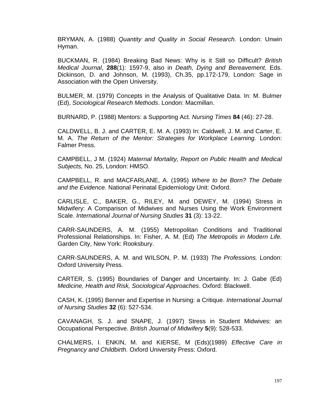BRYMAN, A. (1988) *Quantity and Quality in Social Research.* London: Unwin Hyman.

BUCKMAN, R. (1984) Breaking Bad News: Why is it Still so Difficult? *British Medical Journal*, **288**(1): 1597-9, also in *Death, Dying and Bereavement,* Eds. Dickinson, D. and Johnson, M. (1993), Ch.35, pp.172-179, London: Sage in Association with the Open University.

BULMER, M. (1979) Concepts in the Analysis of Qualitative Data. In: M. Bulmer (Ed), *Sociological Research Methods*. London: Macmillan.

BURNARD, P. (1988) Mentors: a Supporting Act. *Nursing Times* **84** (46): 27-28.

CALDWELL, B. J. and CARTER, E. M. A. (1993) In: Caldwell, J. M. and Carter, E. M. A. *The Return of the Mentor: Strategies for Workplace Learning.* London: Falmer Press.

CAMPBELL, J M. (1924) *Maternal Mortality, Report on Public Health and Medical Subjects,* No. 25, London: HMSO.

CAMPBELL, R. and MACFARLANE, A. (1995) *Where to be Born? The Debate and the Evidence.* National Perinatal Epidemiology Unit: Oxford.

CARLISLE, C., BAKER, G., RILEY, M. and DEWEY, M. (1994) Stress in Midwifery: A Comparison of Midwives and Nurses Using the Work Environment Scale. *International Journal of Nursing Studies* **31** (3): 13-22.

CARR-SAUNDERS, A. M. (1955) Metropolitan Conditions and Traditional Professional Relationships. In: Fisher, A. M. (Ed) *The Metropolis in Modern Life.*  Garden City, New York: Rooksbury.

CARR-SAUNDERS, A. M. and WILSON, P. M. (1933) *The Professions.* London: Oxford University Press.

CARTER, S. (1995) Boundaries of Danger and Uncertainty. In: J. Gabe (Ed) *Medicine, Health and Risk, Sociological Approaches*. Oxford: Blackwell.

CASH, K. (1995) Benner and Expertise in Nursing: a Critique. *International Journal of Nursing Studies* **32** (6): 527-534.

CAVANAGH, S. J. and SNAPE, J. (1997) Stress in Student Midwives: an Occupational Perspective. *British Journal of Midwifery* **5**(9): 528-533.

CHALMERS, I. ENKIN, M. and KIERSE, M (Eds)(1989) *Effective Care in Pregnancy and Childbirth.* Oxford University Press: Oxford.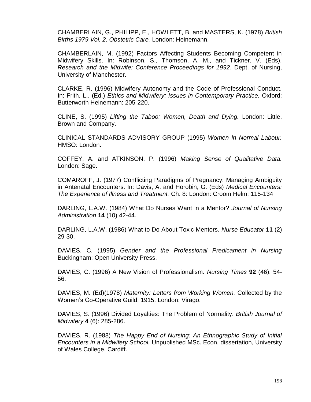CHAMBERLAIN, G., PHILIPP, E., HOWLETT, B. and MASTERS, K. (1978) *British Births 1979 Vol. 2. Obstetric Care.* London: Heinemann.

CHAMBERLAIN, M. (1992) Factors Affecting Students Becoming Competent in Midwifery Skills. In: Robinson, S., Thomson, A. M., and Tickner, V. (Eds), *Research and the Midwife: Conference Proceedings for 1992*. Dept. of Nursing, University of Manchester.

CLARKE, R. (1996) Midwifery Autonomy and the Code of Professional Conduct. In: Frith, L., (Ed.) *Ethics and Midwifery: Issues in Contemporary Practice.* Oxford: Butterworth Heinemann: 205-220.

CLINE, S. (1995) *Lifting the Taboo: Women, Death and Dying.* London: Little, Brown and Company.

CLINICAL STANDARDS ADVISORY GROUP (1995) *Women in Normal Labour.*  HMSO: London.

COFFEY, A. and ATKINSON, P. (1996) *Making Sense of Qualitative Data.*  London: Sage.

COMAROFF, J. (1977) Conflicting Paradigms of Pregnancy: Managing Ambiguity in Antenatal Encounters. In: Davis, A. and Horobin, G. (Eds) *Medical Encounters: The Experience of Illness and Treatment.* Ch. 8: London: Croom Helm: 115-134

DARLING, L.A.W. (1984) What Do Nurses Want in a Mentor? *Journal of Nursing Administration* **14** (10) 42-44.

DARLING, L.A.W. (1986) What to Do About Toxic Mentors. *Nurse Educator* **11** (2) 29-30.

DAVIES, C. (1995) *Gender and the Professional Predicament in Nursing*  Buckingham: Open University Press.

DAVIES, C. (1996) A New Vision of Professionalism. *Nursing Times* **92** (46): 54- 56.

DAVIES, M. (Ed)(1978) *Maternity: Letters from Working Women.* Collected by the Women's Co-Operative Guild, 1915. London: Virago.

DAVIES, S. (1996) Divided Loyalties: The Problem of Normality. *British Journal of Midwifery* **4** (6): 285-286.

DAVIES, R. (1988) *The Happy End of Nursing: An Ethnographic Study of Initial Encounters in a Midwifery School.* Unpublished MSc. Econ. dissertation, University of Wales College, Cardiff.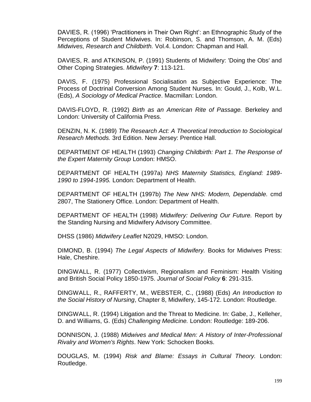DAVIES, R. (1996) 'Practitioners in Their Own Right': an Ethnographic Study of the Perceptions of Student Midwives. In: Robinson, S. and Thomson, A. M. (Eds) *Midwives, Research and Childbirth.* Vol.4. London: Chapman and Hall.

DAVIES, R. and ATKINSON, P. (1991) Students of Midwifery: 'Doing the Obs' and Other Coping Strategies. *Midwifery* **7**: 113-121.

DAVIS, F. (1975) Professional Socialisation as Subjective Experience: The Process of Doctrinal Conversion Among Student Nurses. In: Gould, J., Kolb, W.L. (Eds), *A Sociology of Medical Practice*. Macmillan: London.

DAVIS-FLOYD, R. (1992) *Birth as an American Rite of Passage.* Berkeley and London: University of California Press.

DENZIN, N. K. (1989) *The Research Act: A Theoretical Introduction to Sociological Research Methods.* 3rd Edition. New Jersey: Prentice Hall.

DEPARTMENT OF HEALTH (1993) *Changing Childbirth: Part 1. The Response of the Expert Maternity Group* London: HMSO.

DEPARTMENT OF HEALTH (1997a) *NHS Maternity Statistics, England: 1989- 1990 to 1994-1995.* London: Department of Health.

DEPARTMENT OF HEALTH (1997b) *The New NHS: Modern, Dependable.* cmd 2807, The Stationery Office. London: Department of Health.

DEPARTMENT OF HEALTH (1998) *Midwifery: Delivering Our Future.* Report by the Standing Nursing and Midwifery Advisory Committee.

DHSS (1986) *Midwifery Leaflet* N2029, HMSO: London.

DIMOND, B. (1994) *The Legal Aspects of Midwifery.* Books for Midwives Press: Hale, Cheshire.

DINGWALL, R. (1977) Collectivism, Regionalism and Feminism: Health Visiting and British Social Policy 1850-1975. *Journal of Social Policy* **6**: 291-315.

DINGWALL, R., RAFFERTY, M., WEBSTER, C., (1988) (Eds) *An Introduction to the Social History of Nursing*, Chapter 8, Midwifery, 145-172. London: Routledge.

DINGWALL, R. (1994) Litigation and the Threat to Medicine. In: Gabe, J., Kelleher, D. and Williams, G. (Eds) *Challenging Medicine.* London: Routledge: 189-206.

DONNISON, J. (1988) *Midwives and Medical Men: A History of Inter-Professional Rivalry and Women's Rights*. New York: Schocken Books.

DOUGLAS, M. (1994) *Risk and Blame: Essays in Cultural Theory.* London: Routledge.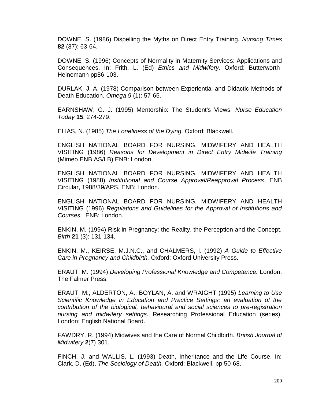DOWNE, S. (1986) Dispelling the Myths on Direct Entry Training. *Nursing Times* **82** (37): 63-64.

DOWNE, S. (1996) Concepts of Normality in Maternity Services: Applications and Consequences. In: Frith, L. (Ed) *Ethics and Midwifery.* Oxford: Butterworth-Heinemann pp86-103.

DURLAK, J. A. (1978) Comparison between Experiential and Didactic Methods of Death Education. *Omega 9* (1): 57-65.

EARNSHAW, G. J. (1995) Mentorship: The Student's Views. *Nurse Education Today* **15**: 274-279.

ELIAS, N. (1985) *The Loneliness of the Dying.* Oxford: Blackwell.

ENGLISH NATIONAL BOARD FOR NURSING, MIDWIFERY AND HEALTH VISITING (1986) *Reasons for Development in Direct Entry Midwife Training*  (Mimeo ENB AS/LB) ENB: London.

ENGLISH NATIONAL BOARD FOR NURSING, MIDWIFERY AND HEALTH VISITING (1988) *Institutional and Course Approval/Reapproval Process*, ENB Circular, 1988/39/APS, ENB: London.

ENGLISH NATIONAL BOARD FOR NURSING, MIDWIFERY AND HEALTH VISITING (1996) *Regulations and Guidelines for the Approval of Institutions and Courses.* ENB: London.

ENKIN, M. (1994) Risk in Pregnancy: the Reality, the Perception and the Concept. *Birth* **21** (3): 131-134.

ENKIN, M., KEIRSE, M.J.N.C., and CHALMERS, I. (1992) *A Guide to Effective Care in Pregnancy and Childbirth.* Oxford: Oxford University Press.

ERAUT, M. (1994) *Developing Professional Knowledge and Competence.* London: The Falmer Press.

ERAUT, M., ALDERTON, A., BOYLAN, A. and WRAIGHT (1995) *Learning to Use Scientific Knowledge in Education and Practice Settings: an evaluation of the contribution of the biological, behavioural and social sciences to pre-registration nursing and midwifery settings.* Researching Professional Education (series). London: English National Board.

FAWDRY, R. (1994) Midwives and the Care of Normal Childbirth. *British Journal of Midwifery* **2**(7) 301.

FINCH, J. and WALLIS, L. (1993) Death, Inheritance and the Life Course. In: Clark, D. (Ed), *The Sociology of Death.* Oxford: Blackwell, pp 50-68.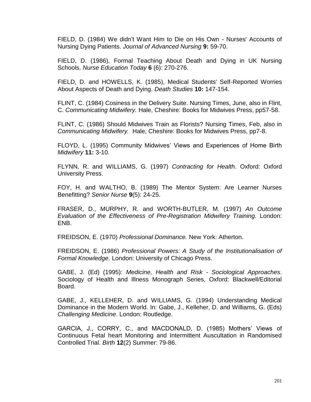FIELD, D. (1984) We didn't Want Him to Die on His Own - Nurses' Accounts of Nursing Dying Patients. *Journal of Advanced Nursing* **9:** 59-70.

FIELD, D. (1986), Formal Teaching About Death and Dying in UK Nursing Schools. *Nurse Education Today* **6** (6): 270-276.

FIELD, D. and HOWELLS, K. (1985), Medical Students' Self-Reported Worries About Aspects of Death and Dying. *Death Studies* **10:** 147-154.

FLINT, C. (1984) Cosiness in the Delivery Suite. Nursing Times, June, also in Flint, C. *Communicating Midwifery.* Hale, Cheshire: Books for Midwives Press, pp57-58.

FLINT, C. (1986) Should Midwives Train as Florists? Nursing Times, Feb, also in *Communicating Midwifery.* Hale, Cheshire: Books for Midwives Press, pp7-8.

FLOYD, L. (1995) Community Midwives' Views and Experiences of Home Birth *Midwifery* **11:** 3-10.

FLYNN, R. and WILLIAMS, G. (1997) *Contracting for Health*. Oxford: Oxford University Press.

FOY, H. and WALTHO, B. (1989) The Mentor System: Are Learner Nurses Benefitting? *Senior Nurse* **9**(5): 24-25.

FRASER, D., MURPHY, R. and WORTH-BUTLER, M. (1997) *An Outcome Evaluation of the Effectiveness of Pre-Registration Midwifery Training.* London: ENB.

FREIDSON, E. (1970) *Professional Dominance.* New York: Atherton.

FREIDSON, E. (1986) *Professional Powers: A Study of the Institutionalisation of Formal Knowledge.* London: University of Chicago Press.

GABE, J. (Ed) (1995): *Medicine, Health and Risk - Sociological Approaches*. Sociology of Health and Illness Monograph Series, Oxford: Blackwell/Editorial Board.

GABE, J., KELLEHER, D. and WILLIAMS, G. (1994) Understanding Medical Dominance in the Modern World. In: Gabe, J., Kelleher, D. and Williams, G. (Eds) *Challenging Medicine*. London: Routledge.

GARCIA, J., CORRY, C., and MACDONALD, D. (1985) Mothers' Views of Continuous Fetal heart Monitoring and Intermittent Auscultation in Randomised Controlled Trial. *Birth* **12**(2) Summer: 79-86.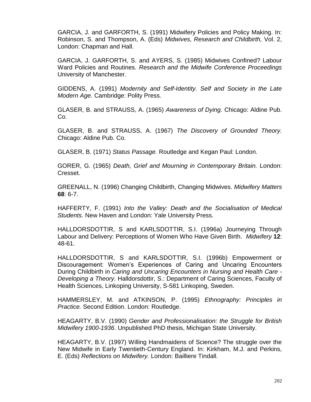GARCIA, J. and GARFORTH, S. (1991) Midwifery Policies and Policy Making. In: Robinson, S. and Thompson, A. (Eds) *Midwives, Research and Childbirth,* Vol. 2, London: Chapman and Hall.

GARCIA, J. GARFORTH, S. and AYERS, S. (1985) Midwives Confined? Labour Ward Policies and Routines. *Research and the Midwife Conference Proceedings* University of Manchester.

GIDDENS, A. (1991) *Modernity and Self-Identity. Self and Society in the Late Modern Age.* Cambridge: Polity Press.

GLASER, B. and STRAUSS, A. (1965) *Awareness of Dying.* Chicago: Aldine Pub. Co.

GLASER, B. and STRAUSS, A. (1967) *The Discovery of Grounded Theory.*  Chicago: Aldine Pub. Co.

GLASER, B. (1971) *Status Passage.* Routledge and Kegan Paul: London.

GORER, G. (1965) *Death, Grief and Mourning in Contemporary Britain.* London: Cresset.

GREENALL, N. (1996) Changing Childbirth, Changing Midwives. *Midwifery Matters*  **68**: 6-7.

HAFFERTY, F. (1991) *Into the Valley: Death and the Socialisation of Medical Students.* New Haven and London: Yale University Press.

HALLDORSDOTTIR, S and KARLSDOTTIR, S.I. (1996a) Journeying Through Labour and Delivery: Perceptions of Women Who Have Given Birth. *Midwifery* **12**: 48-61.

HALLDORSDOTTIR, S and KARLSDOTTIR, S.I. (1996b) Empowerment or Discouragement: Women's Experiences of Caring and Uncaring Encounters During Childbirth in *Caring and Uncaring Encounters in Nursing and Health Care - Developing a Theory.* Halldorsdottir, S.: Department of Caring Sciences, Faculty of Health Sciences, Linkoping University, S-581 Linkoping, Sweden.

HAMMERSLEY, M. and ATKINSON, P. (1995) *Ethnography: Principles in Practice.* Second Edition. London: Routledge.

HEAGARTY, B.V. (1990) *Gender and Professionalisation: the Struggle for British Midwifery 1900-1936*. Unpublished PhD thesis, Michigan State University.

HEAGARTY, B.V. (1997) Willing Handmaidens of Science? The struggle over the New Midwife in Early Twentieth-Century England. In: Kirkham, M.J. and Perkins, E. (Eds) *Reflections on Midwifery.* London: Bailliere Tindall.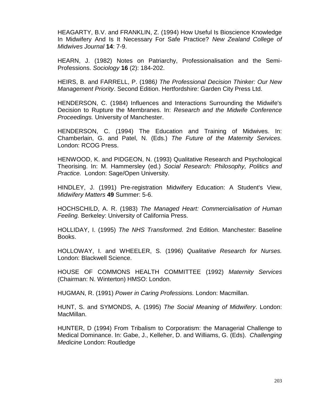HEAGARTY, B.V. and FRANKLIN, Z. (1994) How Useful Is Bioscience Knowledge In Midwifery And Is It Necessary For Safe Practice? *New Zealand College of Midwives Journal* **14**: 7-9.

HEARN, J. (1982) Notes on Patriarchy, Professionalisation and the Semi-Professions. *Sociology* **16** (2): 184-202.

HEIRS, B. and FARRELL, P. (1986*) The Professional Decision Thinker: Our New Management Priority*. Second Edition. Hertfordshire: Garden City Press Ltd.

HENDERSON, C. (1984) Influences and Interactions Surrounding the Midwife's Decision to Rupture the Membranes. In: *Research and the Midwife Conference Proceedings.* University of Manchester.

HENDERSON, C. (1994) The Education and Training of Midwives. In: Chamberlain, G. and Patel, N. (Eds.) *The Future of the Maternity Services.* London: RCOG Press.

HENWOOD, K. and PIDGEON, N. (1993) Qualitative Research and Psychological Theorising. In: M. Hammersley (ed.) *Social Research: Philosophy, Politics and Practice.* London: Sage/Open University.

HINDLEY, J. (1991) Pre-registration Midwifery Education: A Student's View, *Midwifery Matters* **49** Summer: 5-6.

HOCHSCHILD, A. R. (1983) *The Managed Heart: Commercialisation of Human Feeling.* Berkeley: University of California Press.

HOLLIDAY, I. (1995) *The NHS Transformed.* 2nd Edition. Manchester: Baseline Books.

HOLLOWAY, I. and WHEELER, S. (1996) *Qualitative Research for Nurses.*  London: Blackwell Science.

HOUSE OF COMMONS HEALTH COMMITTEE (1992) *Maternity Services*  (Chairman: N. Winterton) HMSO: London.

HUGMAN, R. (1991) *Power in Caring Professions.* London: Macmillan.

HUNT, S. and SYMONDS, A. (1995) *The Social Meaning of Midwifery*. London: MacMillan.

HUNTER, D (1994) From Tribalism to Corporatism: the Managerial Challenge to Medical Dominance. In: Gabe, J., Kelleher, D. and Williams, G. (Eds). *Challenging Medicine* London: Routledge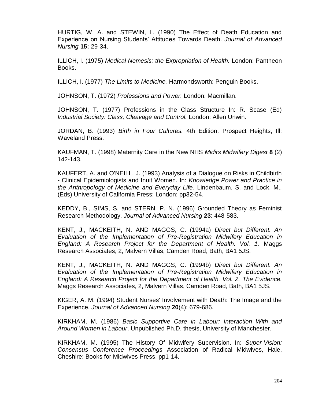HURTIG, W. A. and STEWIN, L. (1990) The Effect of Death Education and Experience on Nursing Students' Attitudes Towards Death. *Journal of Advanced Nursing* **15:** 29-34.

ILLICH, I. (1975) *Medical Nemesis: the Expropriation of Health.* London: Pantheon Books.

ILLICH, I. (1977) *The Limits to Medicine.* Harmondsworth: Penguin Books.

JOHNSON, T. (1972) *Professions and Power.* London: Macmillan.

JOHNSON, T. (1977) Professions in the Class Structure In: R. Scase (Ed) *Industrial Society: Class, Cleavage and Control.* London: Allen Unwin.

JORDAN, B. (1993) *Birth in Four Cultures.* 4th Edition. Prospect Heights, Ill: Waveland Press.

KAUFMAN, T. (1998) Maternity Care in the New NHS *Midirs Midwifery Digest* **8** (2) 142-143.

KAUFERT, A. and O'NEILL, J. (1993) Analysis of a Dialogue on Risks in Childbirth - Clinical Epidemiologists and Inuit Women. In: *Knowledge Power and Practice in the Anthropology of Medicine and Everyday Life*. Lindenbaum, S. and Lock, M., (Eds) University of California Press: London: pp32-54.

KEDDY, B., SIMS, S. and STERN, P. N. (1996) Grounded Theory as Feminist Research Methodology. *Journal of Advanced Nursing* **23**: 448-583.

KENT, J., MACKEITH, N. AND MAGGS, C. (1994a) *Direct but Different. An Evaluation of the Implementation of Pre-Registration Midwifery Education in England: A Research Project for the Department of Health. Vol. 1.* Maggs Research Associates, 2, Malvern Villas, Camden Road, Bath, BA1 5JS.

KENT, J., MACKEITH, N. AND MAGGS, C. (1994b) *Direct but Different. An Evaluation of the Implementation of Pre-Registration Midwifery Education in England: A Research Project for the Department of Health. Vol. 2. The Evidence.*  Maggs Research Associates, 2, Malvern Villas, Camden Road, Bath, BA1 5JS.

KIGER, A. M. (1994) Student Nurses' Involvement with Death: The Image and the Experience. *Journal of Advanced Nursing* **20**(4): 679-686.

KIRKHAM, M. (1986) *Basic Supportive Care in Labour: Interaction With and Around Women in Labour*. Unpublished Ph.D. thesis, University of Manchester.

KIRKHAM, M. (1995) The History Of Midwifery Supervision. In: *Super-Vision: Consensus Conference Proceedings* Association of Radical Midwives, Hale, Cheshire: Books for Midwives Press, pp1-14.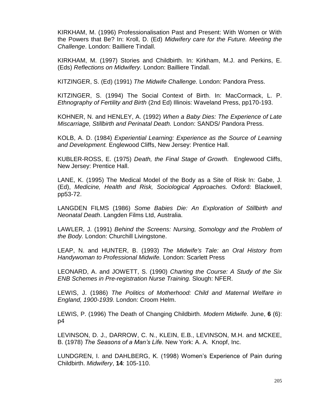KIRKHAM, M. (1996) Professionalisation Past and Present: With Women or With the Powers that Be? In: Kroll, D. (Ed) *Midwifery care for the Future. Meeting the Challenge*. London: Bailliere Tindall.

KIRKHAM, M. (1997) Stories and Childbirth. In: Kirkham, M.J. and Perkins, E. (Eds) *Reflections on Midwifery.* London: Bailliere Tindall.

KITZINGER, S. (Ed) (1991) *The Midwife Challenge.* London: Pandora Press.

KITZINGER, S. (1994) The Social Context of Birth. In: MacCormack, L. P. *Ethnography of Fertility and Birth* (2nd Ed) Illinois: Waveland Press, pp170-193.

KOHNER, N. and HENLEY, A. (1992) *When a Baby Dies: The Experience of Late Miscarriage, Stillbirth and Perinatal Death.* London: SANDS/ Pandora Press.

KOLB, A. D. (1984) *Experiential Learning: Experience as the Source of Learning and Development.* Englewood Cliffs, New Jersey: Prentice Hall.

KUBLER-ROSS, E. (1975) *Death, the Final Stage of Growth.* Englewood Cliffs, New Jersey: Prentice Hall.

LANE, K. (1995) The Medical Model of the Body as a Site of Risk In: Gabe, J. (Ed), *Medicine, Health and Risk, Sociological Approaches.* Oxford: Blackwell, pp53-72.

LANGDEN FILMS (1986) *Some Babies Die: An Exploration of Stillbirth and Neonatal Death*. Langden Films Ltd, Australia.

LAWLER, J. (1991) *Behind the Screens: Nursing, Somology and the Problem of the Body.* London: Churchill Livingstone.

LEAP, N. and HUNTER, B. (1993) *The Midwife's Tale: an Oral History from Handywoman to Professional Midwife.* London: Scarlett Press

LEONARD, A. and JOWETT, S. (1990) *Charting the Course: A Study of the Six ENB Schemes in Pre-registration Nurse Training.* Slough: NFER.

LEWIS, J. (1986) *The Politics of Motherhood: Child and Maternal Welfare in England, 1900-1939.* London: Croom Helm.

LEWIS, P. (1996) The Death of Changing Childbirth. *Modern Midwife.* June, **6** (6): p4

LEVINSON, D. J., DARROW, C. N., KLEIN, E.B., LEVINSON, M.H. and MCKEE, B. (1978) *The Seasons of a Man's Life.* New York: A. A. Knopf, Inc.

LUNDGREN, I. and DAHLBERG, K. (1998) Women's Experience of Pain during Childbirth. *Midwifery*, **14**: 105-110.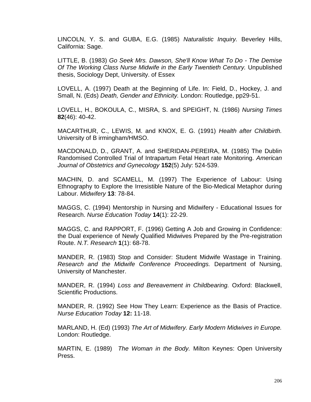LINCOLN, Y. S. and GUBA, E.G. (1985) *Naturalistic Inquiry.* Beverley Hills, California: Sage.

LITTLE, B. (1983) *Go Seek Mrs. Dawson, She'll Know What To Do - The Demise Of The Working Class Nurse Midwife in the Early Twentieth Century.* Unpublished thesis, Sociology Dept, University. of Essex

LOVELL, A. (1997) Death at the Beginning of Life. In: Field, D., Hockey, J. and Small, N. (Eds) *Death, Gender and Ethnicity.* London: Routledge, pp29-51.

LOVELL, H., BOKOULA, C., MISRA, S. and SPEIGHT, N. (1986) *Nursing Times* **82**(46): 40-42.

MACARTHUR, C., LEWIS, M. and KNOX, E. G. (1991) *Health after Childbirth.* University of B irmingham/HMSO.

MACDONALD, D., GRANT, A. and SHERIDAN-PEREIRA, M. (1985) The Dublin Randomised Controlled Trial of Intrapartum Fetal Heart rate Monitoring. *American Journal of Obstetrics and Gynecology* **152**(5) July: 524-539.

MACHIN, D. and SCAMELL, M. (1997) The Experience of Labour: Using Ethnography to Explore the Irresistible Nature of the Bio-Medical Metaphor during Labour. *Midwifery* **13**: 78-84.

MAGGS, C. (1994) Mentorship in Nursing and Midwifery - Educational Issues for Research. *Nurse Education Today* **14**(1): 22-29.

MAGGS, C. and RAPPORT, F. (1996) Getting A Job and Growing in Confidence: the Dual experience of Newly Qualified Midwives Prepared by the Pre-registration Route. *N.T. Research* **1**(1): 68-78.

MANDER, R. (1983) Stop and Consider: Student Midwife Wastage in Training. *Research and the Midwife Conference Proceedings.* Department of Nursing, University of Manchester.

MANDER, R. (1994) *Loss and Bereavement in Childbearing.* Oxford: Blackwell, Scientific Productions.

MANDER, R. (1992) See How They Learn: Experience as the Basis of Practice. *Nurse Education Today* **12:** 11-18.

MARLAND, H. (Ed) (1993) *The Art of Midwifery. Early Modern Midwives in Europe.*  London: Routledge.

MARTIN, E. (1989) *The Woman in the Body.* Milton Keynes: Open University Press.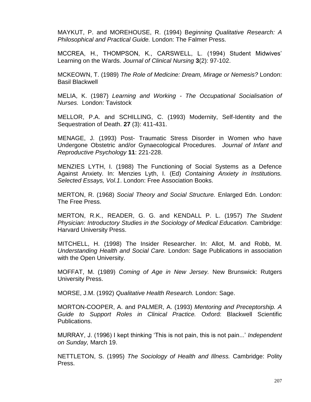MAYKUT, P. and MOREHOUSE, R. (1994) B*eginning Qualitative Research: A Philosophical and Practical Guide.* London: The Falmer Press.

MCCREA, H., THOMPSON, K., CARSWELL, L. (1994) Student Midwives' Learning on the Wards. *Journal of Clinical Nursing* **3**(2): 97-102.

MCKEOWN, T. (1989) *The Role of Medicine: Dream, Mirage or Nemesis?* London: Basil Blackwell

MELIA, K. (1987) *Learning and Working - The Occupational Socialisation of Nurses.* London: Tavistock

MELLOR, P.A. and SCHILLING, C. (1993) Modernity, Self-Identity and the Sequestration of Death. **27** (3): 411-431.

MENAGE, J. (1993) Post- Traumatic Stress Disorder in Women who have Undergone Obstetric and/or Gynaecological Procedures. *Journal of Infant and Reproductive Psychology* **11**: 221-228.

MENZIES LYTH, I. (1988) The Functioning of Social Systems as a Defence Against Anxiety. In: Menzies Lyth, I. (Ed) *Containing Anxiety in Institutions. Selected Essays, Vol.1*. London: Free Association Books.

MERTON, R. (1968) *Social Theory and Social Structure.* Enlarged Edn. London: The Free Press.

MERTON, R.K., READER, G. G. and KENDALL P. L. (1957) *The Student Physician: Introductory Studies in the Sociology of Medical Education.* Cambridge: Harvard University Press.

MITCHELL, H. (1998) The Insider Researcher. In: Allot, M. and Robb, M. *Understanding Health and Social Care.* London: Sage Publications in association with the Open University.

MOFFAT, M. (1989) *Coming of Age in New Jersey.* New Brunswick: Rutgers University Press.

MORSE, J.M. (1992) *Qualitative Health Research.* London: Sage.

MORTON-COOPER, A. and PALMER, A. (1993) *Mentoring and Preceptorship. A Guide to Support Roles in Clinical Practice.* Oxford: Blackwell Scientific Publications.

MURRAY, J. (1996) I kept thinking 'This is not pain, this is not pain...' *Independent on Sunday,* March 19.

NETTLETON, S. (1995) *The Sociology of Health and Illness.* Cambridge: Polity Press.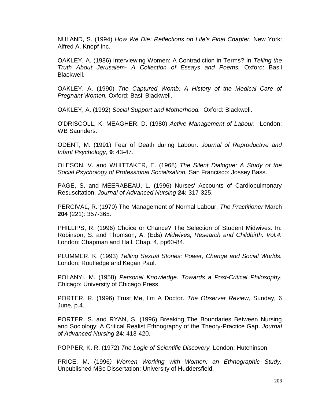NULAND, S. (1994) *How We Die: Reflections on Life's Final Chapter.* New York: Alfred A. Knopf Inc.

OAKLEY, A. (1986) Interviewing Women: A Contradiction in Terms? In *Telling the Truth About Jerusalem- A Collection of Essays and Poems.* Oxford: Basil Blackwell.

OAKLEY, A. (1990) *The Captured Womb: A History of the Medical Care of Pregnant Women.* Oxford: Basil Blackwell.

OAKLEY, A. (1992) *Social Support and Motherhood.* Oxford: Blackwell.

O'DRISCOLL, K. MEAGHER, D. (1980) *Active Management of Labour.* London: WB Saunders.

ODENT, M. (1991) Fear of Death during Labour. *Journal of Reproductive and Infant Psychology,* **9**: 43-47.

OLESON, V. and WHITTAKER, E. (1968) *The Silent Dialogue: A Study of the Social Psychology of Professional Socialisation.* San Francisco: Jossey Bass.

PAGE, S. and MEERABEAU, L. (1996) Nurses' Accounts of Cardiopulmonary Resuscitation. *Journal of Advanced Nursing* **24:** 317-325.

PERCIVAL, R. (1970) The Management of Normal Labour. *The Practitioner* March **204** (221): 357-365.

PHILLIPS, R. (1996) Choice or Chance? The Selection of Student Midwives. In: Robinson, S. and Thomson, A. (Eds) *Midwives, Research and Childbirth. Vol.4.*  London: Chapman and Hall. Chap. 4, pp60-84.

PLUMMER, K. (1993) *Telling Sexual Stories: Power, Change and Social Worlds.* London: Routledge and Kegan Paul.

POLANYI, M. (1958) *Personal Knowledge. Towards a Post-Critical Philosophy.*  Chicago: University of Chicago Press

PORTER, R. (1996) Trust Me, I'm A Doctor. *The Observer Review,* Sunday, 6 June, p.4.

PORTER, S. and RYAN, S. (1996) Breaking The Boundaries Between Nursing and Sociology: A Critical Realist Ethnography of the Theory-Practice Gap. *Journal of Advanced Nursing* **24**: 413-420.

POPPER, K. R. (1972) *The Logic of Scientific Discovery.* London: Hutchinson

PRICE, M. (1996*) Women Working with Women: an Ethnographic Study.* Unpublished MSc Dissertation: University of Huddersfield.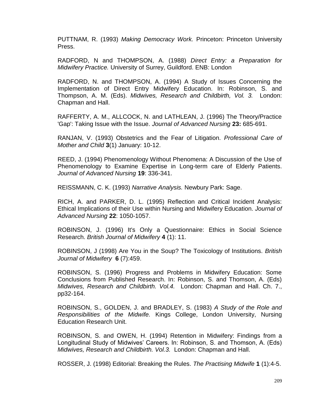PUTTNAM, R. (1993) *Making Democracy Work.* Princeton: Princeton University Press.

RADFORD, N and THOMPSON, A. (1988) *Direct Entry: a Preparation for Midwifery Practice.* University of Surrey, Guildford. ENB: London

RADFORD, N. and THOMPSON, A. (1994) A Study of Issues Concerning the Implementation of Direct Entry Midwifery Education. In: Robinson, S. and Thompson, A. M. (Eds). *Midwives, Research and Childbirth, Vol. 3.* London: Chapman and Hall.

RAFFERTY, A. M., ALLCOCK, N. and LATHLEAN, J. (1996) The Theory/Practice 'Gap': Taking Issue with the Issue. *Journal of Advanced Nursing* **23:** 685-691.

RANJAN, V. (1993) Obstetrics and the Fear of Litigation. *Professional Care of Mother and Child* **3**(1) January: 10-12.

REED, J. (1994) Phenomenology Without Phenomena: A Discussion of the Use of Phenomenology to Examine Expertise in Long-term care of Elderly Patients. *Journal of Advanced Nursing* **19**: 336-341.

REISSMANN, C. K. (1993) *Narrative Analysis.* Newbury Park: Sage.

RICH, A. and PARKER, D. L. (1995) Reflection and Critical Incident Analysis: Ethical Implications of their Use within Nursing and Midwifery Education. *Journal of Advanced Nursing* **22**: 1050-1057.

ROBINSON, J. (1996) It's Only a Questionnaire: Ethics in Social Science Research. *British Journal of Midwifery* **4** (1): 11.

ROBINSON, J (1998) Are You in the Soup? The Toxicology of Institutions. *British Journal of Midwifery* **6** (7):459.

ROBINSON, S. (1996) Progress and Problems in Midwifery Education: Some Conclusions from Published Research. In: Robinson, S. and Thomson, A. (Eds) *Midwives, Research and Childbirth. Vol.4.* London: Chapman and Hall. Ch. 7., pp32-164.

ROBINSON, S., GOLDEN, J. and BRADLEY, S. (1983) *A Study of the Role and Responsibilities of the Midwife.* Kings College, London University, Nursing Education Research Unit.

ROBINSON, S. and OWEN, H. (1994) Retention in Midwifery: Findings from a Longitudinal Study of Midwives' Careers. In: Robinson, S. and Thomson, A. (Eds) *Midwives, Research and Childbirth. Vol.3.* London: Chapman and Hall.

ROSSER, J. (1998) Editorial: Breaking the Rules. *The Practising Midwife* **1** (1):4-5.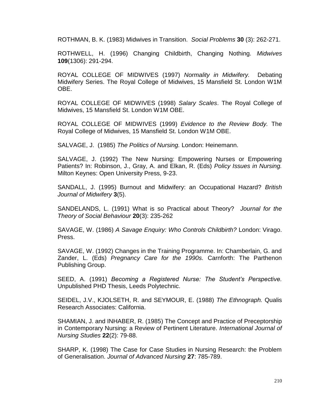ROTHMAN, B. K. (1983) Midwives in Transition. *Social Problems* **30** (3): 262-271.

ROTHWELL, H. (1996) Changing Childbirth, Changing Nothing. *Midwives* **109**(1306): 291-294.

ROYAL COLLEGE OF MIDWIVES (1997) *Normality in Midwifery.* Debating Midwifery Series. The Royal College of Midwives, 15 Mansfield St. London W1M OBE.

ROYAL COLLEGE OF MIDWIVES (1998) *Salary Scales*. The Royal College of Midwives, 15 Mansfield St. London W1M OBE.

ROYAL COLLEGE OF MIDWIVES (1999) *Evidence to the Review Body.* The Royal College of Midwives, 15 Mansfield St. London W1M OBE.

SALVAGE, J. (1985) *The Politics of Nursing.* London: Heinemann.

SALVAGE, J. (1992) The New Nursing: Empowering Nurses or Empowering Patients? In: Robinson, J., Gray, A. and Elkan, R. (Eds) *Policy Issues in Nursing.*  Milton Keynes: Open University Press, 9-23.

SANDALL, J. (1995) Burnout and Midwifery: an Occupational Hazard? *British Journal of Midwifery* **3**(5).

SANDELANDS, L. (1991) What is so Practical about Theory? *Journal for the Theory of Social Behaviour* **20**(3): 235-262

SAVAGE, W. (1986) *A Savage Enquiry: Who Controls Childbirth?* London: Virago. Press.

SAVAGE, W. (1992) Changes in the Training Programme. In: Chamberlain, G. and Zander, L. (Eds) *Pregnancy Care for the 1990s.* Carnforth: The Parthenon Publishing Group.

SEED, A. (1991) *Becoming a Registered Nurse: The Student's Perspective.*  Unpublished PHD Thesis, Leeds Polytechnic.

SEIDEL, J.V., KJOLSETH, R. and SEYMOUR, E. (1988) *The Ethnograph.* Qualis Research Associates: California.

SHAMIAN, J. and INHABER, R. (1985) The Concept and Practice of Preceptorship in Contemporary Nursing: a Review of Pertinent Literature. *International Journal of Nursing Studies* **22**(2): 79-88.

SHARP, K. (1998) The Case for Case Studies in Nursing Research: the Problem of Generalisation. *Journal of Advanced Nursing* **27**: 785-789.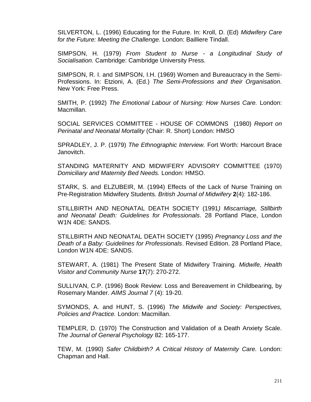SILVERTON, L. (1996) Educating for the Future. In: Kroll, D. (Ed) *Midwifery Care for the Future: Meeting the Challenge.* London: Bailliere Tindall.

SIMPSON, H. (1979) *From Student to Nurse - a Longitudinal Study of Socialisation.* Cambridge: Cambridge University Press.

SIMPSON, R. I. and SIMPSON, I.H. (1969) Women and Bureaucracy in the Semi-Professions. In: Etzioni, A. (Ed.) *The Semi-Professions and their Organisation.*  New York: Free Press.

SMITH, P. (1992) *The Emotional Labour of Nursing: How Nurses Care.* London: Macmillan.

SOCIAL SERVICES COMMITTEE - HOUSE OF COMMONS (1980) *Report on Perinatal and Neonatal Mortality* (Chair: R. Short) London: HMSO

SPRADLEY, J. P. (1979) *The Ethnographic Interview.* Fort Worth: Harcourt Brace Janovitch.

STANDING MATERNITY AND MIDWIFERY ADVISORY COMMITTEE (1970) *Domiciliary and Maternity Bed Needs.* London: HMSO.

STARK, S. and ELZUBEIR, M. (1994) Effects of the Lack of Nurse Training on Pre-Registration Midwifery Students. *British Journal of Midwifery* **2**(4): 182-186.

STILLBIRTH AND NEONATAL DEATH SOCIETY (1991*) Miscarriage, Stillbirth and Neonatal Death: Guidelines for Professionals*. 28 Portland Place, London W1N 4DE: SANDS.

STILLBIRTH AND NEONATAL DEATH SOCIETY (1995) *Pregnancy Loss and the Death of a Baby: Guidelines for Professionals*. Revised Edition. 28 Portland Place, London W1N 4DE: SANDS.

STEWART, A. (1981) The Present State of Midwifery Training. *Midwife, Health Visitor and Community Nurse* **17**(7): 270-272.

SULLIVAN, C.P. (1996) Book Review: Loss and Bereavement in Childbearing, by Rosemary Mander. *AIMS Journal 7* (4): 19-20.

SYMONDS, A. and HUNT, S. (1996) *The Midwife and Society: Perspectives, Policies and Practice.* London: Macmillan.

TEMPLER, D. (1970) The Construction and Validation of a Death Anxiety Scale. *The Journal of General Psychology* 82: 165-177.

TEW, M. (1990) *Safer Childbirth? A Critical History of Maternity Care.* London: Chapman and Hall.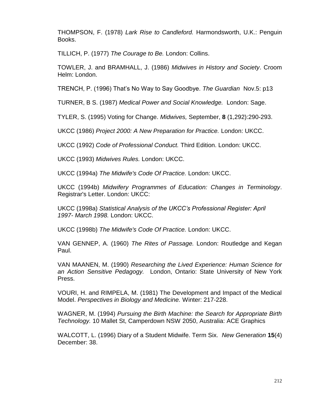THOMPSON, F. (1978) *Lark Rise to Candleford.* Harmondsworth, U.K.: Penguin Books.

TILLICH, P. (1977) *The Courage to Be.* London: Collins.

TOWLER, J. and BRAMHALL, J. (1986) *Midwives in History and Society*. Croom Helm: London.

TRENCH, P. (1996) That's No Way to Say Goodbye. *The Guardian* Nov.5: p13

TURNER, B S. (1987) *Medical Power and Social Knowledge.* London: Sage.

TYLER, S. (1995) Voting for Change. *Midwives,* September, **8** (1,292):290-293.

UKCC (1986) *Project 2000: A New Preparation for Practice.* London: UKCC.

UKCC (1992) *Code of Professional Conduct.* Third Edition. London: UKCC.

UKCC (1993) *Midwives Rules.* London: UKCC.

UKCC (1994a) *The Midwife's Code Of Practice.* London: UKCC.

UKCC (1994b) *Midwifery Programmes of Education: Changes in Terminology*. Registrar's Letter. London: UKCC:

UKCC (1998a) *Statistical Analysis of the UKCC's Professional Register: April 1997- March 1998.* London: UKCC.

UKCC (1998b) *The Midwife's Code Of Practice.* London: UKCC.

VAN GENNEP, A. (1960) *The Rites of Passage.* London: Routledge and Kegan Paul.

VAN MAANEN, M. (1990) *Researching the Lived Experience: Human Science for an Action Sensitive Pedagogy.* London, Ontario: State University of New York Press.

VOURI, H. and RIMPELA, M. (1981) The Development and Impact of the Medical Model. *Perspectives in Biology and Medicine.* Winter: 217-228.

WAGNER, M. (1994) *Pursuing the Birth Machine: the Search for Appropriate Birth Technology.* 10 Mallet St, Camperdown NSW 2050, Australia: ACE Graphics

WALCOTT, L. (1996) Diary of a Student Midwife. Term Six. *New Generation* **15**(4) December: 38.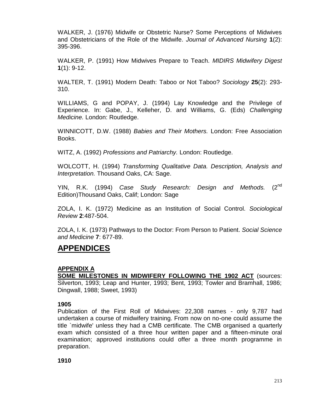WALKER, J. (1976) Midwife or Obstetric Nurse? Some Perceptions of Midwives and Obstetricians of the Role of the Midwife. *Journal of Advanced Nursing* **1**(2): 395-396.

WALKER, P. (1991) How Midwives Prepare to Teach. *MIDIRS Midwifery Digest* **1**(1): 9-12.

WALTER, T. (1991) Modern Death: Taboo or Not Taboo? *Sociology* **25**(2): 293- 310.

WILLIAMS, G and POPAY, J. (1994) Lay Knowledge and the Privilege of Experience. In: Gabe, J., Kelleher, D. and Williams, G. (Eds) *Challenging Medicine.* London: Routledge.

WINNICOTT, D.W. (1988) *Babies and Their Mothers.* London: Free Association Books.

WITZ, A. (1992) *Professions and Patriarchy.* London: Routledge.

WOLCOTT, H. (1994) *Transforming Qualitative Data. Description, Analysis and Interpretation.* Thousand Oaks, CA: Sage.

YIN, R.K. (1994) *Case Study Research: Design and Methods.* (2<sup>nd</sup> Edition)Thousand Oaks, Calif; London: Sage

ZOLA, I. K. (1972) Medicine as an Institution of Social Control. *Sociological Review* **2**:487-504.

ZOLA, I. K. (1973) Pathways to the Doctor: From Person to Patient. *Social Science and Medicine* **7**: 677-89.

# **APPENDICES**

# **APPENDIX A**

**SOME MILESTONES IN MIDWIFERY FOLLOWING THE 1902 ACT** (sources: Silverton, 1993; Leap and Hunter, 1993; Bent, 1993; Towler and Bramhall, 1986; Dingwall, 1988; Sweet, 1993)

## **1905**

Publication of the First Roll of Midwives: 22,308 names - only 9,787 had undertaken a course of midwifery training. From now on no-one could assume the title `midwife' unless they had a CMB certificate. The CMB organised a quarterly exam which consisted of a three hour written paper and a fifteen-minute oral examination; approved institutions could offer a three month programme in preparation.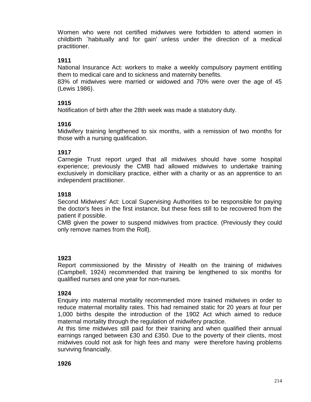Women who were not certified midwives were forbidden to attend women in childbirth `habitually and for gain' unless under the direction of a medical practitioner.

## **1911**

National Insurance Act: workers to make a weekly compulsory payment entitling them to medical care and to sickness and maternity benefits.

83% of midwives were married or widowed and 70% were over the age of 45 (Lewis 1986).

## **1915**

Notification of birth after the 28th week was made a statutory duty.

#### **1916**

Midwifery training lengthened to six months, with a remission of two months for those with a nursing qualification.

#### **1917**

Carnegie Trust report urged that all midwives should have some hospital experience; previously the CMB had allowed midwives to undertake training exclusively in domiciliary practice, either with a charity or as an apprentice to an independent practitioner.

#### **1918**

Second Midwives' Act: Local Supervising Authorities to be responsible for paying the doctor's fees in the first instance, but these fees still to be recovered from the patient if possible.

CMB given the power to suspend midwives from practice. (Previously they could only remove names from the Roll).

#### **1923**

Report commissioned by the Ministry of Health on the training of midwives (Campbell, 1924) recommended that training be lengthened to six months for qualified nurses and one year for non-nurses.

## **1924**

Enquiry into maternal mortality recommended more trained midwives in order to reduce maternal mortality rates. This had remained static for 20 years at four per 1,000 births despite the introduction of the 1902 Act which aimed to reduce maternal mortality through the regulation of midwifery practice.

At this time midwives still paid for their training and when qualified their annual earnings ranged between £30 and £350. Due to the poverty of their clients, most midwives could not ask for high fees and many were therefore having problems surviving financially.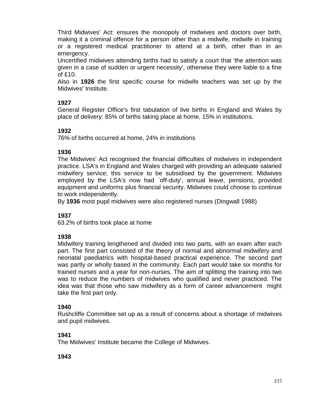Third Midwives' Act: ensures the monopoly of midwives and doctors over birth, making it a criminal offence for a person other than a midwife, midwife in training or a registered medical practitioner to attend at a birth, other than in an emergency.

Uncertified midwives attending births had to satisfy a court that 'the attention was given in a case of sudden or urgent necessity', otherwise they were liable to a fine of £10.

Also in **1926** the first specific course for midwife teachers was set up by the Midwives' Institute.

# **1927**

General Register Office's first tabulation of live births in England and Wales by place of delivery: 85% of births taking place at home, 15% in institutions.

# **1932**

76% of births occurred at home, 24% in institutions

# **1936**

The Midwives' Act recognised the financial difficulties of midwives in independent practice. LSA's in England and Wales charged with providing an adequate salaried midwifery service; this service to be subsidised by the government. Midwives employed by the LSA's now had `off-duty', annual leave, pensions, provided equipment and uniforms plus financial security. Midwives could choose to continue to work independently.

By **1936** most pupil midwives were also registered nurses (Dingwall 1988)

# **1937**

63.2% of births took place at home

# **1938**

Midwifery training lengthened and divided into two parts, with an exam after each part. The first part consisted of the theory of normal and abnormal midwifery and neonatal paediatrics with hospital-based practical experience. The second part was partly or wholly based in the community. Each part would take six months for trained nurses and a year for non-nurses. The aim of splitting the training into two was to reduce the numbers of midwives who qualified and never practiced. The idea was that those who saw midwifery as a form of career advancement might take the first part only.

# **1940**

Rushcliffe Committee set up as a result of concerns about a shortage of midwives and pupil midwives.

# **1941**

The Midwives' Institute became the College of Midwives.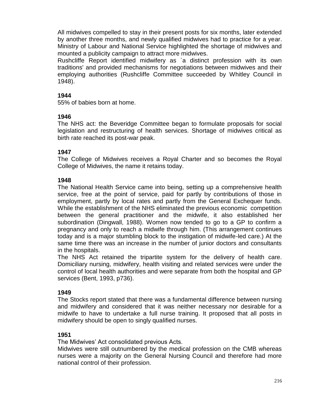All midwives compelled to stay in their present posts for six months, later extended by another three months, and newly qualified midwives had to practice for a year. Ministry of Labour and National Service highlighted the shortage of midwives and mounted a publicity campaign to attract more midwives.

Rushcliffe Report identified midwifery as `a distinct profession with its own traditions' and provided mechanisms for negotiations between midwives and their employing authorities (Rushcliffe Committee succeeded by Whitley Council in 1948).

### **1944**

55% of babies born at home.

## **1946**

The NHS act: the Beveridge Committee began to formulate proposals for social legislation and restructuring of health services. Shortage of midwives critical as birth rate reached its post-war peak.

#### **1947**

The College of Midwives receives a Royal Charter and so becomes the Royal College of Midwives, the name it retains today.

## **1948**

The National Health Service came into being, setting up a comprehensive health service, free at the point of service, paid for partly by contributions of those in employment, partly by local rates and partly from the General Exchequer funds. While the establishment of the NHS eliminated the previous economic competition between the general practitioner and the midwife, it also established her subordination (Dingwall, 1988). Women now tended to go to a GP to confirm a pregnancy and only to reach a midwife through him. (This arrangement continues today and is a major stumbling block to the instigation of midwife-led care.) At the same time there was an increase in the number of junior doctors and consultants in the hospitals.

The NHS Act retained the tripartite system for the delivery of health care. Domiciliary nursing, midwifery, health visiting and related services were under the control of local health authorities and were separate from both the hospital and GP services (Bent, 1993, p736).

#### **1949**

The Stocks report stated that there was a fundamental difference between nursing and midwifery and considered that it was neither necessary nor desirable for a midwife to have to undertake a full nurse training. It proposed that all posts in midwifery should be open to singly qualified nurses.

## **1951**

The Midwives' Act consolidated previous Acts.

Midwives were still outnumbered by the medical profession on the CMB whereas nurses were a majority on the General Nursing Council and therefore had more national control of their profession.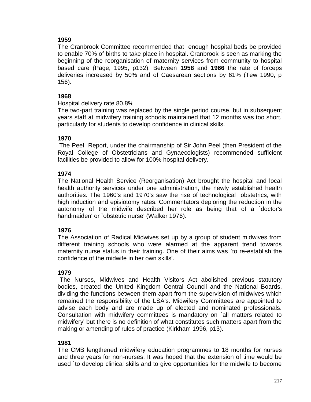## **1959**

The Cranbrook Committee recommended that enough hospital beds be provided to enable 70% of births to take place in hospital. Cranbrook is seen as marking the beginning of the reorganisation of maternity services from community to hospital based care (Page, 1995, p132). Between **1958** and **1966** the rate of forceps deliveries increased by 50% and of Caesarean sections by 61% (Tew 1990, p 156).

## **1968**

Hospital delivery rate 80.8%

The two-part training was replaced by the single period course, but in subsequent years staff at midwifery training schools maintained that 12 months was too short, particularly for students to develop confidence in clinical skills.

## **1970**

The PeelReport, under the chairmanship of Sir John Peel (then President of the Royal College of Obstetricians and Gynaecologists) recommended sufficient facilities be provided to allow for 100% hospital delivery.

## **1974**

The National Health Service (Reorganisation) Act brought the hospital and local health authority services under one administration, the newly established health authorities. The 1960's and 1970's saw the rise of technological obstetrics, with high induction and episiotomy rates. Commentators deploring the reduction in the autonomy of the midwife described her role as being that of a `doctor's handmaiden' or `obstetric nurse' (Walker 1976).

## **1976**

The Association of Radical Midwives set up by a group of student midwives from different training schools who were alarmed at the apparent trend towards maternity nurse status in their training. One of their aims was `to re-establish the confidence of the midwife in her own skills'.

## **1979**

 The Nurses, Midwives and Health Visitors Act abolished previous statutory bodies, created the United Kingdom Central Council and the National Boards, dividing the functions between them apart from the supervision of midwives which remained the responsibility of the LSA's. Midwifery Committees are appointed to advise each body and are made up of elected and nominated professionals. Consultation with midwifery committees is mandatory on `all matters related to midwifery' but there is no definition of what constitutes such matters apart from the making or amending of rules of practice (Kirkham 1996, p13).

## **1981**

The CMB lengthened midwifery education programmes to 18 months for nurses and three years for non-nurses. It was hoped that the extension of time would be used `to develop clinical skills and to give opportunities for the midwife to become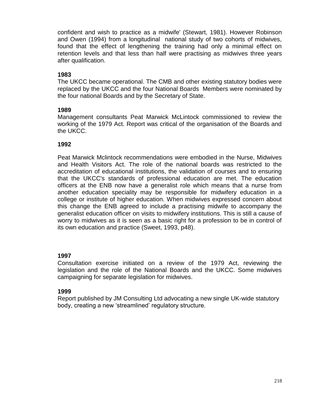confident and wish to practice as a midwife' (Stewart, 1981). However Robinson and Owen (1994) from a longitudinal national study of two cohorts of midwives, found that the effect of lengthening the training had only a minimal effect on retention levels and that less than half were practising as midwives three years after qualification.

## **1983**

The UKCC became operational. The CMB and other existing statutory bodies were replaced by the UKCC and the four National Boards Members were nominated by the four national Boards and by the Secretary of State.

#### **1989**

Management consultants Peat Marwick McLintock commissioned to review the working of the 1979 Act. Report was critical of the organisation of the Boards and the UKCC.

#### **1992**

Peat Marwick Mclintock recommendations were embodied in the Nurse, Midwives and Health Visitors Act. The role of the national boards was restricted to the accreditation of educational institutions, the validation of courses and to ensuring that the UKCC's standards of professional education are met. The education officers at the ENB now have a generalist role which means that a nurse from another education speciality may be responsible for midwifery education in a college or institute of higher education. When midwives expressed concern about this change the ENB agreed to include a practising midwife to accompany the generalist education officer on visits to midwifery institutions. This is still a cause of worry to midwives as it is seen as a basic right for a profession to be in control of its own education and practice (Sweet, 1993, p48).

## **1997**

Consultation exercise initiated on a review of the 1979 Act, reviewing the legislation and the role of the National Boards and the UKCC. Some midwives campaigning for separate legislation for midwives.

#### **1999**

Report published by JM Consulting Ltd advocating a new single UK-wide statutory body, creating a new 'streamlined' regulatory structure.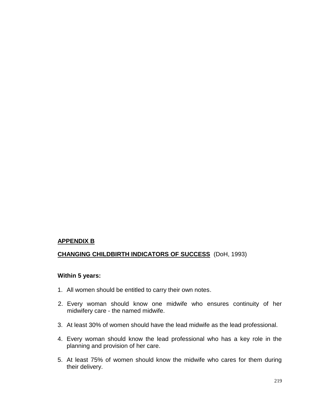#### **APPENDIX B**

# **CHANGING CHILDBIRTH INDICATORS OF SUCCESS** (DoH, 1993)

## **Within 5 years:**

- 1. All women should be entitled to carry their own notes.
- 2. Every woman should know one midwife who ensures continuity of her midwifery care - the named midwife.
- 3. At least 30% of women should have the lead midwife as the lead professional.
- 4. Every woman should know the lead professional who has a key role in the planning and provision of her care.
- 5. At least 75% of women should know the midwife who cares for them during their delivery.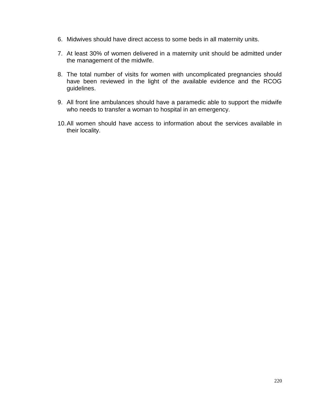- 6. Midwives should have direct access to some beds in all maternity units.
- 7. At least 30% of women delivered in a maternity unit should be admitted under the management of the midwife.
- 8. The total number of visits for women with uncomplicated pregnancies should have been reviewed in the light of the available evidence and the RCOG guidelines.
- 9. All front line ambulances should have a paramedic able to support the midwife who needs to transfer a woman to hospital in an emergency.
- 10.All women should have access to information about the services available in their locality.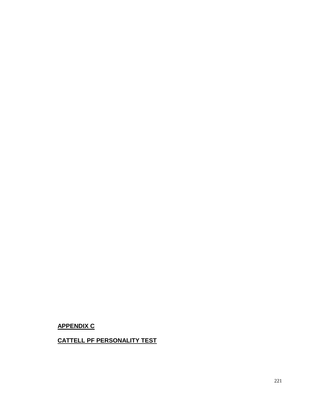# **APPENDIX C**

# **CATTELL PF PERSONALITY TEST**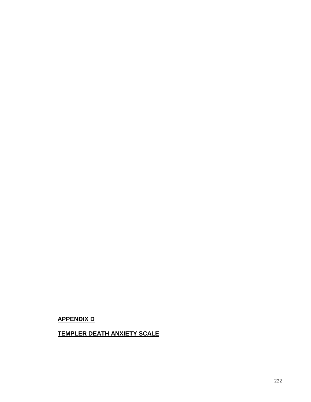# **APPENDIX D**

# **TEMPLER DEATH ANXIETY SCALE**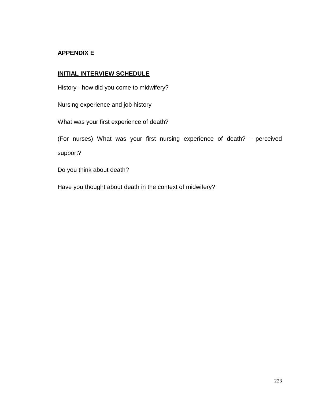### **APPENDIX E**

#### **INITIAL INTERVIEW SCHEDULE**

History - how did you come to midwifery?

Nursing experience and job history

What was your first experience of death?

(For nurses) What was your first nursing experience of death? - perceived support?

Do you think about death?

Have you thought about death in the context of midwifery?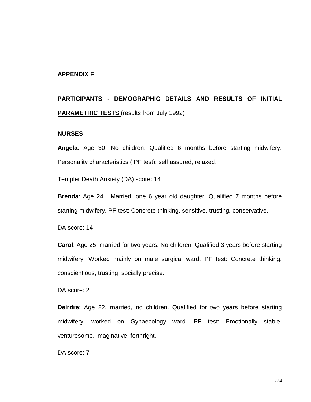#### **APPENDIX F**

# **PARTICIPANTS - DEMOGRAPHIC DETAILS AND RESULTS OF INITIAL PARAMETRIC TESTS** (results from July 1992)

#### **NURSES**

**Angela**: Age 30. No children. Qualified 6 months before starting midwifery. Personality characteristics ( PF test): self assured, relaxed.

Templer Death Anxiety (DA) score: 14

**Brenda**: Age 24. Married, one 6 year old daughter. Qualified 7 months before starting midwifery. PF test: Concrete thinking, sensitive, trusting, conservative.

DA score: 14

**Carol**: Age 25, married for two years. No children. Qualified 3 years before starting midwifery. Worked mainly on male surgical ward. PF test: Concrete thinking, conscientious, trusting, socially precise.

DA score: 2

**Deirdre**: Age 22, married, no children. Qualified for two years before starting midwifery, worked on Gynaecology ward. PF test: Emotionally stable, venturesome, imaginative, forthright.

DA score: 7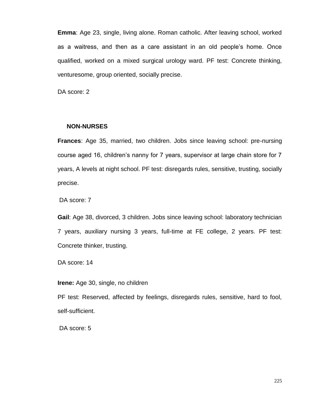**Emma**: Age 23, single, living alone. Roman catholic. After leaving school, worked as a waitress, and then as a care assistant in an old people's home. Once qualified, worked on a mixed surgical urology ward. PF test: Concrete thinking, venturesome, group oriented, socially precise.

DA score: 2

#### **NON-NURSES**

**Frances**: Age 35, married, two children. Jobs since leaving school: pre-nursing course aged 16, children's nanny for 7 years, supervisor at large chain store for 7 years, A levels at night school. PF test: disregards rules, sensitive, trusting, socially precise.

DA score: 7

**Gail**: Age 38, divorced, 3 children. Jobs since leaving school: laboratory technician 7 years, auxiliary nursing 3 years, full-time at FE college, 2 years. PF test: Concrete thinker, trusting.

DA score: 14

**Irene:** Age 30, single, no children

PF test: Reserved, affected by feelings, disregards rules, sensitive, hard to fool, self-sufficient.

DA score: 5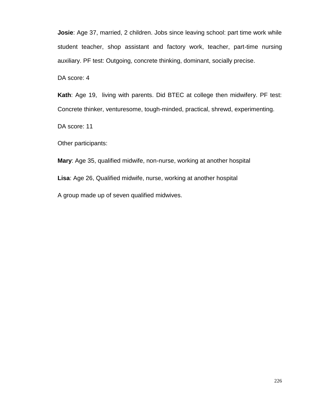**Josie**: Age 37, married, 2 children. Jobs since leaving school: part time work while student teacher, shop assistant and factory work, teacher, part-time nursing auxiliary. PF test: Outgoing, concrete thinking, dominant, socially precise.

DA score: 4

**Kath**: Age 19, living with parents. Did BTEC at college then midwifery. PF test: Concrete thinker, venturesome, tough-minded, practical, shrewd, experimenting.

DA score: 11

Other participants:

**Mary**: Age 35, qualified midwife, non-nurse, working at another hospital **Lisa**: Age 26, Qualified midwife, nurse, working at another hospital A group made up of seven qualified midwives.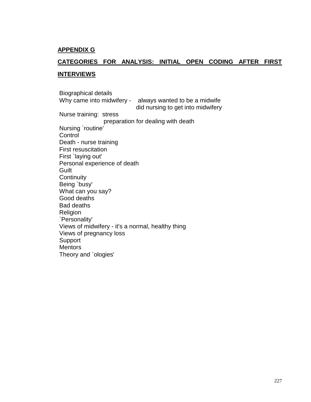#### **APPENDIX G**

## **CATEGORIES FOR ANALYSIS: INITIAL OPEN CODING AFTER FIRST**

#### **INTERVIEWS**

Biographical details Why came into midwifery - always wanted to be a midwife did nursing to get into midwifery Nurse training: stress preparation for dealing with death Nursing `routine' **Control** Death - nurse training First resuscitation First `laying out' Personal experience of death Guilt **Continuity** Being `busy' What can you say? Good deaths Bad deaths Religion `Personality' Views of midwifery - it's a normal, healthy thing Views of pregnancy loss Support **Mentors** Theory and `ologies'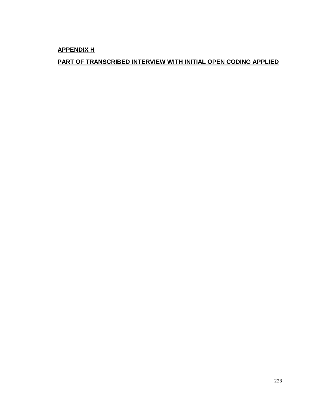**APPENDIX H**

# **PART OF TRANSCRIBED INTERVIEW WITH INITIAL OPEN CODING APPLIED**